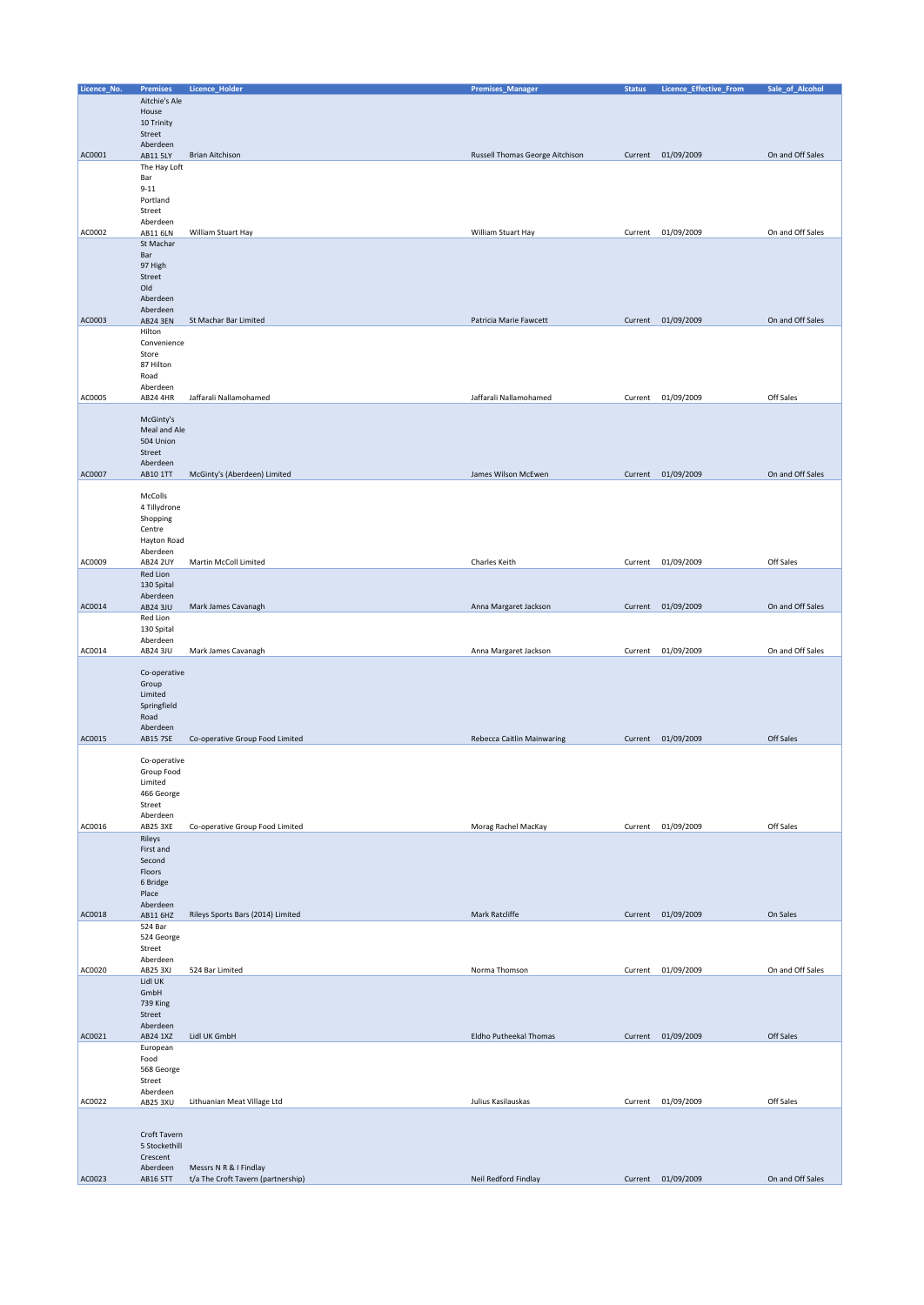| Licence_No. | <b>Premises</b>      | Licence_Holder                     | <b>Premises_Manager</b>         | <b>Status</b> | Licence_Effective_From | Sale_of_Alcohol  |
|-------------|----------------------|------------------------------------|---------------------------------|---------------|------------------------|------------------|
|             | Aitchie's Ale        |                                    |                                 |               |                        |                  |
|             | House                |                                    |                                 |               |                        |                  |
|             | 10 Trinity           |                                    |                                 |               |                        |                  |
|             |                      |                                    |                                 |               |                        |                  |
|             | Street               |                                    |                                 |               |                        |                  |
| AC0001      | Aberdeen             | <b>Brian Aitchison</b>             | Russell Thomas George Aitchison |               | Current 01/09/2009     | On and Off Sales |
|             | AB11 5LY             |                                    |                                 |               |                        |                  |
|             | The Hay Loft         |                                    |                                 |               |                        |                  |
|             | Bar                  |                                    |                                 |               |                        |                  |
|             | $9 - 11$             |                                    |                                 |               |                        |                  |
|             | Portland             |                                    |                                 |               |                        |                  |
|             | Street               |                                    |                                 |               |                        |                  |
| AC0002      | Aberdeen<br>AB11 6LN | William Stuart Hay                 | William Stuart Hay              |               | Current 01/09/2009     | On and Off Sales |
|             | St Machar            |                                    |                                 |               |                        |                  |
|             | Bar                  |                                    |                                 |               |                        |                  |
|             | 97 High              |                                    |                                 |               |                        |                  |
|             | Street               |                                    |                                 |               |                        |                  |
|             | Old                  |                                    |                                 |               |                        |                  |
|             | Aberdeen             |                                    |                                 |               |                        |                  |
|             | Aberdeen             |                                    |                                 |               |                        |                  |
| AC0003      | <b>AB24 3EN</b>      | St Machar Bar Limited              | Patricia Marie Fawcett          |               | Current 01/09/2009     | On and Off Sales |
|             | Hilton               |                                    |                                 |               |                        |                  |
|             | Convenience          |                                    |                                 |               |                        |                  |
|             | Store                |                                    |                                 |               |                        |                  |
|             | 87 Hilton            |                                    |                                 |               |                        |                  |
|             | Road                 |                                    |                                 |               |                        |                  |
|             | Aberdeen             |                                    |                                 |               |                        |                  |
| AC0005      | AB24 4HR             | Jaffarali Nallamohamed             | Jaffarali Nallamohamed          | Current       | 01/09/2009             | Off Sales        |
|             |                      |                                    |                                 |               |                        |                  |
|             | McGinty's            |                                    |                                 |               |                        |                  |
|             | Meal and Ale         |                                    |                                 |               |                        |                  |
|             | 504 Union            |                                    |                                 |               |                        |                  |
|             | Street               |                                    |                                 |               |                        |                  |
| AC0007      | Aberdeen<br>AB10 1TT | McGinty's (Aberdeen) Limited       | James Wilson McEwen             |               | Current 01/09/2009     | On and Off Sales |
|             |                      |                                    |                                 |               |                        |                  |
|             | McColls              |                                    |                                 |               |                        |                  |
|             | 4 Tillydrone         |                                    |                                 |               |                        |                  |
|             | Shopping             |                                    |                                 |               |                        |                  |
|             | Centre               |                                    |                                 |               |                        |                  |
|             | Hayton Road          |                                    |                                 |               |                        |                  |
|             | Aberdeen             |                                    |                                 |               |                        |                  |
| AC0009      | <b>AB24 2UY</b>      | Martin McColl Limited              | Charles Keith                   |               | Current 01/09/2009     | Off Sales        |
|             | Red Lion             |                                    |                                 |               |                        |                  |
|             | 130 Spital           |                                    |                                 |               |                        |                  |
|             | Aberdeen             |                                    |                                 |               |                        |                  |
| AC0014      | AB24 3JU             | Mark James Cavanagh                | Anna Margaret Jackson           |               | Current 01/09/2009     | On and Off Sales |
|             | Red Lion             |                                    |                                 |               |                        |                  |
|             | 130 Spital           |                                    |                                 |               |                        |                  |
|             | Aberdeen             |                                    |                                 |               |                        |                  |
| AC0014      | AB24 3JU             | Mark James Cavanagh                | Anna Margaret Jackson           | Current       | 01/09/2009             | On and Off Sales |
|             |                      |                                    |                                 |               |                        |                  |
|             | Co-operative         |                                    |                                 |               |                        |                  |
|             | Group                |                                    |                                 |               |                        |                  |
|             | Limited              |                                    |                                 |               |                        |                  |
|             | Springfield          |                                    |                                 |               |                        |                  |
|             | Road                 |                                    |                                 |               |                        |                  |
|             | Aberdeen             |                                    |                                 |               |                        |                  |
| AC0015      | <b>AB15 7SE</b>      | Co-operative Group Food Limited    | Rebecca Caitlin Mainwaring      |               | Current 01/09/2009     | Off Sales        |
|             |                      |                                    |                                 |               |                        |                  |
|             | Co-operative         |                                    |                                 |               |                        |                  |
|             | Group Food           |                                    |                                 |               |                        |                  |
|             | Limited              |                                    |                                 |               |                        |                  |
|             | 466 George           |                                    |                                 |               |                        |                  |
|             | Street               |                                    |                                 |               |                        |                  |
|             | Aberdeen             |                                    |                                 |               |                        |                  |
| AC0016      | AB25 3XE             | Co-operative Group Food Limited    | Morag Rachel MacKay             | Current       | 01/09/2009             | Off Sales        |
|             | Rileys               |                                    |                                 |               |                        |                  |
|             | First and            |                                    |                                 |               |                        |                  |
|             | Second<br>Floors     |                                    |                                 |               |                        |                  |
|             | 6 Bridge             |                                    |                                 |               |                        |                  |
|             | Place                |                                    |                                 |               |                        |                  |
|             | Aberdeen             |                                    |                                 |               |                        |                  |
| AC0018      | AB11 6HZ             | Rileys Sports Bars (2014) Limited  | Mark Ratcliffe                  |               | Current 01/09/2009     | On Sales         |
|             | 524 Bar              |                                    |                                 |               |                        |                  |
|             | 524 George           |                                    |                                 |               |                        |                  |
|             | Street               |                                    |                                 |               |                        |                  |
|             | Aberdeen             |                                    |                                 |               |                        |                  |
| AC0020      | <b>AB25 3XJ</b>      | 524 Bar Limited                    | Norma Thomson                   |               | Current 01/09/2009     | On and Off Sales |
|             | Lidl UK              |                                    |                                 |               |                        |                  |
|             | GmbH                 |                                    |                                 |               |                        |                  |
|             | 739 King             |                                    |                                 |               |                        |                  |
|             | Street               |                                    |                                 |               |                        |                  |
|             | Aberdeen             |                                    |                                 |               |                        |                  |
| AC0021      | AB24 1XZ             | Lidl UK GmbH                       | Eldho Putheekal Thomas          |               | Current 01/09/2009     | Off Sales        |
|             | European             |                                    |                                 |               |                        |                  |
|             | Food                 |                                    |                                 |               |                        |                  |
|             | 568 George           |                                    |                                 |               |                        |                  |
|             | Street               |                                    |                                 |               |                        |                  |
|             | Aberdeen             |                                    |                                 |               |                        |                  |
| AC0022      | AB25 3XU             | Lithuanian Meat Village Ltd        | Julius Kasilauskas              | Current       | 01/09/2009             | Off Sales        |
|             |                      |                                    |                                 |               |                        |                  |
|             |                      |                                    |                                 |               |                        |                  |
|             | Croft Tavern         |                                    |                                 |               |                        |                  |
|             | 5 Stockethill        |                                    |                                 |               |                        |                  |
|             | Crescent             |                                    |                                 |               |                        |                  |
| AC0023      | Aberdeen             | Messrs N R & I Findlay             |                                 |               |                        | On and Off Sales |
|             | AB16 5TT             | t/a The Croft Tavern (partnership) | Neil Redford Findlay            |               | Current 01/09/2009     |                  |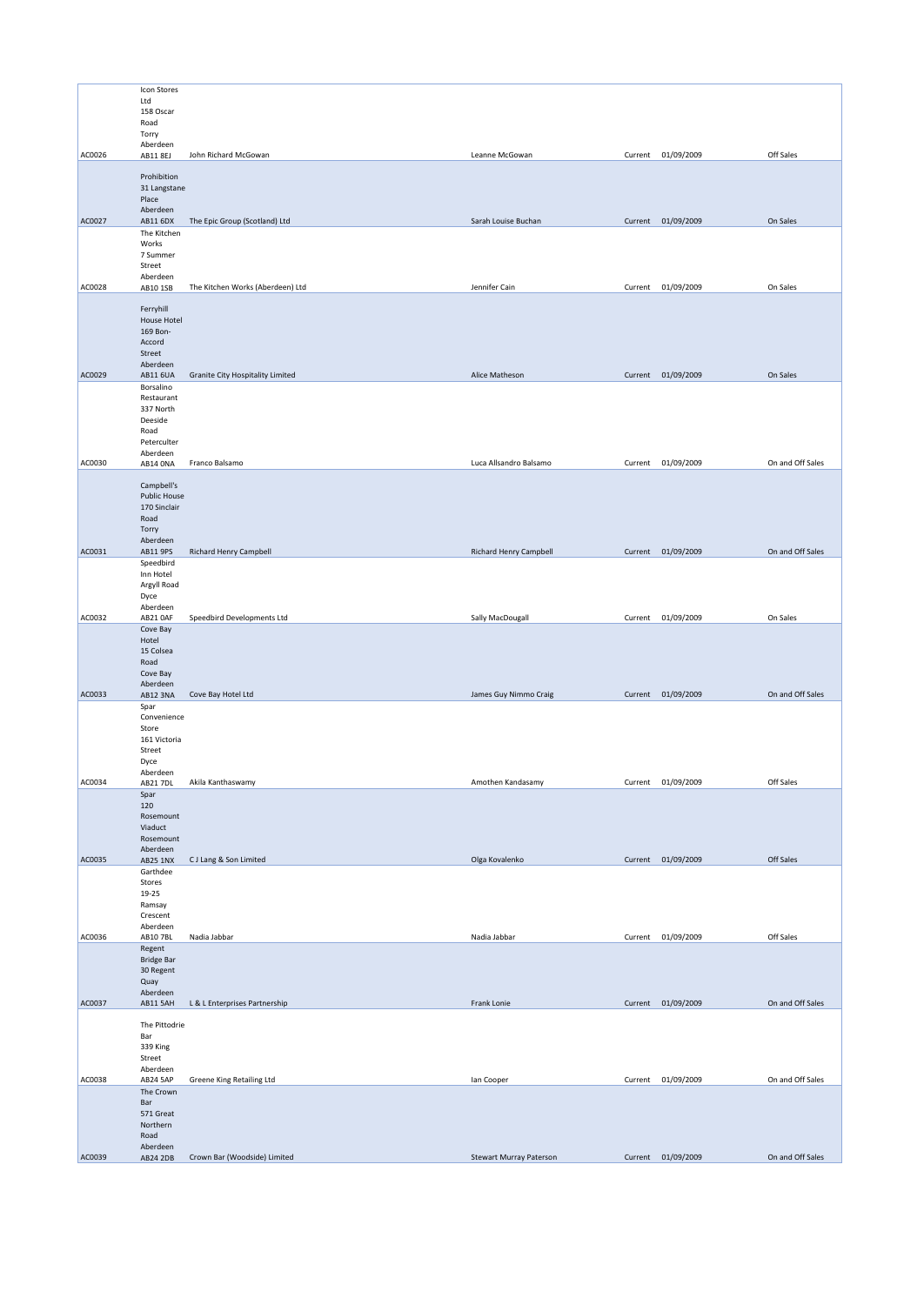|        | Icon Stores          |                                  |                                |         |                    |                  |
|--------|----------------------|----------------------------------|--------------------------------|---------|--------------------|------------------|
|        | Ltd                  |                                  |                                |         |                    |                  |
|        | 158 Oscar            |                                  |                                |         |                    |                  |
|        | Road                 |                                  |                                |         |                    |                  |
|        | Torry                |                                  |                                |         |                    |                  |
|        | Aberdeen             |                                  |                                |         |                    |                  |
| AC0026 | AB11 8EJ             | John Richard McGowan             | Leanne McGowan                 |         | Current 01/09/2009 | Off Sales        |
|        | Prohibition          |                                  |                                |         |                    |                  |
|        | 31 Langstane         |                                  |                                |         |                    |                  |
|        | Place                |                                  |                                |         |                    |                  |
|        | Aberdeen             |                                  |                                |         |                    |                  |
| AC0027 | AB11 6DX             | The Epic Group (Scotland) Ltd    | Sarah Louise Buchan            |         | Current 01/09/2009 | On Sales         |
|        | The Kitchen          |                                  |                                |         |                    |                  |
|        | Works                |                                  |                                |         |                    |                  |
|        | 7 Summer             |                                  |                                |         |                    |                  |
|        | Street               |                                  |                                |         |                    |                  |
|        | Aberdeen             |                                  |                                |         |                    |                  |
| AC0028 | AB10 1SB             | The Kitchen Works (Aberdeen) Ltd | Jennifer Cain                  |         | Current 01/09/2009 | On Sales         |
|        | Ferryhill            |                                  |                                |         |                    |                  |
|        | House Hotel          |                                  |                                |         |                    |                  |
|        | 169 Bon-             |                                  |                                |         |                    |                  |
|        | Accord               |                                  |                                |         |                    |                  |
|        | Street               |                                  |                                |         |                    |                  |
|        | Aberdeen             |                                  |                                |         |                    |                  |
| AC0029 | AB11 6UA             | Granite City Hospitality Limited | Alice Matheson                 |         | Current 01/09/2009 | On Sales         |
|        | Borsalino            |                                  |                                |         |                    |                  |
|        | Restaurant           |                                  |                                |         |                    |                  |
|        | 337 North            |                                  |                                |         |                    |                  |
|        | Deeside              |                                  |                                |         |                    |                  |
|        | Road                 |                                  |                                |         |                    |                  |
|        | Peterculter          |                                  |                                |         |                    |                  |
| AC0030 | Aberdeen             | Franco Balsamo                   | Luca Allsandro Balsamo         | Current | 01/09/2009         | On and Off Sales |
|        | AB14 ONA             |                                  |                                |         |                    |                  |
|        | Campbell's           |                                  |                                |         |                    |                  |
|        | <b>Public House</b>  |                                  |                                |         |                    |                  |
|        | 170 Sinclair         |                                  |                                |         |                    |                  |
|        | Road                 |                                  |                                |         |                    |                  |
|        | Torry                |                                  |                                |         |                    |                  |
|        | Aberdeen             |                                  |                                |         |                    |                  |
| AC0031 | AB11 9PS             | Richard Henry Campbell           | Richard Henry Campbell         |         | Current 01/09/2009 | On and Off Sales |
|        | Speedbird            |                                  |                                |         |                    |                  |
|        | Inn Hotel            |                                  |                                |         |                    |                  |
|        | Argyll Road          |                                  |                                |         |                    |                  |
|        | Dyce                 |                                  |                                |         |                    |                  |
| AC0032 | Aberdeen             | Speedbird Developments Ltd       | Sally MacDougall               |         | Current 01/09/2009 | On Sales         |
|        | AB21 OAF             |                                  |                                |         |                    |                  |
|        | Cove Bay<br>Hotel    |                                  |                                |         |                    |                  |
|        | 15 Colsea            |                                  |                                |         |                    |                  |
|        | Road                 |                                  |                                |         |                    |                  |
|        | Cove Bay             |                                  |                                |         |                    |                  |
|        | Aberdeen             |                                  |                                |         |                    |                  |
| AC0033 | AB12 3NA             | Cove Bay Hotel Ltd               | James Guy Nimmo Craig          |         | Current 01/09/2009 | On and Off Sales |
|        | Spar                 |                                  |                                |         |                    |                  |
|        | Convenience          |                                  |                                |         |                    |                  |
|        | Store                |                                  |                                |         |                    |                  |
|        | 161 Victoria         |                                  |                                |         |                    |                  |
|        | Street               |                                  |                                |         |                    |                  |
|        | Dyce<br>Aberdeen     |                                  |                                |         |                    |                  |
| AC0034 | AB21 7DL             | Akila Kanthaswamy                | Amothen Kandasamy              | Current | 01/09/2009         | Off Sales        |
|        | Spar                 |                                  |                                |         |                    |                  |
|        | 120                  |                                  |                                |         |                    |                  |
|        | Rosemount            |                                  |                                |         |                    |                  |
|        | Viaduct              |                                  |                                |         |                    |                  |
|        | Rosemount            |                                  |                                |         |                    |                  |
|        | Aberdeen             |                                  |                                |         |                    |                  |
| AC0035 | AB25 1NX             | CJ Lang & Son Limited            | Olga Kovalenko                 |         | Current 01/09/2009 | Off Sales        |
|        | Garthdee             |                                  |                                |         |                    |                  |
|        | Stores               |                                  |                                |         |                    |                  |
|        | 19-25                |                                  |                                |         |                    |                  |
|        | Ramsay               |                                  |                                |         |                    |                  |
|        | Crescent<br>Aberdeen |                                  |                                |         |                    |                  |
| AC0036 | AB10 7BL             | Nadia Jabbar                     | Nadia Jabbar                   |         | Current 01/09/2009 | Off Sales        |
|        | Regent               |                                  |                                |         |                    |                  |
|        | <b>Bridge Bar</b>    |                                  |                                |         |                    |                  |
|        | 30 Regent            |                                  |                                |         |                    |                  |
|        | Quay                 |                                  |                                |         |                    |                  |
|        | Aberdeen             |                                  |                                |         |                    |                  |
| AC0037 | AB11 5AH             | L & L Enterprises Partnership    | Frank Lonie                    |         | Current 01/09/2009 | On and Off Sales |
|        |                      |                                  |                                |         |                    |                  |
|        | The Pittodrie        |                                  |                                |         |                    |                  |
|        | Bar                  |                                  |                                |         |                    |                  |
|        | 339 King             |                                  |                                |         |                    |                  |
|        | Street<br>Aberdeen   |                                  |                                |         |                    |                  |
| AC0038 | AB24 5AP             | Greene King Retailing Ltd        | lan Cooper                     |         | Current 01/09/2009 | On and Off Sales |
|        | The Crown            |                                  |                                |         |                    |                  |
|        | Bar                  |                                  |                                |         |                    |                  |
|        | 571 Great            |                                  |                                |         |                    |                  |
|        | Northern             |                                  |                                |         |                    |                  |
|        | Road                 |                                  |                                |         |                    |                  |
|        | Aberdeen             |                                  |                                |         |                    |                  |
| AC0039 | AB24 2DB             | Crown Bar (Woodside) Limited     | <b>Stewart Murray Paterson</b> |         | Current 01/09/2009 | On and Off Sales |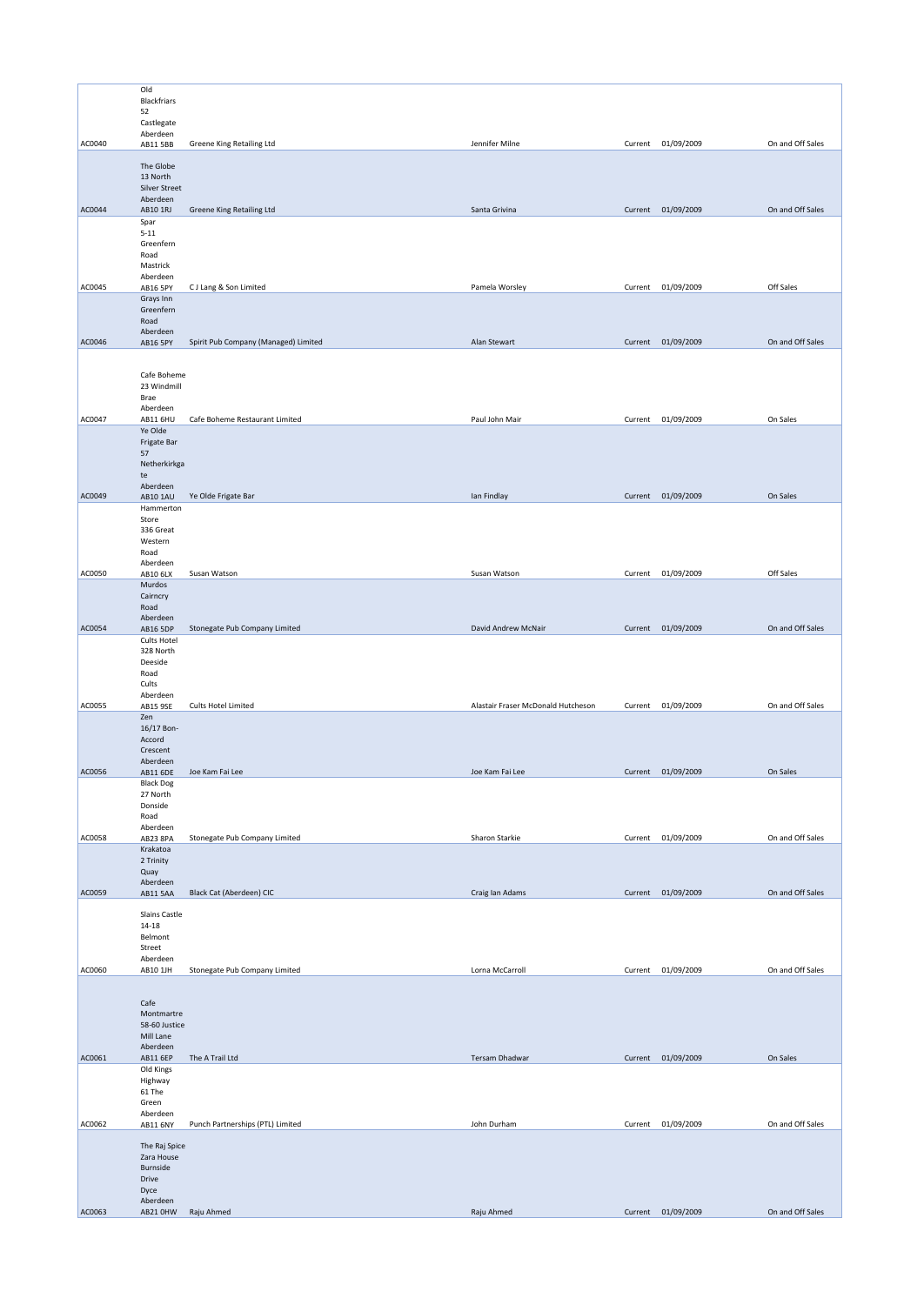|        | Old                                                          |                                      |                                    |         |                    |                  |
|--------|--------------------------------------------------------------|--------------------------------------|------------------------------------|---------|--------------------|------------------|
|        | Blackfriars<br>52                                            |                                      |                                    |         |                    |                  |
|        | Castlegate                                                   |                                      |                                    |         |                    |                  |
|        | Aberdeen                                                     |                                      |                                    |         |                    |                  |
| AC0040 | AB11 5BB                                                     | Greene King Retailing Ltd            | Jennifer Milne                     | Current | 01/09/2009         | On and Off Sales |
|        | The Globe<br>13 North                                        |                                      |                                    |         |                    |                  |
|        | <b>Silver Street</b><br>Aberdeen                             |                                      |                                    |         |                    |                  |
| AC0044 | AB10 1RJ                                                     | Greene King Retailing Ltd            | Santa Grivina                      |         | Current 01/09/2009 | On and Off Sales |
|        | Spar<br>$5 - 11$<br>Greenfern<br>Road                        |                                      |                                    |         |                    |                  |
|        | Mastrick                                                     |                                      |                                    |         |                    |                  |
| AC0045 | Aberdeen<br>AB16 5PY                                         | CJ Lang & Son Limited                | Pamela Worsley                     |         | Current 01/09/2009 | Off Sales        |
|        | Grays Inn<br>Greenfern<br>Road                               |                                      |                                    |         |                    |                  |
|        | Aberdeen                                                     |                                      |                                    |         |                    |                  |
| AC0046 | AB16 5PY                                                     | Spirit Pub Company (Managed) Limited | Alan Stewart                       |         | Current 01/09/2009 | On and Off Sales |
|        | Cafe Boheme<br>23 Windmill<br>Brae<br>Aberdeen               |                                      |                                    |         |                    |                  |
| AC0047 | <b>AB11 6HU</b>                                              | Cafe Boheme Restaurant Limited       | Paul John Mair                     |         | Current 01/09/2009 | On Sales         |
|        | Ye Olde<br>Frigate Bar<br>57<br>Netherkirkga<br>te           |                                      |                                    |         |                    |                  |
|        | Aberdeen                                                     |                                      |                                    |         |                    |                  |
| AC0049 | <b>AB10 1AU</b><br>Hammerton                                 | Ye Olde Frigate Bar                  | lan Findlay                        |         | Current 01/09/2009 | On Sales         |
|        | Store<br>336 Great<br>Western<br>Road                        |                                      |                                    |         |                    |                  |
| AC0050 | Aberdeen<br>AB10 6LX                                         | Susan Watson                         | Susan Watson                       | Current | 01/09/2009         | Off Sales        |
|        | Murdos<br>Cairncry<br>Road                                   |                                      |                                    |         |                    |                  |
| AC0054 | Aberdeen<br>AB16 5DP                                         | Stonegate Pub Company Limited        | David Andrew McNair                |         | Current 01/09/2009 | On and Off Sales |
|        | <b>Cults Hotel</b><br>328 North<br>Deeside<br>Road<br>Cults  |                                      |                                    |         |                    |                  |
| AC0055 | Aberdeen<br>AB15 9SE                                         | Cults Hotel Limited                  | Alastair Fraser McDonald Hutcheson |         | Current 01/09/2009 | On and Off Sales |
|        | Zen<br>16/17 Bon-<br>Accord<br>Crescent<br>Aberdeen          |                                      |                                    |         |                    |                  |
| AC0056 | AB11 6DE                                                     | Joe Kam Fai Lee                      | Joe Kam Fai Lee                    |         | Current 01/09/2009 | On Sales         |
|        | <b>Black Dog</b><br>27 North<br>Donside<br>Road<br>Aberdeen  |                                      |                                    |         |                    |                  |
| AC0058 |                                                              |                                      |                                    |         |                    |                  |
|        | AB23 8PA                                                     | Stonegate Pub Company Limited        | Sharon Starkie                     |         | Current 01/09/2009 | On and Off Sales |
|        | Krakatoa<br>2 Trinity<br>Quay                                |                                      |                                    |         |                    |                  |
| AC0059 | Aberdeen<br>AB11 5AA                                         | Black Cat (Aberdeen) CIC             | Craig Ian Adams                    |         | Current 01/09/2009 | On and Off Sales |
|        | Slains Castle<br>$14 - 18$<br>Belmont<br>Street              |                                      |                                    |         |                    |                  |
| AC0060 | Aberdeen<br>AB10 1JH                                         | Stonegate Pub Company Limited        | Lorna McCarroll                    |         | Current 01/09/2009 | On and Off Sales |
|        | Cafe<br>Montmartre<br>58-60 Justice<br>Mill Lane<br>Aberdeen |                                      |                                    |         |                    |                  |
| AC0061 | AB11 6EP                                                     | The A Trail Ltd                      | Tersam Dhadwar                     |         | Current 01/09/2009 | On Sales         |
|        | Old Kings<br>Highway<br>61 The<br>Green                      |                                      |                                    |         |                    |                  |
| AC0062 | Aberdeen<br>AB11 6NY                                         | Punch Partnerships (PTL) Limited     | John Durham                        | Current | 01/09/2009         | On and Off Sales |
|        | The Raj Spice<br>Zara House<br>Burnside<br>Drive<br>Dyce     |                                      |                                    |         |                    |                  |
| AC0063 | Aberdeen<br>AB21 OHW                                         | Raju Ahmed                           | Raju Ahmed                         |         | Current 01/09/2009 | On and Off Sales |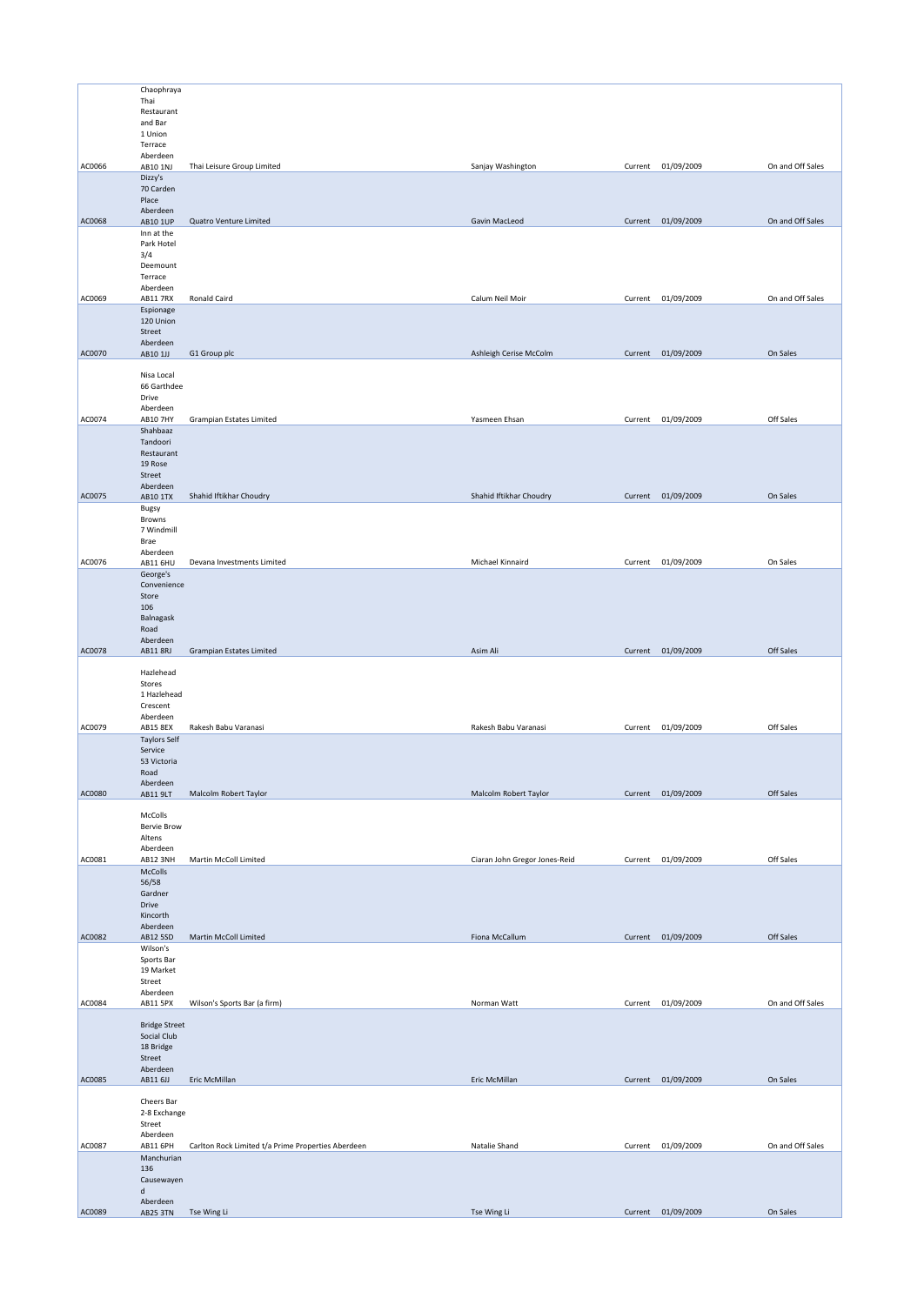|        | Chaophraya                      |                                                    |                               |         |                    |                  |
|--------|---------------------------------|----------------------------------------------------|-------------------------------|---------|--------------------|------------------|
|        | Thai                            |                                                    |                               |         |                    |                  |
|        | Restaurant                      |                                                    |                               |         |                    |                  |
|        | and Bar<br>1 Union              |                                                    |                               |         |                    |                  |
|        | Terrace                         |                                                    |                               |         |                    |                  |
|        | Aberdeen                        |                                                    |                               |         |                    |                  |
| AC0066 | AB10 1NJ                        | Thai Leisure Group Limited                         | Sanjay Washington             | Current | 01/09/2009         | On and Off Sales |
|        | Dizzy's<br>70 Carden            |                                                    |                               |         |                    |                  |
|        | Place                           |                                                    |                               |         |                    |                  |
|        | Aberdeen                        |                                                    |                               |         |                    |                  |
| AC0068 | AB10 1UP                        | Quatro Venture Limited                             | Gavin MacLeod                 |         | Current 01/09/2009 | On and Off Sales |
|        | Inn at the                      |                                                    |                               |         |                    |                  |
|        | Park Hotel<br>3/4               |                                                    |                               |         |                    |                  |
|        | Deemount                        |                                                    |                               |         |                    |                  |
|        | Terrace                         |                                                    |                               |         |                    |                  |
| AC0069 | Aberdeen<br><b>AB11 7RX</b>     | Ronald Caird                                       | Calum Neil Moir               |         | Current 01/09/2009 | On and Off Sales |
|        | Espionage                       |                                                    |                               |         |                    |                  |
|        | 120 Union                       |                                                    |                               |         |                    |                  |
|        | Street                          |                                                    |                               |         |                    |                  |
| AC0070 | Aberdeen<br>AB10 1JJ            | G1 Group plc                                       | Ashleigh Cerise McColm        |         | Current 01/09/2009 | On Sales         |
|        |                                 |                                                    |                               |         |                    |                  |
|        | Nisa Local                      |                                                    |                               |         |                    |                  |
|        | 66 Garthdee                     |                                                    |                               |         |                    |                  |
|        | Drive<br>Aberdeen               |                                                    |                               |         |                    |                  |
| AC0074 | <b>AB10 7HY</b>                 | <b>Grampian Estates Limited</b>                    | Yasmeen Ehsan                 |         | Current 01/09/2009 | Off Sales        |
|        | Shahbaaz                        |                                                    |                               |         |                    |                  |
|        | Tandoori                        |                                                    |                               |         |                    |                  |
|        | Restaurant<br>19 Rose           |                                                    |                               |         |                    |                  |
|        | Street                          |                                                    |                               |         |                    |                  |
|        | Aberdeen                        |                                                    |                               |         |                    |                  |
| AC0075 | <b>AB10 1TX</b>                 | Shahid Iftikhar Choudry                            | Shahid Iftikhar Choudry       |         | Current 01/09/2009 | On Sales         |
|        | Bugsy<br>Browns                 |                                                    |                               |         |                    |                  |
|        | 7 Windmill                      |                                                    |                               |         |                    |                  |
|        | Brae                            |                                                    |                               |         |                    |                  |
|        | Aberdeen                        |                                                    |                               |         |                    |                  |
| AC0076 | AB11 6HU<br>George's            | Devana Investments Limited                         | Michael Kinnaird              |         | Current 01/09/2009 | On Sales         |
|        | Convenience                     |                                                    |                               |         |                    |                  |
|        | Store                           |                                                    |                               |         |                    |                  |
|        | 106                             |                                                    |                               |         |                    |                  |
|        | Balnagask                       |                                                    |                               |         |                    |                  |
|        | Road<br>Aberdeen                |                                                    |                               |         |                    |                  |
| AC0078 | AB11 8RJ                        | <b>Grampian Estates Limited</b>                    | Asim Ali                      |         | Current 01/09/2009 | Off Sales        |
|        |                                 |                                                    |                               |         |                    |                  |
|        | Hazlehead<br>Stores             |                                                    |                               |         |                    |                  |
|        | 1 Hazlehead                     |                                                    |                               |         |                    |                  |
|        | Crescent                        |                                                    |                               |         |                    |                  |
|        | Aberdeen                        |                                                    |                               |         |                    |                  |
| AC0079 | AB15 8EX<br><b>Taylors Self</b> | Rakesh Babu Varanasi                               | Rakesh Babu Varanasi          |         | Current 01/09/2009 | Off Sales        |
|        | Service                         |                                                    |                               |         |                    |                  |
|        | 53 Victoria                     |                                                    |                               |         |                    |                  |
|        | Road                            |                                                    |                               |         |                    |                  |
| AC0080 | Aberdeen<br>AB11 9LT            | Malcolm Robert Taylor                              | Malcolm Robert Taylor         |         | Current 01/09/2009 | Off Sales        |
|        |                                 |                                                    |                               |         |                    |                  |
|        | McColls                         |                                                    |                               |         |                    |                  |
|        | <b>Bervie Brow</b>              |                                                    |                               |         |                    |                  |
|        | Altens<br>Aberdeen              |                                                    |                               |         |                    |                  |
| AC0081 | AB12 3NH                        | Martin McColl Limited                              | Ciaran John Gregor Jones-Reid | Current | 01/09/2009         | Off Sales        |
|        | McColls                         |                                                    |                               |         |                    |                  |
|        | 56/58                           |                                                    |                               |         |                    |                  |
|        | Gardner<br>Drive                |                                                    |                               |         |                    |                  |
|        | Kincorth                        |                                                    |                               |         |                    |                  |
|        | Aberdeen                        |                                                    |                               |         |                    |                  |
| AC0082 | AB12 5SD                        | Martin McColl Limited                              | Fiona McCallum                |         | Current 01/09/2009 | Off Sales        |
|        | Wilson's<br>Sports Bar          |                                                    |                               |         |                    |                  |
|        | 19 Market                       |                                                    |                               |         |                    |                  |
|        |                                 |                                                    |                               |         |                    |                  |
|        | Street                          |                                                    |                               |         |                    |                  |
| AC0084 | Aberdeen                        |                                                    |                               |         |                    |                  |
|        | AB11 5PX                        | Wilson's Sports Bar (a firm)                       | Norman Watt                   |         | Current 01/09/2009 | On and Off Sales |
|        | <b>Bridge Street</b>            |                                                    |                               |         |                    |                  |
|        | Social Club                     |                                                    |                               |         |                    |                  |
|        | 18 Bridge                       |                                                    |                               |         |                    |                  |
|        | Street                          |                                                    |                               |         |                    |                  |
| AC0085 | Aberdeen<br>AB11 6JJ            | Eric McMillan                                      | Eric McMillan                 |         | Current 01/09/2009 | On Sales         |
|        |                                 |                                                    |                               |         |                    |                  |
|        | Cheers Bar                      |                                                    |                               |         |                    |                  |
|        | 2-8 Exchange                    |                                                    |                               |         |                    |                  |
|        | Street<br>Aberdeen              |                                                    |                               |         |                    |                  |
| AC0087 | AB11 6PH                        | Carlton Rock Limited t/a Prime Properties Aberdeen | Natalie Shand                 |         | Current 01/09/2009 | On and Off Sales |
|        | Manchurian                      |                                                    |                               |         |                    |                  |
|        | 136                             |                                                    |                               |         |                    |                  |
|        | Causewayen<br>d                 |                                                    |                               |         |                    |                  |
| AC0089 | Aberdeen<br><b>AB25 3TN</b>     | Tse Wing Li                                        | Tse Wing Li                   |         | Current 01/09/2009 | On Sales         |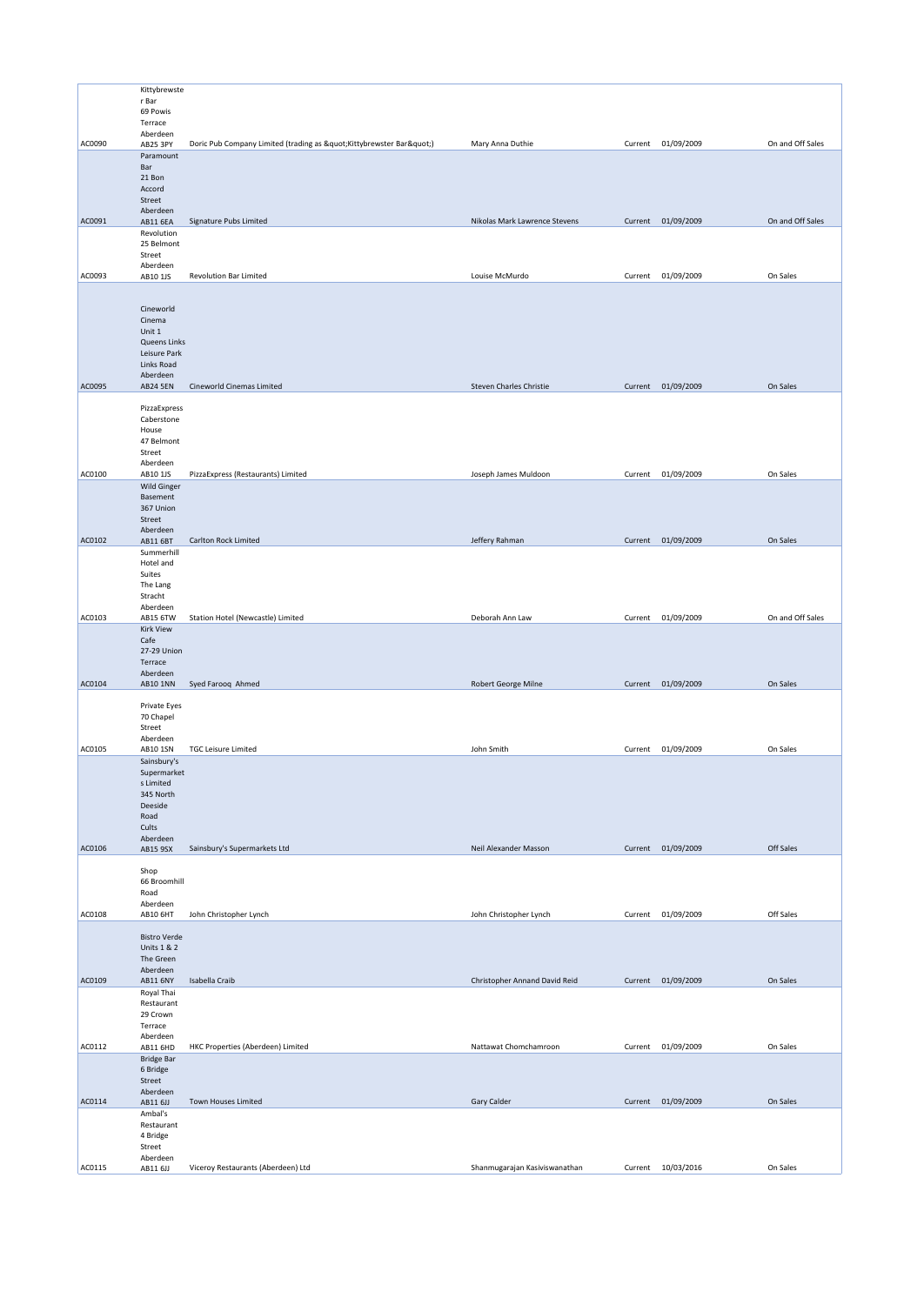|        | Kittybrewste                        |                                                             |                               |         |                    |                  |
|--------|-------------------------------------|-------------------------------------------------------------|-------------------------------|---------|--------------------|------------------|
|        | r Bar                               |                                                             |                               |         |                    |                  |
|        | 69 Powis                            |                                                             |                               |         |                    |                  |
|        | Terrace                             |                                                             |                               |         |                    |                  |
|        | Aberdeen                            |                                                             |                               |         |                    |                  |
| AC0090 | AB25 3PY                            | Doric Pub Company Limited (trading as " Kittybrewster Bar") | Mary Anna Duthie              | Current | 01/09/2009         | On and Off Sales |
|        | Paramount                           |                                                             |                               |         |                    |                  |
|        | Bar<br>21 Bon                       |                                                             |                               |         |                    |                  |
|        | Accord                              |                                                             |                               |         |                    |                  |
|        | Street                              |                                                             |                               |         |                    |                  |
|        | Aberdeen                            |                                                             |                               |         |                    |                  |
| AC0091 | <b>AB11 6EA</b>                     | Signature Pubs Limited                                      | Nikolas Mark Lawrence Stevens | Current | 01/09/2009         | On and Off Sales |
|        | Revolution                          |                                                             |                               |         |                    |                  |
|        | 25 Belmont                          |                                                             |                               |         |                    |                  |
|        | Street<br>Aberdeen                  |                                                             |                               |         |                    |                  |
| AC0093 | AB10 1JS                            | <b>Revolution Bar Limited</b>                               | Louise McMurdo                | Current | 01/09/2009         | On Sales         |
|        |                                     |                                                             |                               |         |                    |                  |
|        |                                     |                                                             |                               |         |                    |                  |
|        | Cineworld                           |                                                             |                               |         |                    |                  |
|        | Cinema                              |                                                             |                               |         |                    |                  |
|        | Unit 1                              |                                                             |                               |         |                    |                  |
|        | Queens Links<br>Leisure Park        |                                                             |                               |         |                    |                  |
|        | Links Road                          |                                                             |                               |         |                    |                  |
|        | Aberdeen                            |                                                             |                               |         |                    |                  |
| AC0095 | <b>AB24 5EN</b>                     | Cineworld Cinemas Limited                                   | Steven Charles Christie       | Current | 01/09/2009         | On Sales         |
|        |                                     |                                                             |                               |         |                    |                  |
|        | PizzaExpress                        |                                                             |                               |         |                    |                  |
|        | Caberstone                          |                                                             |                               |         |                    |                  |
|        | House                               |                                                             |                               |         |                    |                  |
|        | 47 Belmont<br>Street                |                                                             |                               |         |                    |                  |
|        | Aberdeen                            |                                                             |                               |         |                    |                  |
| AC0100 | AB10 1JS                            | PizzaExpress (Restaurants) Limited                          | Joseph James Muldoon          | Current | 01/09/2009         | On Sales         |
|        | Wild Ginger                         |                                                             |                               |         |                    |                  |
|        | Basement                            |                                                             |                               |         |                    |                  |
|        | 367 Union                           |                                                             |                               |         |                    |                  |
|        | Street                              |                                                             |                               |         |                    |                  |
| AC0102 | Aberdeen                            | Carlton Rock Limited                                        | Jeffery Rahman                |         | Current 01/09/2009 | On Sales         |
|        | AB11 6BT<br>Summerhill              |                                                             |                               |         |                    |                  |
|        | Hotel and                           |                                                             |                               |         |                    |                  |
|        | Suites                              |                                                             |                               |         |                    |                  |
|        | The Lang                            |                                                             |                               |         |                    |                  |
|        | Stracht                             |                                                             |                               |         |                    |                  |
|        | Aberdeen                            |                                                             |                               |         |                    |                  |
| AC0103 | AB15 6TW                            | Station Hotel (Newcastle) Limited                           | Deborah Ann Law               |         | Current 01/09/2009 | On and Off Sales |
|        | <b>Kirk View</b><br>Cafe            |                                                             |                               |         |                    |                  |
|        | 27-29 Union                         |                                                             |                               |         |                    |                  |
|        | Terrace                             |                                                             |                               |         |                    |                  |
|        | Aberdeen                            |                                                             |                               |         |                    |                  |
| AC0104 | AB10 1NN                            | Syed Farooq Ahmed                                           | Robert George Milne           |         | Current 01/09/2009 | On Sales         |
|        |                                     |                                                             |                               |         |                    |                  |
|        | Private Eyes<br>70 Chapel           |                                                             |                               |         |                    |                  |
|        | Street                              |                                                             |                               |         |                    |                  |
|        | Aberdeen                            |                                                             |                               |         |                    |                  |
| AC0105 | AB10 1SN                            | <b>TGC Leisure Limited</b>                                  | John Smith                    | Current | 01/09/2009         | On Sales         |
|        | Sainsbury's                         |                                                             |                               |         |                    |                  |
|        | Supermarket                         |                                                             |                               |         |                    |                  |
|        | s Limited                           |                                                             |                               |         |                    |                  |
|        | 345 North                           |                                                             |                               |         |                    |                  |
|        | Deeside<br>Road                     |                                                             |                               |         |                    |                  |
|        | Cults                               |                                                             |                               |         |                    |                  |
|        | Aberdeen                            |                                                             |                               |         |                    |                  |
| AC0106 | AB15 9SX                            | Sainsbury's Supermarkets Ltd                                | Neil Alexander Masson         |         | Current 01/09/2009 | Off Sales        |
|        |                                     |                                                             |                               |         |                    |                  |
|        | Shop<br>66 Broomhill                |                                                             |                               |         |                    |                  |
|        | Road                                |                                                             |                               |         |                    |                  |
|        | Aberdeen                            |                                                             |                               |         |                    |                  |
| AC0108 | <b>AB10 6HT</b>                     | John Christopher Lynch                                      | John Christopher Lynch        | Current | 01/09/2009         | Off Sales        |
|        |                                     |                                                             |                               |         |                    |                  |
|        | <b>Bistro Verde</b>                 |                                                             |                               |         |                    |                  |
|        | <b>Units 1 &amp; 2</b><br>The Green |                                                             |                               |         |                    |                  |
|        | Aberdeen                            |                                                             |                               |         |                    |                  |
| AC0109 | AB11 6NY                            | Isabella Craib                                              | Christopher Annand David Reid |         | Current 01/09/2009 | On Sales         |
|        | Royal Thai                          |                                                             |                               |         |                    |                  |
|        | Restaurant                          |                                                             |                               |         |                    |                  |
|        | 29 Crown                            |                                                             |                               |         |                    |                  |
|        | Terrace                             |                                                             |                               |         |                    |                  |
| AC0112 | Aberdeen<br>AB11 6HD                | HKC Properties (Aberdeen) Limited                           | Nattawat Chomchamroon         | Current | 01/09/2009         | On Sales         |
|        | <b>Bridge Bar</b>                   |                                                             |                               |         |                    |                  |
|        | 6 Bridge                            |                                                             |                               |         |                    |                  |
|        | Street                              |                                                             |                               |         |                    |                  |
|        | Aberdeen                            |                                                             |                               |         |                    |                  |
| AC0114 | AB11 6JJ                            | Town Houses Limited                                         | Gary Calder                   |         | Current 01/09/2009 | On Sales         |
|        | Ambal's                             |                                                             |                               |         |                    |                  |
|        | Restaurant<br>4 Bridge              |                                                             |                               |         |                    |                  |
|        | Street                              |                                                             |                               |         |                    |                  |
|        | Aberdeen                            |                                                             |                               |         |                    |                  |
| AC0115 | AB11 6JJ                            | Viceroy Restaurants (Aberdeen) Ltd                          | Shanmugarajan Kasiviswanathan | Current | 10/03/2016         | On Sales         |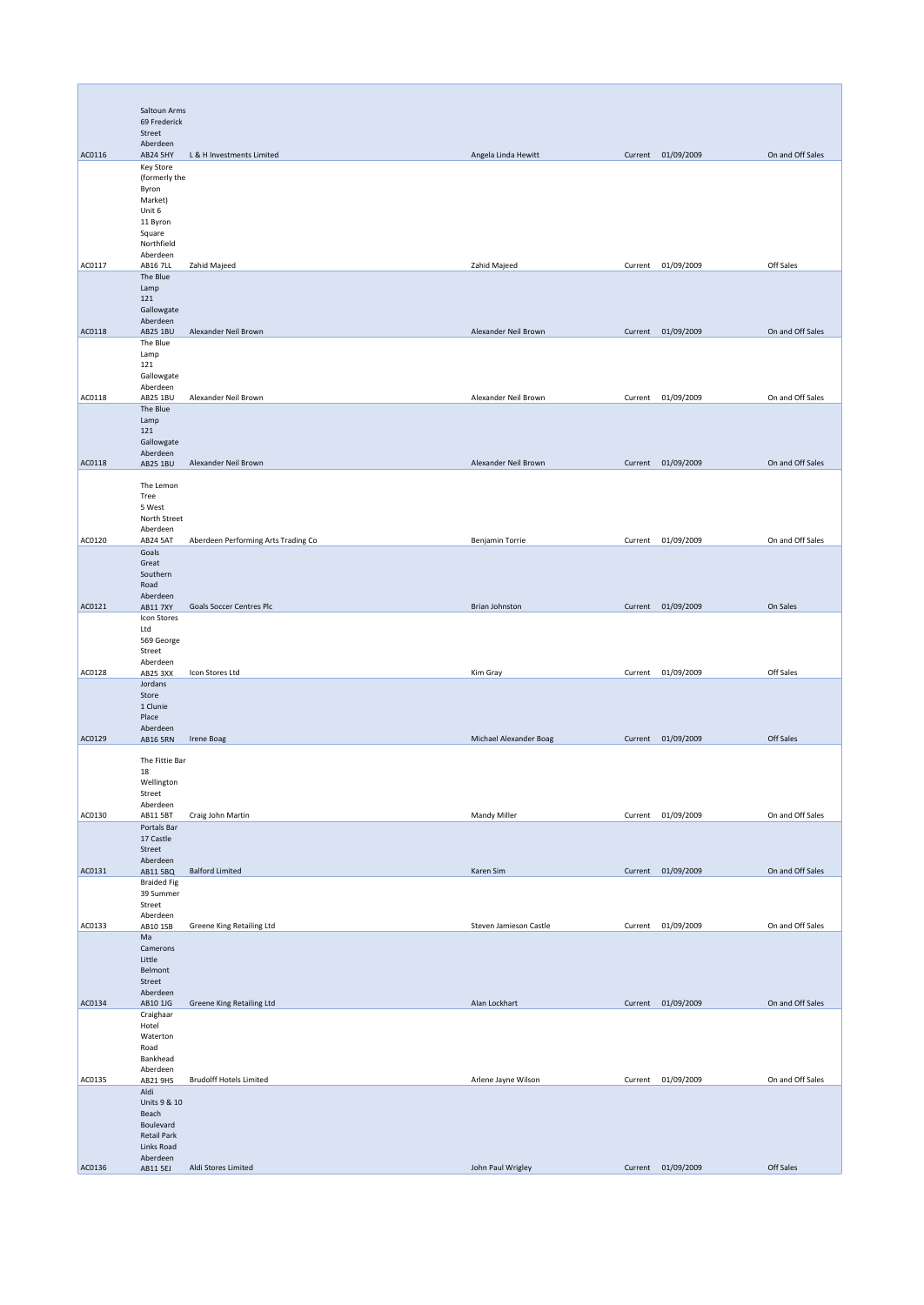|        | Saltoun Arms                     |                                     |                        |         |                    |                  |
|--------|----------------------------------|-------------------------------------|------------------------|---------|--------------------|------------------|
|        | 69 Frederick<br>Street           |                                     |                        |         |                    |                  |
|        | Aberdeen                         |                                     |                        |         |                    |                  |
| AC0116 | <b>AB24 5HY</b><br>Key Store     | L & H Investments Limited           | Angela Linda Hewitt    |         | Current 01/09/2009 | On and Off Sales |
|        | (formerly the                    |                                     |                        |         |                    |                  |
|        | Byron<br>Market)                 |                                     |                        |         |                    |                  |
|        | Unit 6                           |                                     |                        |         |                    |                  |
|        | 11 Byron<br>Square               |                                     |                        |         |                    |                  |
|        | Northfield<br>Aberdeen           |                                     |                        |         |                    |                  |
| AC0117 | <b>AB16 7LL</b>                  | Zahid Majeed                        | Zahid Majeed           |         | Current 01/09/2009 | Off Sales        |
|        | The Blue<br>Lamp                 |                                     |                        |         |                    |                  |
|        | 121                              |                                     |                        |         |                    |                  |
|        | Gallowgate<br>Aberdeen           |                                     |                        |         |                    |                  |
| AC0118 | AB25 1BU                         | Alexander Neil Brown                | Alexander Neil Brown   |         | Current 01/09/2009 | On and Off Sales |
|        | The Blue<br>Lamp                 |                                     |                        |         |                    |                  |
|        | 121<br>Gallowgate                |                                     |                        |         |                    |                  |
|        | Aberdeen                         |                                     |                        |         |                    |                  |
| AC0118 | AB25 1BU<br>The Blue             | Alexander Neil Brown                | Alexander Neil Brown   |         | Current 01/09/2009 | On and Off Sales |
|        | Lamp                             |                                     |                        |         |                    |                  |
|        | 121<br>Gallowgate                |                                     |                        |         |                    |                  |
|        | Aberdeen                         |                                     | Alexander Neil Brown   |         |                    |                  |
| AC0118 | AB25 1BU                         | Alexander Neil Brown                |                        |         | Current 01/09/2009 | On and Off Sales |
|        | The Lemon<br>Tree                |                                     |                        |         |                    |                  |
|        | 5 West                           |                                     |                        |         |                    |                  |
|        | North Street<br>Aberdeen         |                                     |                        |         |                    |                  |
| AC0120 | AB24 5AT                         | Aberdeen Performing Arts Trading Co | Benjamin Torrie        | Current | 01/09/2009         | On and Off Sales |
|        | Goals<br>Great                   |                                     |                        |         |                    |                  |
|        | Southern                         |                                     |                        |         |                    |                  |
|        | Road<br>Aberdeen                 |                                     |                        |         |                    |                  |
| AC0121 | AB11 7XY                         | Goals Soccer Centres Plc            | Brian Johnston         |         | Current 01/09/2009 | On Sales         |
|        | Icon Stores<br>Ltd               |                                     |                        |         |                    |                  |
|        | 569 George                       |                                     |                        |         |                    |                  |
|        | Street<br>Aberdeen               |                                     |                        |         |                    |                  |
| AC0128 | AB25 3XX<br>Jordans              | Icon Stores Ltd                     | Kim Gray               |         | Current 01/09/2009 | Off Sales        |
|        | Store                            |                                     |                        |         |                    |                  |
|        | 1 Clunie<br>Place                |                                     |                        |         |                    |                  |
|        | Aberdeen                         |                                     |                        |         |                    |                  |
| AC0129 | <b>AB16 5RN</b>                  | <b>Irene Boag</b>                   | Michael Alexander Boag |         | Current 01/09/2009 | Off Sales        |
|        | The Fittie Bar<br>18             |                                     |                        |         |                    |                  |
|        | Wellington                       |                                     |                        |         |                    |                  |
|        | Street<br>Aberdeen               |                                     |                        |         |                    |                  |
| AC0130 | AB11 5BT                         | Craig John Martin                   | Mandy Miller           |         | Current 01/09/2009 | On and Off Sales |
|        | Portals Bar<br>17 Castle         |                                     |                        |         |                    |                  |
|        | Street                           |                                     |                        |         |                    |                  |
| AC0131 | Aberdeen<br>AB11 5BQ             | <b>Balford Limited</b>              | Karen Sim              |         | Current 01/09/2009 | On and Off Sales |
|        | <b>Braided Fig</b>               |                                     |                        |         |                    |                  |
|        | 39 Summer<br>Street              |                                     |                        |         |                    |                  |
| AC0133 | Aberdeen                         | Greene King Retailing Ltd           | Steven Jamieson Castle | Current | 01/09/2009         | On and Off Sales |
|        | AB10 1SB<br>Ma                   |                                     |                        |         |                    |                  |
|        | Camerons<br>Little               |                                     |                        |         |                    |                  |
|        | Belmont                          |                                     |                        |         |                    |                  |
|        | Street<br>Aberdeen               |                                     |                        |         |                    |                  |
| AC0134 | AB10 1JG                         | Greene King Retailing Ltd           | Alan Lockhart          |         | Current 01/09/2009 | On and Off Sales |
|        | Craighaar<br>Hotel               |                                     |                        |         |                    |                  |
|        | Waterton                         |                                     |                        |         |                    |                  |
|        | Road<br>Bankhead                 |                                     |                        |         |                    |                  |
| AC0135 | Aberdeen<br>AB21 9HS             | <b>Brudolff Hotels Limited</b>      | Arlene Jayne Wilson    |         | Current 01/09/2009 | On and Off Sales |
|        | Aldi                             |                                     |                        |         |                    |                  |
|        | Units 9 & 10<br>Beach            |                                     |                        |         |                    |                  |
|        | Boulevard                        |                                     |                        |         |                    |                  |
|        | <b>Retail Park</b><br>Links Road |                                     |                        |         |                    |                  |
| AC0136 | Aberdeen                         | Aldi Stores Limited                 | John Paul Wrigley      |         | Current 01/09/2009 | Off Sales        |
|        | AB11 5EJ                         |                                     |                        |         |                    |                  |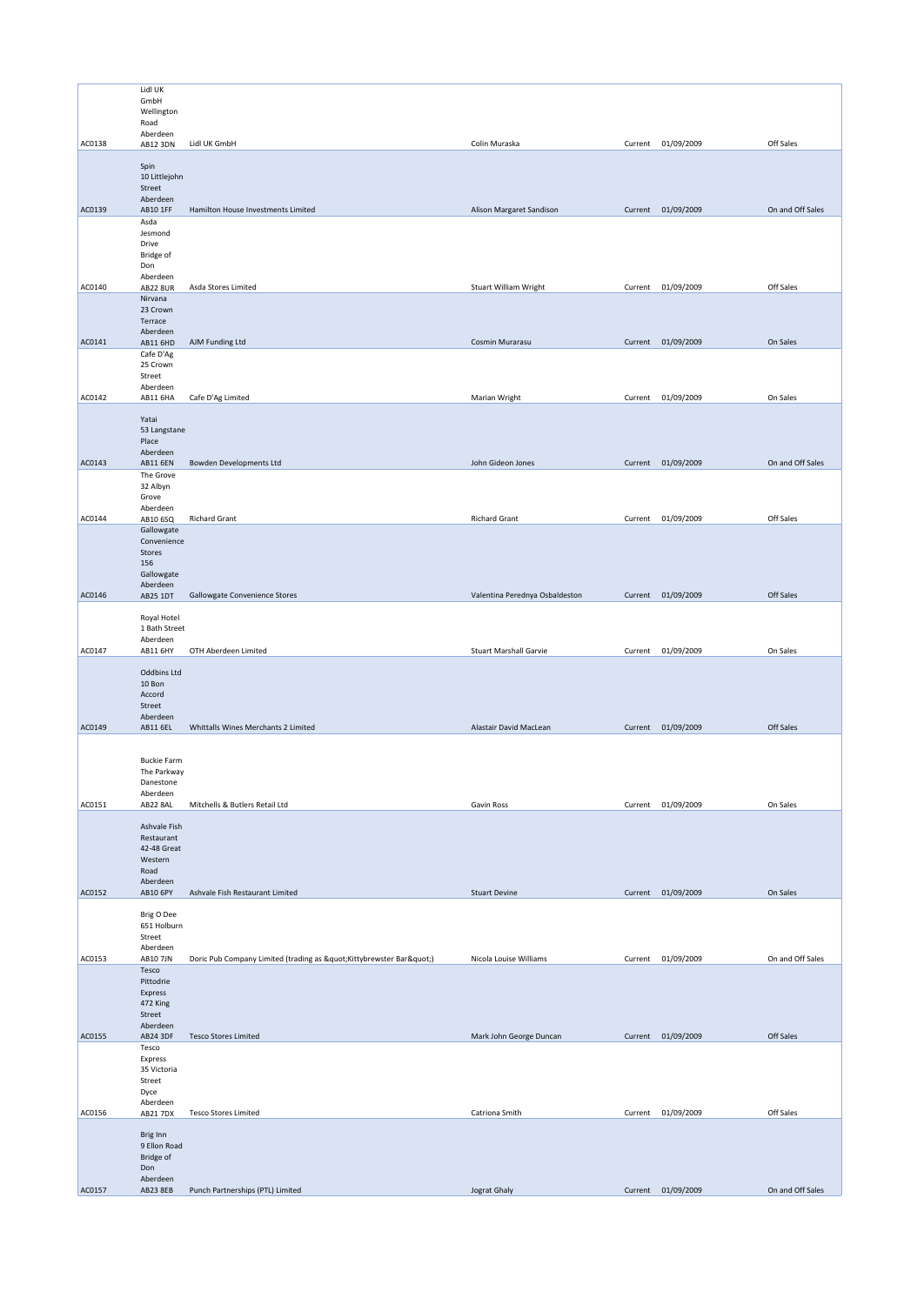|        | Lidl UK                     |                                                             |                                |         |                    |                  |
|--------|-----------------------------|-------------------------------------------------------------|--------------------------------|---------|--------------------|------------------|
|        | GmbH<br>Wellington          |                                                             |                                |         |                    |                  |
|        | Road                        |                                                             |                                |         |                    |                  |
|        | Aberdeen                    |                                                             |                                |         |                    |                  |
| AC0138 | <b>AB12 3DN</b>             | Lidl UK GmbH                                                | Colin Muraska                  | Current | 01/09/2009         | Off Sales        |
|        | Spin                        |                                                             |                                |         |                    |                  |
|        | 10 Littlejohn               |                                                             |                                |         |                    |                  |
|        | Street<br>Aberdeen          |                                                             |                                |         |                    |                  |
| AC0139 | AB10 1FF                    | Hamilton House Investments Limited                          | Alison Margaret Sandison       |         | Current 01/09/2009 | On and Off Sales |
|        | Asda                        |                                                             |                                |         |                    |                  |
|        | Jesmond<br>Drive            |                                                             |                                |         |                    |                  |
|        | <b>Bridge of</b>            |                                                             |                                |         |                    |                  |
|        | Don<br>Aberdeen             |                                                             |                                |         |                    |                  |
| AC0140 | <b>AB22 8UR</b>             | Asda Stores Limited                                         | Stuart William Wright          |         | Current 01/09/2009 | Off Sales        |
|        | Nirvana                     |                                                             |                                |         |                    |                  |
|        | 23 Crown<br>Terrace         |                                                             |                                |         |                    |                  |
|        | Aberdeen                    |                                                             |                                |         |                    |                  |
| AC0141 | AB11 6HD                    | AJM Funding Ltd                                             | Cosmin Murarasu                |         | Current 01/09/2009 | On Sales         |
|        | Cafe D'Ag<br>25 Crown       |                                                             |                                |         |                    |                  |
|        | Street                      |                                                             |                                |         |                    |                  |
| AC0142 | Aberdeen                    |                                                             | Marian Wright                  | Current | 01/09/2009         | On Sales         |
|        | AB11 6HA                    | Cafe D'Ag Limited                                           |                                |         |                    |                  |
|        | Yatai                       |                                                             |                                |         |                    |                  |
|        | 53 Langstane<br>Place       |                                                             |                                |         |                    |                  |
|        | Aberdeen                    |                                                             |                                |         |                    |                  |
| AC0143 | AB11 6EN                    | <b>Bowden Developments Ltd</b>                              | John Gideon Jones              |         | Current 01/09/2009 | On and Off Sales |
|        | The Grove<br>32 Albyn       |                                                             |                                |         |                    |                  |
|        | Grove                       |                                                             |                                |         |                    |                  |
|        | Aberdeen                    |                                                             | <b>Richard Grant</b>           |         |                    | Off Sales        |
| AC0144 | AB10 6SQ<br>Gallowgate      | <b>Richard Grant</b>                                        |                                | Current | 01/09/2009         |                  |
|        | Convenience                 |                                                             |                                |         |                    |                  |
|        | Stores<br>156               |                                                             |                                |         |                    |                  |
|        | Gallowgate                  |                                                             |                                |         |                    |                  |
|        | Aberdeen                    |                                                             |                                |         |                    |                  |
| AC0146 | <b>AB25 1DT</b>             | Gallowgate Convenience Stores                               | Valentina Perednya Osbaldeston |         | Current 01/09/2009 | Off Sales        |
|        | Royal Hotel                 |                                                             |                                |         |                    |                  |
|        | 1 Bath Street<br>Aberdeen   |                                                             |                                |         |                    |                  |
| AC0147 | <b>AB11 6HY</b>             | OTH Aberdeen Limited                                        | <b>Stuart Marshall Garvie</b>  | Current | 01/09/2009         | On Sales         |
|        |                             |                                                             |                                |         |                    |                  |
|        | Oddbins Ltd<br>10 Bon       |                                                             |                                |         |                    |                  |
|        | Accord                      |                                                             |                                |         |                    |                  |
|        | Street                      |                                                             |                                |         |                    |                  |
| AC0149 | Aberdeen<br><b>AB11 6EL</b> | Whittalls Wines Merchants 2 Limited                         | Alastair David MacLean         |         | Current 01/09/2009 | Off Sales        |
|        |                             |                                                             |                                |         |                    |                  |
|        | <b>Buckie Farm</b>          |                                                             |                                |         |                    |                  |
|        | The Parkway                 |                                                             |                                |         |                    |                  |
|        | Danestone                   |                                                             |                                |         |                    |                  |
| AC0151 | Aberdeen<br>AB22 8AL        | Mitchells & Butlers Retail Ltd                              | Gavin Ross                     | Current | 01/09/2009         | On Sales         |
|        |                             |                                                             |                                |         |                    |                  |
|        | Ashvale Fish<br>Restaurant  |                                                             |                                |         |                    |                  |
|        | 42-48 Great                 |                                                             |                                |         |                    |                  |
|        | Western                     |                                                             |                                |         |                    |                  |
|        | Road<br>Aberdeen            |                                                             |                                |         |                    |                  |
| AC0152 | AB10 6PY                    | Ashvale Fish Restaurant Limited                             | <b>Stuart Devine</b>           |         | Current 01/09/2009 | On Sales         |
|        | Brig O Dee                  |                                                             |                                |         |                    |                  |
|        | 651 Holburn                 |                                                             |                                |         |                    |                  |
|        | Street                      |                                                             |                                |         |                    |                  |
| AC0153 | Aberdeen<br>AB10 7JN        | Doric Pub Company Limited (trading as " Kittybrewster Bar") | Nicola Louise Williams         | Current | 01/09/2009         | On and Off Sales |
|        | Tesco                       |                                                             |                                |         |                    |                  |
|        | Pittodrie                   |                                                             |                                |         |                    |                  |
|        | Express<br>472 King         |                                                             |                                |         |                    |                  |
|        | Street                      |                                                             |                                |         |                    |                  |
| AC0155 | Aberdeen<br>AB24 3DF        | <b>Tesco Stores Limited</b>                                 | Mark John George Duncan        |         | Current 01/09/2009 | Off Sales        |
|        | Tesco                       |                                                             |                                |         |                    |                  |
|        | Express                     |                                                             |                                |         |                    |                  |
|        | 35 Victoria<br>Street       |                                                             |                                |         |                    |                  |
|        | Dyce                        |                                                             |                                |         |                    |                  |
| AC0156 | Aberdeen<br><b>AB21 7DX</b> | <b>Tesco Stores Limited</b>                                 | Catriona Smith                 | Current | 01/09/2009         | Off Sales        |
|        |                             |                                                             |                                |         |                    |                  |
|        | Brig Inn                    |                                                             |                                |         |                    |                  |
|        | 9 Ellon Road<br>Bridge of   |                                                             |                                |         |                    |                  |
|        | Don                         |                                                             |                                |         |                    |                  |
|        | Aberdeen<br>AB23 8EB        | Punch Partnerships (PTL) Limited                            | Jograt Ghaly                   |         | Current 01/09/2009 | On and Off Sales |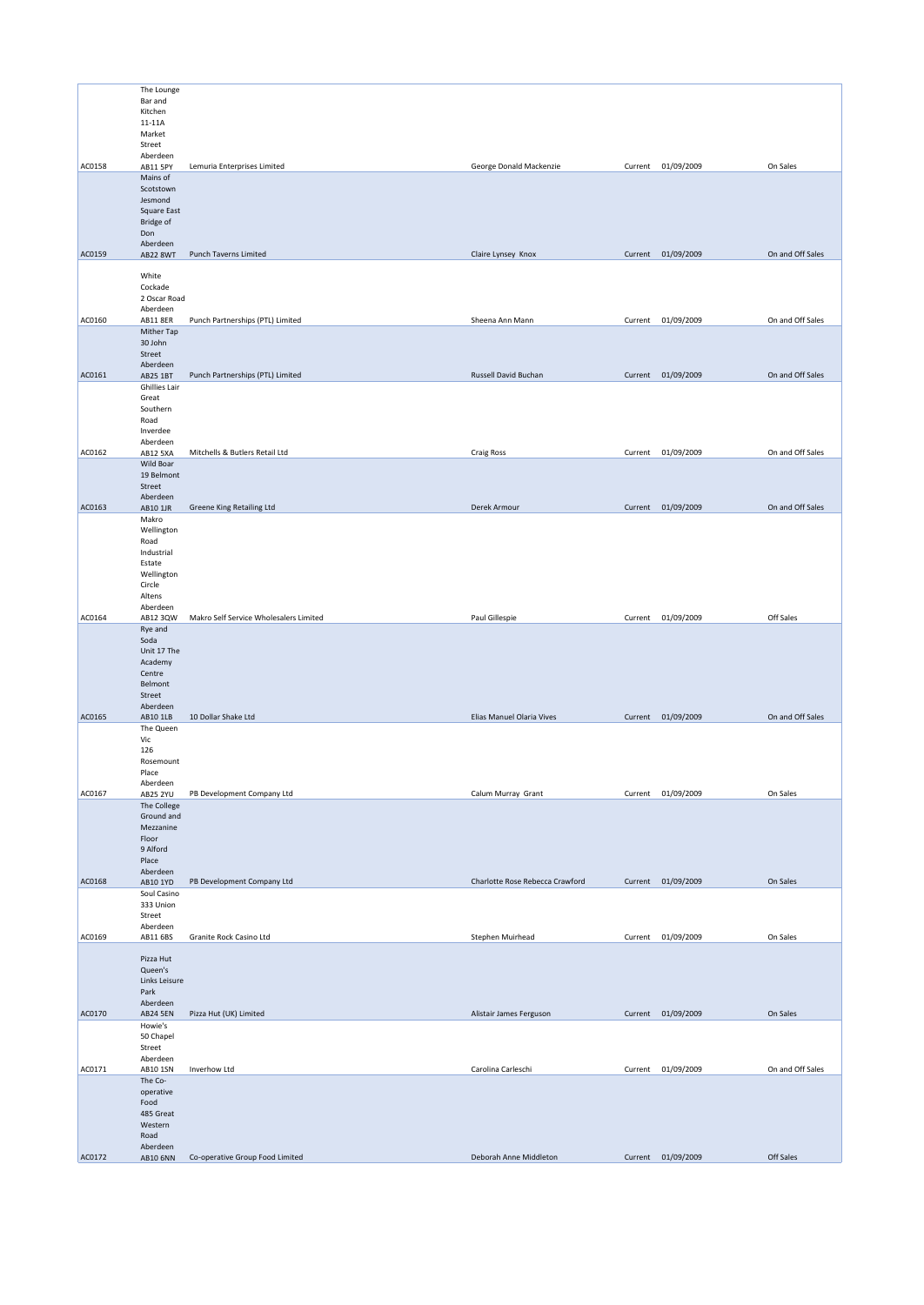|        | The Lounge<br>Bar and<br>Kitchen<br>11-11A<br>Market<br>Street                         |                                        |                                 |         |                    |                  |
|--------|----------------------------------------------------------------------------------------|----------------------------------------|---------------------------------|---------|--------------------|------------------|
| AC0158 | Aberdeen<br>AB11 5PY                                                                   | Lemuria Enterprises Limited            | George Donald Mackenzie         |         | Current 01/09/2009 | On Sales         |
|        | Mains of<br>Scotstown<br>Jesmond<br>Square East<br><b>Bridge of</b><br>Don<br>Aberdeen |                                        |                                 |         |                    |                  |
| AC0159 | <b>AB22 8WT</b>                                                                        | Punch Taverns Limited                  | Claire Lynsey Knox              |         | Current 01/09/2009 | On and Off Sales |
|        | White<br>Cockade<br>2 Oscar Road<br>Aberdeen                                           |                                        |                                 |         |                    |                  |
| AC0160 | AB11 8ER                                                                               | Punch Partnerships (PTL) Limited       | Sheena Ann Mann                 |         | Current 01/09/2009 | On and Off Sales |
|        | Mither Tap<br>30 John<br>Street<br>Aberdeen                                            |                                        |                                 |         |                    |                  |
| AC0161 | AB25 1BT                                                                               | Punch Partnerships (PTL) Limited       | Russell David Buchan            |         | Current 01/09/2009 | On and Off Sales |
|        | Ghillies Lair<br>Great<br>Southern<br>Road<br>Inverdee<br>Aberdeen                     |                                        |                                 |         |                    |                  |
| AC0162 | AB12 5XA<br>Wild Boar                                                                  | Mitchells & Butlers Retail Ltd         | <b>Craig Ross</b>               |         | Current 01/09/2009 | On and Off Sales |
|        | 19 Belmont<br>Street<br>Aberdeen                                                       |                                        |                                 |         |                    |                  |
| AC0163 | AB10 1JR                                                                               | Greene King Retailing Ltd              | Derek Armour                    |         | Current 01/09/2009 | On and Off Sales |
|        | Makro<br>Wellington<br>Road<br>Industrial<br>Estate<br>Wellington<br>Circle<br>Altens  |                                        |                                 |         |                    |                  |
| AC0164 | Aberdeen<br>AB12 3QW                                                                   | Makro Self Service Wholesalers Limited | Paul Gillespie                  |         | Current 01/09/2009 | Off Sales        |
|        | Rye and<br>Soda<br>Unit 17 The<br>Academy<br>Centre<br>Belmont<br>Street<br>Aberdeen   |                                        |                                 |         |                    |                  |
| AC0165 | AB10 1LB<br>The Queen                                                                  | 10 Dollar Shake Ltd                    | Elias Manuel Olaria Vives       |         | Current 01/09/2009 | On and Off Sales |
|        | Vic<br>126<br>Rosemount<br>Place<br>Aberdeen                                           |                                        |                                 |         |                    |                  |
| AC0167 | <b>AB25 2YU</b>                                                                        | PB Development Company Ltd             | Calum Murray Grant              | Current | 01/09/2009         | On Sales         |
|        | The College<br>Ground and<br>Mezzanine<br>Floor<br>9 Alford<br>Place<br>Aberdeen       |                                        |                                 |         |                    |                  |
| AC0168 | AB10 1YD<br>Soul Casino                                                                | PB Development Company Ltd             | Charlotte Rose Rebecca Crawford |         | Current 01/09/2009 | On Sales         |
|        | 333 Union<br>Street<br>Aberdeen                                                        |                                        |                                 |         |                    |                  |
| AC0169 | AB11 6BS                                                                               | Granite Rock Casino Ltd                | Stephen Muirhead                | Current | 01/09/2009         | On Sales         |
|        | Pizza Hut<br>Queen's<br>Links Leisure<br>Park<br>Aberdeen                              |                                        |                                 |         |                    |                  |
| AC0170 | <b>AB24 5EN</b><br>Howie's                                                             | Pizza Hut (UK) Limited                 | Alistair James Ferguson         |         | Current 01/09/2009 | On Sales         |
|        | 50 Chapel<br>Street<br>Aberdeen                                                        |                                        |                                 |         |                    |                  |
| AC0171 | AB10 1SN<br>The Co-                                                                    | Inverhow Ltd                           | Carolina Carleschi              |         | Current 01/09/2009 | On and Off Sales |
|        | operative<br>Food<br>485 Great<br>Western<br>Road                                      |                                        |                                 |         |                    |                  |
| AC0172 | Aberdeen<br>AB10 6NN                                                                   | Co-operative Group Food Limited        | Deborah Anne Middleton          |         | Current 01/09/2009 | Off Sales        |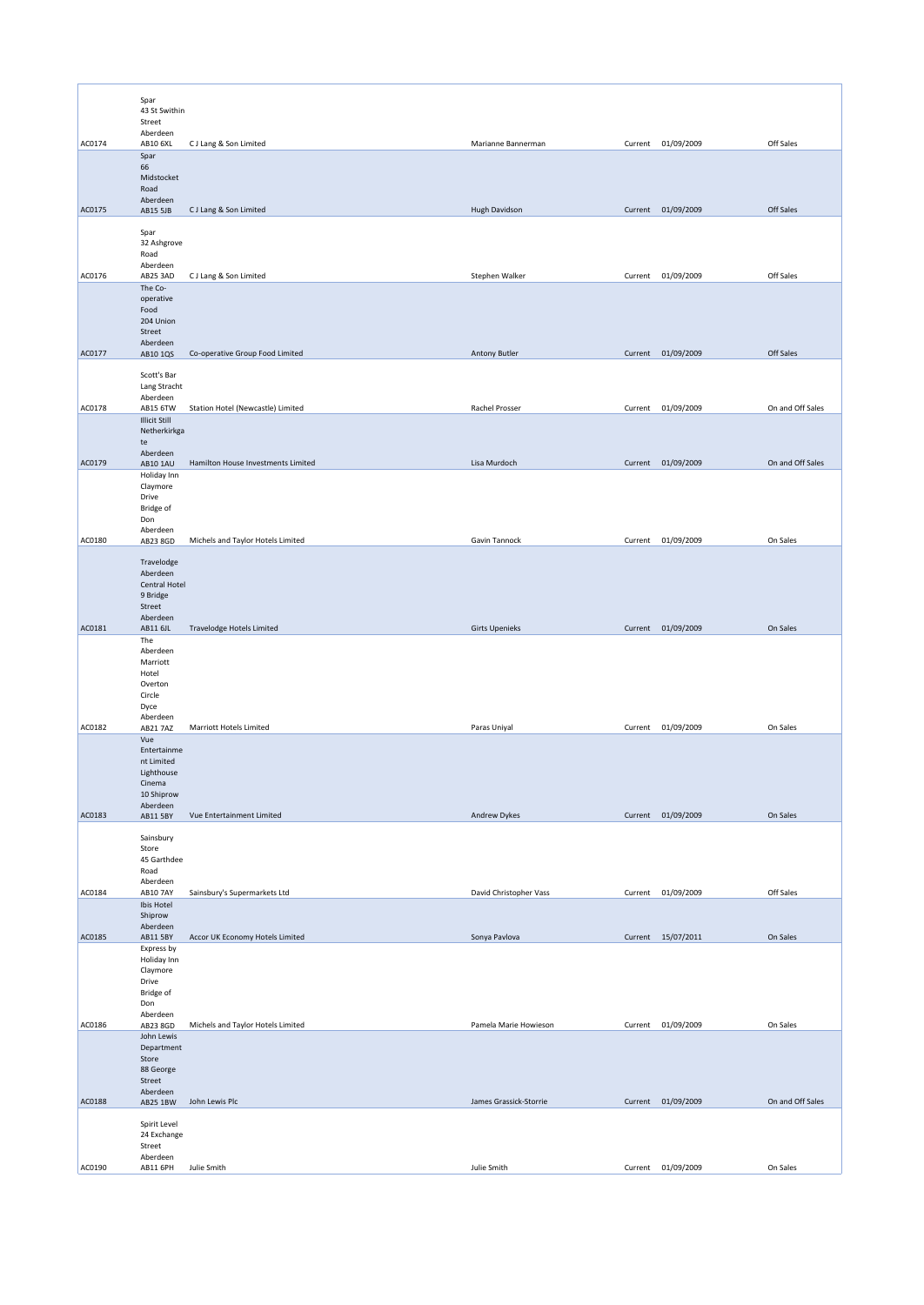|        | Spar                             |                                    |                        |         |                    |                  |
|--------|----------------------------------|------------------------------------|------------------------|---------|--------------------|------------------|
|        | 43 St Swithin<br>Street          |                                    |                        |         |                    |                  |
| AC0174 | Aberdeen<br>AB10 6XL             | CJ Lang & Son Limited              | Marianne Bannerman     |         | Current 01/09/2009 | Off Sales        |
|        | Spar<br>66                       |                                    |                        |         |                    |                  |
|        | Midstocket<br>Road               |                                    |                        |         |                    |                  |
| AC0175 | Aberdeen<br>AB15 5JB             | CJ Lang & Son Limited              | Hugh Davidson          |         | Current 01/09/2009 | Off Sales        |
|        | Spar                             |                                    |                        |         |                    |                  |
|        | 32 Ashgrove<br>Road              |                                    |                        |         |                    |                  |
| AC0176 | Aberdeen<br>AB25 3AD             | CJ Lang & Son Limited              | Stephen Walker         |         | Current 01/09/2009 | Off Sales        |
|        | The Co-                          |                                    |                        |         |                    |                  |
|        | operative<br>Food                |                                    |                        |         |                    |                  |
|        | 204 Union<br>Street              |                                    |                        |         |                    |                  |
| AC0177 | Aberdeen<br>AB10 1QS             | Co-operative Group Food Limited    | <b>Antony Butler</b>   |         | Current 01/09/2009 | Off Sales        |
|        | Scott's Bar                      |                                    |                        |         |                    |                  |
|        | Lang Stracht<br>Aberdeen         |                                    |                        |         |                    |                  |
| AC0178 | AB15 6TW<br><b>Illicit Still</b> | Station Hotel (Newcastle) Limited  | Rachel Prosser         | Current | 01/09/2009         | On and Off Sales |
|        | Netherkirkga<br>te               |                                    |                        |         |                    |                  |
| AC0179 | Aberdeen<br>AB10 1AU             | Hamilton House Investments Limited | Lisa Murdoch           |         | Current 01/09/2009 | On and Off Sales |
|        | Holiday Inn<br>Claymore          |                                    |                        |         |                    |                  |
|        | Drive                            |                                    |                        |         |                    |                  |
|        | <b>Bridge of</b><br>Don          |                                    |                        |         |                    |                  |
| AC0180 | Aberdeen<br>AB23 8GD             | Michels and Taylor Hotels Limited  | Gavin Tannock          | Current | 01/09/2009         | On Sales         |
|        | Travelodge                       |                                    |                        |         |                    |                  |
|        | Aberdeen<br>Central Hotel        |                                    |                        |         |                    |                  |
|        | 9 Bridge<br>Street               |                                    |                        |         |                    |                  |
| AC0181 | Aberdeen<br>AB11 6JL             | Travelodge Hotels Limited          | <b>Girts Upenieks</b>  |         | Current 01/09/2009 | On Sales         |
|        | The<br>Aberdeen                  |                                    |                        |         |                    |                  |
|        | Marriott<br>Hotel                |                                    |                        |         |                    |                  |
|        | Overton<br>Circle                |                                    |                        |         |                    |                  |
|        | Dyce<br>Aberdeen                 |                                    |                        |         |                    |                  |
| AC0182 | AB21 7AZ                         | Marriott Hotels Limited            | Paras Uniyal           |         | Current 01/09/2009 | On Sales         |
|        | Vue<br>Entertainme               |                                    |                        |         |                    |                  |
|        | nt Limited<br>Lighthouse         |                                    |                        |         |                    |                  |
|        | Cinema<br>10 Shiprow             |                                    |                        |         |                    |                  |
| AC0183 | Aberdeen<br>AB11 5BY             | Vue Entertainment Limited          | Andrew Dykes           |         | Current 01/09/2009 | On Sales         |
|        | Sainsbury                        |                                    |                        |         |                    |                  |
|        | Store<br>45 Garthdee             |                                    |                        |         |                    |                  |
|        | Road<br>Aberdeen                 |                                    |                        |         |                    |                  |
| AC0184 | AB10 7AY<br>Ibis Hotel           | Sainsbury's Supermarkets Ltd       | David Christopher Vass | Current | 01/09/2009         | Off Sales        |
|        | Shiprow<br>Aberdeen              |                                    |                        |         |                    |                  |
| AC0185 | AB11 5BY<br>Express by           | Accor UK Economy Hotels Limited    | Sonya Pavlova          |         | Current 15/07/2011 | On Sales         |
|        | Holiday Inn<br>Claymore          |                                    |                        |         |                    |                  |
|        | Drive                            |                                    |                        |         |                    |                  |
|        | Bridge of<br>Don                 |                                    |                        |         |                    |                  |
| AC0186 | Aberdeen<br>AB23 8GD             | Michels and Taylor Hotels Limited  | Pamela Marie Howieson  |         | Current 01/09/2009 | On Sales         |
|        | John Lewis<br>Department         |                                    |                        |         |                    |                  |
|        | Store<br>88 George               |                                    |                        |         |                    |                  |
|        | Street<br>Aberdeen               |                                    |                        |         |                    |                  |
| AC0188 | AB25 1BW                         | John Lewis Plc                     | James Grassick-Storrie |         | Current 01/09/2009 | On and Off Sales |
|        | Spirit Level<br>24 Exchange      |                                    |                        |         |                    |                  |
|        | Street<br>Aberdeen               |                                    |                        |         |                    |                  |
| AC0190 | AB11 6PH                         | Julie Smith                        | Julie Smith            |         | Current 01/09/2009 | On Sales         |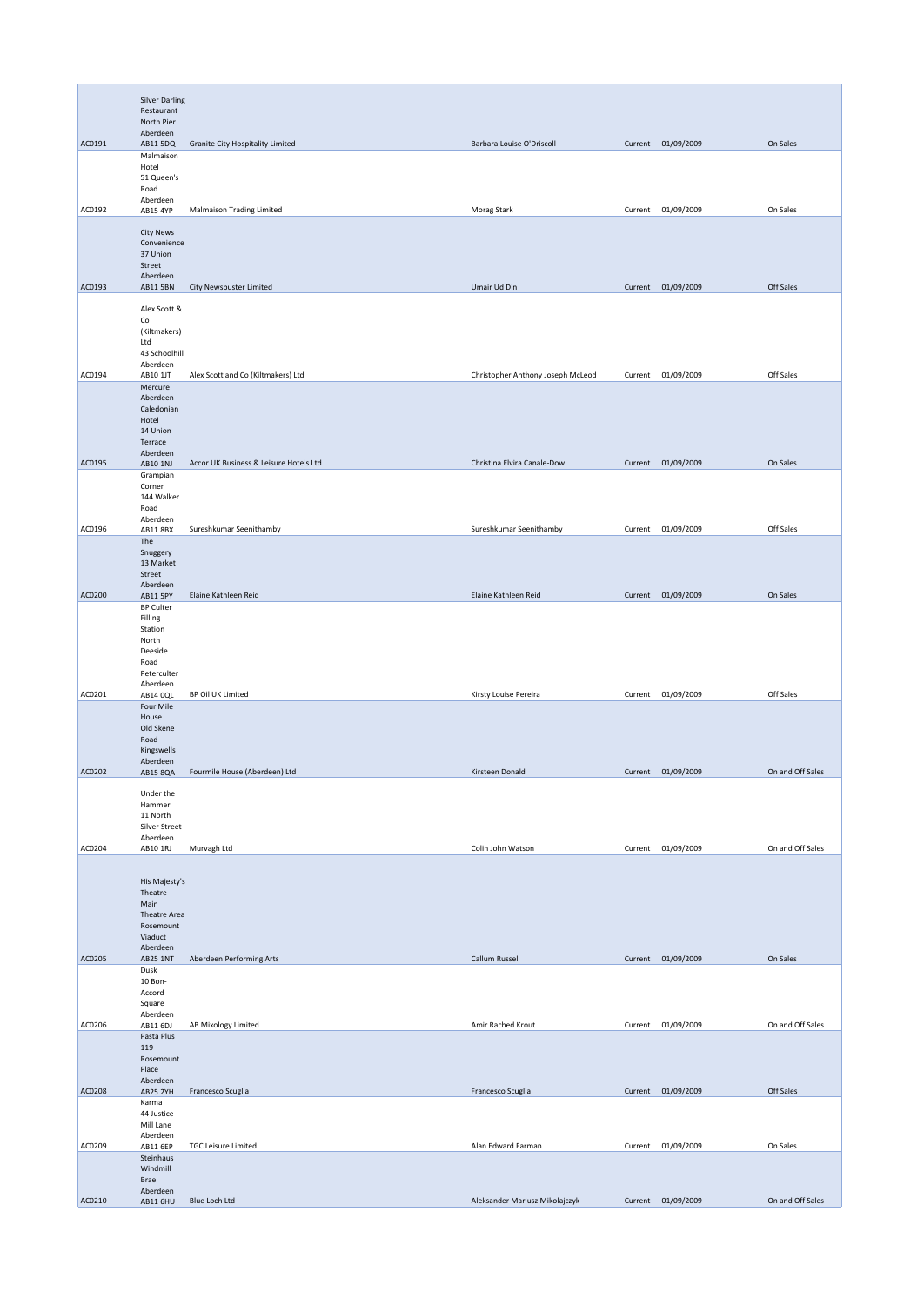|        | <b>Silver Darling</b>       |                                        |                                   |         |                    |                  |
|--------|-----------------------------|----------------------------------------|-----------------------------------|---------|--------------------|------------------|
|        | Restaurant<br>North Pier    |                                        |                                   |         |                    |                  |
|        | Aberdeen                    |                                        |                                   |         |                    |                  |
| AC0191 | AB11 5DQ<br>Malmaison       | Granite City Hospitality Limited       | Barbara Louise O'Driscoll         |         | Current 01/09/2009 | On Sales         |
|        | Hotel<br>51 Queen's         |                                        |                                   |         |                    |                  |
|        | Road                        |                                        |                                   |         |                    |                  |
| AC0192 | Aberdeen<br>AB15 4YP        | <b>Malmaison Trading Limited</b>       | Morag Stark                       | Current | 01/09/2009         | On Sales         |
|        | <b>City News</b>            |                                        |                                   |         |                    |                  |
|        | Convenience                 |                                        |                                   |         |                    |                  |
|        | 37 Union<br>Street          |                                        |                                   |         |                    |                  |
| AC0193 | Aberdeen<br><b>AB11 5BN</b> | City Newsbuster Limited                | Umair Ud Din                      |         | Current 01/09/2009 | Off Sales        |
|        |                             |                                        |                                   |         |                    |                  |
|        | Alex Scott &<br>Co          |                                        |                                   |         |                    |                  |
|        | (Kiltmakers)<br>Ltd         |                                        |                                   |         |                    |                  |
|        | 43 Schoolhill               |                                        |                                   |         |                    |                  |
| AC0194 | Aberdeen<br>AB10 1JT        | Alex Scott and Co (Kiltmakers) Ltd     | Christopher Anthony Joseph McLeod |         | Current 01/09/2009 | Off Sales        |
|        | Mercure                     |                                        |                                   |         |                    |                  |
|        | Aberdeen<br>Caledonian      |                                        |                                   |         |                    |                  |
|        | Hotel<br>14 Union           |                                        |                                   |         |                    |                  |
|        | Terrace                     |                                        |                                   |         |                    |                  |
| AC0195 | Aberdeen<br>AB10 1NJ        | Accor UK Business & Leisure Hotels Ltd | Christina Elvira Canale-Dow       |         | Current 01/09/2009 | On Sales         |
|        | Grampian<br>Corner          |                                        |                                   |         |                    |                  |
|        | 144 Walker                  |                                        |                                   |         |                    |                  |
|        | Road<br>Aberdeen            |                                        |                                   |         |                    |                  |
| AC0196 | AB118BX<br>The              | Sureshkumar Seenithamby                | Sureshkumar Seenithamby           | Current | 01/09/2009         | Off Sales        |
|        | Snuggery                    |                                        |                                   |         |                    |                  |
|        | 13 Market<br>Street         |                                        |                                   |         |                    |                  |
| AC0200 | Aberdeen<br>AB11 5PY        | Elaine Kathleen Reid                   | Elaine Kathleen Reid              | Current | 01/09/2009         | On Sales         |
|        | <b>BP Culter</b>            |                                        |                                   |         |                    |                  |
|        | Filling<br>Station          |                                        |                                   |         |                    |                  |
|        | North<br>Deeside            |                                        |                                   |         |                    |                  |
|        | Road                        |                                        |                                   |         |                    |                  |
|        | Peterculter<br>Aberdeen     |                                        |                                   |         |                    |                  |
| AC0201 | AB14 0QL<br>Four Mile       | BP Oil UK Limited                      | Kirsty Louise Pereira             |         | Current 01/09/2009 | Off Sales        |
|        | House                       |                                        |                                   |         |                    |                  |
|        | Old Skene<br>Road           |                                        |                                   |         |                    |                  |
|        | Kingswells<br>Aberdeen      |                                        |                                   |         |                    |                  |
| AC0202 | AB15 8QA                    | Fourmile House (Aberdeen) Ltd          | Kirsteen Donald                   |         | Current 01/09/2009 | On and Off Sales |
|        | Under the                   |                                        |                                   |         |                    |                  |
|        | Hammer<br>11 North          |                                        |                                   |         |                    |                  |
|        | Silver Street               |                                        |                                   |         |                    |                  |
| AC0204 | Aberdeen<br>AB10 1RJ        | Murvagh Ltd                            | Colin John Watson                 |         | Current 01/09/2009 | On and Off Sales |
|        |                             |                                        |                                   |         |                    |                  |
|        | His Majesty's               |                                        |                                   |         |                    |                  |
|        | Theatre<br>Main             |                                        |                                   |         |                    |                  |
|        | Theatre Area<br>Rosemount   |                                        |                                   |         |                    |                  |
|        | Viaduct                     |                                        |                                   |         |                    |                  |
| AC0205 | Aberdeen<br><b>AB25 1NT</b> | Aberdeen Performing Arts               | Callum Russell                    |         | Current 01/09/2009 | On Sales         |
|        | Dusk<br>10 Bon-             |                                        |                                   |         |                    |                  |
|        | Accord                      |                                        |                                   |         |                    |                  |
|        | Square<br>Aberdeen          |                                        |                                   |         |                    |                  |
| AC0206 | AB11 6DJ<br>Pasta Plus      | AB Mixology Limited                    | Amir Rached Krout                 |         | Current 01/09/2009 | On and Off Sales |
|        | 119                         |                                        |                                   |         |                    |                  |
|        | Rosemount<br>Place          |                                        |                                   |         |                    |                  |
| AC0208 | Aberdeen<br><b>AB25 2YH</b> | Francesco Scuglia                      | Francesco Scuglia                 |         | Current 01/09/2009 | Off Sales        |
|        | Karma                       |                                        |                                   |         |                    |                  |
|        | 44 Justice<br>Mill Lane     |                                        |                                   |         |                    |                  |
| AC0209 | Aberdeen<br>AB11 6EP        | <b>TGC Leisure Limited</b>             | Alan Edward Farman                | Current | 01/09/2009         | On Sales         |
|        | Steinhaus                   |                                        |                                   |         |                    |                  |
|        | Windmill<br>Brae            |                                        |                                   |         |                    |                  |
| AC0210 | Aberdeen<br>AB11 6HU        | Blue Loch Ltd                          | Aleksander Mariusz Mikolajczyk    |         | Current 01/09/2009 | On and Off Sales |
|        |                             |                                        |                                   |         |                    |                  |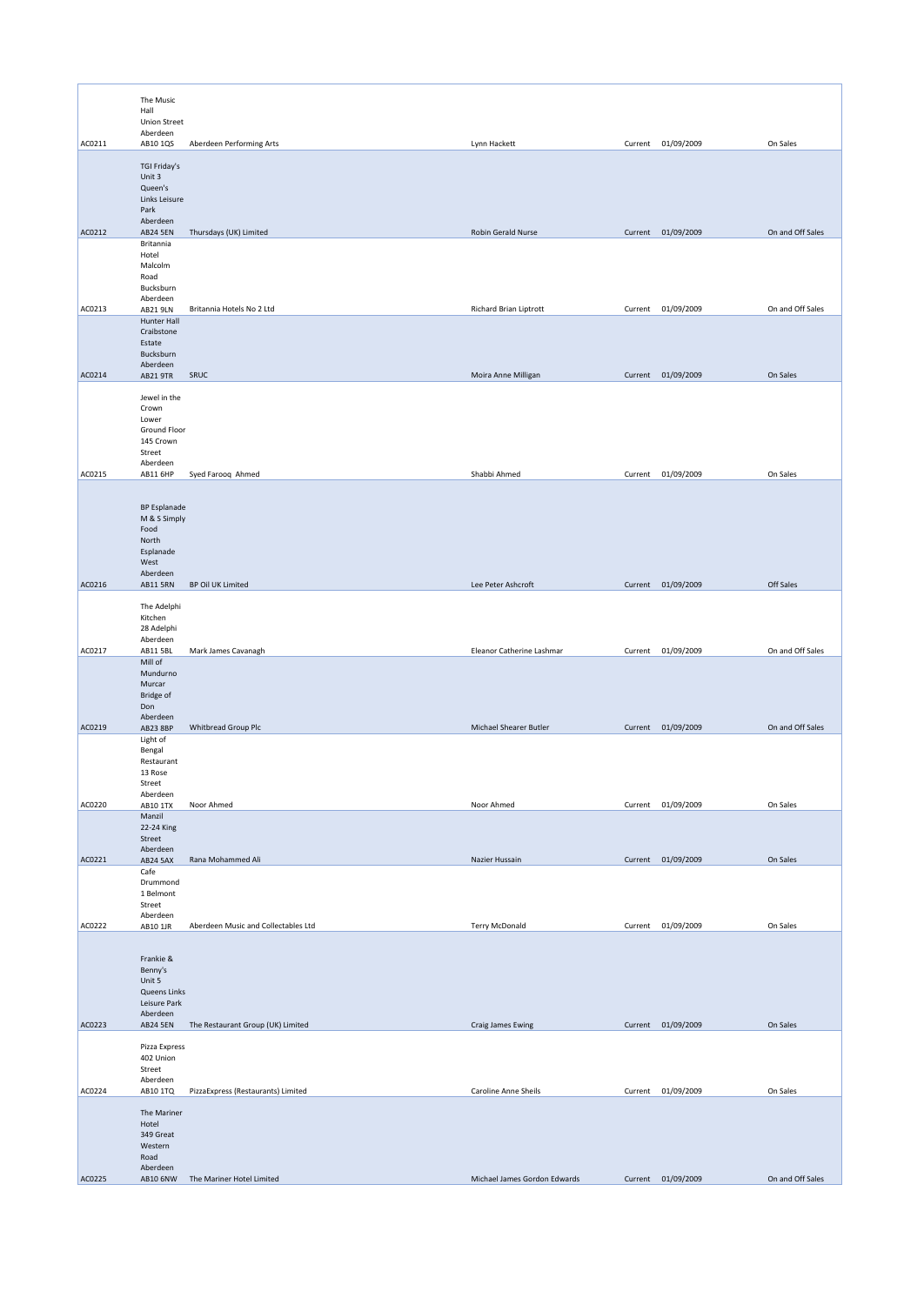|        | The Music                       |                                     |                           |         |                    |                  |
|--------|---------------------------------|-------------------------------------|---------------------------|---------|--------------------|------------------|
|        | Hall                            |                                     |                           |         |                    |                  |
|        | <b>Union Street</b><br>Aberdeen |                                     |                           |         |                    |                  |
| AC0211 | AB10 1QS                        | Aberdeen Performing Arts            | Lynn Hackett              |         | Current 01/09/2009 | On Sales         |
|        | TGI Friday's                    |                                     |                           |         |                    |                  |
|        | Unit 3<br>Queen's               |                                     |                           |         |                    |                  |
|        | Links Leisure                   |                                     |                           |         |                    |                  |
|        | Park<br>Aberdeen                |                                     |                           |         |                    |                  |
| AC0212 | <b>AB24 5EN</b>                 | Thursdays (UK) Limited              | Robin Gerald Nurse        |         | Current 01/09/2009 | On and Off Sales |
|        | Britannia<br>Hotel              |                                     |                           |         |                    |                  |
|        | Malcolm                         |                                     |                           |         |                    |                  |
|        | Road<br>Bucksburn               |                                     |                           |         |                    |                  |
| AC0213 | Aberdeen<br>AB21 9LN            | Britannia Hotels No 2 Ltd           | Richard Brian Liptrott    |         | Current 01/09/2009 | On and Off Sales |
|        | <b>Hunter Hall</b>              |                                     |                           |         |                    |                  |
|        | Craibstone<br>Estate            |                                     |                           |         |                    |                  |
|        | Bucksburn<br>Aberdeen           |                                     |                           |         |                    |                  |
| AC0214 | AB21 9TR                        | SRUC                                | Moira Anne Milligan       |         | Current 01/09/2009 | On Sales         |
|        | Jewel in the                    |                                     |                           |         |                    |                  |
|        | Crown<br>Lower                  |                                     |                           |         |                    |                  |
|        | Ground Floor                    |                                     |                           |         |                    |                  |
|        | 145 Crown<br>Street             |                                     |                           |         |                    |                  |
|        | Aberdeen                        |                                     |                           |         |                    |                  |
| AC0215 | AB11 6HP                        | Syed Farooq Ahmed                   | Shabbi Ahmed              |         | Current 01/09/2009 | On Sales         |
|        | <b>BP Esplanade</b>             |                                     |                           |         |                    |                  |
|        | M & S Simply                    |                                     |                           |         |                    |                  |
|        | Food<br>North                   |                                     |                           |         |                    |                  |
|        | Esplanade                       |                                     |                           |         |                    |                  |
|        | West<br>Aberdeen                |                                     |                           |         |                    |                  |
| AC0216 | <b>AB11 5RN</b>                 | BP Oil UK Limited                   | Lee Peter Ashcroft        |         | Current 01/09/2009 | Off Sales        |
|        | The Adelphi                     |                                     |                           |         |                    |                  |
|        | Kitchen<br>28 Adelphi           |                                     |                           |         |                    |                  |
|        | Aberdeen                        |                                     |                           |         |                    |                  |
| AC0217 | AB11 5BL<br>Mill of             | Mark James Cavanagh                 | Eleanor Catherine Lashmar | Current | 01/09/2009         | On and Off Sales |
|        | Mundurno<br>Murcar              |                                     |                           |         |                    |                  |
|        | Bridge of                       |                                     |                           |         |                    |                  |
|        | Don<br>Aberdeen                 |                                     |                           |         |                    |                  |
| AC0219 | AB23 8BP                        | Whitbread Group Plc                 | Michael Shearer Butler    |         | Current 01/09/2009 | On and Off Sales |
|        | Light of<br>Bengal              |                                     |                           |         |                    |                  |
|        | Restaurant<br>13 Rose           |                                     |                           |         |                    |                  |
|        | Street                          |                                     |                           |         |                    |                  |
| AC0220 | Aberdeen<br>AB10 1TX            | Noor Ahmed                          | Noor Ahmed                |         | Current 01/09/2009 | On Sales         |
|        | Manzil<br>22-24 King            |                                     |                           |         |                    |                  |
|        | Street                          |                                     |                           |         |                    |                  |
| AC0221 | Aberdeen<br><b>AB24 5AX</b>     | Rana Mohammed Ali                   | Nazier Hussain            |         | Current 01/09/2009 | On Sales         |
|        | Cafe<br>Drummond                |                                     |                           |         |                    |                  |
|        | 1 Belmont                       |                                     |                           |         |                    |                  |
|        | Street<br>Aberdeen              |                                     |                           |         |                    |                  |
| AC0222 | AB10 1JR                        | Aberdeen Music and Collectables Ltd | <b>Terry McDonald</b>     |         | Current 01/09/2009 | On Sales         |
|        |                                 |                                     |                           |         |                    |                  |
|        | Frankie &<br>Benny's            |                                     |                           |         |                    |                  |
|        | Unit 5                          |                                     |                           |         |                    |                  |
|        | Queens Links<br>Leisure Park    |                                     |                           |         |                    |                  |
| AC0223 | Aberdeen                        |                                     |                           |         |                    |                  |
|        | <b>AB24 5EN</b>                 | The Restaurant Group (UK) Limited   | Craig James Ewing         |         | Current 01/09/2009 | On Sales         |
|        | Pizza Express<br>402 Union      |                                     |                           |         |                    |                  |
|        | Street                          |                                     |                           |         |                    |                  |
| AC0224 | Aberdeen<br>AB10 1TQ            | PizzaExpress (Restaurants) Limited  | Caroline Anne Sheils      |         | Current 01/09/2009 | On Sales         |
|        | The Mariner                     |                                     |                           |         |                    |                  |
|        |                                 |                                     |                           |         |                    |                  |
|        | Hotel                           |                                     |                           |         |                    |                  |
|        | 349 Great<br>Western            |                                     |                           |         |                    |                  |
|        | Road<br>Aberdeen                |                                     |                           |         |                    |                  |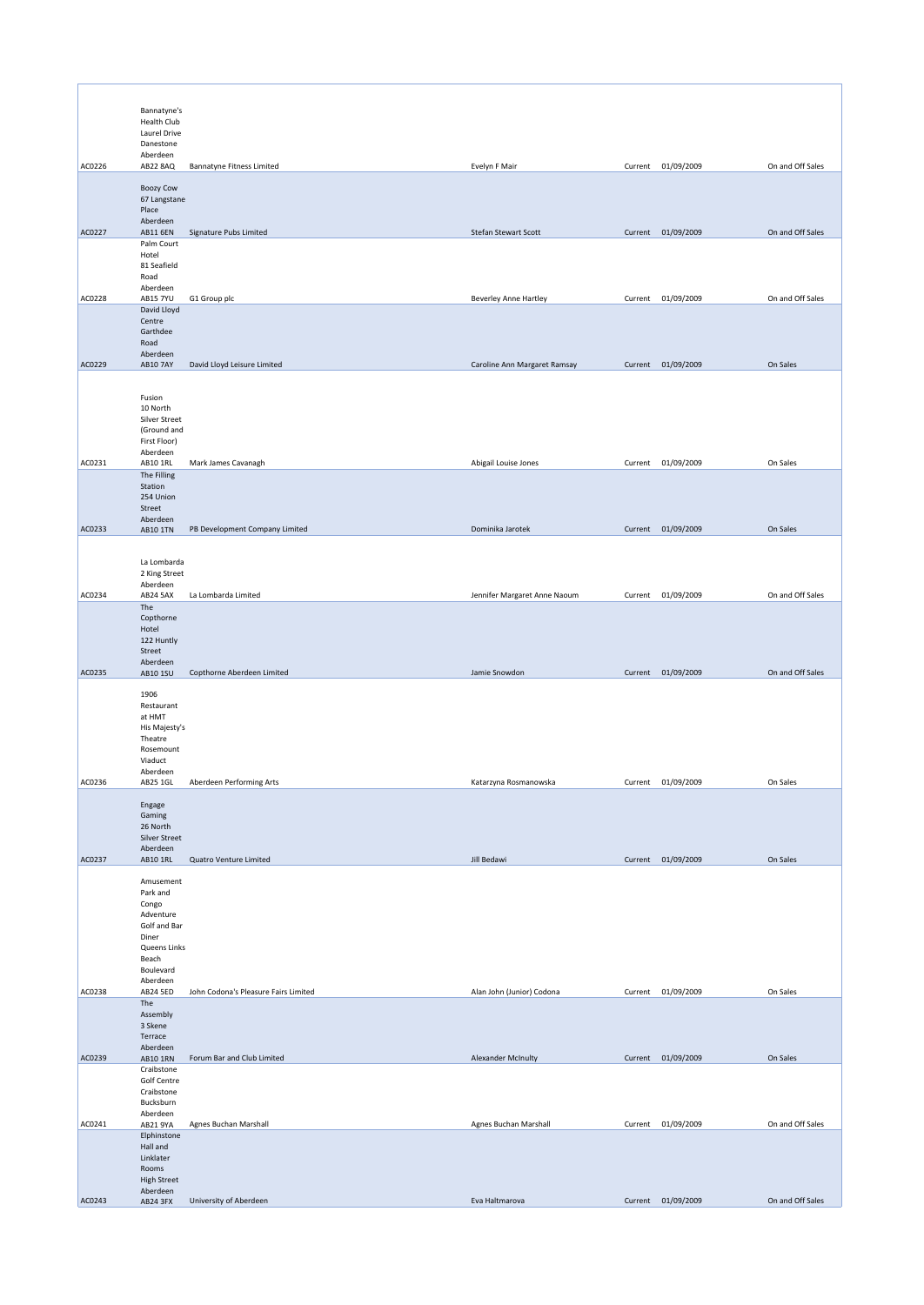|        | Bannatyne's                 |                                      |                              |         |                    |                  |
|--------|-----------------------------|--------------------------------------|------------------------------|---------|--------------------|------------------|
|        | Health Club<br>Laurel Drive |                                      |                              |         |                    |                  |
|        | Danestone<br>Aberdeen       |                                      |                              |         |                    |                  |
| AC0226 | AB22 8AQ                    | <b>Bannatyne Fitness Limited</b>     | Evelyn F Mair                |         | Current 01/09/2009 | On and Off Sales |
|        | <b>Boozy Cow</b>            |                                      |                              |         |                    |                  |
|        | 67 Langstane                |                                      |                              |         |                    |                  |
|        | Place<br>Aberdeen           |                                      |                              |         |                    |                  |
| AC0227 | AB11 6EN<br>Palm Court      | Signature Pubs Limited               | Stefan Stewart Scott         |         | Current 01/09/2009 | On and Off Sales |
|        | Hotel                       |                                      |                              |         |                    |                  |
|        | 81 Seafield<br>Road         |                                      |                              |         |                    |                  |
| AC0228 | Aberdeen<br><b>AB15 7YU</b> | G1 Group plc                         | <b>Beverley Anne Hartley</b> | Current | 01/09/2009         | On and Off Sales |
|        | David Lloyd                 |                                      |                              |         |                    |                  |
|        | Centre<br>Garthdee          |                                      |                              |         |                    |                  |
|        | Road<br>Aberdeen            |                                      |                              |         |                    |                  |
| AC0229 | <b>AB10 7AY</b>             | David Lloyd Leisure Limited          | Caroline Ann Margaret Ramsay |         | Current 01/09/2009 | On Sales         |
|        |                             |                                      |                              |         |                    |                  |
|        | Fusion<br>10 North          |                                      |                              |         |                    |                  |
|        | Silver Street               |                                      |                              |         |                    |                  |
|        | (Ground and<br>First Floor) |                                      |                              |         |                    |                  |
| AC0231 | Aberdeen<br>AB10 1RL        | Mark James Cavanagh                  | Abigail Louise Jones         | Current | 01/09/2009         | On Sales         |
|        | The Filling                 |                                      |                              |         |                    |                  |
|        | Station<br>254 Union        |                                      |                              |         |                    |                  |
|        | Street<br>Aberdeen          |                                      |                              |         |                    |                  |
| AC0233 | AB10 1TN                    | PB Development Company Limited       | Dominika Jarotek             |         | Current 01/09/2009 | On Sales         |
|        |                             |                                      |                              |         |                    |                  |
|        | La Lombarda                 |                                      |                              |         |                    |                  |
|        | 2 King Street<br>Aberdeen   |                                      |                              |         |                    |                  |
| AC0234 | AB24 5AX<br>The             | La Lombarda Limited                  | Jennifer Margaret Anne Naoum | Current | 01/09/2009         | On and Off Sales |
|        | Copthorne                   |                                      |                              |         |                    |                  |
|        | Hotel<br>122 Huntly         |                                      |                              |         |                    |                  |
|        | Street<br>Aberdeen          |                                      |                              |         |                    |                  |
| AC0235 | AB10 1SU                    | Copthorne Aberdeen Limited           | Jamie Snowdon                |         | Current 01/09/2009 | On and Off Sales |
|        | 1906                        |                                      |                              |         |                    |                  |
|        | Restaurant<br>at HMT        |                                      |                              |         |                    |                  |
|        | His Majesty's<br>Theatre    |                                      |                              |         |                    |                  |
|        | Rosemount                   |                                      |                              |         |                    |                  |
|        | Viaduct<br>Aberdeen         |                                      |                              |         |                    |                  |
| AC0236 | AB25 1GL                    | Aberdeen Performing Arts             | Katarzyna Rosmanowska        | Current | 01/09/2009         | On Sales         |
|        | Engage                      |                                      |                              |         |                    |                  |
|        | Gaming<br>26 North          |                                      |                              |         |                    |                  |
|        | Silver Street<br>Aberdeen   |                                      |                              |         |                    |                  |
| AC0237 | AB10 1RL                    | Quatro Venture Limited               | Jill Bedawi                  |         | Current 01/09/2009 | On Sales         |
|        | Amusement                   |                                      |                              |         |                    |                  |
|        | Park and<br>Congo           |                                      |                              |         |                    |                  |
|        | Adventure<br>Golf and Bar   |                                      |                              |         |                    |                  |
|        | Diner                       |                                      |                              |         |                    |                  |
|        | Queens Links<br>Beach       |                                      |                              |         |                    |                  |
|        | Boulevard<br>Aberdeen       |                                      |                              |         |                    |                  |
| AC0238 | AB24 5ED                    | John Codona's Pleasure Fairs Limited | Alan John (Junior) Codona    |         | Current 01/09/2009 | On Sales         |
|        | The<br>Assembly             |                                      |                              |         |                    |                  |
|        | 3 Skene<br>Terrace          |                                      |                              |         |                    |                  |
|        | Aberdeen                    |                                      |                              |         |                    |                  |
| AC0239 | AB10 1RN<br>Craibstone      | Forum Bar and Club Limited           | Alexander McInulty           |         | Current 01/09/2009 | On Sales         |
|        | Golf Centre<br>Craibstone   |                                      |                              |         |                    |                  |
|        | Bucksburn                   |                                      |                              |         |                    |                  |
| AC0241 | Aberdeen<br>AB21 9YA        | Agnes Buchan Marshall                | Agnes Buchan Marshall        |         | Current 01/09/2009 | On and Off Sales |
|        | Elphinstone<br>Hall and     |                                      |                              |         |                    |                  |
|        | Linklater                   |                                      |                              |         |                    |                  |
|        | Rooms<br><b>High Street</b> |                                      |                              |         |                    |                  |
| AC0243 | Aberdeen<br>AB24 3FX        | University of Aberdeen               | Eva Haltmarova               |         | Current 01/09/2009 | On and Off Sales |
|        |                             |                                      |                              |         |                    |                  |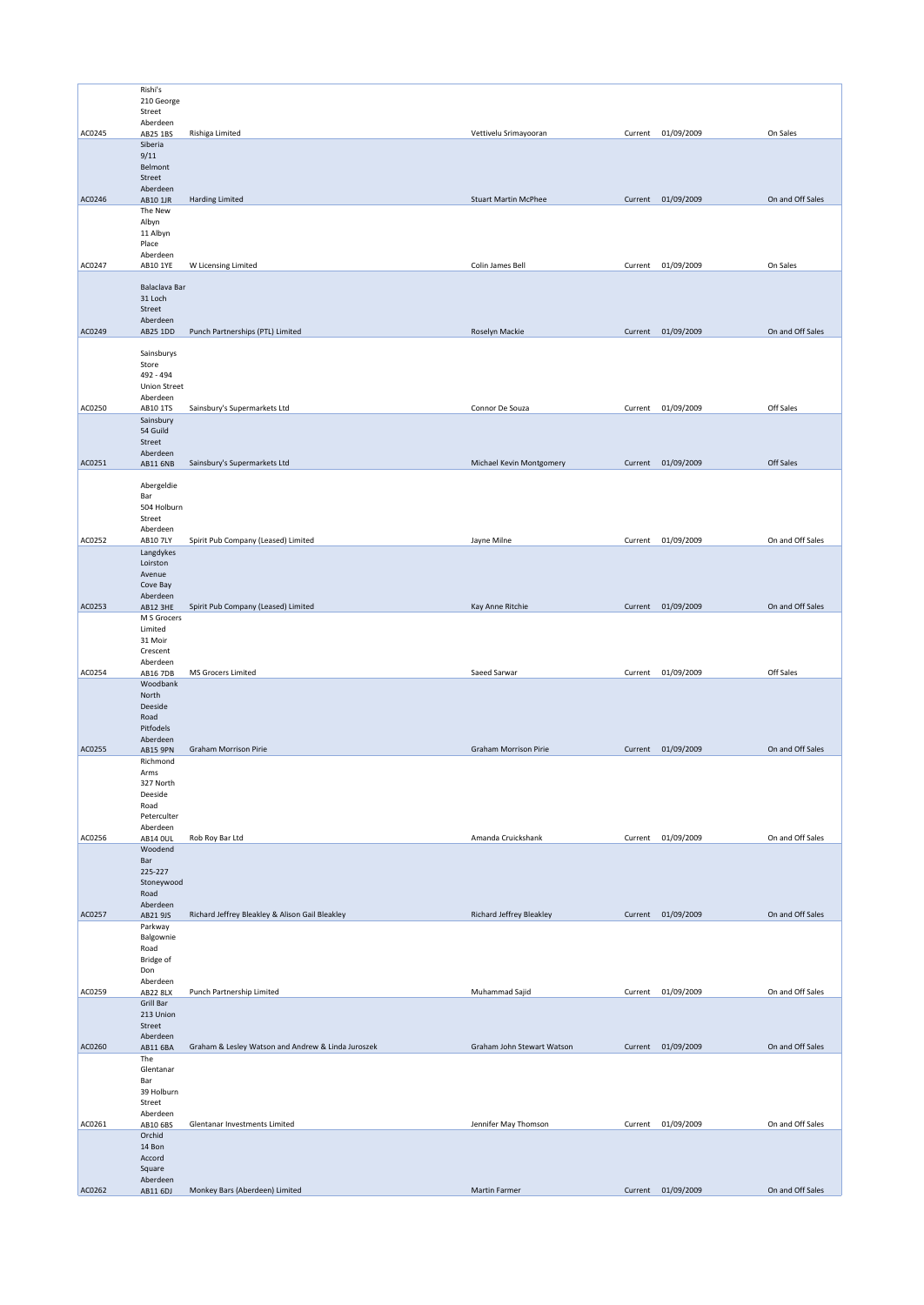|        | Rishi's                  |                                                    |                              |         |                    |                  |
|--------|--------------------------|----------------------------------------------------|------------------------------|---------|--------------------|------------------|
|        | 210 George               |                                                    |                              |         |                    |                  |
|        | Street                   |                                                    |                              |         |                    |                  |
| AC0245 | Aberdeen<br>AB25 1BS     | Rishiga Limited                                    | Vettivelu Srimayooran        |         | Current 01/09/2009 | On Sales         |
|        | Siberia                  |                                                    |                              |         |                    |                  |
|        | 9/11                     |                                                    |                              |         |                    |                  |
|        | Belmont                  |                                                    |                              |         |                    |                  |
|        | Street                   |                                                    |                              |         |                    |                  |
| AC0246 | Aberdeen<br>AB10 1JR     | Harding Limited                                    | <b>Stuart Martin McPhee</b>  |         | Current 01/09/2009 | On and Off Sales |
|        | The New                  |                                                    |                              |         |                    |                  |
|        | Albyn                    |                                                    |                              |         |                    |                  |
|        | 11 Albyn                 |                                                    |                              |         |                    |                  |
|        | Place                    |                                                    |                              |         |                    |                  |
| AC0247 | Aberdeen                 |                                                    | Colin James Bell             |         | Current 01/09/2009 | On Sales         |
|        | AB10 1YE                 | W Licensing Limited                                |                              |         |                    |                  |
|        | Balaclava Bar            |                                                    |                              |         |                    |                  |
|        | 31 Loch                  |                                                    |                              |         |                    |                  |
|        | Street                   |                                                    |                              |         |                    |                  |
|        | Aberdeen                 |                                                    |                              |         |                    |                  |
| AC0249 | AB25 1DD                 | Punch Partnerships (PTL) Limited                   | Roselyn Mackie               |         | Current 01/09/2009 | On and Off Sales |
|        | Sainsburys               |                                                    |                              |         |                    |                  |
|        | Store                    |                                                    |                              |         |                    |                  |
|        | 492 - 494                |                                                    |                              |         |                    |                  |
|        | <b>Union Street</b>      |                                                    |                              |         |                    |                  |
|        | Aberdeen                 |                                                    |                              |         |                    | Off Sales        |
| AC0250 | AB10 1TS                 | Sainsbury's Supermarkets Ltd                       | Connor De Souza              | Current | 01/09/2009         |                  |
|        | Sainsbury<br>54 Guild    |                                                    |                              |         |                    |                  |
|        | Street                   |                                                    |                              |         |                    |                  |
|        | Aberdeen                 |                                                    |                              |         |                    |                  |
| AC0251 | AB11 6NB                 | Sainsbury's Supermarkets Ltd                       | Michael Kevin Montgomery     |         | Current 01/09/2009 | Off Sales        |
|        | Abergeldie               |                                                    |                              |         |                    |                  |
|        | Bar                      |                                                    |                              |         |                    |                  |
|        | 504 Holburn              |                                                    |                              |         |                    |                  |
|        | Street                   |                                                    |                              |         |                    |                  |
|        | Aberdeen                 |                                                    |                              |         |                    |                  |
| AC0252 | AB10 7LY                 | Spirit Pub Company (Leased) Limited                | Jayne Milne                  | Current | 01/09/2009         | On and Off Sales |
|        | Langdykes                |                                                    |                              |         |                    |                  |
|        | Loirston<br>Avenue       |                                                    |                              |         |                    |                  |
|        | Cove Bay                 |                                                    |                              |         |                    |                  |
|        | Aberdeen                 |                                                    |                              |         |                    |                  |
| AC0253 | AB12 3HE                 | Spirit Pub Company (Leased) Limited                | Kay Anne Ritchie             |         | Current 01/09/2009 | On and Off Sales |
|        | M S Grocers              |                                                    |                              |         |                    |                  |
|        | Limited<br>31 Moir       |                                                    |                              |         |                    |                  |
|        | Crescent                 |                                                    |                              |         |                    |                  |
|        | Aberdeen                 |                                                    |                              |         |                    |                  |
| AC0254 | AB16 7DB                 | MS Grocers Limited                                 | Saeed Sarwar                 |         | Current 01/09/2009 | Off Sales        |
|        | Woodbank                 |                                                    |                              |         |                    |                  |
|        | North                    |                                                    |                              |         |                    |                  |
|        | Deeside<br>Road          |                                                    |                              |         |                    |                  |
|        | Pitfodels                |                                                    |                              |         |                    |                  |
|        | Aberdeen                 |                                                    |                              |         |                    |                  |
| AC0255 | <b>AB15 9PN</b>          | <b>Graham Morrison Pirie</b>                       | <b>Graham Morrison Pirie</b> |         | Current 01/09/2009 | On and Off Sales |
|        | Richmond                 |                                                    |                              |         |                    |                  |
|        | Arms                     |                                                    |                              |         |                    |                  |
|        | 327 North<br>Deeside     |                                                    |                              |         |                    |                  |
|        | Road                     |                                                    |                              |         |                    |                  |
|        | Peterculter              |                                                    |                              |         |                    |                  |
|        | Aberdeen                 |                                                    |                              |         |                    |                  |
| AC0256 | AB14 OUL                 | Rob Roy Bar Ltd                                    | Amanda Cruickshank           |         |                    | On and Off Sales |
|        | Woodend<br>Bar           |                                                    |                              |         | Current 01/09/2009 |                  |
|        |                          |                                                    |                              |         |                    |                  |
|        |                          |                                                    |                              |         |                    |                  |
|        | 225-227<br>Stoneywood    |                                                    |                              |         |                    |                  |
|        | Road                     |                                                    |                              |         |                    |                  |
|        | Aberdeen                 |                                                    |                              |         |                    |                  |
| AC0257 | AB21 9JS                 | Richard Jeffrey Bleakley & Alison Gail Bleakley    | Richard Jeffrey Bleakley     |         | Current 01/09/2009 | On and Off Sales |
|        | Parkway                  |                                                    |                              |         |                    |                  |
|        | Balgownie                |                                                    |                              |         |                    |                  |
|        | Road<br><b>Bridge of</b> |                                                    |                              |         |                    |                  |
|        | Don                      |                                                    |                              |         |                    |                  |
|        | Aberdeen                 |                                                    |                              |         |                    |                  |
| AC0259 | <b>AB22 8LX</b>          | Punch Partnership Limited                          | Muhammad Sajid               | Current | 01/09/2009         | On and Off Sales |
|        | Grill Bar<br>213 Union   |                                                    |                              |         |                    |                  |
|        | Street                   |                                                    |                              |         |                    |                  |
|        | Aberdeen                 |                                                    |                              |         |                    |                  |
| AC0260 | AB11 6BA                 | Graham & Lesley Watson and Andrew & Linda Juroszek | Graham John Stewart Watson   |         | Current 01/09/2009 | On and Off Sales |
|        | The                      |                                                    |                              |         |                    |                  |
|        | Glentanar                |                                                    |                              |         |                    |                  |
|        | Bar<br>39 Holburn        |                                                    |                              |         |                    |                  |
|        | Street                   |                                                    |                              |         |                    |                  |
|        | Aberdeen                 |                                                    |                              |         |                    |                  |
| AC0261 | AB10 6BS                 | Glentanar Investments Limited                      | Jennifer May Thomson         | Current | 01/09/2009         | On and Off Sales |
|        | Orchid                   |                                                    |                              |         |                    |                  |
|        | 14 Bon<br>Accord         |                                                    |                              |         |                    |                  |
|        | Square                   |                                                    |                              |         |                    |                  |
| AC0262 | Aberdeen<br>AB11 6DJ     | Monkey Bars (Aberdeen) Limited                     | Martin Farmer                |         | Current 01/09/2009 | On and Off Sales |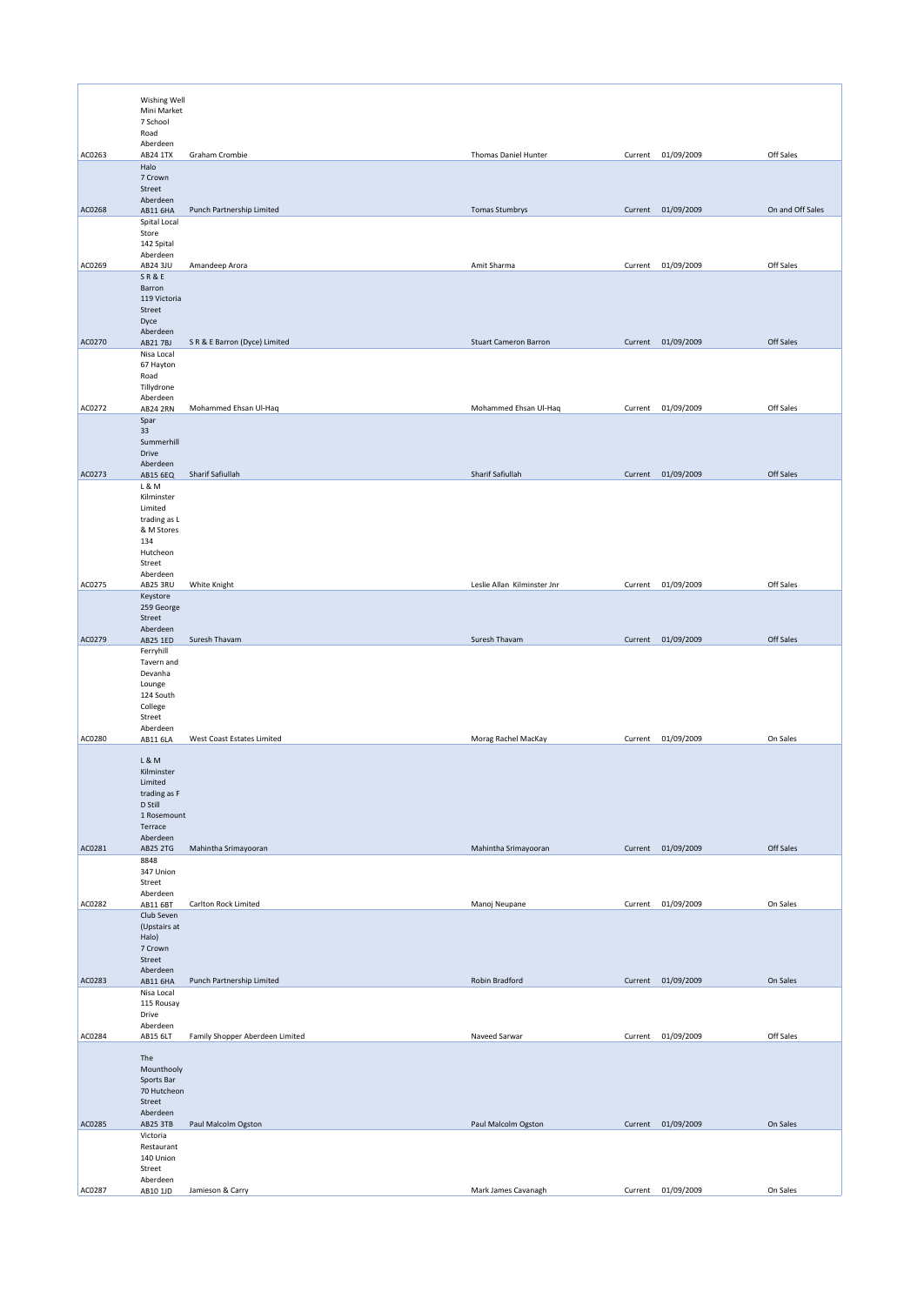|        | Wishing Well<br>Mini Market<br>7 School<br>Road                                                        |                                 |                              |         |                    |                  |
|--------|--------------------------------------------------------------------------------------------------------|---------------------------------|------------------------------|---------|--------------------|------------------|
| AC0263 | Aberdeen<br>AB24 1TX                                                                                   | Graham Crombie                  | Thomas Daniel Hunter         |         | Current 01/09/2009 | Off Sales        |
|        | Halo<br>7 Crown<br>Street                                                                              |                                 |                              |         |                    |                  |
| AC0268 | Aberdeen<br>AB11 6HA                                                                                   | Punch Partnership Limited       | <b>Tomas Stumbrys</b>        |         | Current 01/09/2009 | On and Off Sales |
|        | Spital Local<br>Store<br>142 Spital                                                                    |                                 |                              |         |                    |                  |
| AC0269 | Aberdeen<br>AB24 3JU                                                                                   | Amandeep Arora                  | Amit Sharma                  | Current | 01/09/2009         | Off Sales        |
|        | SR&E<br>Barron<br>119 Victoria<br>Street<br>Dyce                                                       |                                 |                              |         |                    |                  |
| AC0270 | Aberdeen<br>AB217BJ                                                                                    | S R & E Barron (Dyce) Limited   | <b>Stuart Cameron Barron</b> |         | Current 01/09/2009 | Off Sales        |
|        | Nisa Local<br>67 Hayton<br>Road<br>Tillydrone                                                          |                                 |                              |         |                    |                  |
| AC0272 | Aberdeen<br><b>AB24 2RN</b>                                                                            | Mohammed Ehsan Ul-Haq           | Mohammed Ehsan Ul-Haq        | Current | 01/09/2009         | Off Sales        |
|        | Spar<br>33<br>Summerhill<br>Drive                                                                      |                                 |                              |         |                    |                  |
| AC0273 | Aberdeen<br>AB15 6EQ                                                                                   | Sharif Safiullah                | Sharif Safiullah             |         | Current 01/09/2009 | Off Sales        |
|        | L & M<br>Kilminster<br>Limited<br>trading as L<br>& M Stores<br>134<br>Hutcheon<br>Street              |                                 |                              |         |                    |                  |
| AC0275 | Aberdeen                                                                                               | White Knight                    | Leslie Allan Kilminster Jnr  | Current | 01/09/2009         | Off Sales        |
|        | AB25 3RU<br>Keystore<br>259 George<br>Street                                                           |                                 |                              |         |                    |                  |
| AC0279 | Aberdeen                                                                                               | Suresh Thavam                   | Suresh Thavam                |         | Current 01/09/2009 | Off Sales        |
|        | AB25 1ED<br>Ferryhill<br>Tavern and<br>Devanha<br>Lounge<br>124 South<br>College<br>Street<br>Aberdeen |                                 |                              |         |                    |                  |
| AC0280 | AB11 6LA                                                                                               | West Coast Estates Limited      | Morag Rachel MacKay          | Current | 01/09/2009         | On Sales         |
|        | L&M<br>Kilminster<br>Limited<br>trading as F<br>D Still<br>1 Rosemount<br>Terrace<br>Aberdeen          |                                 |                              |         |                    |                  |
| AC0281 | AB25 2TG<br>8848<br>347 Union<br>Street                                                                | Mahintha Srimayooran            | Mahintha Srimayooran         |         | Current 01/09/2009 | Off Sales        |
| AC0282 | Aberdeen<br>AB11 6BT                                                                                   | Carlton Rock Limited            | Manoj Neupane                | Current | 01/09/2009         | On Sales         |
|        | Club Seven<br>(Upstairs at<br>Halo)<br>7 Crown<br>Street                                               |                                 |                              |         |                    |                  |
| AC0283 | Aberdeen<br>AB11 6HA                                                                                   | Punch Partnership Limited       | Robin Bradford               |         | Current 01/09/2009 | On Sales         |
|        | Nisa Local                                                                                             |                                 |                              |         |                    |                  |
|        | 115 Rousay<br>Drive                                                                                    |                                 |                              |         |                    |                  |
|        | Aberdeen                                                                                               |                                 |                              |         |                    |                  |
| AC0284 | AB15 6LT<br>The<br>Mounthooly<br>Sports Bar<br>70 Hutcheon<br>Street<br>Aberdeen                       | Family Shopper Aberdeen Limited | Naveed Sarwar                | Current | 01/09/2009         | Off Sales        |
| AC0285 | AB25 3TB<br>Victoria                                                                                   | Paul Malcolm Ogston             | Paul Malcolm Ogston          |         | Current 01/09/2009 | On Sales         |
|        | Restaurant<br>140 Union<br>Street<br>Aberdeen                                                          |                                 |                              |         |                    |                  |
| AC0287 | AB10 1JD                                                                                               | Jamieson & Carry                | Mark James Cavanagh          | Current | 01/09/2009         | On Sales         |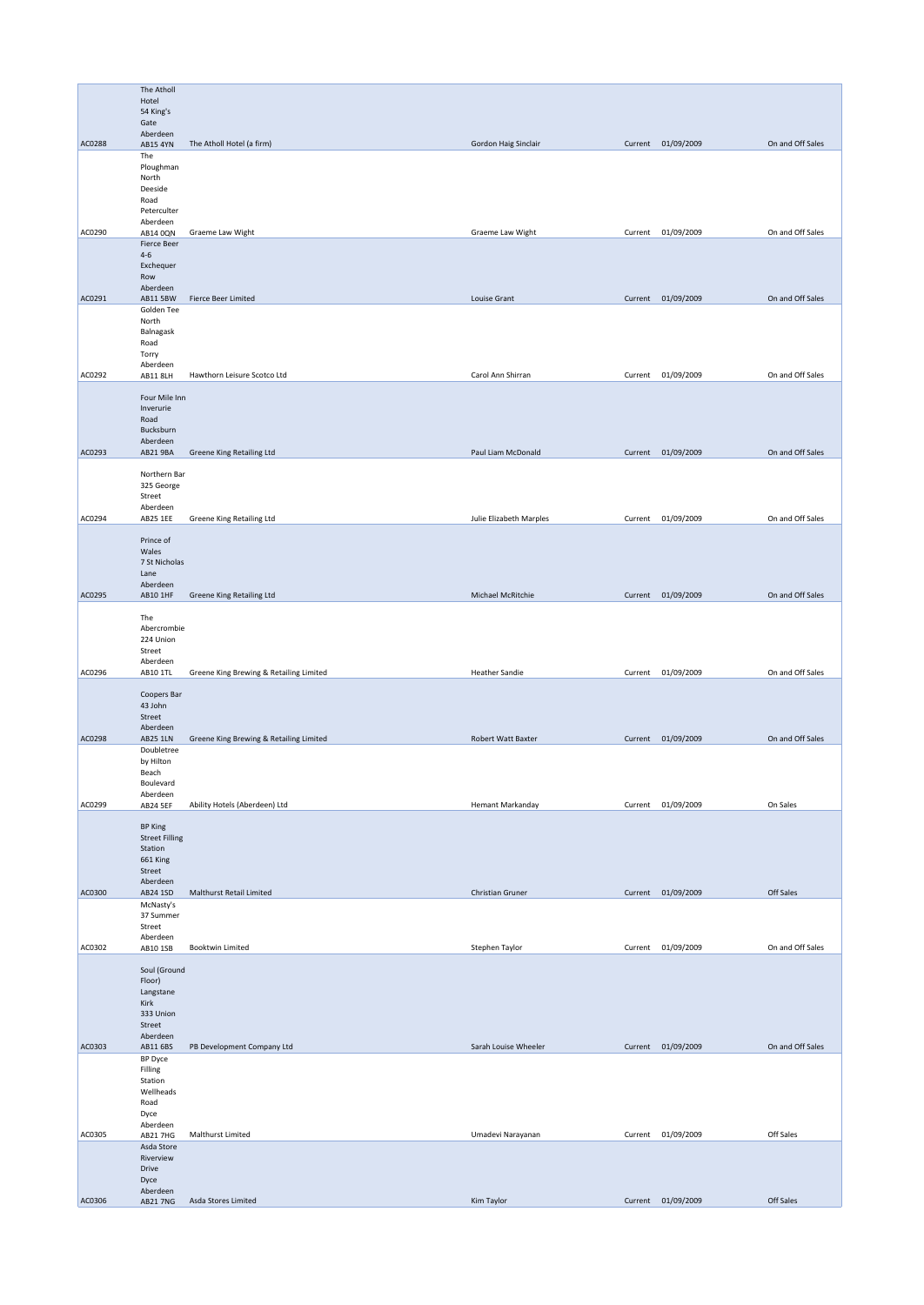|        | The Atholl                              |                                         |                         |         |                    |                  |
|--------|-----------------------------------------|-----------------------------------------|-------------------------|---------|--------------------|------------------|
|        | Hotel<br>54 King's                      |                                         |                         |         |                    |                  |
|        | Gate                                    |                                         |                         |         |                    |                  |
|        | Aberdeen                                |                                         |                         |         |                    |                  |
| AC0288 | AB15 4YN<br>The                         | The Atholl Hotel (a firm)               | Gordon Haig Sinclair    |         | Current 01/09/2009 | On and Off Sales |
|        | Ploughman                               |                                         |                         |         |                    |                  |
|        | North                                   |                                         |                         |         |                    |                  |
|        | Deeside                                 |                                         |                         |         |                    |                  |
|        | Road<br>Peterculter                     |                                         |                         |         |                    |                  |
|        | Aberdeen                                |                                         |                         |         |                    |                  |
| AC0290 | AB14 0QN                                | Graeme Law Wight                        | Graeme Law Wight        |         | Current 01/09/2009 | On and Off Sales |
|        | <b>Fierce Beer</b><br>$4 - 6$           |                                         |                         |         |                    |                  |
|        | Exchequer                               |                                         |                         |         |                    |                  |
|        | Row                                     |                                         |                         |         |                    |                  |
| AC0291 | Aberdeen<br>AB11 5BW                    | Fierce Beer Limited                     | Louise Grant            |         | Current 01/09/2009 | On and Off Sales |
|        | Golden Tee                              |                                         |                         |         |                    |                  |
|        | North                                   |                                         |                         |         |                    |                  |
|        | Balnagask                               |                                         |                         |         |                    |                  |
|        | Road<br>Torry                           |                                         |                         |         |                    |                  |
|        | Aberdeen                                |                                         |                         |         |                    |                  |
| AC0292 | <b>AB11 8LH</b>                         | Hawthorn Leisure Scotco Ltd             | Carol Ann Shirran       |         | Current 01/09/2009 | On and Off Sales |
|        | Four Mile Inn                           |                                         |                         |         |                    |                  |
|        | Inverurie                               |                                         |                         |         |                    |                  |
|        | Road                                    |                                         |                         |         |                    |                  |
|        | Bucksburn                               |                                         |                         |         |                    |                  |
| AC0293 | Aberdeen<br>AB21 9BA                    | Greene King Retailing Ltd               | Paul Liam McDonald      |         | Current 01/09/2009 | On and Off Sales |
|        |                                         |                                         |                         |         |                    |                  |
|        | Northern Bar                            |                                         |                         |         |                    |                  |
|        | 325 George                              |                                         |                         |         |                    |                  |
|        | Street<br>Aberdeen                      |                                         |                         |         |                    |                  |
| AC0294 | AB25 1EE                                | Greene King Retailing Ltd               | Julie Elizabeth Marples | Current | 01/09/2009         | On and Off Sales |
|        |                                         |                                         |                         |         |                    |                  |
|        | Prince of                               |                                         |                         |         |                    |                  |
|        | Wales<br>7 St Nicholas                  |                                         |                         |         |                    |                  |
|        | Lane                                    |                                         |                         |         |                    |                  |
|        | Aberdeen                                |                                         |                         |         |                    |                  |
| AC0295 | AB10 1HF                                | Greene King Retailing Ltd               | Michael McRitchie       |         | Current 01/09/2009 | On and Off Sales |
|        | The                                     |                                         |                         |         |                    |                  |
|        | Abercrombie                             |                                         |                         |         |                    |                  |
|        | 224 Union                               |                                         |                         |         |                    |                  |
|        | Street                                  |                                         |                         |         |                    |                  |
| AC0296 | Aberdeen<br>AB10 1TL                    |                                         | <b>Heather Sandie</b>   |         | Current 01/09/2009 | On and Off Sales |
|        |                                         | Greene King Brewing & Retailing Limited |                         |         |                    |                  |
|        | Coopers Bar                             |                                         |                         |         |                    |                  |
|        | 43 John                                 |                                         |                         |         |                    |                  |
|        | Street<br>Aberdeen                      |                                         |                         |         |                    |                  |
| AC0298 | <b>AB25 1LN</b>                         | Greene King Brewing & Retailing Limited | Robert Watt Baxter      |         | Current 01/09/2009 | On and Off Sales |
|        | Doubletree                              |                                         |                         |         |                    |                  |
|        | by Hilton                               |                                         |                         |         |                    |                  |
|        | Beach<br>Boulevard                      |                                         |                         |         |                    |                  |
|        | Aberdeen                                |                                         |                         |         |                    |                  |
| AC0299 | <b>AB24 5EF</b>                         | Ability Hotels (Aberdeen) Ltd           | Hemant Markanday        |         | Current 01/09/2009 | On Sales         |
|        |                                         |                                         |                         |         |                    |                  |
|        | <b>BP King</b><br><b>Street Filling</b> |                                         |                         |         |                    |                  |
|        | Station                                 |                                         |                         |         |                    |                  |
|        | 661 King                                |                                         |                         |         |                    |                  |
|        | Street                                  |                                         |                         |         |                    |                  |
| AC0300 | Aberdeen<br>AB24 1SD                    | Malthurst Retail Limited                | Christian Gruner        |         | Current 01/09/2009 | Off Sales        |
|        | McNasty's                               |                                         |                         |         |                    |                  |
|        | 37 Summer                               |                                         |                         |         |                    |                  |
|        | Street                                  |                                         |                         |         |                    |                  |
| AC0302 | Aberdeen<br>AB10 1SB                    | Booktwin Limited                        | Stephen Taylor          |         | Current 01/09/2009 | On and Off Sales |
|        |                                         |                                         |                         |         |                    |                  |
|        | Soul (Ground                            |                                         |                         |         |                    |                  |
|        | Floor)<br>Langstane                     |                                         |                         |         |                    |                  |
|        | Kirk                                    |                                         |                         |         |                    |                  |
|        | 333 Union                               |                                         |                         |         |                    |                  |
|        | Street                                  |                                         |                         |         |                    |                  |
| AC0303 | Aberdeen<br>AB11 6BS                    | PB Development Company Ltd              | Sarah Louise Wheeler    |         | Current 01/09/2009 | On and Off Sales |
|        | BP Dyce                                 |                                         |                         |         |                    |                  |
|        | Filling                                 |                                         |                         |         |                    |                  |
|        | Station                                 |                                         |                         |         |                    |                  |
|        | Wellheads<br>Road                       |                                         |                         |         |                    |                  |
|        | Dyce                                    |                                         |                         |         |                    |                  |
|        | Aberdeen                                |                                         |                         |         |                    |                  |
| AC0305 | AB21 7HG                                | Malthurst Limited                       | Umadevi Narayanan       |         | Current 01/09/2009 | Off Sales        |
|        | Asda Store                              |                                         |                         |         |                    |                  |
|        | Riverview<br>Drive                      |                                         |                         |         |                    |                  |
|        | Dyce                                    |                                         |                         |         |                    |                  |
|        | Aberdeen                                |                                         |                         |         |                    |                  |
| AC0306 | AB21 7NG                                | Asda Stores Limited                     | Kim Taylor              |         | Current 01/09/2009 | Off Sales        |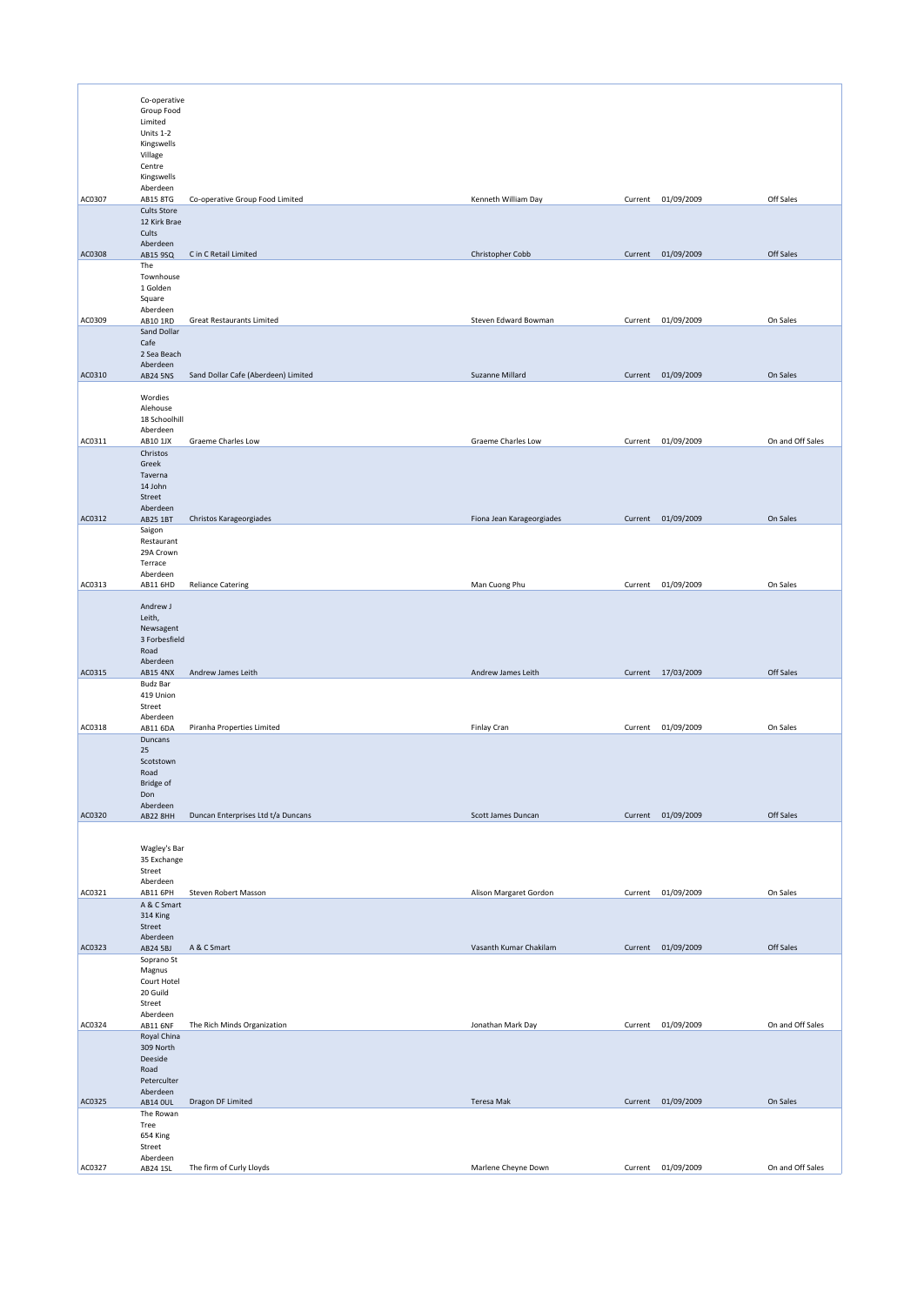|        | Co-operative                          |                                     |                           |         |                    |                  |
|--------|---------------------------------------|-------------------------------------|---------------------------|---------|--------------------|------------------|
|        | Group Food<br>Limited                 |                                     |                           |         |                    |                  |
|        | Units 1-2                             |                                     |                           |         |                    |                  |
|        | Kingswells<br>Village                 |                                     |                           |         |                    |                  |
|        | Centre                                |                                     |                           |         |                    |                  |
|        | Kingswells<br>Aberdeen                |                                     |                           |         |                    |                  |
| AC0307 | <b>AB15 8TG</b><br><b>Cults Store</b> | Co-operative Group Food Limited     | Kenneth William Day       |         | Current 01/09/2009 | Off Sales        |
|        | 12 Kirk Brae                          |                                     |                           |         |                    |                  |
|        | Cults<br>Aberdeen                     |                                     |                           |         |                    |                  |
| AC0308 | AB15 9SQ<br>The                       | C in C Retail Limited               | Christopher Cobb          |         | Current 01/09/2009 | Off Sales        |
|        | Townhouse                             |                                     |                           |         |                    |                  |
|        | 1 Golden<br>Square                    |                                     |                           |         |                    |                  |
| AC0309 | Aberdeen<br>AB10 1RD                  | <b>Great Restaurants Limited</b>    | Steven Edward Bowman      |         | Current 01/09/2009 | On Sales         |
|        | Sand Dollar                           |                                     |                           |         |                    |                  |
|        | Cafe<br>2 Sea Beach                   |                                     |                           |         |                    |                  |
| AC0310 | Aberdeen<br><b>AB24 5NS</b>           | Sand Dollar Cafe (Aberdeen) Limited | Suzanne Millard           |         | Current 01/09/2009 | On Sales         |
|        |                                       |                                     |                           |         |                    |                  |
|        | Wordies<br>Alehouse                   |                                     |                           |         |                    |                  |
|        | 18 Schoolhill<br>Aberdeen             |                                     |                           |         |                    |                  |
| AC0311 | AB10 1JX                              | Graeme Charles Low                  | Graeme Charles Low        |         | Current 01/09/2009 | On and Off Sales |
|        | Christos<br>Greek                     |                                     |                           |         |                    |                  |
|        | Taverna<br>14 John                    |                                     |                           |         |                    |                  |
|        | Street                                |                                     |                           |         |                    |                  |
| AC0312 | Aberdeen<br>AB25 1BT                  | Christos Karageorgiades             | Fiona Jean Karageorgiades |         | Current 01/09/2009 | On Sales         |
|        | Saigon                                |                                     |                           |         |                    |                  |
|        | Restaurant<br>29A Crown               |                                     |                           |         |                    |                  |
|        | Terrace<br>Aberdeen                   |                                     |                           |         |                    |                  |
| AC0313 | AB11 6HD                              | <b>Reliance Catering</b>            | Man Cuong Phu             | Current | 01/09/2009         | On Sales         |
|        | Andrew J                              |                                     |                           |         |                    |                  |
|        | Leith,<br>Newsagent                   |                                     |                           |         |                    |                  |
|        | 3 Forbesfield                         |                                     |                           |         |                    |                  |
|        | Road<br>Aberdeen                      |                                     |                           |         |                    |                  |
| AC0315 | <b>AB15 4NX</b><br><b>Budz Bar</b>    | Andrew James Leith                  | Andrew James Leith        |         | Current 17/03/2009 | Off Sales        |
|        | 419 Union                             |                                     |                           |         |                    |                  |
|        | Street<br>Aberdeen                    |                                     |                           |         |                    |                  |
| AC0318 | AB11 6DA<br>Duncans                   | Piranha Properties Limited          | Finlay Cran               |         | Current 01/09/2009 | On Sales         |
|        | 25                                    |                                     |                           |         |                    |                  |
|        | Scotstown<br>Road                     |                                     |                           |         |                    |                  |
|        | Bridge of<br>Don                      |                                     |                           |         |                    |                  |
|        | Aberdeen                              |                                     |                           |         |                    |                  |
| AC0320 | AB22 8HH                              | Duncan Enterprises Ltd t/a Duncans  | Scott James Duncan        |         | Current 01/09/2009 | Off Sales        |
|        | Wagley's Bar                          |                                     |                           |         |                    |                  |
|        | 35 Exchange                           |                                     |                           |         |                    |                  |
|        | Street<br>Aberdeen                    |                                     |                           |         |                    |                  |
| AC0321 | AB11 6PH<br>A & C Smart               | Steven Robert Masson                | Alison Margaret Gordon    | Current | 01/09/2009         | On Sales         |
|        | 314 King                              |                                     |                           |         |                    |                  |
|        | Street<br>Aberdeen                    |                                     |                           |         |                    |                  |
| AC0323 | AB24 5BJ<br>Soprano St                | A & C Smart                         | Vasanth Kumar Chakilam    |         | Current 01/09/2009 | Off Sales        |
|        | Magnus                                |                                     |                           |         |                    |                  |
|        | Court Hotel<br>20 Guild               |                                     |                           |         |                    |                  |
|        | Street<br>Aberdeen                    |                                     |                           |         |                    |                  |
| AC0324 | <b>AB11 6NF</b>                       | The Rich Minds Organization         | Jonathan Mark Day         |         | Current 01/09/2009 | On and Off Sales |
|        | Royal China<br>309 North              |                                     |                           |         |                    |                  |
|        | Deeside<br>Road                       |                                     |                           |         |                    |                  |
|        | Peterculter                           |                                     |                           |         |                    |                  |
| AC0325 | Aberdeen<br><b>AB14 OUL</b>           | Dragon DF Limited                   | Teresa Mak                |         | Current 01/09/2009 | On Sales         |
|        | The Rowan<br>Tree                     |                                     |                           |         |                    |                  |
|        | 654 King                              |                                     |                           |         |                    |                  |
|        | Street<br>Aberdeen                    |                                     |                           |         |                    |                  |
| AC0327 | AB24 1SL                              | The firm of Curly Lloyds            | Marlene Cheyne Down       |         | Current 01/09/2009 | On and Off Sales |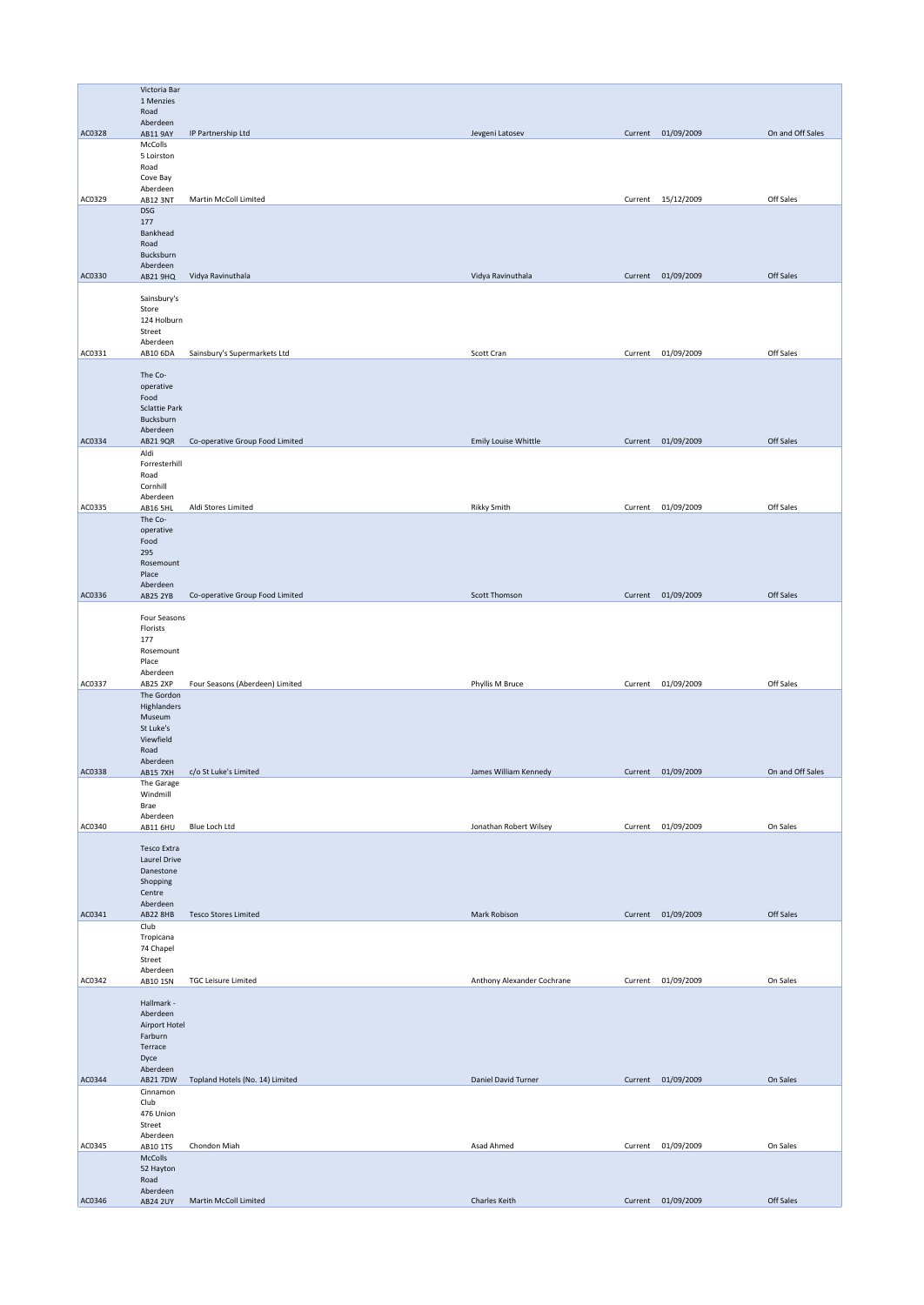|        | Victoria Bar<br>1 Menzies         |                                 |                            |         |                    |                  |
|--------|-----------------------------------|---------------------------------|----------------------------|---------|--------------------|------------------|
|        | Road                              |                                 |                            |         |                    |                  |
| AC0328 | Aberdeen<br><b>AB11 9AY</b>       | IP Partnership Ltd              | Jevgeni Latosev            |         | Current 01/09/2009 | On and Off Sales |
|        | McColls<br>5 Loirston             |                                 |                            |         |                    |                  |
|        | Road<br>Cove Bay                  |                                 |                            |         |                    |                  |
|        | Aberdeen                          |                                 |                            |         |                    |                  |
| AC0329 | <b>AB12 3NT</b><br><b>DSG</b>     | Martin McColl Limited           |                            |         | Current 15/12/2009 | Off Sales        |
|        | 177<br>Bankhead                   |                                 |                            |         |                    |                  |
|        | Road                              |                                 |                            |         |                    |                  |
|        | Bucksburn<br>Aberdeen             |                                 |                            |         |                    |                  |
| AC0330 | AB21 9HQ                          | Vidya Ravinuthala               | Vidya Ravinuthala          |         | Current 01/09/2009 | Off Sales        |
|        | Sainsbury's<br>Store              |                                 |                            |         |                    |                  |
|        | 124 Holburn                       |                                 |                            |         |                    |                  |
|        | Street<br>Aberdeen                |                                 |                            |         |                    |                  |
| AC0331 | AB10 6DA                          | Sainsbury's Supermarkets Ltd    | Scott Cran                 | Current | 01/09/2009         | Off Sales        |
|        | The Co-<br>operative              |                                 |                            |         |                    |                  |
|        | Food                              |                                 |                            |         |                    |                  |
|        | <b>Sclattie Park</b><br>Bucksburn |                                 |                            |         |                    |                  |
| AC0334 | Aberdeen<br>AB21 9QR              | Co-operative Group Food Limited | Emily Louise Whittle       |         | Current 01/09/2009 | Off Sales        |
|        | Aldi                              |                                 |                            |         |                    |                  |
|        | Forresterhill<br>Road             |                                 |                            |         |                    |                  |
|        | Cornhill<br>Aberdeen              |                                 |                            |         |                    |                  |
| AC0335 | AB16 5HL<br>The Co-               | Aldi Stores Limited             | <b>Rikky Smith</b>         |         | Current 01/09/2009 | Off Sales        |
|        | operative                         |                                 |                            |         |                    |                  |
|        | Food<br>295                       |                                 |                            |         |                    |                  |
|        | Rosemount<br>Place                |                                 |                            |         |                    |                  |
|        | Aberdeen                          |                                 | Scott Thomson              |         |                    | Off Sales        |
| AC0336 | <b>AB25 2YB</b>                   | Co-operative Group Food Limited |                            |         | Current 01/09/2009 |                  |
|        | Four Seasons<br>Florists          |                                 |                            |         |                    |                  |
|        | 177<br>Rosemount                  |                                 |                            |         |                    |                  |
|        | Place                             |                                 |                            |         |                    |                  |
| AC0337 | Aberdeen<br>AB25 2XP              | Four Seasons (Aberdeen) Limited | Phyllis M Bruce            |         | Current 01/09/2009 | Off Sales        |
|        | The Gordon<br>Highlanders         |                                 |                            |         |                    |                  |
|        | Museum<br>St Luke's               |                                 |                            |         |                    |                  |
|        | Viewfield                         |                                 |                            |         |                    |                  |
|        | Road<br>Aberdeen                  |                                 |                            |         |                    |                  |
| AC0338 | <b>AB15 7XH</b><br>The Garage     | c/o St Luke's Limited           | James William Kennedy      |         | Current 01/09/2009 | On and Off Sales |
|        | Windmill                          |                                 |                            |         |                    |                  |
|        | Brae<br>Aberdeen                  |                                 |                            |         |                    |                  |
| AC0340 | AB11 6HU                          | Blue Loch Ltd                   | Jonathan Robert Wilsey     | Current | 01/09/2009         | On Sales         |
|        | Tesco Extra<br>Laurel Drive       |                                 |                            |         |                    |                  |
|        | Danestone                         |                                 |                            |         |                    |                  |
|        | Shopping<br>Centre                |                                 |                            |         |                    |                  |
| AC0341 | Aberdeen<br>AB22 8HB              | <b>Tesco Stores Limited</b>     | Mark Robison               |         | Current 01/09/2009 | Off Sales        |
|        | Club                              |                                 |                            |         |                    |                  |
|        | Tropicana<br>74 Chapel            |                                 |                            |         |                    |                  |
|        | Street<br>Aberdeen                |                                 |                            |         |                    |                  |
| AC0342 | AB10 1SN                          | <b>TGC Leisure Limited</b>      | Anthony Alexander Cochrane |         | Current 01/09/2009 | On Sales         |
|        | Hallmark -                        |                                 |                            |         |                    |                  |
|        | Aberdeen<br>Airport Hotel         |                                 |                            |         |                    |                  |
|        | Farburn<br>Terrace                |                                 |                            |         |                    |                  |
|        | Dyce<br>Aberdeen                  |                                 |                            |         |                    |                  |
| AC0344 | AB21 7DW                          | Topland Hotels (No. 14) Limited | Daniel David Turner        |         | Current 01/09/2009 | On Sales         |
|        | Cinnamon<br>Club                  |                                 |                            |         |                    |                  |
|        | 476 Union<br>Street               |                                 |                            |         |                    |                  |
|        | Aberdeen                          |                                 |                            |         |                    |                  |
| AC0345 | AB10 1TS<br>McColls               | Chondon Miah                    | Asad Ahmed                 |         | Current 01/09/2009 | On Sales         |
|        | 52 Hayton<br>Road                 |                                 |                            |         |                    |                  |
| AC0346 | Aberdeen<br><b>AB24 2UY</b>       | Martin McColl Limited           | Charles Keith              |         | Current 01/09/2009 | Off Sales        |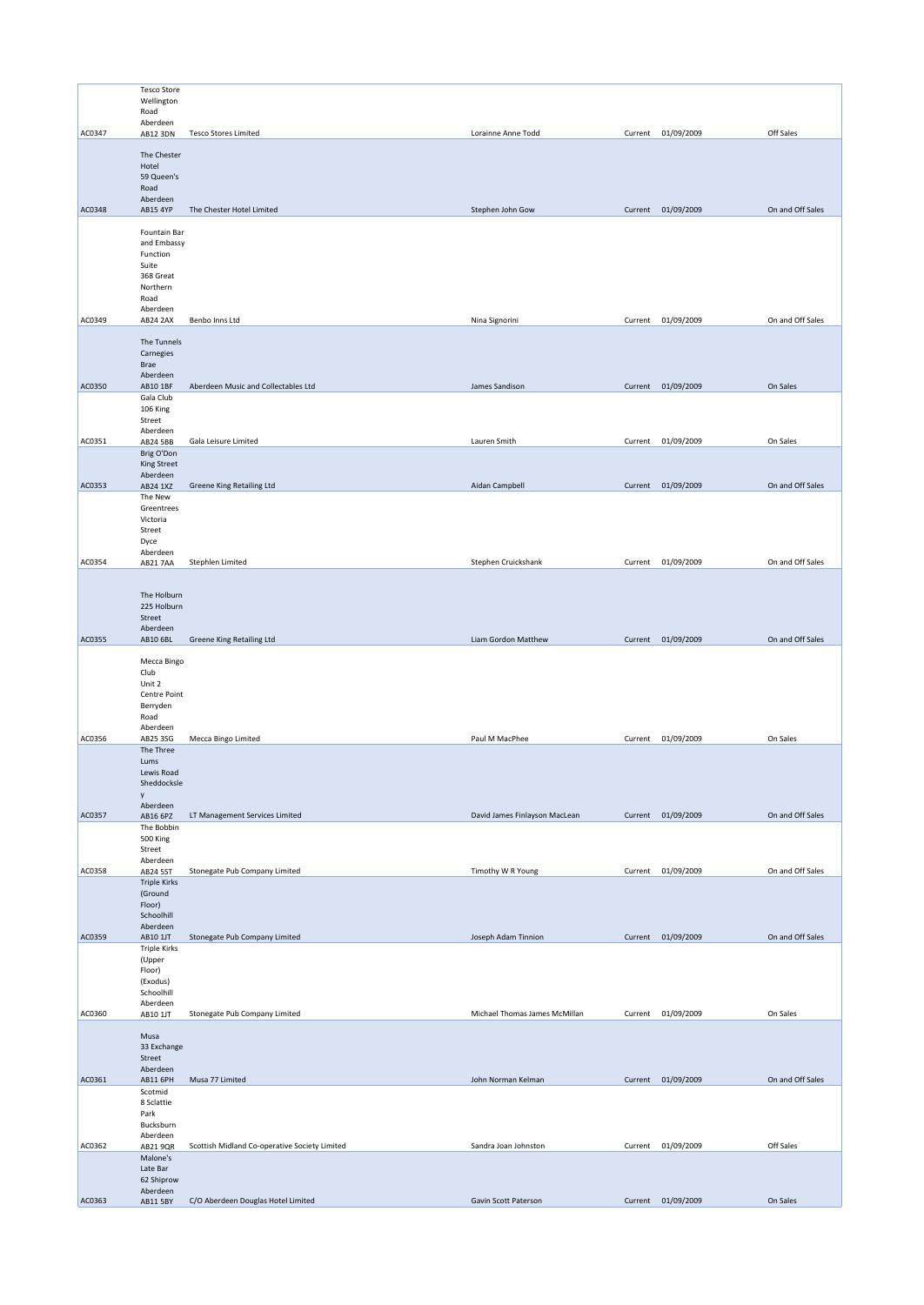|        | <b>Tesco Store</b>             |                                               |                               |         |                    |                  |
|--------|--------------------------------|-----------------------------------------------|-------------------------------|---------|--------------------|------------------|
|        | Wellington<br>Road             |                                               |                               |         |                    |                  |
|        | Aberdeen                       |                                               |                               |         |                    |                  |
| AC0347 | AB12 3DN                       | <b>Tesco Stores Limited</b>                   | Lorainne Anne Todd            |         | Current 01/09/2009 | Off Sales        |
|        | The Chester                    |                                               |                               |         |                    |                  |
|        | Hotel<br>59 Queen's            |                                               |                               |         |                    |                  |
|        | Road                           |                                               |                               |         |                    |                  |
| AC0348 | Aberdeen<br>AB15 4YP           | The Chester Hotel Limited                     | Stephen John Gow              |         | Current 01/09/2009 | On and Off Sales |
|        |                                |                                               |                               |         |                    |                  |
|        | Fountain Bar<br>and Embassy    |                                               |                               |         |                    |                  |
|        | Function                       |                                               |                               |         |                    |                  |
|        | Suite<br>368 Great             |                                               |                               |         |                    |                  |
|        | Northern                       |                                               |                               |         |                    |                  |
|        | Road<br>Aberdeen               |                                               |                               |         |                    |                  |
| AC0349 | AB24 2AX                       | Benbo Inns Ltd                                | Nina Signorini                |         | Current 01/09/2009 | On and Off Sales |
|        | The Tunnels                    |                                               |                               |         |                    |                  |
|        | Carnegies                      |                                               |                               |         |                    |                  |
|        | Brae<br>Aberdeen               |                                               |                               |         |                    |                  |
| AC0350 | AB10 1BF                       | Aberdeen Music and Collectables Ltd           | James Sandison                |         | Current 01/09/2009 | On Sales         |
|        | Gala Club                      |                                               |                               |         |                    |                  |
|        | 106 King<br>Street             |                                               |                               |         |                    |                  |
| AC0351 | Aberdeen<br>AB24 5BB           | Gala Leisure Limited                          | Lauren Smith                  | Current | 01/09/2009         | On Sales         |
|        | Brig O'Don                     |                                               |                               |         |                    |                  |
|        | <b>King Street</b><br>Aberdeen |                                               |                               |         |                    |                  |
| AC0353 | AB24 1XZ                       | Greene King Retailing Ltd                     | Aidan Campbell                |         | Current 01/09/2009 | On and Off Sales |
|        | The New<br>Greentrees          |                                               |                               |         |                    |                  |
|        | Victoria                       |                                               |                               |         |                    |                  |
|        | Street<br>Dyce                 |                                               |                               |         |                    |                  |
|        | Aberdeen                       |                                               |                               |         |                    |                  |
| AC0354 | <b>AB21 7AA</b>                | Stephlen Limited                              | Stephen Cruickshank           |         | Current 01/09/2009 | On and Off Sales |
|        |                                |                                               |                               |         |                    |                  |
|        | The Holburn<br>225 Holburn     |                                               |                               |         |                    |                  |
|        | Street                         |                                               |                               |         |                    |                  |
| AC0355 | Aberdeen<br>AB10 6BL           | Greene King Retailing Ltd                     | Liam Gordon Matthew           |         | Current 01/09/2009 | On and Off Sales |
|        |                                |                                               |                               |         |                    |                  |
|        | Mecca Bingo<br>Club            |                                               |                               |         |                    |                  |
|        | Unit 2                         |                                               |                               |         |                    |                  |
|        | Centre Point<br>Berryden       |                                               |                               |         |                    |                  |
|        | Road                           |                                               |                               |         |                    |                  |
| AC0356 | Aberdeen<br>AB25 3SG           | Mecca Bingo Limited                           | Paul M MacPhee                |         | Current 01/09/2009 | On Sales         |
|        | The Three                      |                                               |                               |         |                    |                  |
|        | Lums<br>Lewis Road             |                                               |                               |         |                    |                  |
|        | Sheddocksle                    |                                               |                               |         |                    |                  |
|        | y<br>Aberdeen                  |                                               |                               |         |                    |                  |
| AC0357 | AB16 6PZ                       | LT Management Services Limited                | David James Finlayson MacLean |         | Current 01/09/2009 | On and Off Sales |
|        | The Bobbin<br>500 King         |                                               |                               |         |                    |                  |
|        | Street                         |                                               |                               |         |                    |                  |
| AC0358 | Aberdeen<br>AB24 5ST           | Stonegate Pub Company Limited                 | Timothy W R Young             | Current | 01/09/2009         | On and Off Sales |
|        | <b>Triple Kirks</b><br>(Ground |                                               |                               |         |                    |                  |
|        | Floor)                         |                                               |                               |         |                    |                  |
|        | Schoolhill<br>Aberdeen         |                                               |                               |         |                    |                  |
| AC0359 | AB10 1JT                       | Stonegate Pub Company Limited                 | Joseph Adam Tinnion           |         | Current 01/09/2009 | On and Off Sales |
|        | <b>Triple Kirks</b><br>(Upper  |                                               |                               |         |                    |                  |
|        | Floor)                         |                                               |                               |         |                    |                  |
|        | (Exodus)<br>Schoolhill         |                                               |                               |         |                    |                  |
|        | Aberdeen                       |                                               |                               |         |                    |                  |
| AC0360 | AB10 1JT                       | Stonegate Pub Company Limited                 | Michael Thomas James McMillan | Current | 01/09/2009         | On Sales         |
|        | Musa                           |                                               |                               |         |                    |                  |
|        | 33 Exchange<br>Street          |                                               |                               |         |                    |                  |
|        | Aberdeen                       |                                               |                               |         |                    |                  |
| AC0361 | <b>AB11 6PH</b><br>Scotmid     | Musa 77 Limited                               | John Norman Kelman            |         | Current 01/09/2009 | On and Off Sales |
|        | 8 Sclattie                     |                                               |                               |         |                    |                  |
|        | Park<br>Bucksburn              |                                               |                               |         |                    |                  |
|        | Aberdeen                       |                                               |                               |         |                    |                  |
| AC0362 | AB21 9QR<br>Malone's           | Scottish Midland Co-operative Society Limited | Sandra Joan Johnston          |         | Current 01/09/2009 | Off Sales        |
|        | Late Bar                       |                                               |                               |         |                    |                  |
|        | 62 Shiprow<br>Aberdeen         |                                               |                               |         |                    |                  |
| AC0363 | AB11 5BY                       | C/O Aberdeen Douglas Hotel Limited            | Gavin Scott Paterson          |         | Current 01/09/2009 | On Sales         |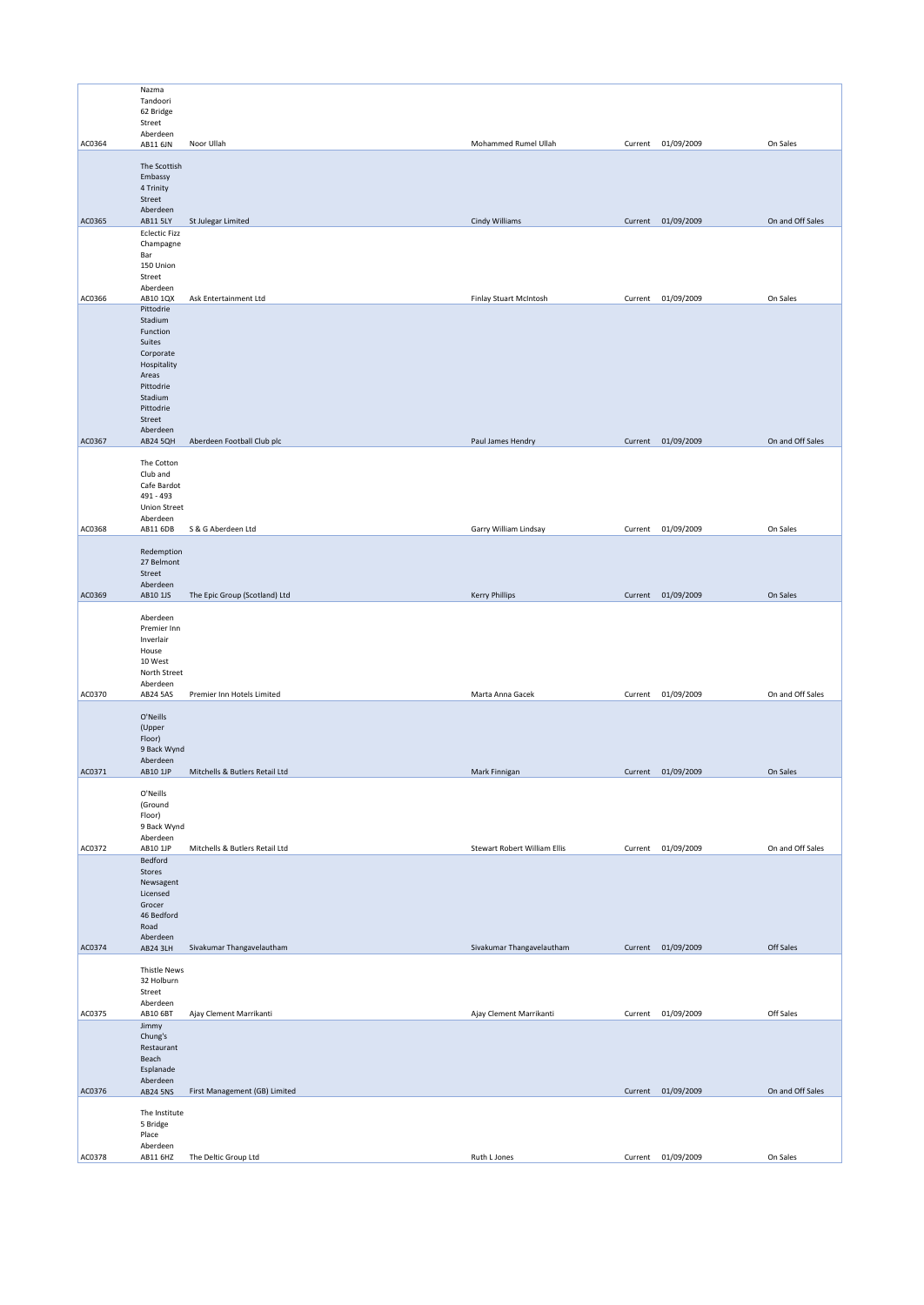|        | Nazma                   |                                |                               |         |                    |                  |
|--------|-------------------------|--------------------------------|-------------------------------|---------|--------------------|------------------|
|        | Tandoori                |                                |                               |         |                    |                  |
|        | 62 Bridge<br>Street     |                                |                               |         |                    |                  |
|        | Aberdeen                |                                |                               |         |                    |                  |
| AC0364 | AB11 6JN                | Noor Ullah                     | Mohammed Rumel Ullah          |         | Current 01/09/2009 | On Sales         |
|        | The Scottish            |                                |                               |         |                    |                  |
|        | Embassy                 |                                |                               |         |                    |                  |
|        | 4 Trinity               |                                |                               |         |                    |                  |
|        | Street<br>Aberdeen      |                                |                               |         |                    |                  |
| AC0365 | AB11 5LY                | St Julegar Limited             | Cindy Williams                |         | Current 01/09/2009 | On and Off Sales |
|        | <b>Eclectic Fizz</b>    |                                |                               |         |                    |                  |
|        | Champagne               |                                |                               |         |                    |                  |
|        | Bar<br>150 Union        |                                |                               |         |                    |                  |
|        | Street                  |                                |                               |         |                    |                  |
| AC0366 | Aberdeen<br>AB10 1QX    | Ask Entertainment Ltd          | <b>Finlay Stuart McIntosh</b> | Current | 01/09/2009         | On Sales         |
|        | Pittodrie               |                                |                               |         |                    |                  |
|        | Stadium                 |                                |                               |         |                    |                  |
|        | Function<br>Suites      |                                |                               |         |                    |                  |
|        | Corporate               |                                |                               |         |                    |                  |
|        | Hospitality             |                                |                               |         |                    |                  |
|        | Areas                   |                                |                               |         |                    |                  |
|        | Pittodrie<br>Stadium    |                                |                               |         |                    |                  |
|        | Pittodrie               |                                |                               |         |                    |                  |
|        | Street<br>Aberdeen      |                                |                               |         |                    |                  |
| AC0367 | <b>AB24 5QH</b>         | Aberdeen Football Club plc     | Paul James Hendry             |         | Current 01/09/2009 | On and Off Sales |
|        |                         |                                |                               |         |                    |                  |
|        | The Cotton<br>Club and  |                                |                               |         |                    |                  |
|        | Cafe Bardot             |                                |                               |         |                    |                  |
|        | 491 - 493               |                                |                               |         |                    |                  |
|        | <b>Union Street</b>     |                                |                               |         |                    |                  |
| AC0368 | Aberdeen<br>AB11 6DB    | S & G Aberdeen Ltd             | Garry William Lindsay         |         | Current 01/09/2009 | On Sales         |
|        |                         |                                |                               |         |                    |                  |
|        | Redemption              |                                |                               |         |                    |                  |
|        | 27 Belmont<br>Street    |                                |                               |         |                    |                  |
|        | Aberdeen                |                                |                               |         |                    |                  |
| AC0369 | AB10 1JS                | The Epic Group (Scotland) Ltd  | <b>Kerry Phillips</b>         |         | Current 01/09/2009 | On Sales         |
|        | Aberdeen                |                                |                               |         |                    |                  |
|        | Premier Inn             |                                |                               |         |                    |                  |
|        | Inverlair               |                                |                               |         |                    |                  |
|        | House<br>10 West        |                                |                               |         |                    |                  |
|        | North Street            |                                |                               |         |                    |                  |
| AC0370 | Aberdeen                |                                |                               |         |                    | On and Off Sales |
|        | <b>AB24 5AS</b>         | Premier Inn Hotels Limited     | Marta Anna Gacek              | Current | 01/09/2009         |                  |
|        | O'Neills                |                                |                               |         |                    |                  |
|        | (Upper                  |                                |                               |         |                    |                  |
|        | Floor)<br>9 Back Wynd   |                                |                               |         |                    |                  |
|        | Aberdeen                |                                |                               |         |                    |                  |
| AC0371 | AB10 1JP                | Mitchells & Butlers Retail Ltd | Mark Finnigan                 |         | Current 01/09/2009 | On Sales         |
|        | O'Neills                |                                |                               |         |                    |                  |
|        | (Ground                 |                                |                               |         |                    |                  |
|        | Floor)                  |                                |                               |         |                    |                  |
|        | 9 Back Wynd<br>Aberdeen |                                |                               |         |                    |                  |
| AC0372 | AB10 1JP                | Mitchells & Butlers Retail Ltd | Stewart Robert William Ellis  |         | Current 01/09/2009 | On and Off Sales |
|        | Bedford                 |                                |                               |         |                    |                  |
|        | Stores<br>Newsagent     |                                |                               |         |                    |                  |
|        | Licensed                |                                |                               |         |                    |                  |
|        | Grocer                  |                                |                               |         |                    |                  |
|        | 46 Bedford<br>Road      |                                |                               |         |                    |                  |
|        | Aberdeen                |                                |                               |         |                    |                  |
| AC0374 | AB24 3LH                | Sivakumar Thangavelautham      | Sivakumar Thangavelautham     |         | Current 01/09/2009 | Off Sales        |
|        | <b>Thistle News</b>     |                                |                               |         |                    |                  |
|        | 32 Holburn              |                                |                               |         |                    |                  |
|        | Street                  |                                |                               |         |                    |                  |
| AC0375 | Aberdeen<br>AB10 6BT    | Ajay Clement Marrikanti        | Ajay Clement Marrikanti       | Current | 01/09/2009         | Off Sales        |
|        | Jimmy                   |                                |                               |         |                    |                  |
|        | Chung's                 |                                |                               |         |                    |                  |
|        | Restaurant              |                                |                               |         |                    |                  |
|        | Beach<br>Esplanade      |                                |                               |         |                    |                  |
|        | Aberdeen                |                                |                               |         |                    |                  |
| AC0376 | <b>AB24 5NS</b>         | First Management (GB) Limited  |                               |         | Current 01/09/2009 | On and Off Sales |
|        | The Institute           |                                |                               |         |                    |                  |
|        | 5 Bridge                |                                |                               |         |                    |                  |
|        | Place<br>Aberdeen       |                                |                               |         |                    |                  |
| AC0378 | AB11 6HZ                | The Deltic Group Ltd           | Ruth L Jones                  |         | Current 01/09/2009 | On Sales         |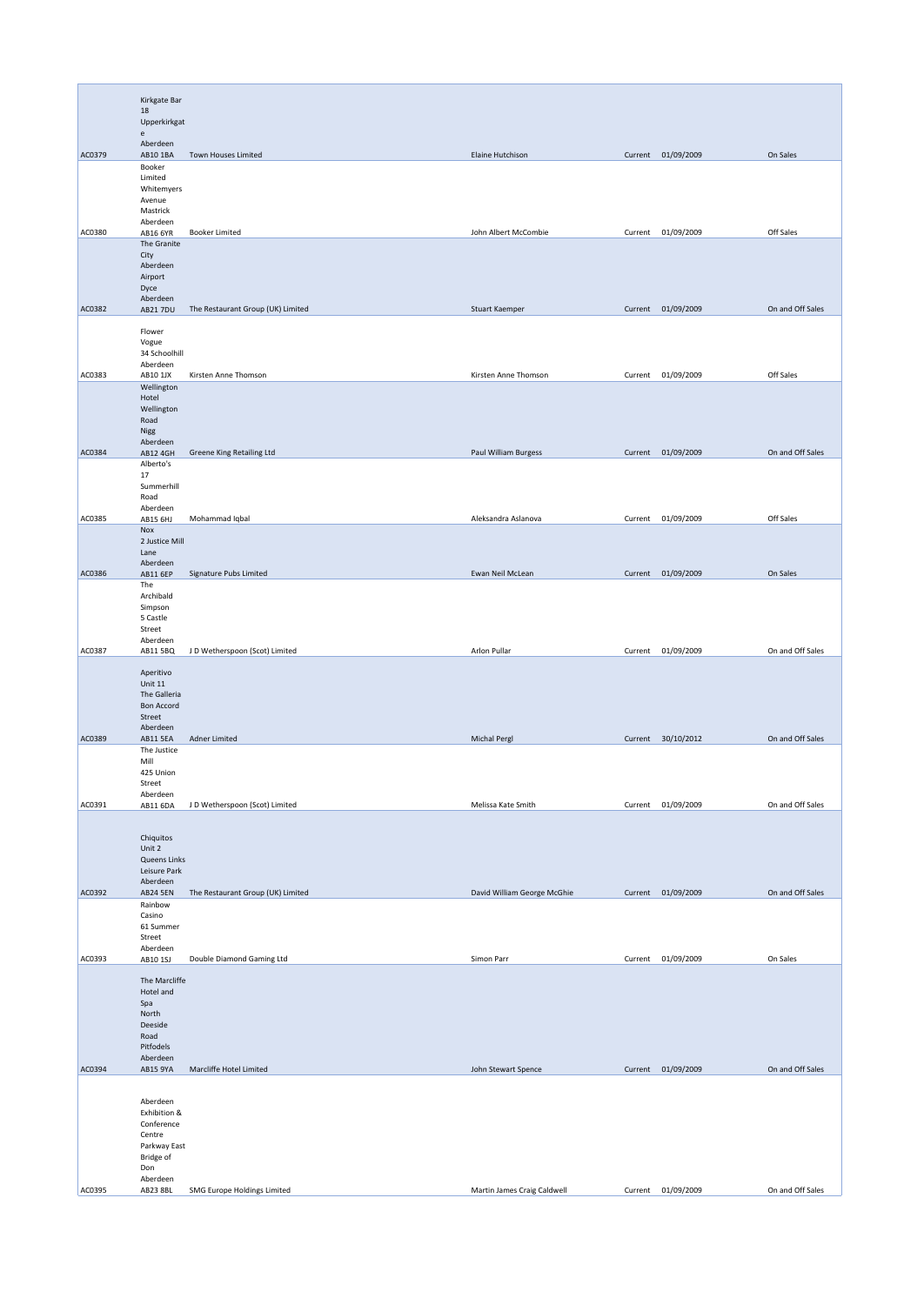|        | Kirkgate Bar                                  |                                   |                             |         |                    |                  |
|--------|-----------------------------------------------|-----------------------------------|-----------------------------|---------|--------------------|------------------|
|        | 18<br>Upperkirkgat                            |                                   |                             |         |                    |                  |
|        | $\mathsf{e}% _{t}\left( t\right)$<br>Aberdeen |                                   |                             |         |                    |                  |
| AC0379 | AB10 1BA<br>Booker                            | Town Houses Limited               | Elaine Hutchison            |         | Current 01/09/2009 | On Sales         |
|        | Limited<br>Whitemyers<br>Avenue               |                                   |                             |         |                    |                  |
|        | Mastrick<br>Aberdeen                          |                                   |                             |         |                    |                  |
| AC0380 | AB16 6YR<br>The Granite                       | <b>Booker Limited</b>             | John Albert McCombie        | Current | 01/09/2009         | Off Sales        |
|        | City<br>Aberdeen                              |                                   |                             |         |                    |                  |
|        | Airport<br>Dyce                               |                                   |                             |         |                    |                  |
| AC0382 | Aberdeen<br>AB21 7DU                          | The Restaurant Group (UK) Limited | Stuart Kaemper              |         | Current 01/09/2009 | On and Off Sales |
|        | Flower                                        |                                   |                             |         |                    |                  |
|        | Vogue<br>34 Schoolhill                        |                                   |                             |         |                    |                  |
| AC0383 | Aberdeen<br>AB10 1JX                          | Kirsten Anne Thomson              | Kirsten Anne Thomson        |         | Current 01/09/2009 | Off Sales        |
|        | Wellington<br>Hotel                           |                                   |                             |         |                    |                  |
|        | Wellington<br>Road                            |                                   |                             |         |                    |                  |
| AC0384 | Nigg<br>Aberdeen<br>AB12 4GH                  | Greene King Retailing Ltd         | Paul William Burgess        |         | Current 01/09/2009 | On and Off Sales |
|        | Alberto's<br>17                               |                                   |                             |         |                    |                  |
|        | Summerhill<br>Road                            |                                   |                             |         |                    |                  |
| AC0385 | Aberdeen<br>AB15 6HJ                          | Mohammad Iqbal                    | Aleksandra Aslanova         |         | Current 01/09/2009 | Off Sales        |
|        | Nox<br>2 Justice Mill                         |                                   |                             |         |                    |                  |
|        | Lane<br>Aberdeen                              |                                   |                             |         |                    |                  |
| AC0386 | AB11 6EP<br>The                               | Signature Pubs Limited            | Ewan Neil McLean            |         | Current 01/09/2009 | On Sales         |
|        | Archibald<br>Simpson                          |                                   |                             |         |                    |                  |
|        | 5 Castle<br>Street<br>Aberdeen                |                                   |                             |         |                    |                  |
| AC0387 | AB11 5BQ                                      | J D Wetherspoon (Scot) Limited    | Arlon Pullar                | Current | 01/09/2009         | On and Off Sales |
|        | Aperitivo<br>Unit 11                          |                                   |                             |         |                    |                  |
|        | The Galleria<br><b>Bon Accord</b>             |                                   |                             |         |                    |                  |
|        | Street<br>Aberdeen                            |                                   |                             |         |                    |                  |
| AC0389 | AB11 5EA<br>The Justice                       | Adner Limited                     | <b>Michal Pergl</b>         |         | Current 30/10/2012 | On and Off Sales |
|        | Mill<br>425 Union                             |                                   |                             |         |                    |                  |
|        | Street<br>Aberdeen                            |                                   |                             |         | Current 01/09/2009 | On and Off Sales |
| AC0391 | AB11 6DA                                      | J D Wetherspoon (Scot) Limited    | Melissa Kate Smith          |         |                    |                  |
|        | Chiquitos<br>Unit 2                           |                                   |                             |         |                    |                  |
|        | Queens Links<br>Leisure Park                  |                                   |                             |         |                    |                  |
| AC0392 | Aberdeen<br><b>AB24 5EN</b>                   | The Restaurant Group (UK) Limited | David William George McGhie |         | Current 01/09/2009 | On and Off Sales |
|        | Rainbow<br>Casino                             |                                   |                             |         |                    |                  |
|        | 61 Summer<br>Street                           |                                   |                             |         |                    |                  |
| AC0393 | Aberdeen<br>AB10 1SJ                          | Double Diamond Gaming Ltd         | Simon Parr                  | Current | 01/09/2009         | On Sales         |
|        | The Marcliffe                                 |                                   |                             |         |                    |                  |
|        | Hotel and<br>Spa                              |                                   |                             |         |                    |                  |
|        | North<br>Deeside<br>Road                      |                                   |                             |         |                    |                  |
|        | Pitfodels<br>Aberdeen                         |                                   |                             |         |                    |                  |
| AC0394 | AB15 9YA                                      | Marcliffe Hotel Limited           | John Stewart Spence         | Current | 01/09/2009         | On and Off Sales |
|        | Aberdeen                                      |                                   |                             |         |                    |                  |
|        | Exhibition &<br>Conference                    |                                   |                             |         |                    |                  |
|        | Centre<br>Parkway East                        |                                   |                             |         |                    |                  |
|        | Bridge of<br>Don                              |                                   |                             |         |                    |                  |
| AC0395 | Aberdeen<br>AB23 8BL                          | SMG Europe Holdings Limited       | Martin James Craig Caldwell | Current | 01/09/2009         | On and Off Sales |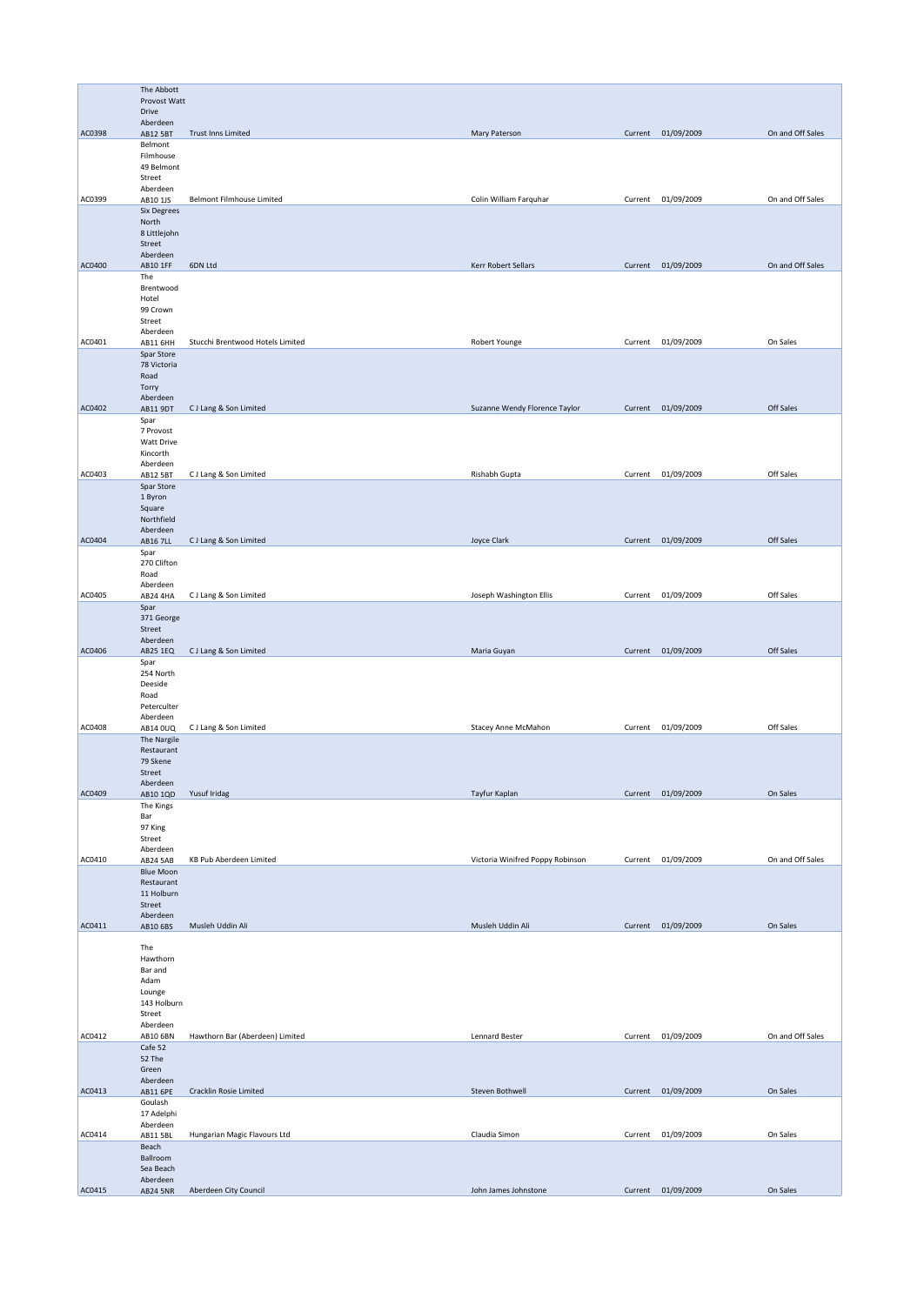|        | The Abbott                        |                                  |                                  |         |                    |                  |
|--------|-----------------------------------|----------------------------------|----------------------------------|---------|--------------------|------------------|
|        | Provost Watt<br>Drive             |                                  |                                  |         |                    |                  |
|        | Aberdeen                          |                                  |                                  |         |                    |                  |
| AC0398 | AB12 5BT<br>Belmont               | Trust Inns Limited               | Mary Paterson                    |         | Current 01/09/2009 | On and Off Sales |
|        | Filmhouse                         |                                  |                                  |         |                    |                  |
|        | 49 Belmont<br>Street              |                                  |                                  |         |                    |                  |
|        | Aberdeen                          |                                  |                                  |         |                    |                  |
| AC0399 | AB10 1JS<br><b>Six Degrees</b>    | Belmont Filmhouse Limited        | Colin William Farquhar           |         | Current 01/09/2009 | On and Off Sales |
|        | North                             |                                  |                                  |         |                    |                  |
|        | 8 Littlejohn<br>Street            |                                  |                                  |         |                    |                  |
|        | Aberdeen                          |                                  |                                  |         |                    |                  |
| AC0400 | AB10 1FF<br>The                   | 6DN Ltd                          | Kerr Robert Sellars              |         | Current 01/09/2009 | On and Off Sales |
|        | Brentwood                         |                                  |                                  |         |                    |                  |
|        | Hotel<br>99 Crown                 |                                  |                                  |         |                    |                  |
|        | Street                            |                                  |                                  |         |                    |                  |
| AC0401 | Aberdeen<br>AB11 6HH              | Stucchi Brentwood Hotels Limited | Robert Younge                    | Current | 01/09/2009         | On Sales         |
|        | Spar Store                        |                                  |                                  |         |                    |                  |
|        | 78 Victoria                       |                                  |                                  |         |                    |                  |
|        | Road<br>Torry                     |                                  |                                  |         |                    |                  |
|        | Aberdeen                          |                                  |                                  |         |                    |                  |
| AC0402 | AB11 9DT<br>Spar                  | CJ Lang & Son Limited            | Suzanne Wendy Florence Taylor    |         | Current 01/09/2009 | Off Sales        |
|        | 7 Provost                         |                                  |                                  |         |                    |                  |
|        | Watt Drive<br>Kincorth            |                                  |                                  |         |                    |                  |
|        | Aberdeen                          |                                  |                                  |         |                    |                  |
| AC0403 | AB12 5BT                          | CJ Lang & Son Limited            | Rishabh Gupta                    | Current | 01/09/2009         | Off Sales        |
|        | Spar Store<br>1 Byron             |                                  |                                  |         |                    |                  |
|        | Square                            |                                  |                                  |         |                    |                  |
|        | Northfield<br>Aberdeen            |                                  |                                  |         |                    |                  |
| AC0404 | AB16 7LL                          | CJ Lang & Son Limited            | Joyce Clark                      |         | Current 01/09/2009 | Off Sales        |
|        | Spar<br>270 Clifton               |                                  |                                  |         |                    |                  |
|        | Road                              |                                  |                                  |         |                    |                  |
| AC0405 | Aberdeen<br><b>AB24 4HA</b>       | CJ Lang & Son Limited            | Joseph Washington Ellis          | Current | 01/09/2009         | Off Sales        |
|        | Spar                              |                                  |                                  |         |                    |                  |
|        | 371 George<br>Street              |                                  |                                  |         |                    |                  |
|        | Aberdeen                          |                                  |                                  |         |                    |                  |
| AC0406 | AB25 1EQ                          | CJ Lang & Son Limited            | Maria Guyan                      |         | Current 01/09/2009 | Off Sales        |
|        | Spar<br>254 North                 |                                  |                                  |         |                    |                  |
|        | Deeside                           |                                  |                                  |         |                    |                  |
|        | Road<br>Peterculter               |                                  |                                  |         |                    |                  |
|        | Aberdeen                          |                                  |                                  |         |                    |                  |
| AC0408 | AB14 0UQ<br>The Nargile           | CJ Lang & Son Limited            | Stacey Anne McMahon              | Current | 01/09/2009         | Off Sales        |
|        | Restaurant                        |                                  |                                  |         |                    |                  |
|        | 79 Skene<br>Street                |                                  |                                  |         |                    |                  |
|        | Aberdeen                          |                                  |                                  |         |                    |                  |
| AC0409 | AB10 1QD<br>The Kings             | Yusuf Iridag                     | Tayfur Kaplan                    |         | Current 01/09/2009 | On Sales         |
|        | Bar                               |                                  |                                  |         |                    |                  |
|        | 97 King<br>Street                 |                                  |                                  |         |                    |                  |
|        | Aberdeen                          |                                  |                                  |         |                    |                  |
| AC0410 | <b>AB24 5AB</b>                   | KB Pub Aberdeen Limited          | Victoria Winifred Poppy Robinson | Current | 01/09/2009         | On and Off Sales |
|        | <b>Blue Moon</b><br>Restaurant    |                                  |                                  |         |                    |                  |
|        | 11 Holburn                        |                                  |                                  |         |                    |                  |
|        | Street<br>Aberdeen                |                                  |                                  |         |                    |                  |
| AC0411 | AB10 6BS                          | Musleh Uddin Ali                 | Musleh Uddin Ali                 |         | Current 01/09/2009 | On Sales         |
|        | The                               |                                  |                                  |         |                    |                  |
|        | Hawthorn                          |                                  |                                  |         |                    |                  |
|        | Bar and<br>Adam                   |                                  |                                  |         |                    |                  |
|        | Lounge                            |                                  |                                  |         |                    |                  |
|        | 143 Holburn<br>Street             |                                  |                                  |         |                    |                  |
|        | Aberdeen                          |                                  |                                  |         |                    |                  |
| AC0412 | AB10 6BN<br>Cafe 52               | Hawthorn Bar (Aberdeen) Limited  | Lennard Bester                   | Current | 01/09/2009         | On and Off Sales |
|        | 52 The                            |                                  |                                  |         |                    |                  |
|        | Green                             |                                  |                                  |         |                    |                  |
| AC0413 | Aberdeen<br>AB11 6PE              | Cracklin Rosie Limited           | Steven Bothwell                  |         | Current 01/09/2009 | On Sales         |
|        |                                   |                                  |                                  |         |                    |                  |
|        | Goulash                           |                                  |                                  |         |                    |                  |
|        | 17 Adelphi                        |                                  |                                  |         |                    |                  |
| AC0414 | Aberdeen<br>AB11 5BL              | Hungarian Magic Flavours Ltd     | Claudia Simon                    | Current | 01/09/2009         | On Sales         |
|        | Beach                             |                                  |                                  |         |                    |                  |
|        | Ballroom<br>Sea Beach<br>Aberdeen |                                  |                                  |         |                    |                  |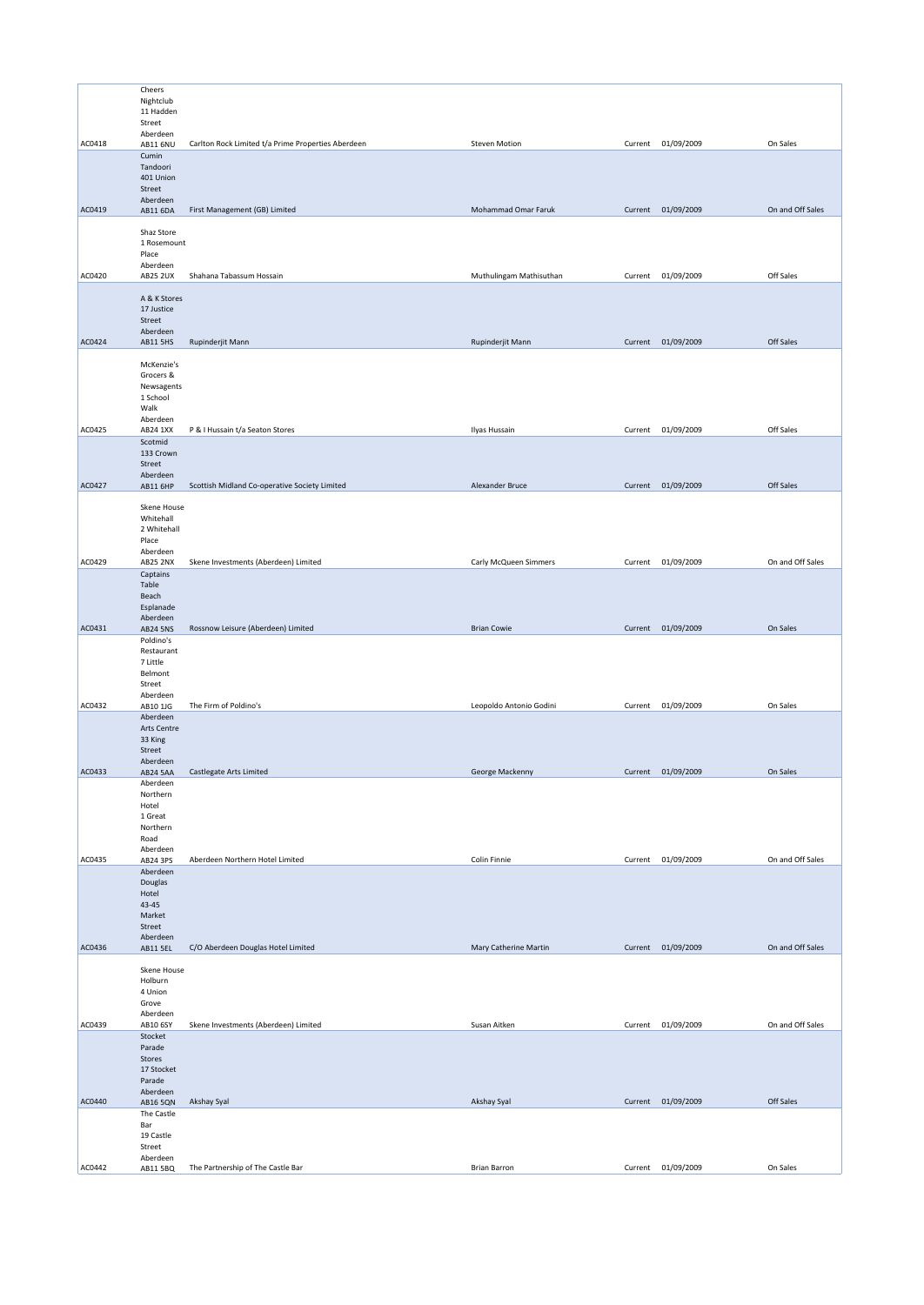|        | Cheers                 |                                                    |                         |         |                    |                  |
|--------|------------------------|----------------------------------------------------|-------------------------|---------|--------------------|------------------|
|        | Nightclub              |                                                    |                         |         |                    |                  |
|        | 11 Hadden              |                                                    |                         |         |                    |                  |
|        | Street                 |                                                    |                         |         |                    |                  |
|        | Aberdeen               |                                                    |                         |         |                    |                  |
| AC0418 | AB11 6NU               | Carlton Rock Limited t/a Prime Properties Aberdeen | Steven Motion           | Current | 01/09/2009         | On Sales         |
|        | Cumin                  |                                                    |                         |         |                    |                  |
|        | Tandoori               |                                                    |                         |         |                    |                  |
|        | 401 Union              |                                                    |                         |         |                    |                  |
|        | Street<br>Aberdeen     |                                                    |                         |         |                    |                  |
| AC0419 | AB11 6DA               | First Management (GB) Limited                      | Mohammad Omar Faruk     | Current | 01/09/2009         | On and Off Sales |
|        |                        |                                                    |                         |         |                    |                  |
|        | Shaz Store             |                                                    |                         |         |                    |                  |
|        | 1 Rosemount            |                                                    |                         |         |                    |                  |
|        | Place                  |                                                    |                         |         |                    |                  |
|        | Aberdeen               |                                                    |                         |         |                    |                  |
| AC0420 | <b>AB25 2UX</b>        | Shahana Tabassum Hossain                           | Muthulingam Mathisuthan | Current | 01/09/2009         | Off Sales        |
|        | A & K Stores           |                                                    |                         |         |                    |                  |
|        | 17 Justice             |                                                    |                         |         |                    |                  |
|        | Street                 |                                                    |                         |         |                    |                  |
|        | Aberdeen               |                                                    |                         |         |                    |                  |
| AC0424 | <b>AB11 5HS</b>        | Rupinderjit Mann                                   | Rupinderjit Mann        |         | Current 01/09/2009 | Off Sales        |
|        |                        |                                                    |                         |         |                    |                  |
|        | McKenzie's             |                                                    |                         |         |                    |                  |
|        | Grocers &              |                                                    |                         |         |                    |                  |
|        | Newsagents<br>1 School |                                                    |                         |         |                    |                  |
|        | Walk                   |                                                    |                         |         |                    |                  |
|        | Aberdeen               |                                                    |                         |         |                    |                  |
| AC0425 | AB24 1XX               | P & I Hussain t/a Seaton Stores                    | Ilyas Hussain           |         | Current 01/09/2009 | Off Sales        |
|        | Scotmid                |                                                    |                         |         |                    |                  |
|        | 133 Crown              |                                                    |                         |         |                    |                  |
|        | Street                 |                                                    |                         |         |                    |                  |
| AC0427 | Aberdeen               | Scottish Midland Co-operative Society Limited      | Alexander Bruce         | Current | 01/09/2009         | Off Sales        |
|        | AB11 6HP               |                                                    |                         |         |                    |                  |
|        | Skene House            |                                                    |                         |         |                    |                  |
|        | Whitehall              |                                                    |                         |         |                    |                  |
|        | 2 Whitehall            |                                                    |                         |         |                    |                  |
|        | Place                  |                                                    |                         |         |                    |                  |
|        | Aberdeen               |                                                    |                         |         |                    |                  |
| AC0429 | <b>AB25 2NX</b>        | Skene Investments (Aberdeen) Limited               | Carly McQueen Simmers   |         | Current 01/09/2009 | On and Off Sales |
|        | Captains               |                                                    |                         |         |                    |                  |
|        | Table                  |                                                    |                         |         |                    |                  |
|        | Beach<br>Esplanade     |                                                    |                         |         |                    |                  |
|        | Aberdeen               |                                                    |                         |         |                    |                  |
| AC0431 | <b>AB24 5NS</b>        | Rossnow Leisure (Aberdeen) Limited                 | <b>Brian Cowie</b>      | Current | 01/09/2009         | On Sales         |
|        | Poldino's              |                                                    |                         |         |                    |                  |
|        | Restaurant             |                                                    |                         |         |                    |                  |
|        | 7 Little               |                                                    |                         |         |                    |                  |
|        | Belmont                |                                                    |                         |         |                    |                  |
|        | Street                 |                                                    |                         |         |                    |                  |
| AC0432 | Aberdeen<br>AB10 1JG   | The Firm of Poldino's                              | Leopoldo Antonio Godini | Current | 01/09/2009         | On Sales         |
|        | Aberdeen               |                                                    |                         |         |                    |                  |
|        | Arts Centre            |                                                    |                         |         |                    |                  |
|        | 33 King                |                                                    |                         |         |                    |                  |
|        | Street                 |                                                    |                         |         |                    |                  |
|        | Aberdeen               |                                                    |                         |         |                    |                  |
| AC0433 | <b>AB24 5AA</b>        | Castlegate Arts Limited                            | George Mackenny         |         | Current 01/09/2009 | On Sales         |
|        | Aberdeen<br>Northern   |                                                    |                         |         |                    |                  |
|        | Hotel                  |                                                    |                         |         |                    |                  |
|        | 1 Great                |                                                    |                         |         |                    |                  |
|        | Northern               |                                                    |                         |         |                    |                  |
|        | Road                   |                                                    |                         |         |                    |                  |
|        | Aberdeen               |                                                    |                         |         |                    |                  |
| AC0435 | AB24 3PS               | Aberdeen Northern Hotel Limited                    | Colin Finnie            | Current | 01/09/2009         | On and Off Sales |
|        | Aberdeen<br>Douglas    |                                                    |                         |         |                    |                  |
|        | Hotel                  |                                                    |                         |         |                    |                  |
|        | 43-45                  |                                                    |                         |         |                    |                  |
|        | Market                 |                                                    |                         |         |                    |                  |
|        | Street                 |                                                    |                         |         |                    |                  |
|        | Aberdeen               |                                                    |                         |         |                    |                  |
| AC0436 | AB11 5EL               | C/O Aberdeen Douglas Hotel Limited                 | Mary Catherine Martin   |         | Current 01/09/2009 | On and Off Sales |
|        | Skene House            |                                                    |                         |         |                    |                  |
|        | Holburn                |                                                    |                         |         |                    |                  |
|        | 4 Union                |                                                    |                         |         |                    |                  |
|        | Grove                  |                                                    |                         |         |                    |                  |
|        | Aberdeen               |                                                    |                         |         |                    |                  |
| AC0439 | AB10 6SY               | Skene Investments (Aberdeen) Limited               | Susan Aitken            | Current | 01/09/2009         | On and Off Sales |
|        | Stocket                |                                                    |                         |         |                    |                  |
|        | Parade                 |                                                    |                         |         |                    |                  |
|        | Stores                 |                                                    |                         |         |                    |                  |
|        | 17 Stocket<br>Parade   |                                                    |                         |         |                    |                  |
|        | Aberdeen               |                                                    |                         |         |                    |                  |
| AC0440 | <b>AB16 5QN</b>        | Akshay Syal                                        | Akshay Syal             |         | Current 01/09/2009 | Off Sales        |
|        | The Castle             |                                                    |                         |         |                    |                  |
|        | Bar                    |                                                    |                         |         |                    |                  |
|        | 19 Castle              |                                                    |                         |         |                    |                  |
|        | Street                 |                                                    |                         |         |                    |                  |
| AC0442 | Aberdeen               | The Partnership of The Castle Bar                  | <b>Brian Barron</b>     |         | Current 01/09/2009 | On Sales         |
|        | AB11 5BQ               |                                                    |                         |         |                    |                  |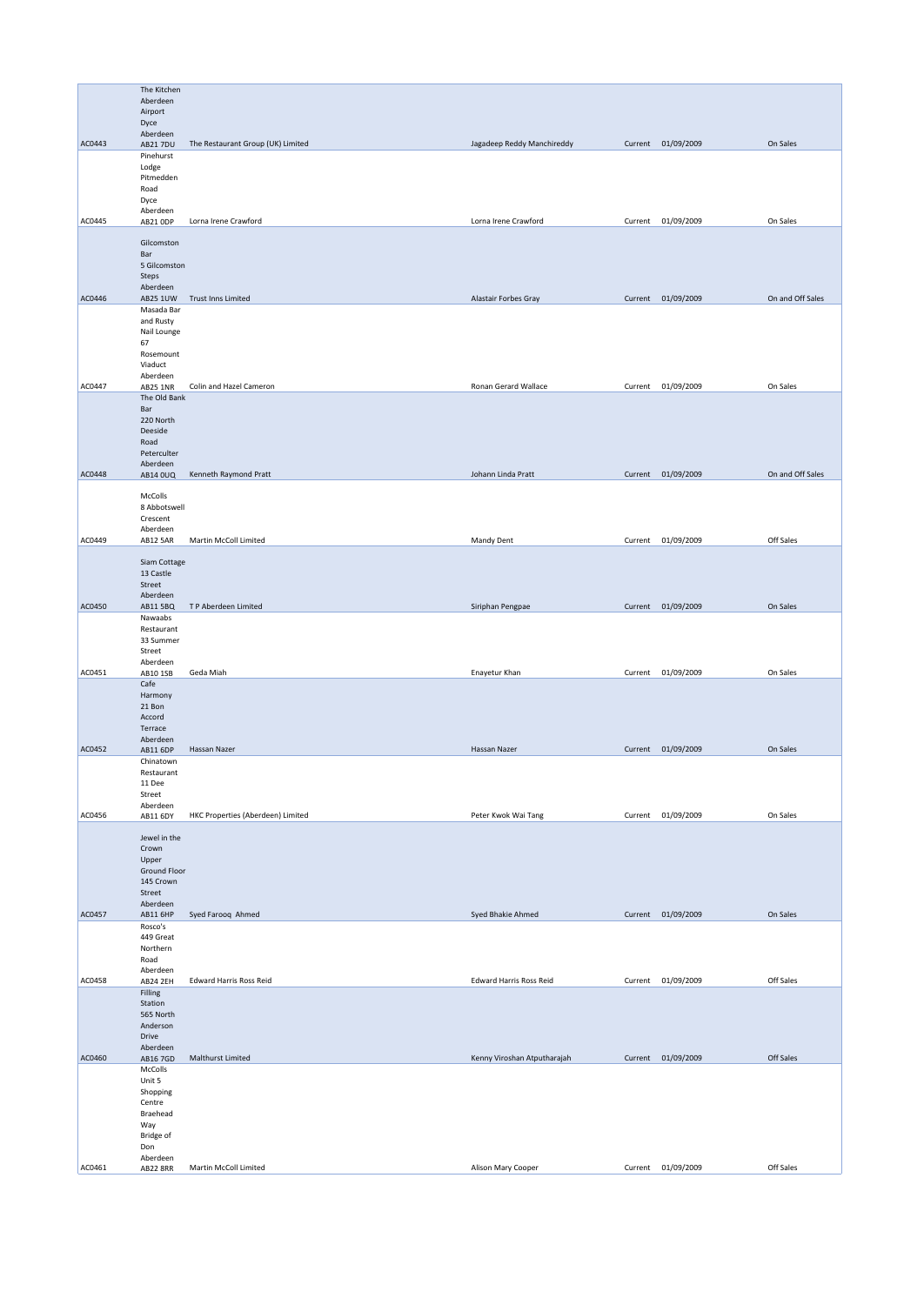|        | The Kitchen              |                                   |                                |         |                    |                  |
|--------|--------------------------|-----------------------------------|--------------------------------|---------|--------------------|------------------|
|        | Aberdeen                 |                                   |                                |         |                    |                  |
|        | Airport                  |                                   |                                |         |                    |                  |
|        | Dyce                     |                                   |                                |         |                    |                  |
| AC0443 | Aberdeen                 |                                   |                                |         |                    | On Sales         |
|        | AB21 7DU<br>Pinehurst    | The Restaurant Group (UK) Limited | Jagadeep Reddy Manchireddy     |         | Current 01/09/2009 |                  |
|        | Lodge                    |                                   |                                |         |                    |                  |
|        | Pitmedden                |                                   |                                |         |                    |                  |
|        | Road                     |                                   |                                |         |                    |                  |
|        | Dyce<br>Aberdeen         |                                   |                                |         |                    |                  |
| AC0445 | AB21 ODP                 | Lorna Irene Crawford              | Lorna Irene Crawford           | Current | 01/09/2009         | On Sales         |
|        |                          |                                   |                                |         |                    |                  |
|        | Gilcomston               |                                   |                                |         |                    |                  |
|        | Bar                      |                                   |                                |         |                    |                  |
|        | 5 Gilcomston<br>Steps    |                                   |                                |         |                    |                  |
|        | Aberdeen                 |                                   |                                |         |                    |                  |
| AC0446 | AB25 1UW                 | Trust Inns Limited                | Alastair Forbes Gray           |         | Current 01/09/2009 | On and Off Sales |
|        | Masada Bar               |                                   |                                |         |                    |                  |
|        | and Rusty<br>Nail Lounge |                                   |                                |         |                    |                  |
|        | 67                       |                                   |                                |         |                    |                  |
|        | Rosemount                |                                   |                                |         |                    |                  |
|        | Viaduct                  |                                   |                                |         |                    |                  |
| AC0447 | Aberdeen<br>AB25 1NR     | Colin and Hazel Cameron           | Ronan Gerard Wallace           | Current | 01/09/2009         | On Sales         |
|        | The Old Bank             |                                   |                                |         |                    |                  |
|        | Bar                      |                                   |                                |         |                    |                  |
|        | 220 North                |                                   |                                |         |                    |                  |
|        | Deeside                  |                                   |                                |         |                    |                  |
|        | Road<br>Peterculter      |                                   |                                |         |                    |                  |
|        | Aberdeen                 |                                   |                                |         |                    |                  |
| AC0448 | AB14 0UQ                 | Kenneth Raymond Pratt             | Johann Linda Pratt             |         | Current 01/09/2009 | On and Off Sales |
|        |                          |                                   |                                |         |                    |                  |
|        | McColls<br>8 Abbotswell  |                                   |                                |         |                    |                  |
|        | Crescent                 |                                   |                                |         |                    |                  |
|        | Aberdeen                 |                                   |                                |         |                    |                  |
| AC0449 | AB12 5AR                 | Martin McColl Limited             | Mandy Dent                     |         | Current 01/09/2009 | Off Sales        |
|        | Siam Cottage             |                                   |                                |         |                    |                  |
|        | 13 Castle                |                                   |                                |         |                    |                  |
|        | Street                   |                                   |                                |         |                    |                  |
|        | Aberdeen                 |                                   |                                |         |                    |                  |
| AC0450 | AB11 5BQ                 | TP Aberdeen Limited               | Siriphan Pengpae               |         | Current 01/09/2009 | On Sales         |
|        | Nawaabs<br>Restaurant    |                                   |                                |         |                    |                  |
|        | 33 Summer                |                                   |                                |         |                    |                  |
|        | Street                   |                                   |                                |         |                    |                  |
|        | Aberdeen                 |                                   |                                |         |                    |                  |
| AC0451 | AB10 1SB<br>Cafe         | Geda Miah                         | Enayetur Khan                  |         | Current 01/09/2009 | On Sales         |
|        | Harmony                  |                                   |                                |         |                    |                  |
|        | 21 Bon                   |                                   |                                |         |                    |                  |
|        | Accord                   |                                   |                                |         |                    |                  |
|        | Terrace<br>Aberdeen      |                                   |                                |         |                    |                  |
| AC0452 | <b>AB11 6DP</b>          | Hassan Nazer                      | Hassan Nazer                   |         | Current 01/09/2009 | On Sales         |
|        | Chinatown                |                                   |                                |         |                    |                  |
|        | Restaurant               |                                   |                                |         |                    |                  |
|        | 11 Dee<br>Street         |                                   |                                |         |                    |                  |
|        | Aberdeen                 |                                   |                                |         |                    |                  |
| AC0456 | AB11 6DY                 | HKC Properties (Aberdeen) Limited | Peter Kwok Wai Tang            |         | Current 01/09/2009 | On Sales         |
|        |                          |                                   |                                |         |                    |                  |
|        | Jewel in the<br>Crown    |                                   |                                |         |                    |                  |
|        | Upper                    |                                   |                                |         |                    |                  |
|        | Ground Floor             |                                   |                                |         |                    |                  |
|        | 145 Crown                |                                   |                                |         |                    |                  |
|        | Street<br>Aberdeen       |                                   |                                |         |                    |                  |
| AC0457 | <b>AB11 6HP</b>          | Syed Farooq Ahmed                 | Syed Bhakie Ahmed              |         | Current 01/09/2009 | On Sales         |
|        | Rosco's                  |                                   |                                |         |                    |                  |
|        | 449 Great                |                                   |                                |         |                    |                  |
|        | Northern                 |                                   |                                |         |                    |                  |
|        | Road<br>Aberdeen         |                                   |                                |         |                    |                  |
| AC0458 | <b>AB24 2EH</b>          | <b>Edward Harris Ross Reid</b>    | <b>Edward Harris Ross Reid</b> |         | Current 01/09/2009 | Off Sales        |
|        | Filling                  |                                   |                                |         |                    |                  |
|        | Station<br>565 North     |                                   |                                |         |                    |                  |
|        | Anderson                 |                                   |                                |         |                    |                  |
|        | Drive                    |                                   |                                |         |                    |                  |
|        | Aberdeen                 |                                   |                                |         |                    |                  |
| AC0460 | AB16 7GD                 | Malthurst Limited                 | Kenny Viroshan Atputharajah    |         | Current 01/09/2009 | Off Sales        |
|        | McColls<br>Unit 5        |                                   |                                |         |                    |                  |
|        | Shopping                 |                                   |                                |         |                    |                  |
|        | Centre                   |                                   |                                |         |                    |                  |
|        | Braehead                 |                                   |                                |         |                    |                  |
|        | Way<br>Bridge of         |                                   |                                |         |                    |                  |
|        | Don                      |                                   |                                |         |                    |                  |
|        | Aberdeen                 |                                   |                                |         |                    |                  |
| AC0461 | <b>AB22 8RR</b>          | Martin McColl Limited             | Alison Mary Cooper             |         | Current 01/09/2009 | Off Sales        |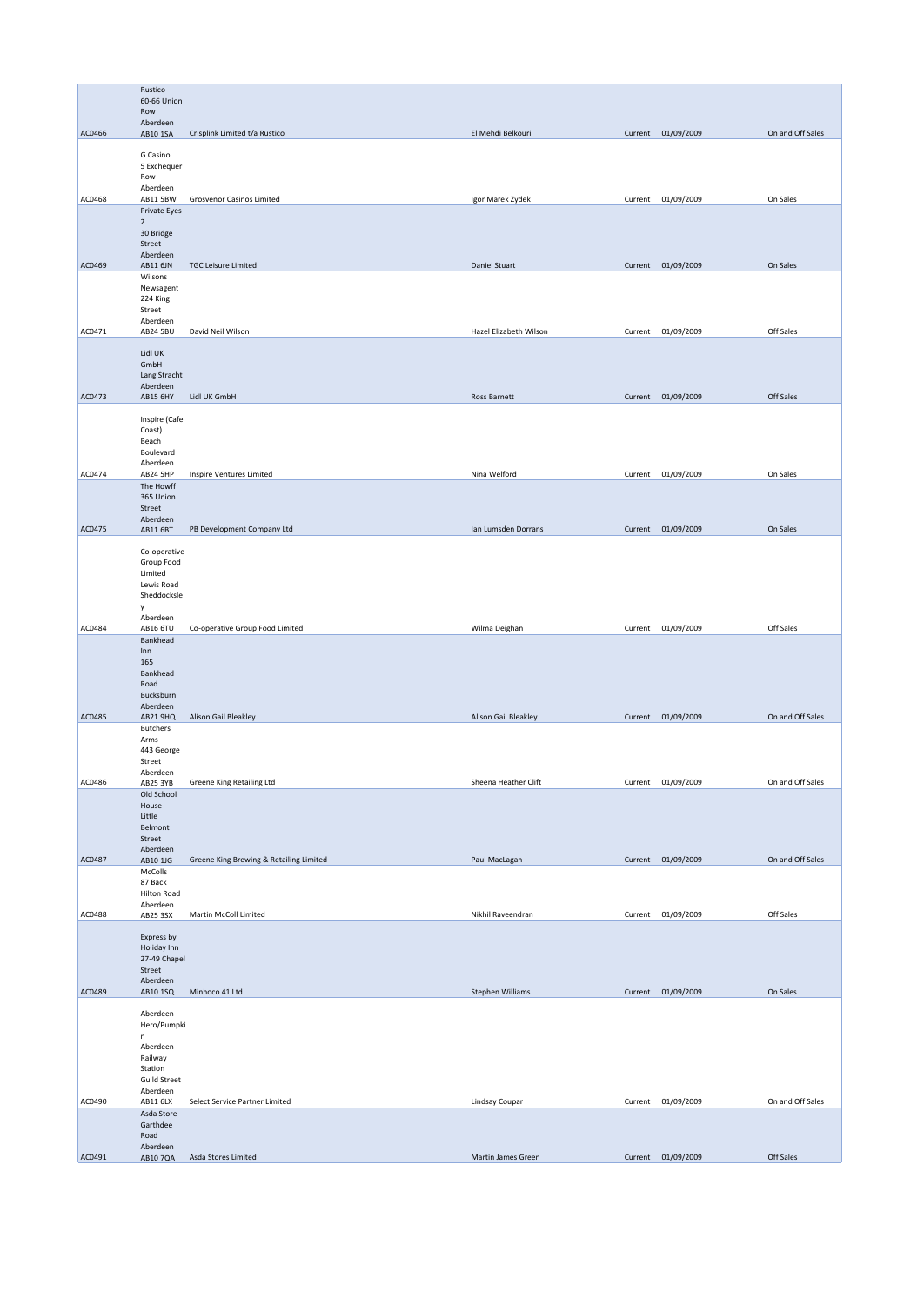|        | Rustico<br>60-66 Union<br>Row                                                                   |                                         |                        |         |                    |                  |
|--------|-------------------------------------------------------------------------------------------------|-----------------------------------------|------------------------|---------|--------------------|------------------|
| AC0466 | Aberdeen<br>AB10 1SA                                                                            | Crisplink Limited t/a Rustico           | El Mehdi Belkouri      |         | Current 01/09/2009 | On and Off Sales |
|        | G Casino<br>5 Exchequer<br>Row<br>Aberdeen                                                      |                                         |                        |         |                    |                  |
| AC0468 | AB11 5BW<br>Private Eyes<br>$\overline{2}$<br>30 Bridge<br>Street<br>Aberdeen                   | Grosvenor Casinos Limited               | Igor Marek Zydek       | Current | 01/09/2009         | On Sales         |
| AC0469 | AB11 6JN<br>Wilsons<br>Newsagent<br>224 King<br>Street<br>Aberdeen                              | <b>TGC Leisure Limited</b>              | Daniel Stuart          |         | Current 01/09/2009 | On Sales         |
| AC0471 | <b>AB24 5BU</b>                                                                                 | David Neil Wilson                       | Hazel Elizabeth Wilson | Current | 01/09/2009         | Off Sales        |
|        | Lidl UK<br>GmbH<br>Lang Stracht<br>Aberdeen                                                     |                                         |                        |         |                    |                  |
| AC0473 | AB15 6HY                                                                                        | Lidl UK GmbH                            | Ross Barnett           |         | Current 01/09/2009 | Off Sales        |
|        | Inspire (Cafe<br>Coast)<br>Beach<br>Boulevard<br>Aberdeen                                       |                                         |                        |         |                    |                  |
| AC0474 | AB24 5HP                                                                                        | Inspire Ventures Limited                | Nina Welford           |         | Current 01/09/2009 | On Sales         |
|        | The Howff<br>365 Union<br>Street<br>Aberdeen                                                    |                                         |                        |         |                    |                  |
| AC0475 | AB11 6BT                                                                                        | PB Development Company Ltd              | Ian Lumsden Dorrans    |         | Current 01/09/2009 | On Sales         |
| AC0484 | Co-operative<br>Group Food<br>Limited<br>Lewis Road<br>Sheddocksle<br>y<br>Aberdeen<br>AB16 6TU | Co-operative Group Food Limited         | Wilma Deighan          | Current | 01/09/2009         | Off Sales        |
|        | Bankhead                                                                                        |                                         |                        |         |                    |                  |
| AC0485 | Inn<br>165<br>Bankhead<br>Road<br>Bucksburn<br>Aberdeen<br>AB21 9HQ                             | Alison Gail Bleakley                    | Alison Gail Bleakley   |         | Current 01/09/2009 | On and Off Sales |
|        | <b>Butchers</b><br>Arms<br>443 George<br>Street<br>Aberdeen                                     |                                         |                        |         |                    |                  |
| AC0486 | <b>AB25 3YB</b>                                                                                 | Greene King Retailing Ltd               | Sheena Heather Clift   |         | Current 01/09/2009 | On and Off Sales |
|        | Old School<br>House<br>Little<br>Belmont<br>Street<br>Aberdeen                                  |                                         |                        |         |                    |                  |
| AC0487 | AB10 1JG                                                                                        | Greene King Brewing & Retailing Limited | Paul MacLagan          |         | Current 01/09/2009 | On and Off Sales |
|        | McColls<br>87 Back<br>Hilton Road<br>Aberdeen                                                   |                                         |                        |         |                    |                  |
| AC0488 | AB25 3SX                                                                                        | Martin McColl Limited                   | Nikhil Raveendran      | Current | 01/09/2009         | Off Sales        |
|        | Express by<br>Holiday Inn<br>27-49 Chapel<br>Street<br>Aberdeen                                 |                                         |                        |         |                    |                  |
| AC0489 | AB10 1SQ                                                                                        | Minhoco 41 Ltd                          | Stephen Williams       |         | Current 01/09/2009 | On Sales         |
|        | Aberdeen<br>Hero/Pumpki<br>n<br>Aberdeen<br>Railway<br>Station<br><b>Guild Street</b>           |                                         |                        |         |                    |                  |
| AC0490 | Aberdeen<br>AB11 6LX                                                                            | Select Service Partner Limited          | Lindsay Coupar         |         | Current 01/09/2009 | On and Off Sales |
|        | Asda Store<br>Garthdee<br>Road<br>Aberdeen                                                      |                                         |                        |         |                    |                  |
| AC0491 | AB10 7QA                                                                                        | Asda Stores Limited                     | Martin James Green     |         | Current 01/09/2009 | Off Sales        |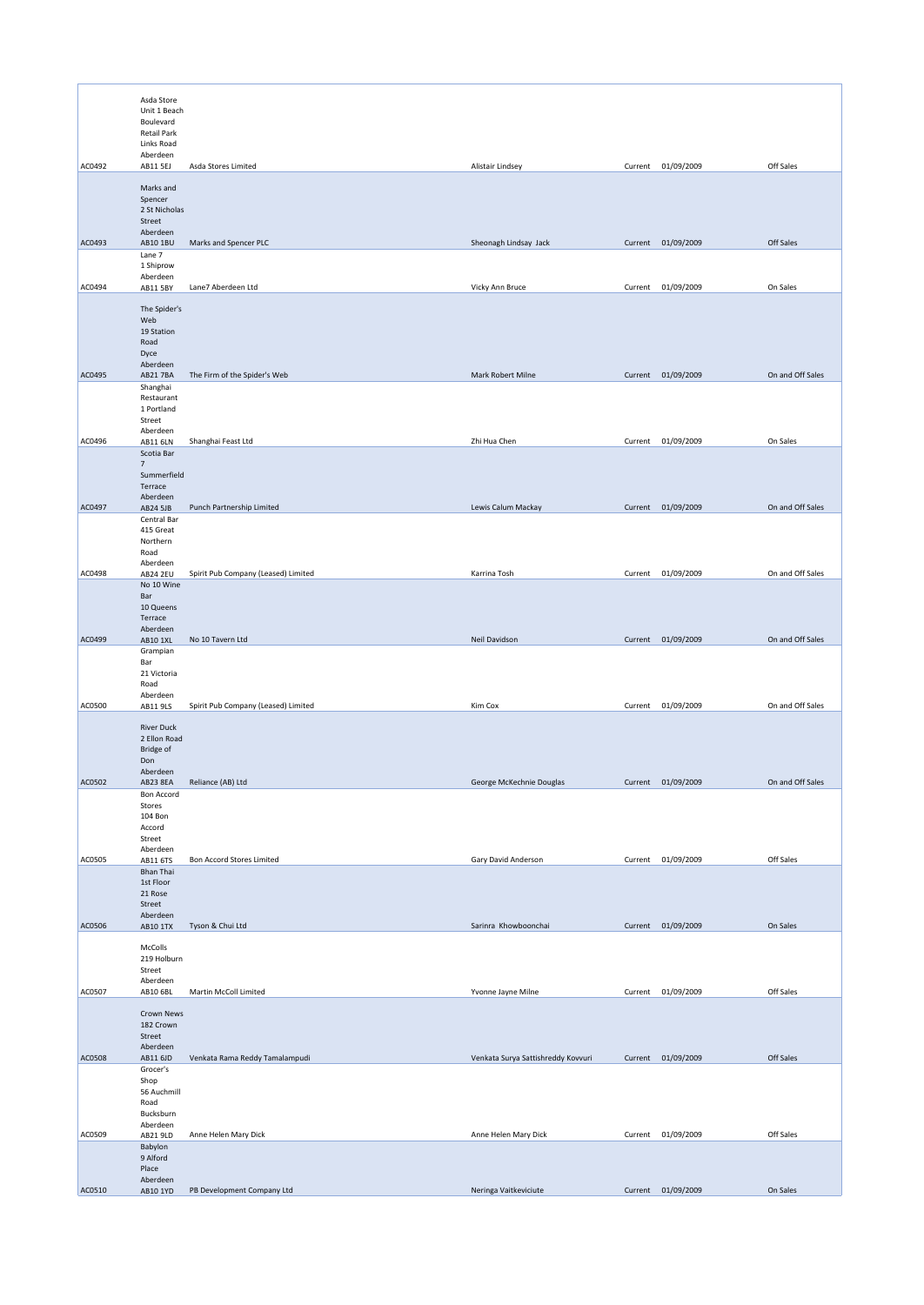|        | Asda Store<br>Unit 1 Beach<br>Boulevard<br>Retail Park<br>Links Road |                                     |                                    |         |                    |                  |
|--------|----------------------------------------------------------------------|-------------------------------------|------------------------------------|---------|--------------------|------------------|
| AC0492 | Aberdeen<br>AB11 5EJ                                                 | Asda Stores Limited                 | Alistair Lindsey                   | Current | 01/09/2009         | Off Sales        |
|        | Marks and<br>Spencer<br>2 St Nicholas<br>Street<br>Aberdeen          |                                     |                                    |         |                    |                  |
| AC0493 | AB10 1BU                                                             | Marks and Spencer PLC               | Sheonagh Lindsay Jack              |         | Current 01/09/2009 | Off Sales        |
|        | Lane 7<br>1 Shiprow                                                  |                                     |                                    |         |                    |                  |
| AC0494 | Aberdeen<br>AB11 5BY                                                 | Lane7 Aberdeen Ltd                  | Vicky Ann Bruce                    | Current | 01/09/2009         | On Sales         |
|        | The Spider's<br>Web<br>19 Station<br>Road<br>Dyce<br>Aberdeen        |                                     |                                    |         |                    |                  |
| AC0495 | AB21 7BA                                                             | The Firm of the Spider's Web        | Mark Robert Milne                  |         | Current 01/09/2009 | On and Off Sales |
|        | Shanghai<br>Restaurant<br>1 Portland<br>Street                       |                                     |                                    |         |                    |                  |
| AC0496 | Aberdeen<br><b>AB11 6LN</b>                                          | Shanghai Feast Ltd                  | Zhi Hua Chen                       |         | Current 01/09/2009 | On Sales         |
|        | Scotia Bar<br>$7\overline{ }$<br>Summerfield<br>Terrace<br>Aberdeen  |                                     |                                    |         |                    |                  |
| AC0497 | AB24 5JB                                                             | Punch Partnership Limited           | Lewis Calum Mackay                 |         | Current 01/09/2009 | On and Off Sales |
|        | Central Bar<br>415 Great<br>Northern<br>Road<br>Aberdeen             |                                     |                                    |         |                    |                  |
| AC0498 | <b>AB24 2EU</b>                                                      | Spirit Pub Company (Leased) Limited | Karrina Tosh                       |         | Current 01/09/2009 | On and Off Sales |
|        | No 10 Wine<br>Bar<br>10 Queens<br>Terrace<br>Aberdeen                |                                     |                                    |         |                    |                  |
| AC0499 | AB10 1XL                                                             | No 10 Tavern Ltd                    | Neil Davidson                      | Current | 01/09/2009         | On and Off Sales |
|        | Grampian<br>Bar<br>21 Victoria<br>Road<br>Aberdeen                   |                                     |                                    |         |                    |                  |
| AC0500 | AB11 9LS                                                             | Spirit Pub Company (Leased) Limited | Kim Cox                            | Current | 01/09/2009         | On and Off Sales |
|        | <b>River Duck</b><br>2 Ellon Road<br>Bridge of<br>Don<br>Aberdeen    |                                     |                                    |         |                    |                  |
| AC0502 | AB23 8EA<br><b>Bon Accord</b>                                        | Reliance (AB) Ltd                   | George McKechnie Douglas           |         | Current 01/09/2009 | On and Off Sales |
|        | Stores<br>104 Bon<br>Accord<br>Street<br>Aberdeen                    |                                     |                                    |         |                    |                  |
| AC0505 | AB11 6TS                                                             | <b>Bon Accord Stores Limited</b>    | Gary David Anderson                |         | Current 01/09/2009 | Off Sales        |
|        | Bhan Thai<br>1st Floor<br>21 Rose<br>Street<br>Aberdeen              |                                     |                                    |         |                    |                  |
| AC0506 | AB10 1TX                                                             | Tyson & Chui Ltd                    | Sarinra Khowboonchai               |         | Current 01/09/2009 | On Sales         |
|        | McColls<br>219 Holburn<br>Street<br>Aberdeen                         |                                     |                                    |         |                    |                  |
| AC0507 | AB10 6BL                                                             | Martin McColl Limited               | Yvonne Jayne Milne                 |         | Current 01/09/2009 | Off Sales        |
|        | Crown News<br>182 Crown<br>Street<br>Aberdeen                        |                                     |                                    |         |                    |                  |
| AC0508 | AB11 6JD<br>Grocer's                                                 | Venkata Rama Reddy Tamalampudi      | Venkata Surya Sattishreddy Kovvuri |         | Current 01/09/2009 | Off Sales        |
|        | Shop<br>56 Auchmill<br>Road<br>Bucksburn                             |                                     |                                    |         |                    |                  |
| AC0509 | Aberdeen<br>AB21 9LD                                                 | Anne Helen Mary Dick                | Anne Helen Mary Dick               |         | Current 01/09/2009 | Off Sales        |
|        | Babylon<br>9 Alford<br>Place                                         |                                     |                                    |         |                    |                  |
| AC0510 | Aberdeen<br>AB10 1YD                                                 | PB Development Company Ltd          | Neringa Vaitkeviciute              |         | Current 01/09/2009 | On Sales         |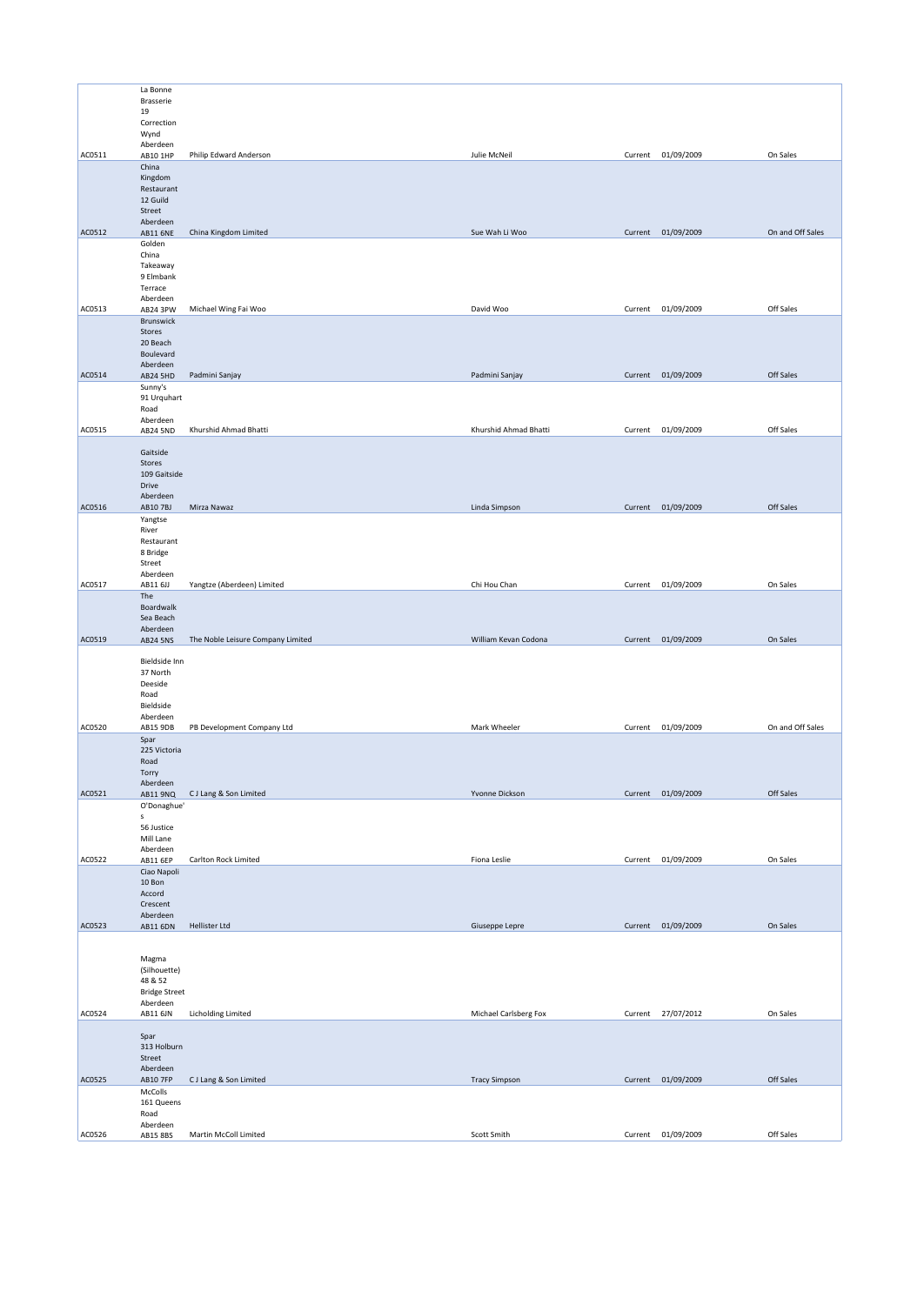|        | La Bonne                  |                                   |                       |                    |                  |
|--------|---------------------------|-----------------------------------|-----------------------|--------------------|------------------|
|        | Brasserie                 |                                   |                       |                    |                  |
|        | 19                        |                                   |                       |                    |                  |
|        | Correction                |                                   |                       |                    |                  |
|        | Wynd                      |                                   |                       |                    |                  |
|        | Aberdeen                  |                                   |                       |                    |                  |
| AC0511 | AB10 1HP                  | Philip Edward Anderson            | Julie McNeil          | Current 01/09/2009 | On Sales         |
|        | China                     |                                   |                       |                    |                  |
|        | Kingdom                   |                                   |                       |                    |                  |
|        | Restaurant                |                                   |                       |                    |                  |
|        | 12 Guild                  |                                   |                       |                    |                  |
|        | Street                    |                                   |                       |                    |                  |
| AC0512 | Aberdeen                  | China Kingdom Limited             | Sue Wah Li Woo        | Current 01/09/2009 | On and Off Sales |
|        | <b>AB11 6NE</b><br>Golden |                                   |                       |                    |                  |
|        | China                     |                                   |                       |                    |                  |
|        | Takeaway                  |                                   |                       |                    |                  |
|        | 9 Elmbank                 |                                   |                       |                    |                  |
|        | Terrace                   |                                   |                       |                    |                  |
|        | Aberdeen                  |                                   |                       |                    |                  |
| AC0513 | AB24 3PW                  | Michael Wing Fai Woo              | David Woo             | Current 01/09/2009 | Off Sales        |
|        | Brunswick                 |                                   |                       |                    |                  |
|        | Stores                    |                                   |                       |                    |                  |
|        | 20 Beach                  |                                   |                       |                    |                  |
|        | Boulevard                 |                                   |                       |                    |                  |
|        | Aberdeen                  |                                   |                       |                    |                  |
| AC0514 | <b>AB24 5HD</b>           | Padmini Sanjay                    | Padmini Sanjay        | Current 01/09/2009 | Off Sales        |
|        | Sunny's                   |                                   |                       |                    |                  |
|        | 91 Urquhart               |                                   |                       |                    |                  |
|        | Road                      |                                   |                       |                    |                  |
|        | Aberdeen                  |                                   |                       |                    |                  |
| AC0515 | <b>AB24 5ND</b>           | Khurshid Ahmad Bhatti             | Khurshid Ahmad Bhatti | Current 01/09/2009 | Off Sales        |
|        |                           |                                   |                       |                    |                  |
|        | Gaitside                  |                                   |                       |                    |                  |
|        | Stores                    |                                   |                       |                    |                  |
|        | 109 Gaitside              |                                   |                       |                    |                  |
|        | Drive                     |                                   |                       |                    |                  |
|        | Aberdeen                  |                                   |                       |                    |                  |
| AC0516 | AB10 7BJ                  | Mirza Nawaz                       | Linda Simpson         | Current 01/09/2009 | Off Sales        |
|        | Yangtse                   |                                   |                       |                    |                  |
|        | River                     |                                   |                       |                    |                  |
|        | Restaurant                |                                   |                       |                    |                  |
|        | 8 Bridge                  |                                   |                       |                    |                  |
|        | Street                    |                                   |                       |                    |                  |
|        | Aberdeen                  |                                   |                       |                    |                  |
| AC0517 | AB11 6JJ                  | Yangtze (Aberdeen) Limited        | Chi Hou Chan          | Current 01/09/2009 | On Sales         |
|        | The                       |                                   |                       |                    |                  |
|        | Boardwalk                 |                                   |                       |                    |                  |
|        | Sea Beach                 |                                   |                       |                    |                  |
|        | Aberdeen                  |                                   |                       |                    |                  |
| AC0519 | <b>AB24 5NS</b>           | The Noble Leisure Company Limited | William Kevan Codona  | Current 01/09/2009 | On Sales         |
|        |                           |                                   |                       |                    |                  |
|        | Bieldside Inn             |                                   |                       |                    |                  |
|        | 37 North                  |                                   |                       |                    |                  |
|        | Deeside                   |                                   |                       |                    |                  |
|        | Road                      |                                   |                       |                    |                  |
|        | Bieldside                 |                                   |                       |                    |                  |
|        | Aberdeen                  |                                   |                       |                    |                  |
| AC0520 | AB15 9DB                  | PB Development Company Ltd        | Mark Wheeler          | Current 01/09/2009 | On and Off Sales |
|        | Spar                      |                                   |                       |                    |                  |
|        | 225 Victoria              |                                   |                       |                    |                  |
|        |                           |                                   |                       |                    |                  |
|        | Road                      |                                   |                       |                    |                  |
|        | Torry                     |                                   |                       |                    |                  |
| AC0521 | Aberdeen<br>AB11 9NQ      | CJ Lang & Son Limited             | Yvonne Dickson        | Current 01/09/2009 | Off Sales        |
|        |                           |                                   |                       |                    |                  |
|        | O'Donaghue'<br>s          |                                   |                       |                    |                  |
|        | 56 Justice                |                                   |                       |                    |                  |
|        | Mill Lane                 |                                   |                       |                    |                  |
|        | Aberdeen                  |                                   |                       |                    |                  |
| AC0522 | AB11 6EP                  | Carlton Rock Limited              | Fiona Leslie          | Current 01/09/2009 | On Sales         |
|        | Ciao Napoli               |                                   |                       |                    |                  |
|        | 10 Bon                    |                                   |                       |                    |                  |
|        | Accord                    |                                   |                       |                    |                  |
|        | Crescent                  |                                   |                       |                    |                  |
|        | Aberdeen                  |                                   |                       |                    |                  |
| AC0523 | <b>AB11 6DN</b>           | <b>Hellister Ltd</b>              | Giuseppe Lepre        | Current 01/09/2009 | On Sales         |
|        |                           |                                   |                       |                    |                  |
|        |                           |                                   |                       |                    |                  |
|        | Magma                     |                                   |                       |                    |                  |
|        | (Silhouette)              |                                   |                       |                    |                  |
|        | 48 & 52                   |                                   |                       |                    |                  |
|        | <b>Bridge Street</b>      |                                   |                       |                    |                  |
|        | Aberdeen                  |                                   |                       |                    |                  |
| AC0524 | AB11 6JN                  | Licholding Limited                | Michael Carlsberg Fox | Current 27/07/2012 | On Sales         |
|        |                           |                                   |                       |                    |                  |
|        | Spar                      |                                   |                       |                    |                  |
|        | 313 Holburn               |                                   |                       |                    |                  |
|        | Street                    |                                   |                       |                    |                  |
|        | Aberdeen                  |                                   |                       |                    |                  |
| AC0525 | <b>AB10 7FP</b>           | CJ Lang & Son Limited             | <b>Tracy Simpson</b>  | Current 01/09/2009 | Off Sales        |
|        | McColls                   |                                   |                       |                    |                  |
|        |                           |                                   |                       |                    |                  |
|        | 161 Queens                |                                   |                       |                    |                  |
|        | Road                      |                                   |                       |                    |                  |
| AC0526 | Aberdeen<br>AB15 8BS      | Martin McColl Limited             | Scott Smith           | Current 01/09/2009 | Off Sales        |
|        |                           |                                   |                       |                    |                  |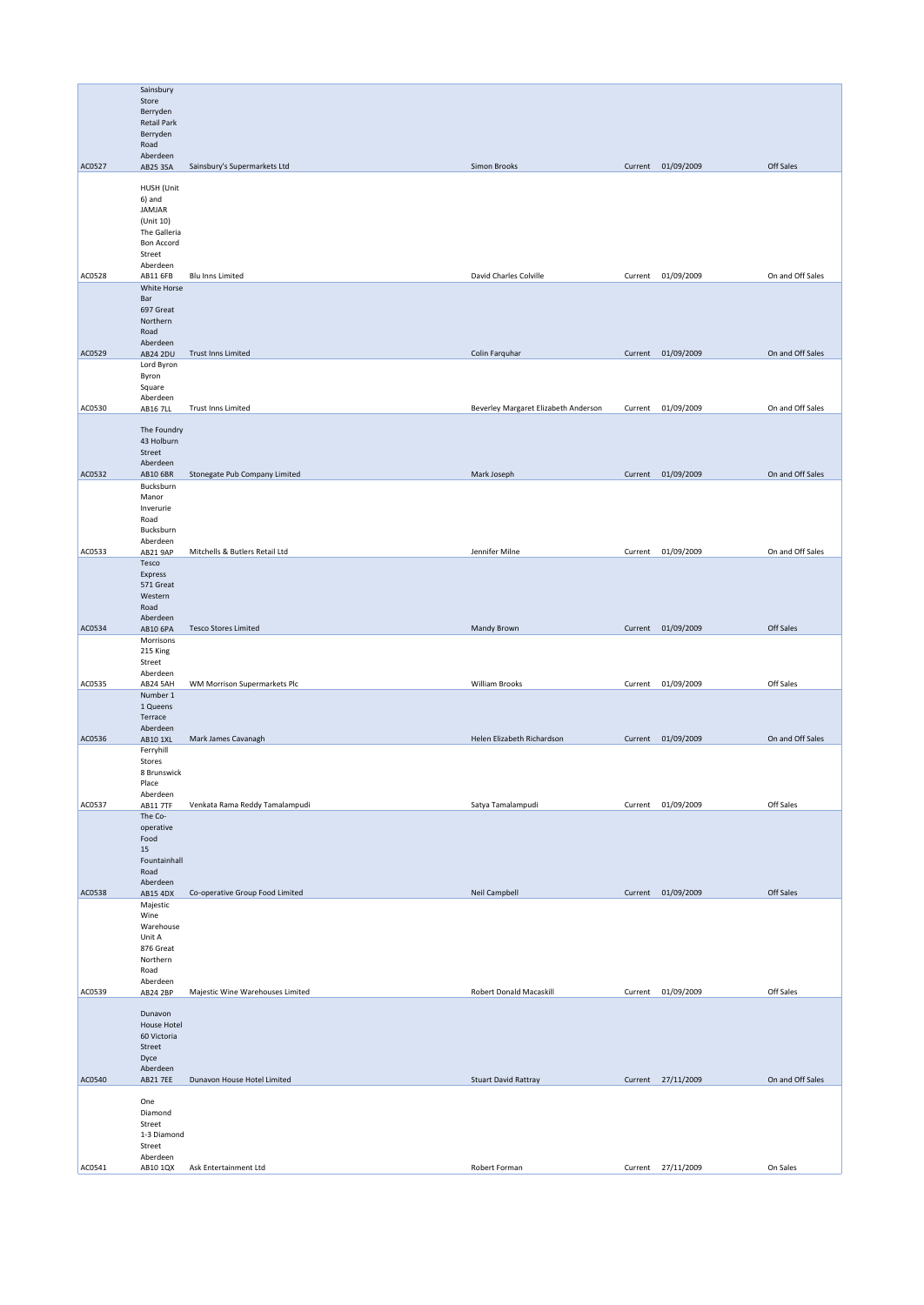|        | Sainsbury                   |                                  |                                      |         |                    |                  |
|--------|-----------------------------|----------------------------------|--------------------------------------|---------|--------------------|------------------|
|        | Store                       |                                  |                                      |         |                    |                  |
|        | Berryden                    |                                  |                                      |         |                    |                  |
|        | <b>Retail Park</b>          |                                  |                                      |         |                    |                  |
|        | Berryden<br>Road            |                                  |                                      |         |                    |                  |
|        | Aberdeen                    |                                  |                                      |         |                    |                  |
| AC0527 | AB25 3SA                    | Sainsbury's Supermarkets Ltd     | Simon Brooks                         |         | Current 01/09/2009 | Off Sales        |
|        |                             |                                  |                                      |         |                    |                  |
|        | HUSH (Unit                  |                                  |                                      |         |                    |                  |
|        | 6) and<br>JAMJAR            |                                  |                                      |         |                    |                  |
|        | (Unit 10)                   |                                  |                                      |         |                    |                  |
|        | The Galleria                |                                  |                                      |         |                    |                  |
|        | Bon Accord                  |                                  |                                      |         |                    |                  |
|        | Street                      |                                  |                                      |         |                    |                  |
| AC0528 | Aberdeen<br>AB11 6FB        | <b>Blu Inns Limited</b>          | David Charles Colville               | Current | 01/09/2009         | On and Off Sales |
|        | White Horse                 |                                  |                                      |         |                    |                  |
|        | Bar                         |                                  |                                      |         |                    |                  |
|        | 697 Great                   |                                  |                                      |         |                    |                  |
|        | Northern                    |                                  |                                      |         |                    |                  |
|        | Road<br>Aberdeen            |                                  |                                      |         |                    |                  |
| AC0529 | <b>AB24 2DU</b>             | Trust Inns Limited               | Colin Farquhar                       |         | Current 01/09/2009 | On and Off Sales |
|        | Lord Byron                  |                                  |                                      |         |                    |                  |
|        | Byron                       |                                  |                                      |         |                    |                  |
|        | Square                      |                                  |                                      |         |                    |                  |
| AC0530 | Aberdeen<br><b>AB16 7LL</b> | Trust Inns Limited               | Beverley Margaret Elizabeth Anderson | Current | 01/09/2009         | On and Off Sales |
|        |                             |                                  |                                      |         |                    |                  |
|        | The Foundry                 |                                  |                                      |         |                    |                  |
|        | 43 Holburn                  |                                  |                                      |         |                    |                  |
|        | Street                      |                                  |                                      |         |                    |                  |
| AC0532 | Aberdeen<br>AB10 6BR        | Stonegate Pub Company Limited    | Mark Joseph                          |         | Current 01/09/2009 | On and Off Sales |
|        | Bucksburn                   |                                  |                                      |         |                    |                  |
|        | Manor                       |                                  |                                      |         |                    |                  |
|        | Inverurie                   |                                  |                                      |         |                    |                  |
|        | Road                        |                                  |                                      |         |                    |                  |
|        | Bucksburn                   |                                  |                                      |         |                    |                  |
| AC0533 | Aberdeen<br>AB21 9AP        | Mitchells & Butlers Retail Ltd   | Jennifer Milne                       |         | Current 01/09/2009 | On and Off Sales |
|        | Tesco                       |                                  |                                      |         |                    |                  |
|        | Express                     |                                  |                                      |         |                    |                  |
|        | 571 Great                   |                                  |                                      |         |                    |                  |
|        | Western                     |                                  |                                      |         |                    |                  |
|        | Road<br>Aberdeen            |                                  |                                      |         |                    |                  |
| AC0534 | AB10 6PA                    | <b>Tesco Stores Limited</b>      | <b>Mandy Brown</b>                   |         | Current 01/09/2009 | Off Sales        |
|        | Morrisons                   |                                  |                                      |         |                    |                  |
|        | 215 King                    |                                  |                                      |         |                    |                  |
|        | Street                      |                                  |                                      |         |                    |                  |
| AC0535 | Aberdeen<br>AB24 5AH        | WM Morrison Supermarkets Plc     | William Brooks                       | Current | 01/09/2009         | Off Sales        |
|        | Number 1                    |                                  |                                      |         |                    |                  |
|        | 1 Queens                    |                                  |                                      |         |                    |                  |
|        | Terrace                     |                                  |                                      |         |                    |                  |
|        | Aberdeen                    |                                  |                                      |         |                    |                  |
| AC0536 | AB10 1XL                    | Mark James Cavanagh              | Helen Elizabeth Richardson           |         | Current 01/09/2009 | On and Off Sales |
|        | Ferryhill<br>Stores         |                                  |                                      |         |                    |                  |
|        | 8 Brunswick                 |                                  |                                      |         |                    |                  |
|        | Place                       |                                  |                                      |         |                    |                  |
|        | Aberdeen                    |                                  |                                      |         |                    |                  |
| AC0537 | AB11 7TF                    | Venkata Rama Reddy Tamalampudi   | Satya Tamalampudi                    | Current | 01/09/2009         | Off Sales        |
|        | The Co-<br>operative        |                                  |                                      |         |                    |                  |
|        | Food                        |                                  |                                      |         |                    |                  |
|        | 15                          |                                  |                                      |         |                    |                  |
|        | Fountainhall                |                                  |                                      |         |                    |                  |
|        | Road                        |                                  |                                      |         |                    |                  |
| AC0538 | Aberdeen<br><b>AB15 4DX</b> | Co-operative Group Food Limited  | Neil Campbell                        |         | Current 01/09/2009 | Off Sales        |
|        | Majestic                    |                                  |                                      |         |                    |                  |
|        | Wine                        |                                  |                                      |         |                    |                  |
|        | Warehouse                   |                                  |                                      |         |                    |                  |
|        | Unit A                      |                                  |                                      |         |                    |                  |
|        | 876 Great<br>Northern       |                                  |                                      |         |                    |                  |
|        | Road                        |                                  |                                      |         |                    |                  |
|        | Aberdeen                    |                                  |                                      |         |                    |                  |
| AC0539 | AB24 2BP                    | Majestic Wine Warehouses Limited | Robert Donald Macaskill              | Current | 01/09/2009         | Off Sales        |
|        | Dunavon                     |                                  |                                      |         |                    |                  |
|        | <b>House Hotel</b>          |                                  |                                      |         |                    |                  |
|        | 60 Victoria                 |                                  |                                      |         |                    |                  |
|        | Street                      |                                  |                                      |         |                    |                  |
|        | Dyce                        |                                  |                                      |         |                    |                  |
| AC0540 | Aberdeen<br><b>AB21 7EE</b> | Dunavon House Hotel Limited      | <b>Stuart David Rattray</b>          |         | Current 27/11/2009 | On and Off Sales |
|        |                             |                                  |                                      |         |                    |                  |
|        | One                         |                                  |                                      |         |                    |                  |
|        | Diamond                     |                                  |                                      |         |                    |                  |
|        | Street                      |                                  |                                      |         |                    |                  |
|        | 1-3 Diamond<br>Street       |                                  |                                      |         |                    |                  |
|        | Aberdeen                    |                                  |                                      |         |                    |                  |
| AC0541 | AB10 1QX                    | Ask Entertainment Ltd            | Robert Forman                        |         | Current 27/11/2009 | On Sales         |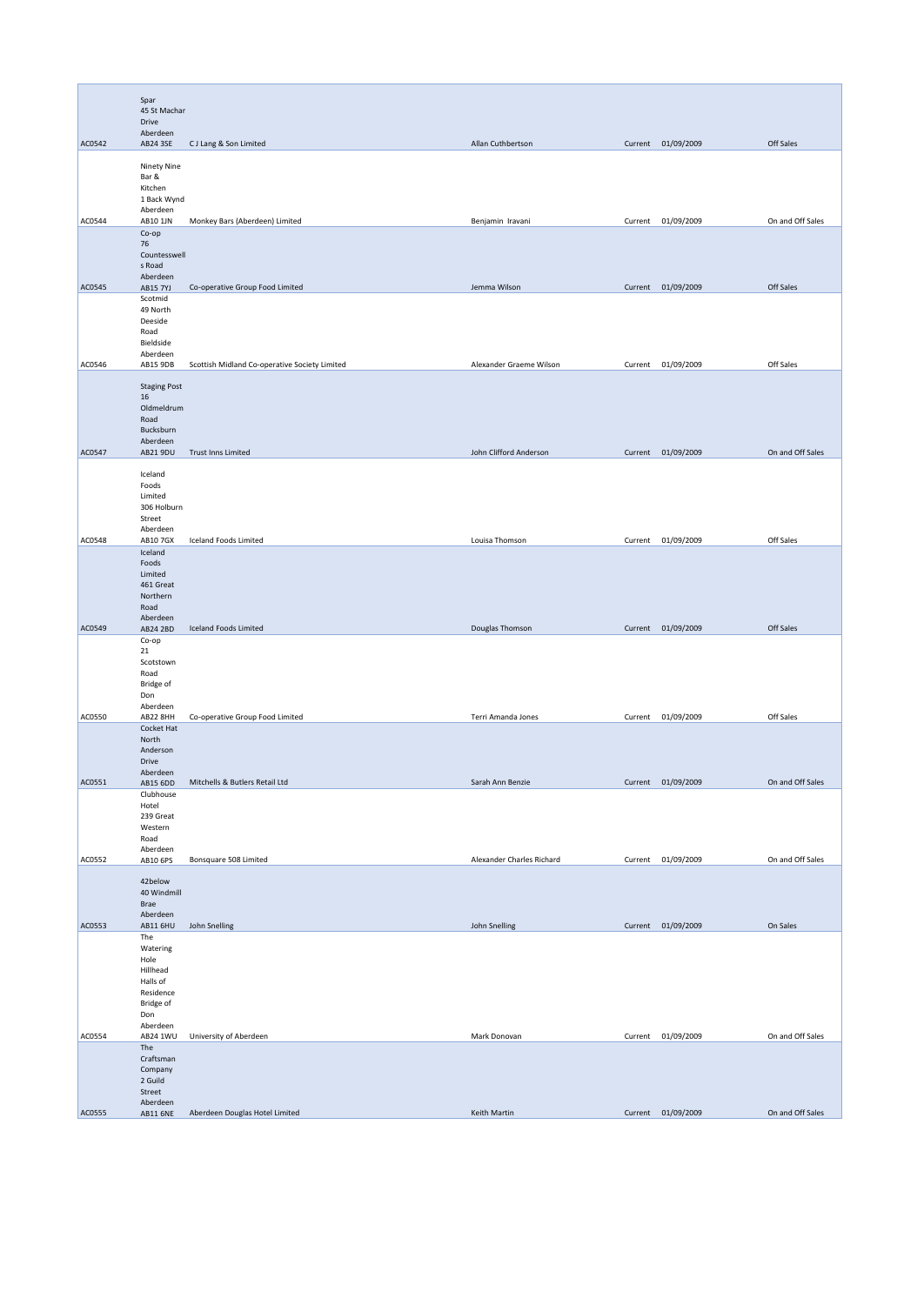|        | Spar<br>45 St Machar<br>Drive                                                                |                                               |                           |         |                    |                  |
|--------|----------------------------------------------------------------------------------------------|-----------------------------------------------|---------------------------|---------|--------------------|------------------|
| AC0542 | Aberdeen<br>AB24 3SE                                                                         | CJ Lang & Son Limited                         | Allan Cuthbertson         |         | Current 01/09/2009 | Off Sales        |
|        | Ninety Nine<br>Bar &<br>Kitchen<br>1 Back Wynd<br>Aberdeen                                   |                                               |                           |         |                    |                  |
| AC0544 | AB10 1JN                                                                                     | Monkey Bars (Aberdeen) Limited                | Benjamin Iravani          | Current | 01/09/2009         | On and Off Sales |
|        | Co-op<br>76<br>Countesswell<br>s Road<br>Aberdeen                                            |                                               |                           |         |                    |                  |
| AC0545 | <b>AB15 7YJ</b><br>Scotmid<br>49 North<br>Deeside<br>Road<br>Bieldside                       | Co-operative Group Food Limited               | Jemma Wilson              |         | Current 01/09/2009 | Off Sales        |
| AC0546 | Aberdeen<br>AB15 9DB                                                                         | Scottish Midland Co-operative Society Limited | Alexander Graeme Wilson   |         | Current 01/09/2009 | Off Sales        |
|        | <b>Staging Post</b><br>16<br>Oldmeldrum<br>Road<br>Bucksburn<br>Aberdeen                     |                                               |                           |         |                    |                  |
| AC0547 | AB21 9DU                                                                                     | Trust Inns Limited                            | John Clifford Anderson    |         | Current 01/09/2009 | On and Off Sales |
|        | Iceland<br>Foods<br>Limited<br>306 Holburn<br>Street<br>Aberdeen                             |                                               |                           |         |                    |                  |
| AC0548 | AB10 7GX<br>Iceland                                                                          | Iceland Foods Limited                         | Louisa Thomson            |         | Current 01/09/2009 | Off Sales        |
| AC0549 | Foods<br>Limited<br>461 Great<br>Northern<br>Road<br>Aberdeen<br>AB24 2BD                    | Iceland Foods Limited                         | Douglas Thomson           |         | Current 01/09/2009 | Off Sales        |
|        | Co-op<br>21<br>Scotstown<br>Road                                                             |                                               |                           |         |                    |                  |
| AC0550 | Bridge of<br>Don<br>Aberdeen<br>AB22 8HH                                                     | Co-operative Group Food Limited               | Terri Amanda Jones        |         | Current 01/09/2009 | Off Sales        |
|        | Cocket Hat<br>North<br>Anderson<br>Drive<br>Aberdeen                                         |                                               |                           |         |                    |                  |
| AC0551 | AB15 6DD                                                                                     | Mitchells & Butlers Retail Ltd                | Sarah Ann Benzie          | Current | 01/09/2009         | On and Off Sales |
|        | Clubhouse<br>Hotel<br>239 Great<br>Western<br>Road<br>Aberdeen                               |                                               |                           |         |                    |                  |
| AC0552 | AB10 6PS                                                                                     | Bonsquare 508 Limited                         | Alexander Charles Richard |         | Current 01/09/2009 | On and Off Sales |
|        | 42below<br>40 Windmill<br>Brae<br>Aberdeen                                                   |                                               |                           |         |                    |                  |
| AC0553 | AB11 6HU                                                                                     | John Snelling                                 | John Snelling             |         | Current 01/09/2009 | On Sales         |
|        | The<br>Watering<br>Hole<br>Hillhead<br>Halls of<br>Residence<br>Bridge of<br>Don<br>Aberdeen |                                               |                           |         |                    |                  |
| AC0554 | AB24 1WU                                                                                     | University of Aberdeen                        | Mark Donovan              |         | Current 01/09/2009 | On and Off Sales |
|        | The<br>Craftsman<br>Company<br>2 Guild<br>Street<br>Aberdeen                                 |                                               |                           |         |                    |                  |
| AC0555 | <b>AB11 6NE</b>                                                                              | Aberdeen Douglas Hotel Limited                | Keith Martin              |         | Current 01/09/2009 | On and Off Sales |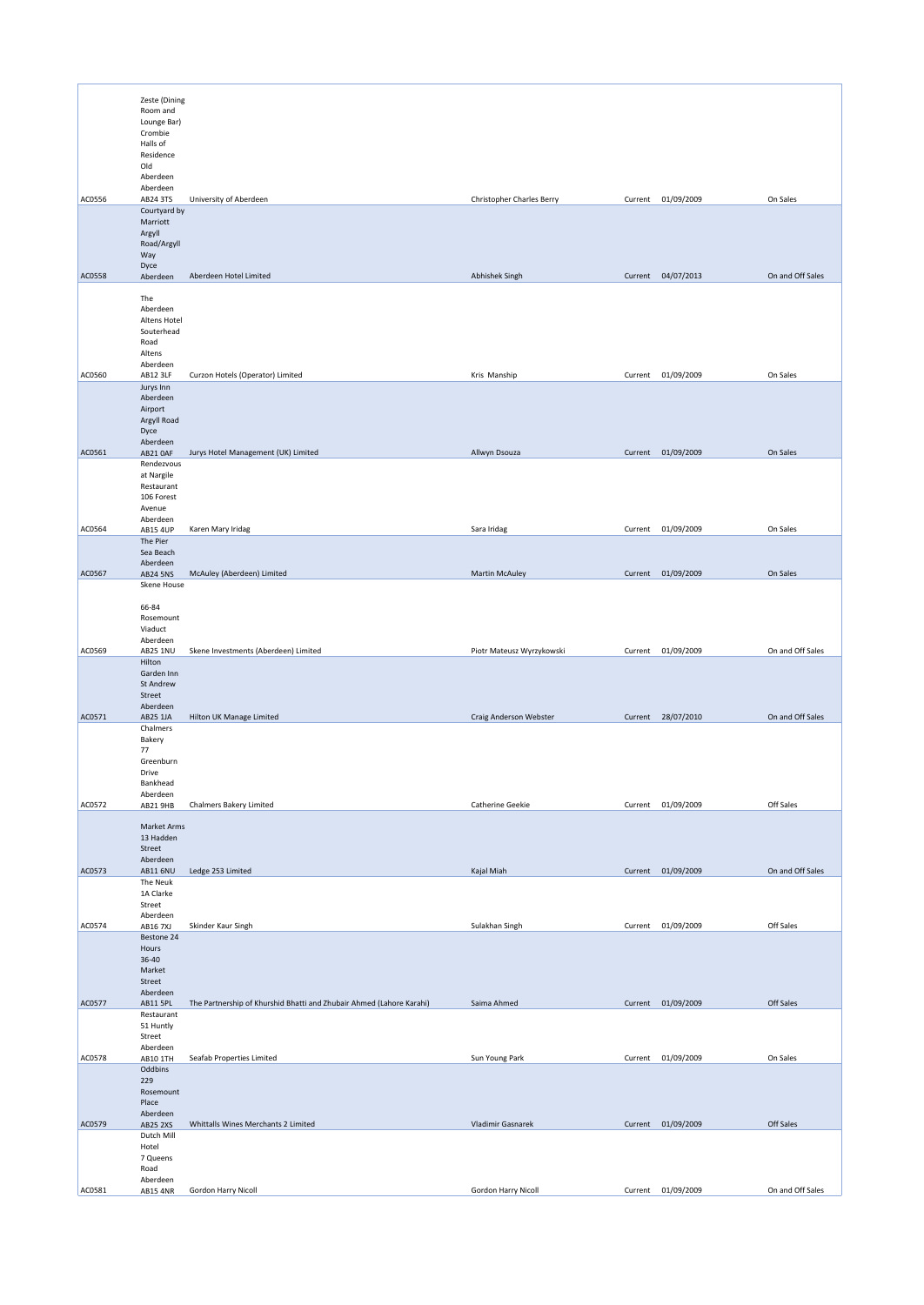|        | Zeste (Dining               |                                                                      |                                  |         |                    |                  |
|--------|-----------------------------|----------------------------------------------------------------------|----------------------------------|---------|--------------------|------------------|
|        | Room and<br>Lounge Bar)     |                                                                      |                                  |         |                    |                  |
|        | Crombie<br>Halls of         |                                                                      |                                  |         |                    |                  |
|        | Residence<br>Old            |                                                                      |                                  |         |                    |                  |
|        | Aberdeen<br>Aberdeen        |                                                                      |                                  |         |                    |                  |
| AC0556 | AB24 3TS<br>Courtyard by    | University of Aberdeen                                               | <b>Christopher Charles Berry</b> |         | Current 01/09/2009 | On Sales         |
|        | Marriott<br>Argyll          |                                                                      |                                  |         |                    |                  |
|        | Road/Argyll<br>Way          |                                                                      |                                  |         |                    |                  |
| AC0558 | Dyce<br>Aberdeen            | Aberdeen Hotel Limited                                               | Abhishek Singh                   |         | Current 04/07/2013 | On and Off Sales |
|        | The                         |                                                                      |                                  |         |                    |                  |
|        | Aberdeen<br>Altens Hotel    |                                                                      |                                  |         |                    |                  |
|        | Souterhead<br>Road          |                                                                      |                                  |         |                    |                  |
|        | Altens<br>Aberdeen          |                                                                      |                                  |         |                    |                  |
| AC0560 | AB12 3LF                    | Curzon Hotels (Operator) Limited                                     | Kris Manship                     | Current | 01/09/2009         | On Sales         |
|        | Jurys Inn<br>Aberdeen       |                                                                      |                                  |         |                    |                  |
|        | Airport<br>Argyll Road      |                                                                      |                                  |         |                    |                  |
|        | Dyce<br>Aberdeen            |                                                                      |                                  |         |                    |                  |
| AC0561 | AB21 OAF<br>Rendezvous      | Jurys Hotel Management (UK) Limited                                  | Allwyn Dsouza                    |         | Current 01/09/2009 | On Sales         |
|        | at Nargile<br>Restaurant    |                                                                      |                                  |         |                    |                  |
|        | 106 Forest<br>Avenue        |                                                                      |                                  |         |                    |                  |
| AC0564 | Aberdeen<br><b>AB15 4UP</b> | Karen Mary Iridag                                                    | Sara Iridag                      | Current | 01/09/2009         | On Sales         |
|        | The Pier<br>Sea Beach       |                                                                      |                                  |         |                    |                  |
| AC0567 | Aberdeen<br>AB24 5NS        | McAuley (Aberdeen) Limited                                           | <b>Martin McAuley</b>            |         | Current 01/09/2009 | On Sales         |
|        | Skene House                 |                                                                      |                                  |         |                    |                  |
|        | 66-84<br>Rosemount          |                                                                      |                                  |         |                    |                  |
|        | Viaduct<br>Aberdeen         |                                                                      |                                  |         |                    |                  |
| AC0569 | AB25 1NU<br>Hilton          | Skene Investments (Aberdeen) Limited                                 | Piotr Mateusz Wyrzykowski        | Current | 01/09/2009         | On and Off Sales |
|        | Garden Inn<br>St Andrew     |                                                                      |                                  |         |                    |                  |
|        | Street<br>Aberdeen          |                                                                      |                                  |         |                    |                  |
| AC0571 | AB25 1JA<br>Chalmers        | Hilton UK Manage Limited                                             | Craig Anderson Webster           |         | Current 28/07/2010 | On and Off Sales |
|        | Bakery<br>77                |                                                                      |                                  |         |                    |                  |
|        | Greenburn<br>Drive          |                                                                      |                                  |         |                    |                  |
|        | Bankhead<br>Aberdeen        |                                                                      |                                  |         |                    |                  |
| AC0572 | AB21 9HB                    | <b>Chalmers Bakery Limited</b>                                       | Catherine Geekie                 |         | Current 01/09/2009 | Off Sales        |
|        | Market Arms<br>13 Hadden    |                                                                      |                                  |         |                    |                  |
|        | Street<br>Aberdeen          |                                                                      |                                  |         |                    |                  |
| AC0573 | <b>AB11 6NU</b><br>The Neuk | Ledge 253 Limited                                                    | Kajal Miah                       |         | Current 01/09/2009 | On and Off Sales |
|        | 1A Clarke<br>Street         |                                                                      |                                  |         |                    |                  |
| AC0574 | Aberdeen<br>AB16 7XJ        | Skinder Kaur Singh                                                   | Sulakhan Singh                   | Current | 01/09/2009         | Off Sales        |
|        | Bestone 24<br>Hours         |                                                                      |                                  |         |                    |                  |
|        | $36 - 40$<br>Market         |                                                                      |                                  |         |                    |                  |
|        | Street<br>Aberdeen          |                                                                      |                                  |         |                    |                  |
| AC0577 | AB11 5PL<br>Restaurant      | The Partnership of Khurshid Bhatti and Zhubair Ahmed (Lahore Karahi) | Saima Ahmed                      |         | Current 01/09/2009 | Off Sales        |
|        | 51 Huntly<br>Street         |                                                                      |                                  |         |                    |                  |
| AC0578 | Aberdeen<br>AB10 1TH        | Seafab Properties Limited                                            | Sun Young Park                   |         | Current 01/09/2009 | On Sales         |
|        | Oddbins<br>229              |                                                                      |                                  |         |                    |                  |
|        | Rosemount<br>Place          |                                                                      |                                  |         |                    |                  |
| AC0579 | Aberdeen<br><b>AB25 2XS</b> | Whittalls Wines Merchants 2 Limited                                  | Vladimir Gasnarek                |         | Current 01/09/2009 | Off Sales        |
|        | Dutch Mill<br>Hotel         |                                                                      |                                  |         |                    |                  |
|        | 7 Queens<br>Road            |                                                                      |                                  |         |                    |                  |
| AC0581 | Aberdeen<br><b>AB15 4NR</b> | Gordon Harry Nicoll                                                  | Gordon Harry Nicoll              | Current | 01/09/2009         | On and Off Sales |
|        |                             |                                                                      |                                  |         |                    |                  |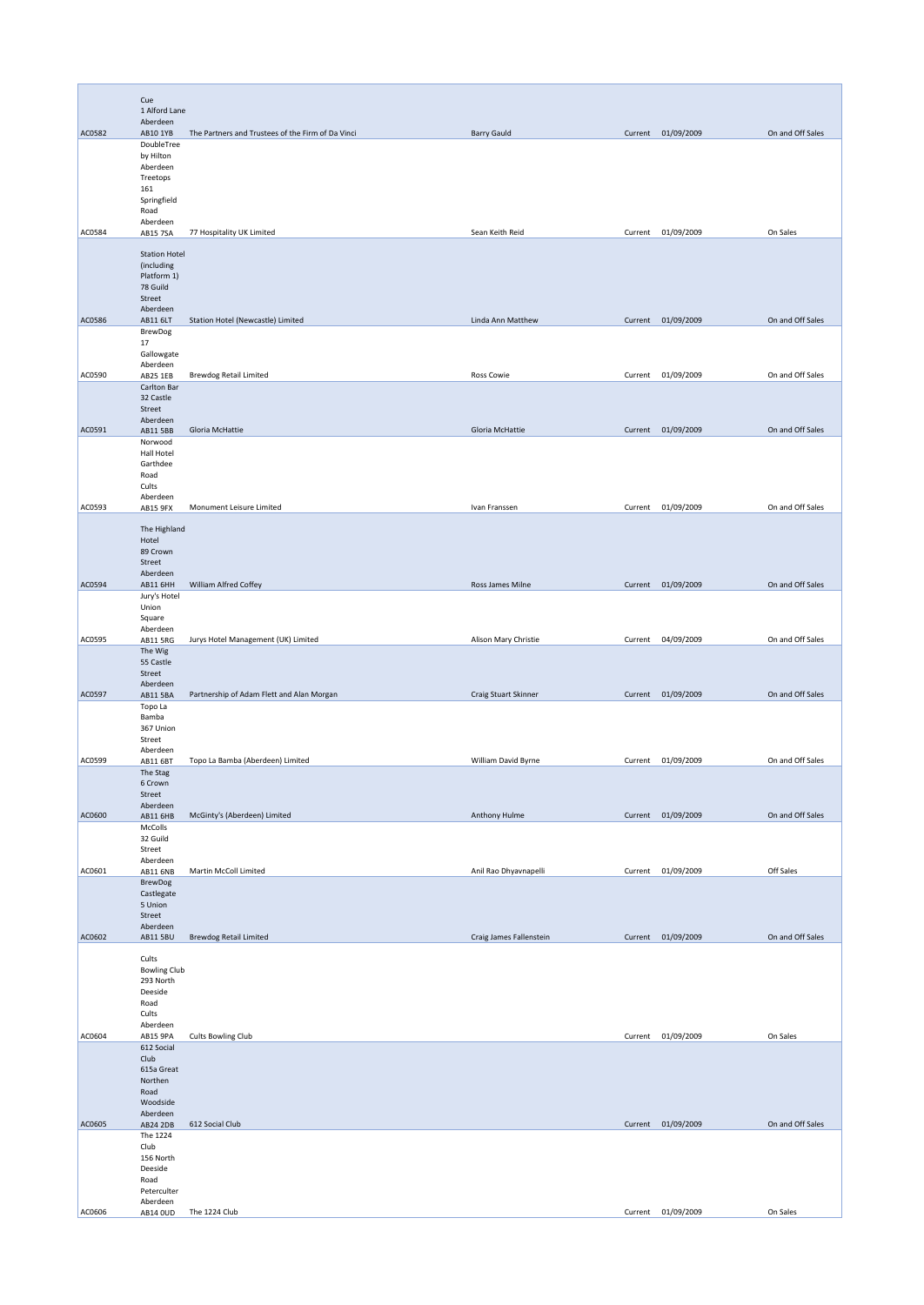|        | Cue<br>1 Alford Lane             |                                                   |                         |         |                    |                  |
|--------|----------------------------------|---------------------------------------------------|-------------------------|---------|--------------------|------------------|
|        | Aberdeen                         |                                                   |                         |         |                    |                  |
| AC0582 | AB10 1YB<br>DoubleTree           | The Partners and Trustees of the Firm of Da Vinci | <b>Barry Gauld</b>      |         | Current 01/09/2009 | On and Off Sales |
|        | by Hilton                        |                                                   |                         |         |                    |                  |
|        | Aberdeen<br>Treetops             |                                                   |                         |         |                    |                  |
|        | 161<br>Springfield               |                                                   |                         |         |                    |                  |
|        | Road                             |                                                   |                         |         |                    |                  |
| AC0584 | Aberdeen<br><b>AB15 7SA</b>      | 77 Hospitality UK Limited                         | Sean Keith Reid         | Current | 01/09/2009         | On Sales         |
|        | <b>Station Hotel</b>             |                                                   |                         |         |                    |                  |
|        | (including                       |                                                   |                         |         |                    |                  |
|        | Platform 1)<br>78 Guild          |                                                   |                         |         |                    |                  |
|        | Street<br>Aberdeen               |                                                   |                         |         |                    |                  |
| AC0586 | AB11 6LT                         | Station Hotel (Newcastle) Limited                 | Linda Ann Matthew       |         | Current 01/09/2009 | On and Off Sales |
|        | <b>BrewDog</b><br>17             |                                                   |                         |         |                    |                  |
|        | Gallowgate<br>Aberdeen           |                                                   |                         |         |                    |                  |
| AC0590 | AB25 1EB                         | <b>Brewdog Retail Limited</b>                     | Ross Cowie              | Current | 01/09/2009         | On and Off Sales |
|        | Carlton Bar<br>32 Castle         |                                                   |                         |         |                    |                  |
|        | Street<br>Aberdeen               |                                                   |                         |         |                    |                  |
| AC0591 | AB11 5BB                         | Gloria McHattie                                   | Gloria McHattie         |         | Current 01/09/2009 | On and Off Sales |
|        | Norwood<br>Hall Hotel            |                                                   |                         |         |                    |                  |
|        | Garthdee<br>Road                 |                                                   |                         |         |                    |                  |
|        | Cults                            |                                                   |                         |         |                    |                  |
| AC0593 | Aberdeen<br>AB15 9FX             | Monument Leisure Limited                          | Ivan Franssen           | Current | 01/09/2009         | On and Off Sales |
|        | The Highland                     |                                                   |                         |         |                    |                  |
|        | Hotel<br>89 Crown                |                                                   |                         |         |                    |                  |
|        | Street                           |                                                   |                         |         |                    |                  |
| AC0594 | Aberdeen<br>AB11 6HH             | William Alfred Coffey                             | Ross James Milne        |         | Current 01/09/2009 | On and Off Sales |
|        | Jury's Hotel<br>Union            |                                                   |                         |         |                    |                  |
|        | Square                           |                                                   |                         |         |                    |                  |
| AC0595 | Aberdeen<br>AB11 5RG             | Jurys Hotel Management (UK) Limited               | Alison Mary Christie    | Current | 04/09/2009         | On and Off Sales |
|        | The Wig<br>55 Castle             |                                                   |                         |         |                    |                  |
|        | Street                           |                                                   |                         |         |                    |                  |
| AC0597 | Aberdeen<br>AB11 5BA             | Partnership of Adam Flett and Alan Morgan         | Craig Stuart Skinner    |         | Current 01/09/2009 | On and Off Sales |
|        | Topo La<br>Bamba                 |                                                   |                         |         |                    |                  |
|        | 367 Union                        |                                                   |                         |         |                    |                  |
|        | Street<br>Aberdeen               |                                                   |                         |         |                    |                  |
| AC0599 | AB11 6BT<br>The Stag             | Topo La Bamba (Aberdeen) Limited                  | William David Byrne     |         | Current 01/09/2009 | On and Off Sales |
|        | 6 Crown<br>Street                |                                                   |                         |         |                    |                  |
|        | Aberdeen                         |                                                   |                         |         |                    |                  |
| AC0600 | AB11 6HB<br>McColls              | McGinty's (Aberdeen) Limited                      | Anthony Hulme           |         | Current 01/09/2009 | On and Off Sales |
|        | 32 Guild<br>Street               |                                                   |                         |         |                    |                  |
|        | Aberdeen                         |                                                   |                         |         |                    |                  |
| AC0601 | <b>AB11 6NB</b><br>BrewDog       | Martin McColl Limited                             | Anil Rao Dhyavnapelli   |         | Current 01/09/2009 | Off Sales        |
|        | Castlegate<br>5 Union            |                                                   |                         |         |                    |                  |
|        | Street                           |                                                   |                         |         |                    |                  |
| AC0602 | Aberdeen<br><b>AB11 5BU</b>      | <b>Brewdog Retail Limited</b>                     | Craig James Fallenstein |         | Current 01/09/2009 | On and Off Sales |
|        | Cults                            |                                                   |                         |         |                    |                  |
|        | <b>Bowling Club</b><br>293 North |                                                   |                         |         |                    |                  |
|        | Deeside                          |                                                   |                         |         |                    |                  |
|        | Road<br>Cults                    |                                                   |                         |         |                    |                  |
| AC0604 | Aberdeen<br>AB15 9PA             | Cults Bowling Club                                |                         |         | Current 01/09/2009 | On Sales         |
|        | 612 Social                       |                                                   |                         |         |                    |                  |
|        | Club<br>615a Great               |                                                   |                         |         |                    |                  |
|        | Northen<br>Road                  |                                                   |                         |         |                    |                  |
|        | Woodside                         |                                                   |                         |         |                    |                  |
| AC0605 | Aberdeen<br>AB24 2DB             | 612 Social Club                                   |                         |         | Current 01/09/2009 | On and Off Sales |
|        | The 1224<br>Club                 |                                                   |                         |         |                    |                  |
|        | 156 North                        |                                                   |                         |         |                    |                  |
|        | Deeside<br>Road                  |                                                   |                         |         |                    |                  |
|        | Peterculter<br>Aberdeen          |                                                   |                         |         |                    |                  |
| AC0606 | AB14 0UD                         | The 1224 Club                                     |                         |         | Current 01/09/2009 | On Sales         |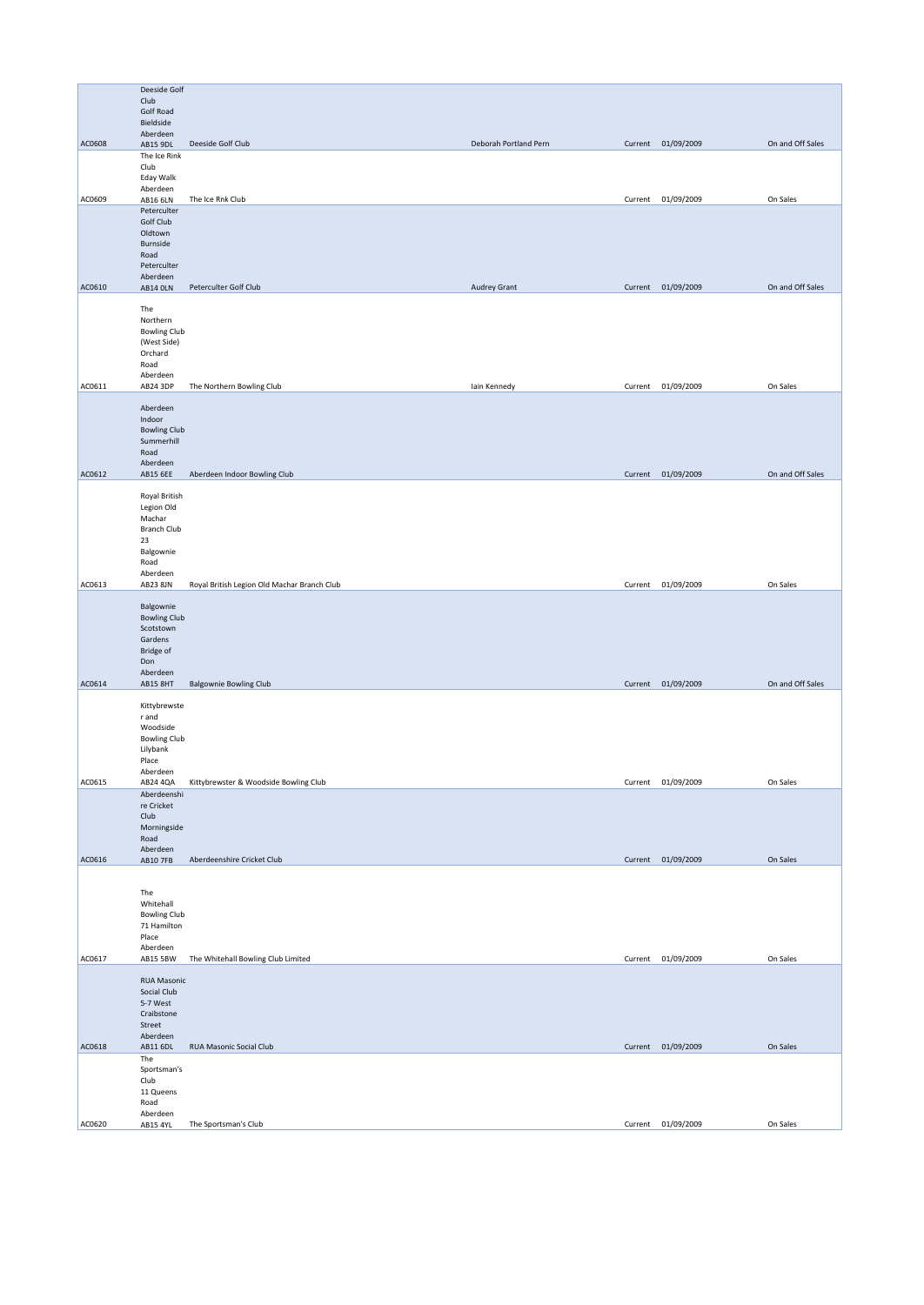|        | Deeside Golf                    |                                             |                       |                    |                  |
|--------|---------------------------------|---------------------------------------------|-----------------------|--------------------|------------------|
|        | Club                            |                                             |                       |                    |                  |
|        | Golf Road<br>Bieldside          |                                             |                       |                    |                  |
|        | Aberdeen                        |                                             |                       |                    |                  |
| AC0608 | AB15 9DL                        | Deeside Golf Club                           | Deborah Portland Pern | Current 01/09/2009 | On and Off Sales |
|        | The Ice Rink<br>Club            |                                             |                       |                    |                  |
|        | Eday Walk                       |                                             |                       |                    |                  |
|        | Aberdeen                        |                                             |                       |                    |                  |
| AC0609 | AB16 6LN                        | The Ice Rnk Club                            |                       | Current 01/09/2009 | On Sales         |
|        | Peterculter<br>Golf Club        |                                             |                       |                    |                  |
|        | Oldtown                         |                                             |                       |                    |                  |
|        | Burnside                        |                                             |                       |                    |                  |
|        | Road<br>Peterculter             |                                             |                       |                    |                  |
|        | Aberdeen                        |                                             |                       |                    |                  |
| AC0610 | <b>AB14 OLN</b>                 | Peterculter Golf Club                       | Audrey Grant          | Current 01/09/2009 | On and Off Sales |
|        |                                 |                                             |                       |                    |                  |
|        | The<br>Northern                 |                                             |                       |                    |                  |
|        | <b>Bowling Club</b>             |                                             |                       |                    |                  |
|        | (West Side)                     |                                             |                       |                    |                  |
|        | Orchard<br>Road                 |                                             |                       |                    |                  |
|        | Aberdeen                        |                                             |                       |                    |                  |
| AC0611 | AB24 3DP                        | The Northern Bowling Club                   | lain Kennedy          | Current 01/09/2009 | On Sales         |
|        |                                 |                                             |                       |                    |                  |
|        | Aberdeen<br>Indoor              |                                             |                       |                    |                  |
|        | <b>Bowling Club</b>             |                                             |                       |                    |                  |
|        | Summerhill                      |                                             |                       |                    |                  |
|        | Road<br>Aberdeen                |                                             |                       |                    |                  |
| AC0612 | AB15 6EE                        | Aberdeen Indoor Bowling Club                |                       | Current 01/09/2009 | On and Off Sales |
|        |                                 |                                             |                       |                    |                  |
|        | Royal British<br>Legion Old     |                                             |                       |                    |                  |
|        | Machar                          |                                             |                       |                    |                  |
|        | <b>Branch Club</b>              |                                             |                       |                    |                  |
|        | 23                              |                                             |                       |                    |                  |
|        | Balgownie<br>Road               |                                             |                       |                    |                  |
|        | Aberdeen                        |                                             |                       |                    |                  |
| AC0613 | AB23 8JN                        | Royal British Legion Old Machar Branch Club |                       | Current 01/09/2009 | On Sales         |
|        | Balgownie                       |                                             |                       |                    |                  |
|        | <b>Bowling Club</b>             |                                             |                       |                    |                  |
|        | Scotstown                       |                                             |                       |                    |                  |
|        | Gardens<br>Bridge of            |                                             |                       |                    |                  |
|        | Don                             |                                             |                       |                    |                  |
|        | Aberdeen                        |                                             |                       |                    |                  |
| AC0614 | <b>AB15 8HT</b>                 | <b>Balgownie Bowling Club</b>               |                       | Current 01/09/2009 | On and Off Sales |
|        | Kittybrewste                    |                                             |                       |                    |                  |
|        | r and                           |                                             |                       |                    |                  |
|        | Woodside                        |                                             |                       |                    |                  |
|        | <b>Bowling Club</b><br>Lilybank |                                             |                       |                    |                  |
|        | Place                           |                                             |                       |                    |                  |
|        | Aberdeen                        |                                             |                       |                    |                  |
| AC0615 | AB24 4QA                        | Kittybrewster & Woodside Bowling Club       |                       | Current 01/09/2009 | On Sales         |
|        | Aberdeenshi<br>re Cricket       |                                             |                       |                    |                  |
|        | Club                            |                                             |                       |                    |                  |
|        | Morningside                     |                                             |                       |                    |                  |
|        | Road<br>Aberdeen                |                                             |                       |                    |                  |
| AC0616 | AB10 7FB                        | Aberdeenshire Cricket Club                  |                       | Current 01/09/2009 | On Sales         |
|        |                                 |                                             |                       |                    |                  |
|        | The                             |                                             |                       |                    |                  |
|        | Whitehall                       |                                             |                       |                    |                  |
|        | <b>Bowling Club</b>             |                                             |                       |                    |                  |
|        | 71 Hamilton<br>Place            |                                             |                       |                    |                  |
|        | Aberdeen                        |                                             |                       |                    |                  |
| AC0617 | AB15 5BW                        | The Whitehall Bowling Club Limited          |                       | Current 01/09/2009 | On Sales         |
|        | <b>RUA Masonic</b>              |                                             |                       |                    |                  |
|        | Social Club                     |                                             |                       |                    |                  |
|        | 5-7 West                        |                                             |                       |                    |                  |
|        | Craibstone                      |                                             |                       |                    |                  |
|        | Street<br>Aberdeen              |                                             |                       |                    |                  |
| AC0618 | AB11 6DL                        | RUA Masonic Social Club                     |                       | Current 01/09/2009 | On Sales         |
|        | The                             |                                             |                       |                    |                  |
|        | Sportsman's<br>Club             |                                             |                       |                    |                  |
|        | 11 Queens                       |                                             |                       |                    |                  |
|        | Road                            |                                             |                       |                    |                  |
| AC0620 | Aberdeen<br>AB15 4YL            | The Sportsman's Club                        |                       | Current 01/09/2009 | On Sales         |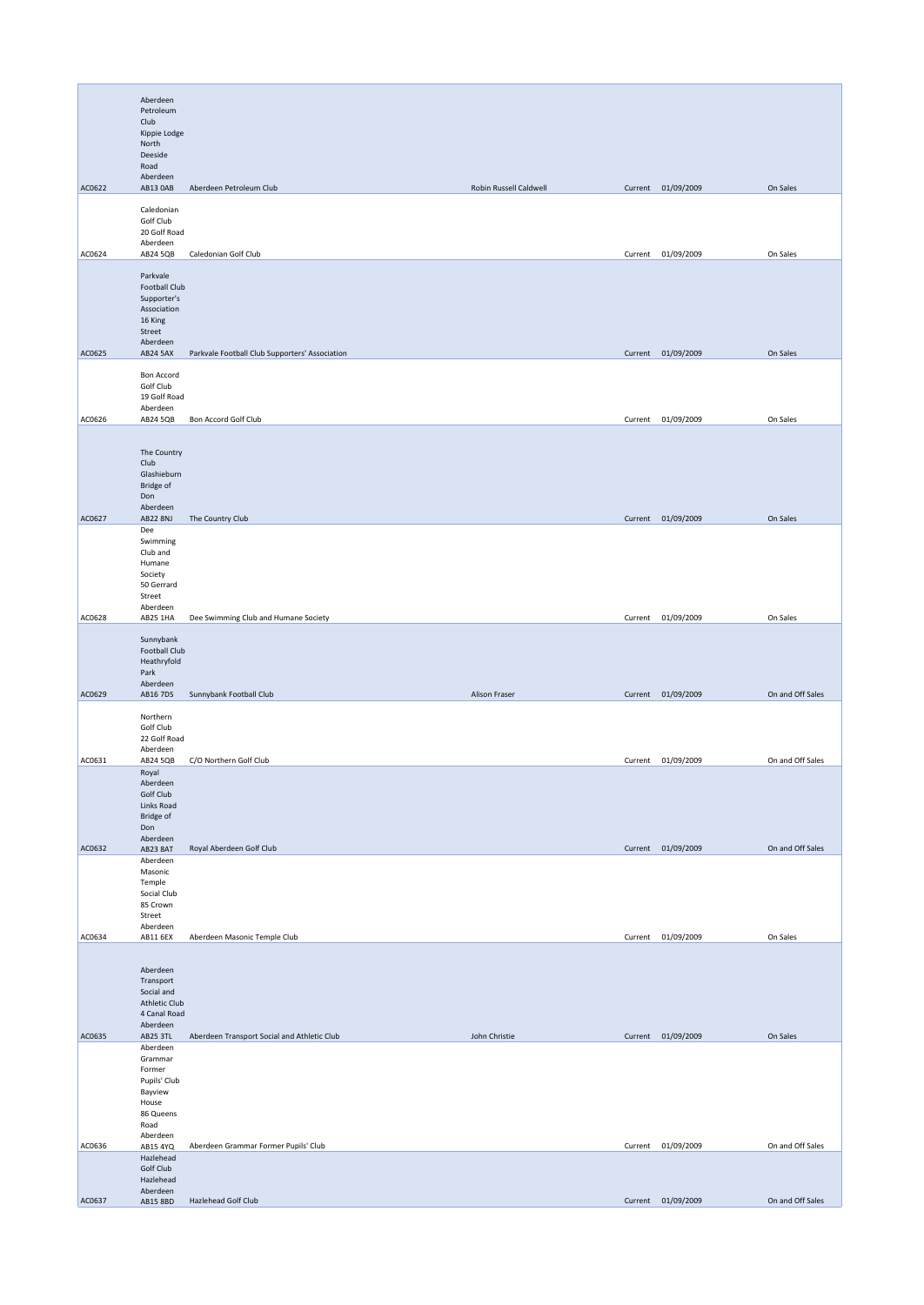|        | Aberdeen<br>Petroleum                                                                  |                                                |                        |         |                    |                  |
|--------|----------------------------------------------------------------------------------------|------------------------------------------------|------------------------|---------|--------------------|------------------|
|        | Club<br>Kippie Lodge<br>North                                                          |                                                |                        |         |                    |                  |
|        | Deeside<br>Road                                                                        |                                                |                        |         |                    |                  |
| AC0622 | Aberdeen<br>AB13 OAB                                                                   | Aberdeen Petroleum Club                        | Robin Russell Caldwell |         | Current 01/09/2009 | On Sales         |
|        | Caledonian<br>Golf Club<br>20 Golf Road                                                |                                                |                        |         |                    |                  |
| AC0624 | Aberdeen<br>AB24 5QB                                                                   | Caledonian Golf Club                           |                        |         | Current 01/09/2009 | On Sales         |
|        | Parkvale                                                                               |                                                |                        |         |                    |                  |
|        | Football Club<br>Supporter's<br>Association<br>16 King                                 |                                                |                        |         |                    |                  |
|        | Street<br>Aberdeen                                                                     |                                                |                        |         |                    |                  |
| AC0625 | AB24 5AX                                                                               | Parkvale Football Club Supporters' Association |                        |         | Current 01/09/2009 | On Sales         |
|        | Bon Accord<br>Golf Club<br>19 Golf Road                                                |                                                |                        |         |                    |                  |
| AC0626 | Aberdeen<br>AB24 5QB                                                                   | Bon Accord Golf Club                           |                        |         | Current 01/09/2009 | On Sales         |
|        | The Country<br>Club<br>Glashieburn<br>Bridge of<br>Don                                 |                                                |                        |         |                    |                  |
| AC0627 | Aberdeen<br><b>AB22 8NJ</b>                                                            | The Country Club                               |                        |         | Current 01/09/2009 | On Sales         |
|        | Dee<br>Swimming<br>Club and<br>Humane<br>Society<br>50 Gerrard                         |                                                |                        |         |                    |                  |
|        | Street<br>Aberdeen                                                                     |                                                |                        |         |                    |                  |
| AC0628 | AB25 1HA                                                                               | Dee Swimming Club and Humane Society           |                        |         | Current 01/09/2009 | On Sales         |
|        | Sunnybank<br>Football Club<br>Heathryfold<br>Park<br>Aberdeen                          |                                                |                        |         |                    |                  |
| AC0629 | AB16 7DS                                                                               | Sunnybank Football Club                        | Alison Fraser          |         | Current 01/09/2009 | On and Off Sales |
|        | Northern<br>Golf Club<br>22 Golf Road<br>Aberdeen                                      |                                                |                        |         |                    |                  |
| AC0631 | AB24 5QB                                                                               | C/O Northern Golf Club                         |                        |         | Current 01/09/2009 | On and Off Sales |
|        | Royal<br>Aberdeen<br>Golf Club<br>Links Road<br><b>Bridge of</b><br>Don                |                                                |                        |         |                    |                  |
| AC0632 | Aberdeen<br>AB23 8AT                                                                   | Royal Aberdeen Golf Club                       |                        |         | Current 01/09/2009 | On and Off Sales |
|        | Aberdeen<br>Masonic<br>Temple<br>Social Club<br>85 Crown<br>Street                     |                                                |                        |         |                    |                  |
| AC0634 | Aberdeen<br>AB11 6EX                                                                   | Aberdeen Masonic Temple Club                   |                        |         | Current 01/09/2009 | On Sales         |
|        | Aberdeen<br>Transport<br>Social and<br><b>Athletic Club</b><br>4 Canal Road            |                                                |                        |         |                    |                  |
| AC0635 | Aberdeen<br>AB25 3TL                                                                   | Aberdeen Transport Social and Athletic Club    | John Christie          |         | Current 01/09/2009 | On Sales         |
|        | Aberdeen<br>Grammar<br>Former<br>Pupils' Club<br>Bayview<br>House<br>86 Queens<br>Road |                                                |                        |         |                    |                  |
| AC0636 | Aberdeen<br>AB15 4YQ                                                                   | Aberdeen Grammar Former Pupils' Club           |                        | Current | 01/09/2009         | On and Off Sales |
|        | Hazlehead<br>Golf Club<br>Hazlehead<br>Aberdeen                                        |                                                |                        |         |                    |                  |
| AC0637 | AB15 8BD                                                                               | Hazlehead Golf Club                            |                        |         | Current 01/09/2009 | On and Off Sales |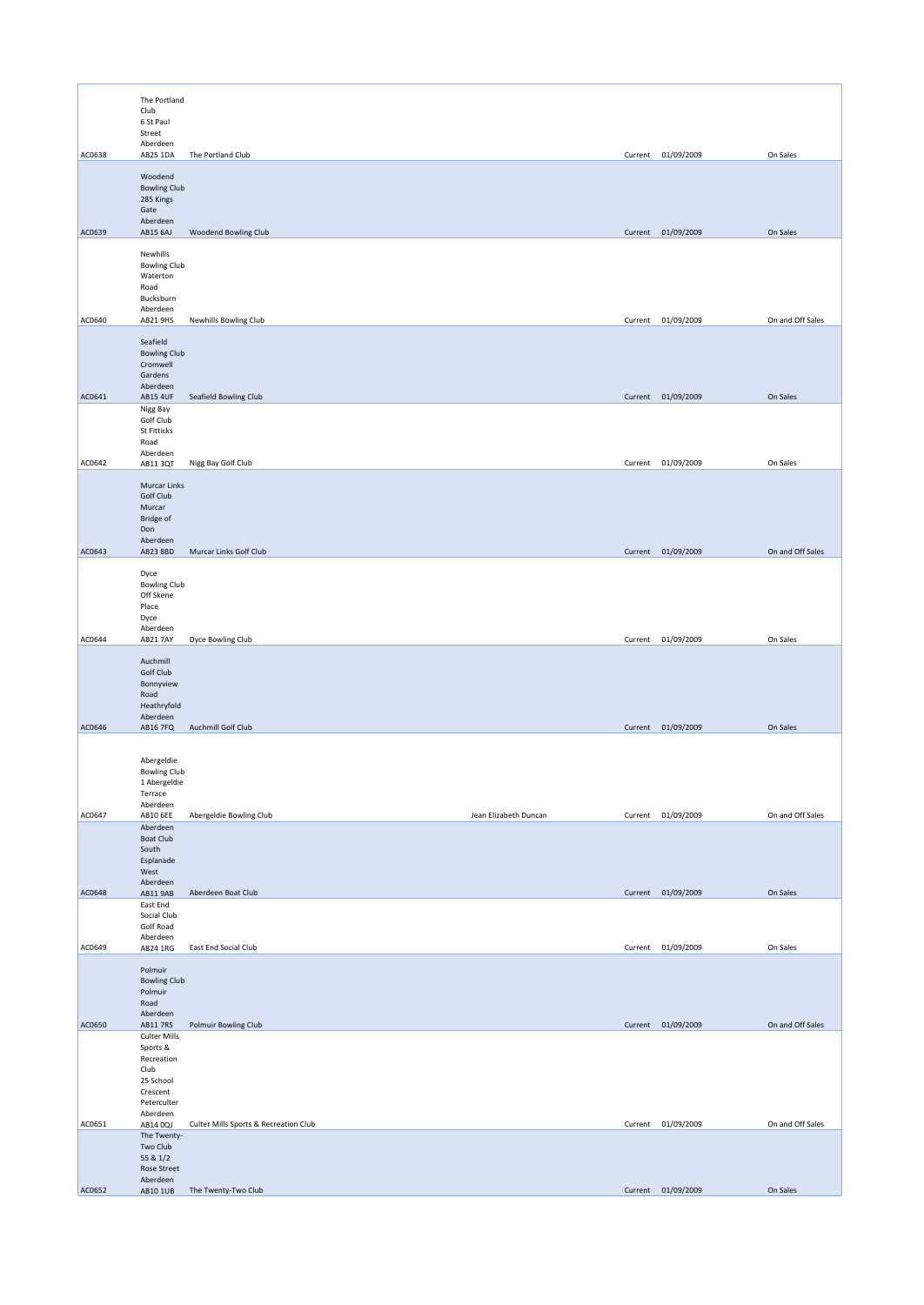|        | The Portland                                                                                  |                                       |                       |         |                    |                  |
|--------|-----------------------------------------------------------------------------------------------|---------------------------------------|-----------------------|---------|--------------------|------------------|
|        | Club<br>6 St Paul<br>Street                                                                   |                                       |                       |         |                    |                  |
| AC0638 | Aberdeen<br>AB25 1DA                                                                          | The Portland Club                     |                       |         | Current 01/09/2009 | On Sales         |
|        | Woodend<br><b>Bowling Club</b>                                                                |                                       |                       |         |                    |                  |
|        | 285 Kings<br>Gate<br>Aberdeen                                                                 |                                       |                       |         |                    |                  |
| AC0639 | AB15 6AJ                                                                                      | Woodend Bowling Club                  |                       |         | Current 01/09/2009 | On Sales         |
|        | Newhills<br><b>Bowling Club</b><br>Waterton<br>Road<br>Bucksburn                              |                                       |                       |         |                    |                  |
| AC0640 | Aberdeen<br>AB21 9HS                                                                          | Newhills Bowling Club                 |                       |         | Current 01/09/2009 | On and Off Sales |
|        | Seafield<br><b>Bowling Club</b><br>Cromwell<br>Gardens<br>Aberdeen                            |                                       |                       |         |                    |                  |
| AC0641 | <b>AB15 4UF</b>                                                                               | Seafield Bowling Club                 |                       |         | Current 01/09/2009 | On Sales         |
|        | Nigg Bay<br>Golf Club<br><b>St Fitticks</b><br>Road                                           |                                       |                       |         |                    |                  |
| AC0642 | Aberdeen<br>AB11 3QT                                                                          | Nigg Bay Golf Club                    |                       | Current | 01/09/2009         | On Sales         |
|        | Murcar Links<br>Golf Club<br>Murcar<br>Bridge of<br>Don<br>Aberdeen                           |                                       |                       |         |                    |                  |
| AC0643 | AB23 8BD                                                                                      | Murcar Links Golf Club                |                       |         | Current 01/09/2009 | On and Off Sales |
|        | Dyce<br><b>Bowling Club</b><br>Off Skene<br>Place<br>Dyce<br>Aberdeen                         |                                       |                       |         |                    |                  |
| AC0644 | <b>AB21 7AY</b>                                                                               | Dyce Bowling Club                     |                       |         | Current 01/09/2009 | On Sales         |
|        | Auchmill<br>Golf Club<br>Bonnyview<br>Road<br>Heathryfold<br>Aberdeen                         |                                       |                       |         |                    |                  |
| AC0646 | <b>AB16 7FQ</b>                                                                               | Auchmill Golf Club                    |                       |         | Current 01/09/2009 | On Sales         |
|        | Abergeldie<br><b>Bowling Club</b><br>1 Abergeldie<br>Terrace<br>Aberdeen                      |                                       |                       |         |                    |                  |
| AC0647 | AB10 6EE                                                                                      | Abergeldie Bowling Club               | Jean Elizabeth Duncan |         | Current 01/09/2009 | On and Off Sales |
|        | Aberdeen<br><b>Boat Club</b><br>South<br>Esplanade<br>West<br>Aberdeen                        |                                       |                       |         |                    |                  |
| AC0648 | AB11 9AB                                                                                      | Aberdeen Boat Club                    |                       |         | Current 01/09/2009 | On Sales         |
|        | East End<br>Social Club<br>Golf Road<br>Aberdeen                                              |                                       |                       |         |                    |                  |
| AC0649 | AB24 1RG                                                                                      | East End Social Club                  |                       |         | Current 01/09/2009 | On Sales         |
|        | Polmuir<br><b>Bowling Club</b><br>Polmuir<br>Road<br>Aberdeen                                 |                                       |                       |         |                    |                  |
| AC0650 | AB11 7RS                                                                                      | Polmuir Bowling Club                  |                       |         | Current 01/09/2009 | On and Off Sales |
|        | <b>Culter Mills</b><br>Sports &<br>Recreation<br>Club<br>25 School<br>Crescent<br>Peterculter |                                       |                       |         |                    |                  |
| AC0651 | Aberdeen<br>AB14 0QJ                                                                          | Culter Mills Sports & Recreation Club |                       |         | Current 01/09/2009 | On and Off Sales |
|        | The Twenty-<br>Two Club<br>55 & 1/2<br>Rose Street                                            |                                       |                       |         |                    |                  |
| AC0652 | Aberdeen<br>AB10 1UB                                                                          | The Twenty-Two Club                   |                       |         | Current 01/09/2009 | On Sales         |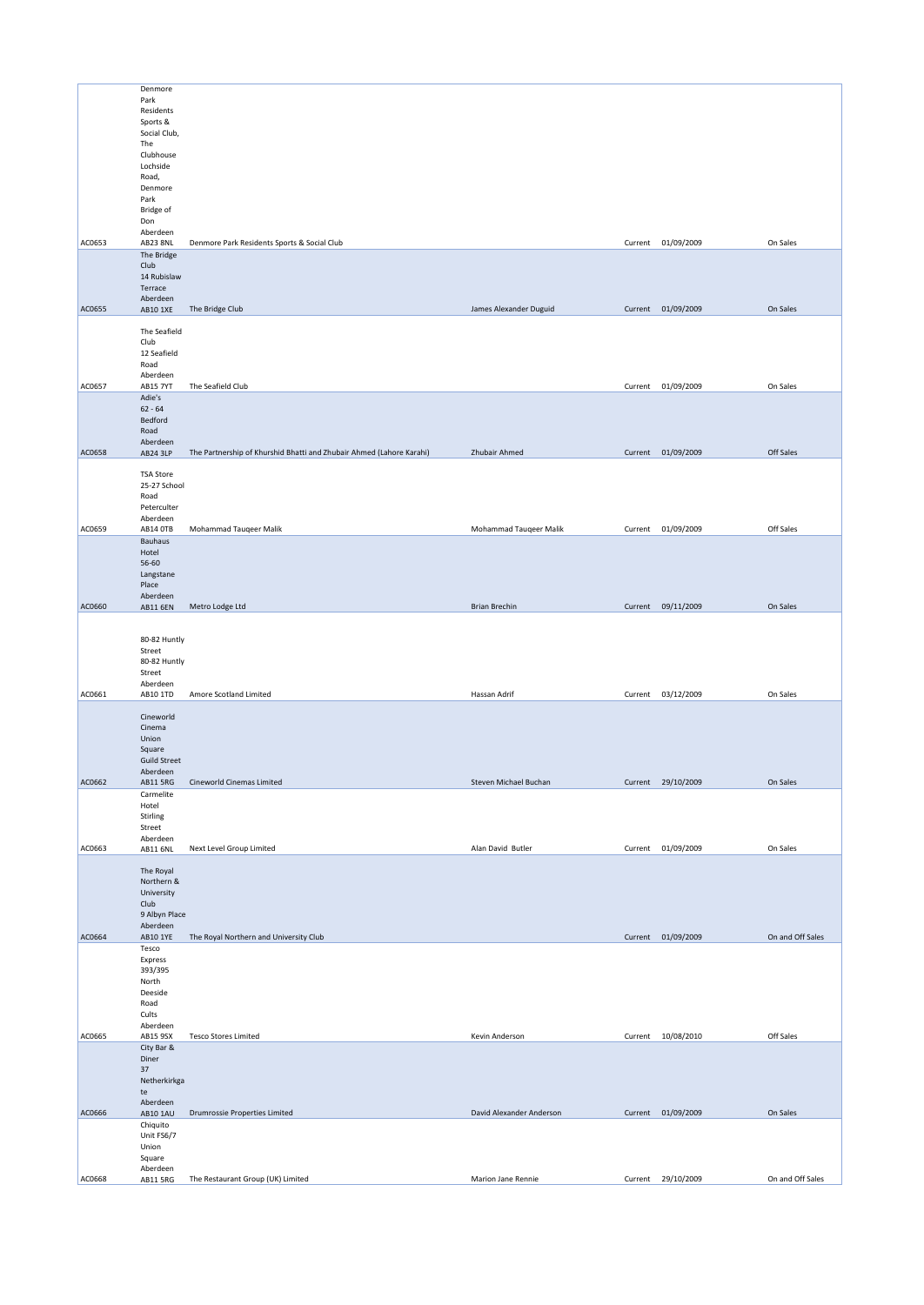|        | Denmore                   |                                                                      |                          |         |                    |                  |
|--------|---------------------------|----------------------------------------------------------------------|--------------------------|---------|--------------------|------------------|
|        | Park                      |                                                                      |                          |         |                    |                  |
|        | Residents                 |                                                                      |                          |         |                    |                  |
|        | Sports &                  |                                                                      |                          |         |                    |                  |
|        | Social Club,<br>The       |                                                                      |                          |         |                    |                  |
|        | Clubhouse                 |                                                                      |                          |         |                    |                  |
|        | Lochside                  |                                                                      |                          |         |                    |                  |
|        | Road,                     |                                                                      |                          |         |                    |                  |
|        | Denmore                   |                                                                      |                          |         |                    |                  |
|        | Park                      |                                                                      |                          |         |                    |                  |
|        | <b>Bridge of</b><br>Don   |                                                                      |                          |         |                    |                  |
|        | Aberdeen                  |                                                                      |                          |         |                    |                  |
| AC0653 | <b>AB23 8NL</b>           | Denmore Park Residents Sports & Social Club                          |                          |         | Current 01/09/2009 | On Sales         |
|        | The Bridge                |                                                                      |                          |         |                    |                  |
|        | Club                      |                                                                      |                          |         |                    |                  |
|        | 14 Rubislaw               |                                                                      |                          |         |                    |                  |
|        | Terrace<br>Aberdeen       |                                                                      |                          |         |                    |                  |
| AC0655 | AB10 1XE                  | The Bridge Club                                                      | James Alexander Duguid   |         | Current 01/09/2009 | On Sales         |
|        |                           |                                                                      |                          |         |                    |                  |
|        | The Seafield              |                                                                      |                          |         |                    |                  |
|        | Club                      |                                                                      |                          |         |                    |                  |
|        | 12 Seafield<br>Road       |                                                                      |                          |         |                    |                  |
|        | Aberdeen                  |                                                                      |                          |         |                    |                  |
| AC0657 | <b>AB15 7YT</b>           | The Seafield Club                                                    |                          | Current | 01/09/2009         | On Sales         |
|        | Adie's                    |                                                                      |                          |         |                    |                  |
|        | $62 - 64$                 |                                                                      |                          |         |                    |                  |
|        | Bedford                   |                                                                      |                          |         |                    |                  |
|        | Road<br>Aberdeen          |                                                                      |                          |         |                    |                  |
| AC0658 | AB24 3LP                  | The Partnership of Khurshid Bhatti and Zhubair Ahmed (Lahore Karahi) | Zhubair Ahmed            |         | Current 01/09/2009 | Off Sales        |
|        |                           |                                                                      |                          |         |                    |                  |
|        | <b>TSA Store</b>          |                                                                      |                          |         |                    |                  |
|        | 25-27 School              |                                                                      |                          |         |                    |                  |
|        | Road<br>Peterculter       |                                                                      |                          |         |                    |                  |
|        | Aberdeen                  |                                                                      |                          |         |                    |                  |
| AC0659 | <b>AB14 OTB</b>           | Mohammad Tauqeer Malik                                               | Mohammad Tauqeer Malik   | Current | 01/09/2009         | Off Sales        |
|        | Bauhaus                   |                                                                      |                          |         |                    |                  |
|        | Hotel                     |                                                                      |                          |         |                    |                  |
|        | 56-60                     |                                                                      |                          |         |                    |                  |
|        | Langstane<br>Place        |                                                                      |                          |         |                    |                  |
|        | Aberdeen                  |                                                                      |                          |         |                    |                  |
| AC0660 | <b>AB11 6EN</b>           | Metro Lodge Ltd                                                      | <b>Brian Brechin</b>     |         | Current 09/11/2009 | On Sales         |
|        |                           |                                                                      |                          |         |                    |                  |
|        |                           |                                                                      |                          |         |                    |                  |
|        | 80-82 Huntly              |                                                                      |                          |         |                    |                  |
|        | Street<br>80-82 Huntly    |                                                                      |                          |         |                    |                  |
|        | Street                    |                                                                      |                          |         |                    |                  |
|        | Aberdeen                  |                                                                      |                          |         |                    |                  |
| AC0661 | AB10 1TD                  | Amore Scotland Limited                                               | Hassan Adrif             | Current | 03/12/2009         | On Sales         |
|        |                           |                                                                      |                          |         |                    |                  |
|        | Cineworld<br>Cinema       |                                                                      |                          |         |                    |                  |
|        | Union                     |                                                                      |                          |         |                    |                  |
|        | Square                    |                                                                      |                          |         |                    |                  |
|        | <b>Guild Street</b>       |                                                                      |                          |         |                    |                  |
|        | Aberdeen                  |                                                                      |                          |         |                    |                  |
| AC0662 | AB11 5RG<br>Carmelite     | Cineworld Cinemas Limited                                            | Steven Michael Buchan    |         | Current 29/10/2009 | On Sales         |
|        | Hotel                     |                                                                      |                          |         |                    |                  |
|        | Stirling                  |                                                                      |                          |         |                    |                  |
|        | Street                    |                                                                      |                          |         |                    |                  |
|        | Aberdeen                  |                                                                      |                          |         |                    |                  |
| AC0663 | AB11 6NL                  | Next Level Group Limited                                             | Alan David Butler        | Current | 01/09/2009         | On Sales         |
|        | The Royal                 |                                                                      |                          |         |                    |                  |
|        | Northern &                |                                                                      |                          |         |                    |                  |
|        | University                |                                                                      |                          |         |                    |                  |
|        | Club                      |                                                                      |                          |         |                    |                  |
|        | 9 Albyn Place<br>Aberdeen |                                                                      |                          |         |                    |                  |
| AC0664 | AB10 1YE                  | The Royal Northern and University Club                               |                          |         | Current 01/09/2009 | On and Off Sales |
|        | Tesco                     |                                                                      |                          |         |                    |                  |
|        | Express                   |                                                                      |                          |         |                    |                  |
|        | 393/395<br>North          |                                                                      |                          |         |                    |                  |
|        | Deeside                   |                                                                      |                          |         |                    |                  |
|        | Road                      |                                                                      |                          |         |                    |                  |
|        | Cults                     |                                                                      |                          |         |                    |                  |
| AC0665 | Aberdeen                  | <b>Tesco Stores Limited</b>                                          | Kevin Anderson           |         | Current 10/08/2010 | Off Sales        |
|        | AB15 9SX<br>City Bar &    |                                                                      |                          |         |                    |                  |
|        | Diner                     |                                                                      |                          |         |                    |                  |
|        | $37\,$                    |                                                                      |                          |         |                    |                  |
|        | Netherkirkga              |                                                                      |                          |         |                    |                  |
|        | te                        |                                                                      |                          |         |                    |                  |
| AC0666 | Aberdeen                  | Drumrossie Properties Limited                                        | David Alexander Anderson |         | Current 01/09/2009 | On Sales         |
|        |                           |                                                                      |                          |         |                    |                  |
|        | AB10 1AU<br>Chiquito      |                                                                      |                          |         |                    |                  |
|        | Unit FS6/7                |                                                                      |                          |         |                    |                  |
|        | Union                     |                                                                      |                          |         |                    |                  |
|        | Square<br>Aberdeen        |                                                                      |                          |         |                    |                  |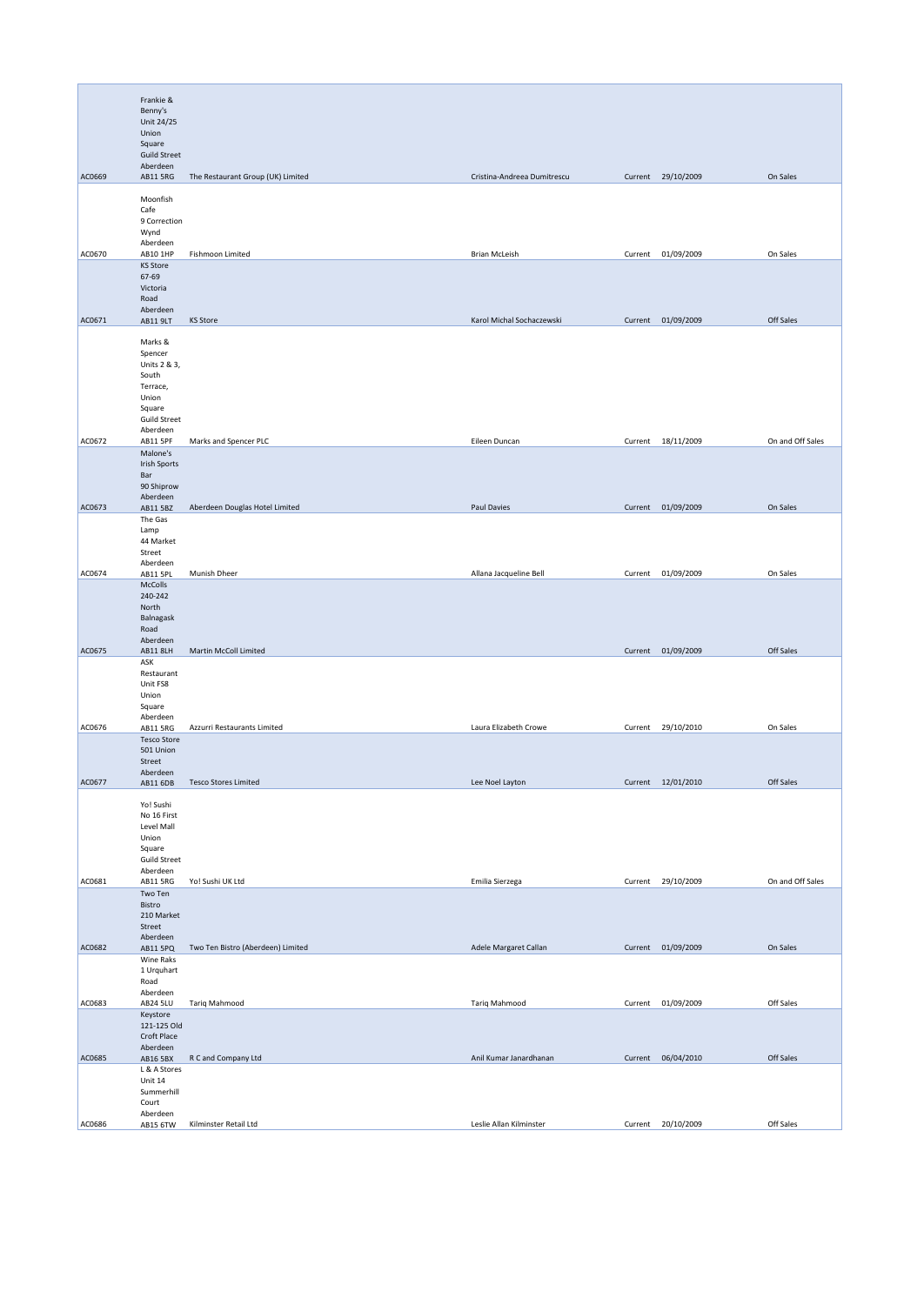|        | Frankie &<br>Benny's<br>Unit 24/25<br>Union<br>Square<br><b>Guild Street</b><br>Aberdeen                      |                                   |                             |         |                    |                  |
|--------|---------------------------------------------------------------------------------------------------------------|-----------------------------------|-----------------------------|---------|--------------------|------------------|
| AC0669 | AB11 5RG                                                                                                      | The Restaurant Group (UK) Limited | Cristina-Andreea Dumitrescu |         | Current 29/10/2009 | On Sales         |
| AC0670 | Moonfish<br>Cafe<br>9 Correction<br>Wynd<br>Aberdeen<br>AB10 1HP                                              | Fishmoon Limited                  | <b>Brian McLeish</b>        |         | Current 01/09/2009 | On Sales         |
|        | <b>KS Store</b><br>67-69<br>Victoria<br>Road<br>Aberdeen                                                      |                                   |                             |         |                    |                  |
| AC0671 | AB11 9LT                                                                                                      | <b>KS Store</b>                   | Karol Michal Sochaczewski   |         | Current 01/09/2009 | Off Sales        |
|        | Marks &<br>Spencer<br>Units 2 & 3,<br>South<br>Terrace,<br>Union<br>Square<br><b>Guild Street</b><br>Aberdeen |                                   |                             |         |                    |                  |
| AC0672 | AB11 5PF                                                                                                      | Marks and Spencer PLC             | Eileen Duncan               |         | Current 18/11/2009 | On and Off Sales |
|        | Malone's<br><b>Irish Sports</b><br>Bar<br>90 Shiprow<br>Aberdeen                                              |                                   |                             |         |                    |                  |
| AC0673 | AB11 5BZ                                                                                                      | Aberdeen Douglas Hotel Limited    | Paul Davies                 |         | Current 01/09/2009 | On Sales         |
|        | The Gas<br>Lamp<br>44 Market<br>Street<br>Aberdeen                                                            |                                   |                             |         |                    |                  |
| AC0674 | AB11 5PL                                                                                                      | Munish Dheer                      | Allana Jacqueline Bell      |         | Current 01/09/2009 | On Sales         |
|        | McColls<br>240-242<br>North<br>Balnagask<br>Road<br>Aberdeen                                                  |                                   |                             |         |                    |                  |
| AC0675 | AB11 8LH                                                                                                      | Martin McColl Limited             |                             |         | Current 01/09/2009 | Off Sales        |
|        | ASK<br>Restaurant<br>Unit FS8<br>Union<br>Square<br>Aberdeen                                                  |                                   |                             |         |                    |                  |
| AC0676 | AB11 5RG                                                                                                      | Azzurri Restaurants Limited       | Laura Elizabeth Crowe       |         | Current 29/10/2010 | On Sales         |
|        | <b>Tesco Store</b><br>501 Union<br>Street<br>Aberdeen                                                         |                                   |                             |         |                    |                  |
| AC0677 | AB11 6DB                                                                                                      | <b>Tesco Stores Limited</b>       | Lee Noel Layton             |         | Current 12/01/2010 | Off Sales        |
|        | Yo! Sushi<br>No 16 First<br>Level Mall<br>Union<br>Square<br><b>Guild Street</b><br>Aberdeen                  |                                   |                             |         |                    |                  |
| AC0681 | AB11 5RG<br>Two Ten                                                                                           | Yo! Sushi UK Ltd                  | Emilia Sierzega             |         | Current 29/10/2009 | On and Off Sales |
|        | Bistro<br>210 Market<br>Street<br>Aberdeen                                                                    |                                   |                             |         |                    |                  |
| AC0682 | AB11 5PQ                                                                                                      | Two Ten Bistro (Aberdeen) Limited | Adele Margaret Callan       |         | Current 01/09/2009 | On Sales         |
|        | Wine Raks<br>1 Urquhart<br>Road<br>Aberdeen                                                                   |                                   |                             |         |                    |                  |
| AC0683 | <b>AB24 5LU</b><br>Keystore                                                                                   | Tariq Mahmood                     | Tariq Mahmood               | Current | 01/09/2009         | Off Sales        |
|        | 121-125 Old<br>Croft Place<br>Aberdeen                                                                        |                                   |                             |         |                    |                  |
| AC0685 | AB16 5BX<br>L & A Stores                                                                                      | R C and Company Ltd               | Anil Kumar Janardhanan      |         | Current 06/04/2010 | Off Sales        |
|        | Unit 14<br>Summerhill<br>Court<br>Aberdeen                                                                    |                                   |                             |         |                    |                  |
| AC0686 | AB15 6TW                                                                                                      | Kilminster Retail Ltd             | Leslie Allan Kilminster     | Current | 20/10/2009         | Off Sales        |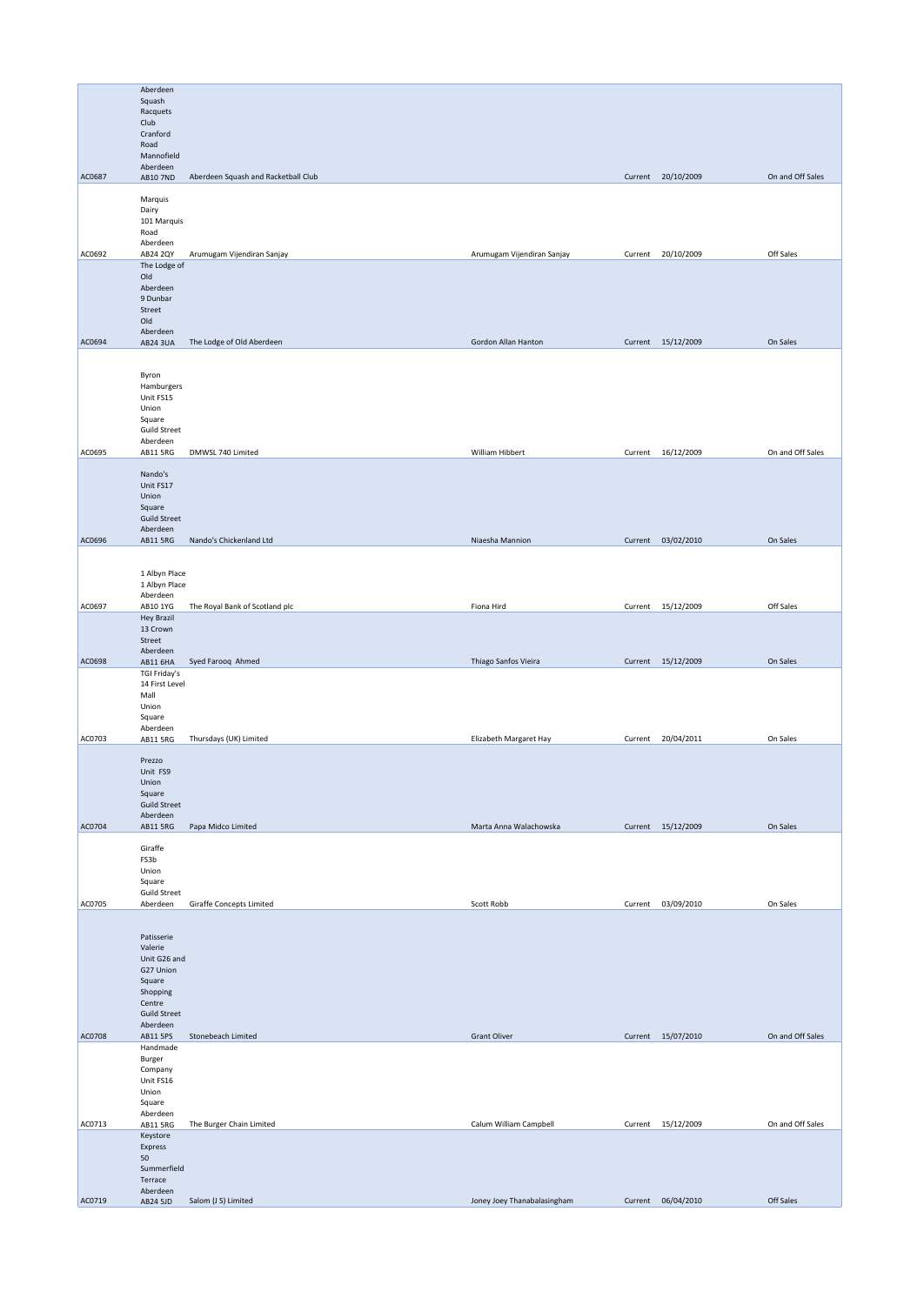|        | Aberdeen                        |                                     |                             |                    |                  |
|--------|---------------------------------|-------------------------------------|-----------------------------|--------------------|------------------|
|        | Squash                          |                                     |                             |                    |                  |
|        | Racquets                        |                                     |                             |                    |                  |
|        | Club<br>Cranford                |                                     |                             |                    |                  |
|        | Road                            |                                     |                             |                    |                  |
|        | Mannofield                      |                                     |                             |                    |                  |
|        | Aberdeen                        |                                     |                             |                    |                  |
| AC0687 | AB10 7ND                        | Aberdeen Squash and Racketball Club |                             | Current 20/10/2009 | On and Off Sales |
|        | Marquis                         |                                     |                             |                    |                  |
|        | Dairy                           |                                     |                             |                    |                  |
|        | 101 Marquis                     |                                     |                             |                    |                  |
|        | Road                            |                                     |                             |                    |                  |
| AC0692 | Aberdeen<br>AB24 2QY            | Arumugam Vijendiran Sanjay          | Arumugam Vijendiran Sanjay  | Current 20/10/2009 | Off Sales        |
|        | The Lodge of                    |                                     |                             |                    |                  |
|        | Old                             |                                     |                             |                    |                  |
|        | Aberdeen                        |                                     |                             |                    |                  |
|        | 9 Dunbar                        |                                     |                             |                    |                  |
|        | Street<br>Old                   |                                     |                             |                    |                  |
|        | Aberdeen                        |                                     |                             |                    |                  |
| AC0694 | <b>AB24 3UA</b>                 | The Lodge of Old Aberdeen           | Gordon Allan Hanton         | Current 15/12/2009 | On Sales         |
|        |                                 |                                     |                             |                    |                  |
|        |                                 |                                     |                             |                    |                  |
|        | Byron<br>Hamburgers             |                                     |                             |                    |                  |
|        | Unit FS15                       |                                     |                             |                    |                  |
|        | Union                           |                                     |                             |                    |                  |
|        | Square                          |                                     |                             |                    |                  |
|        | <b>Guild Street</b>             |                                     |                             |                    |                  |
|        | Aberdeen                        |                                     | William Hibbert             |                    | On and Off Sales |
| AC0695 | AB11 5RG                        | DMWSL 740 Limited                   |                             | Current 16/12/2009 |                  |
|        | Nando's                         |                                     |                             |                    |                  |
|        | Unit FS17                       |                                     |                             |                    |                  |
|        | Union                           |                                     |                             |                    |                  |
|        | Square                          |                                     |                             |                    |                  |
|        | <b>Guild Street</b><br>Aberdeen |                                     |                             |                    |                  |
| AC0696 | AB11 5RG                        | Nando's Chickenland Ltd             | Niaesha Mannion             | Current 03/02/2010 | On Sales         |
|        |                                 |                                     |                             |                    |                  |
|        |                                 |                                     |                             |                    |                  |
|        | 1 Albyn Place                   |                                     |                             |                    |                  |
|        | 1 Albyn Place<br>Aberdeen       |                                     |                             |                    |                  |
| AC0697 | AB10 1YG                        | The Royal Bank of Scotland plc      | Fiona Hird                  | Current 15/12/2009 | Off Sales        |
|        | <b>Hey Brazil</b>               |                                     |                             |                    |                  |
|        | 13 Crown                        |                                     |                             |                    |                  |
|        | Street                          |                                     |                             |                    |                  |
|        | Aberdeen                        |                                     |                             |                    |                  |
| AC0698 | AB11 6HA                        | Syed Farooq Ahmed                   | Thiago Sanfos Vieira        | Current 15/12/2009 | On Sales         |
|        | TGI Friday's<br>14 First Level  |                                     |                             |                    |                  |
|        | Mall                            |                                     |                             |                    |                  |
|        | Union                           |                                     |                             |                    |                  |
|        | Square                          |                                     |                             |                    |                  |
|        | Aberdeen                        |                                     |                             |                    |                  |
| AC0703 | AB11 5RG                        | Thursdays (UK) Limited              | Elizabeth Margaret Hay      | Current 20/04/2011 | On Sales         |
|        | Prezzo                          |                                     |                             |                    |                  |
|        | Unit FS9                        |                                     |                             |                    |                  |
|        | Union                           |                                     |                             |                    |                  |
|        | Square                          |                                     |                             |                    |                  |
|        | <b>Guild Street</b>             |                                     |                             |                    |                  |
| AC0704 | Aberdeen<br>AB11 5RG            | Papa Midco Limited                  | Marta Anna Walachowska      | Current 15/12/2009 | On Sales         |
|        |                                 |                                     |                             |                    |                  |
|        | Giraffe                         |                                     |                             |                    |                  |
|        | FS3b                            |                                     |                             |                    |                  |
|        | Union                           |                                     |                             |                    |                  |
|        | Square                          |                                     |                             |                    |                  |
| AC0705 | <b>Guild Street</b><br>Aberdeen | Giraffe Concepts Limited            | Scott Robb                  | Current 03/09/2010 | On Sales         |
|        |                                 |                                     |                             |                    |                  |
|        |                                 |                                     |                             |                    |                  |
|        | Patisserie                      |                                     |                             |                    |                  |
|        | Valerie                         |                                     |                             |                    |                  |
|        | Unit G26 and                    |                                     |                             |                    |                  |
|        | G27 Union<br>Square             |                                     |                             |                    |                  |
|        | Shopping                        |                                     |                             |                    |                  |
|        | Centre                          |                                     |                             |                    |                  |
|        | <b>Guild Street</b>             |                                     |                             |                    |                  |
|        | Aberdeen                        |                                     |                             |                    |                  |
| AC0708 | AB11 5PS                        | Stonebeach Limited                  | <b>Grant Oliver</b>         | Current 15/07/2010 | On and Off Sales |
|        | Handmade<br>Burger              |                                     |                             |                    |                  |
|        | Company                         |                                     |                             |                    |                  |
|        | Unit FS16                       |                                     |                             |                    |                  |
|        | Union                           |                                     |                             |                    |                  |
|        | Square                          |                                     |                             |                    |                  |
|        | Aberdeen                        |                                     |                             |                    |                  |
| AC0713 | AB11 5RG<br>Keystore            | The Burger Chain Limited            | Calum William Campbell      | Current 15/12/2009 | On and Off Sales |
|        | Express                         |                                     |                             |                    |                  |
|        | 50                              |                                     |                             |                    |                  |
|        | Summerfield                     |                                     |                             |                    |                  |
|        | Terrace                         |                                     |                             |                    |                  |
| AC0719 | Aberdeen                        |                                     |                             | Current 06/04/2010 | Off Sales        |
|        | AB24 5JD                        | Salom (J S) Limited                 | Joney Joey Thanabalasingham |                    |                  |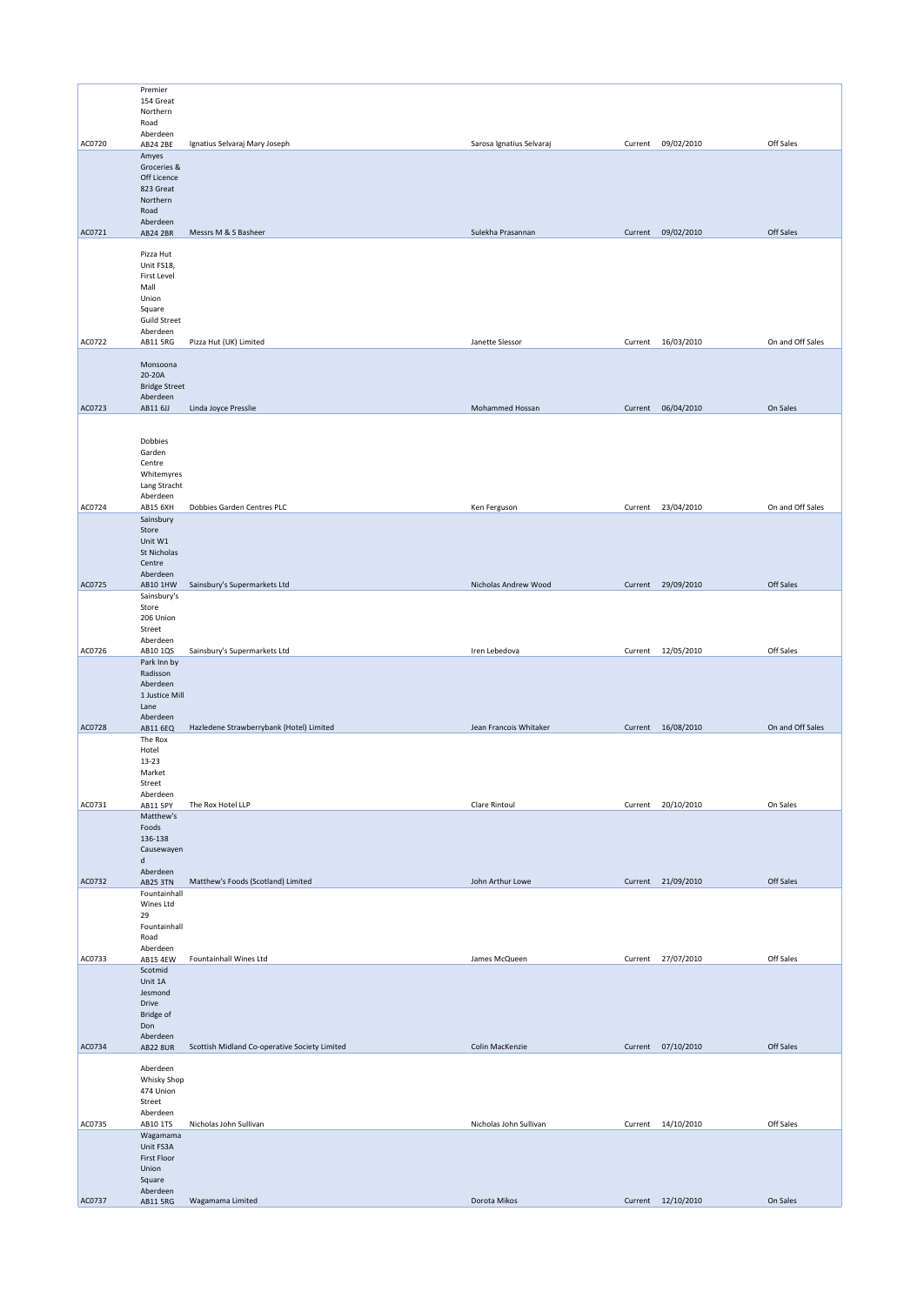|        | Premier                                                                                              |                                               |                          |         |                    |                  |
|--------|------------------------------------------------------------------------------------------------------|-----------------------------------------------|--------------------------|---------|--------------------|------------------|
|        | 154 Great<br>Northern                                                                                |                                               |                          |         |                    |                  |
| AC0720 | Road<br>Aberdeen<br>AB24 2BE                                                                         | Ignatius Selvaraj Mary Joseph                 | Sarosa Ignatius Selvaraj | Current | 09/02/2010         | Off Sales        |
|        | Amyes                                                                                                |                                               |                          |         |                    |                  |
|        | Groceries &<br>Off Licence<br>823 Great<br>Northern<br>Road                                          |                                               |                          |         |                    |                  |
| AC0721 | Aberdeen<br><b>AB24 2BR</b>                                                                          | Messrs M & S Basheer                          | Sulekha Prasannan        |         | Current 09/02/2010 | Off Sales        |
|        |                                                                                                      |                                               |                          |         |                    |                  |
|        | Pizza Hut<br>Unit FS18,<br>First Level<br>Mall<br>Union<br>Square<br><b>Guild Street</b><br>Aberdeen |                                               |                          |         |                    |                  |
| AC0722 | AB11 5RG                                                                                             | Pizza Hut (UK) Limited                        | Janette Slessor          |         | Current 16/03/2010 | On and Off Sales |
|        | Monsoona<br>20-20A<br><b>Bridge Street</b><br>Aberdeen                                               |                                               |                          |         |                    |                  |
| AC0723 | AB11 6JJ                                                                                             | Linda Joyce Presslie                          | Mohammed Hossan          |         | Current 06/04/2010 | On Sales         |
|        | Dobbies<br>Garden<br>Centre<br>Whitemyres<br>Lang Stracht<br>Aberdeen                                |                                               |                          |         |                    |                  |
| AC0724 | AB15 6XH                                                                                             | Dobbies Garden Centres PLC                    | Ken Ferguson             |         | Current 23/04/2010 | On and Off Sales |
|        | Sainsbury<br>Store<br>Unit W1<br>St Nicholas<br>Centre<br>Aberdeen                                   |                                               |                          |         |                    |                  |
| AC0725 | AB10 1HW                                                                                             | Sainsbury's Supermarkets Ltd                  | Nicholas Andrew Wood     |         | Current 29/09/2010 | Off Sales        |
|        | Sainsbury's<br>Store<br>206 Union<br>Street<br>Aberdeen                                              |                                               |                          |         |                    |                  |
| AC0726 | AB10 1QS                                                                                             | Sainsbury's Supermarkets Ltd                  | Iren Lebedova            |         | Current 12/05/2010 | Off Sales        |
|        | Park Inn by<br>Radisson<br>Aberdeen<br>1 Justice Mill<br>Lane<br>Aberdeen                            |                                               |                          |         |                    |                  |
| AC0728 | AB11 6EQ                                                                                             | Hazledene Strawberrybank (Hotel) Limited      | Jean Francois Whitaker   |         | Current 16/08/2010 | On and Off Sales |
|        | The Rox<br>Hotel<br>13-23<br>Market<br>Street<br>Aberdeen                                            |                                               |                          |         |                    |                  |
| AC0731 | AB11 5PY                                                                                             | The Rox Hotel LLP                             | Clare Rintoul            |         | Current 20/10/2010 | On Sales         |
|        | Matthew's<br>Foods<br>136-138<br>Causewayen<br>d<br>Aberdeen                                         |                                               |                          |         |                    |                  |
| AC0732 | <b>AB25 3TN</b><br>Fountainhall                                                                      | Matthew's Foods (Scotland) Limited            | John Arthur Lowe         |         | Current 21/09/2010 | Off Sales        |
|        | Wines Ltd<br>29<br>Fountainhall<br>Road<br>Aberdeen                                                  |                                               |                          |         |                    |                  |
| AC0733 | AB15 4EW                                                                                             | Fountainhall Wines Ltd                        | James McQueen            |         | Current 27/07/2010 | Off Sales        |
|        | Scotmid<br>Unit 1A<br>Jesmond<br>Drive<br><b>Bridge of</b><br>Don<br>Aberdeen                        |                                               |                          |         |                    |                  |
| AC0734 | <b>AB22 8UR</b>                                                                                      | Scottish Midland Co-operative Society Limited | Colin MacKenzie          |         | Current 07/10/2010 | Off Sales        |
|        | Aberdeen<br>Whisky Shop<br>474 Union<br>Street<br>Aberdeen                                           |                                               |                          |         |                    |                  |
| AC0735 | AB10 1TS                                                                                             | Nicholas John Sullivan                        | Nicholas John Sullivan   |         | Current 14/10/2010 | Off Sales        |
|        | Wagamama<br>Unit FS3A<br>First Floor                                                                 |                                               |                          |         |                    |                  |
|        | Union<br>Square<br>Aberdeen                                                                          |                                               |                          |         |                    |                  |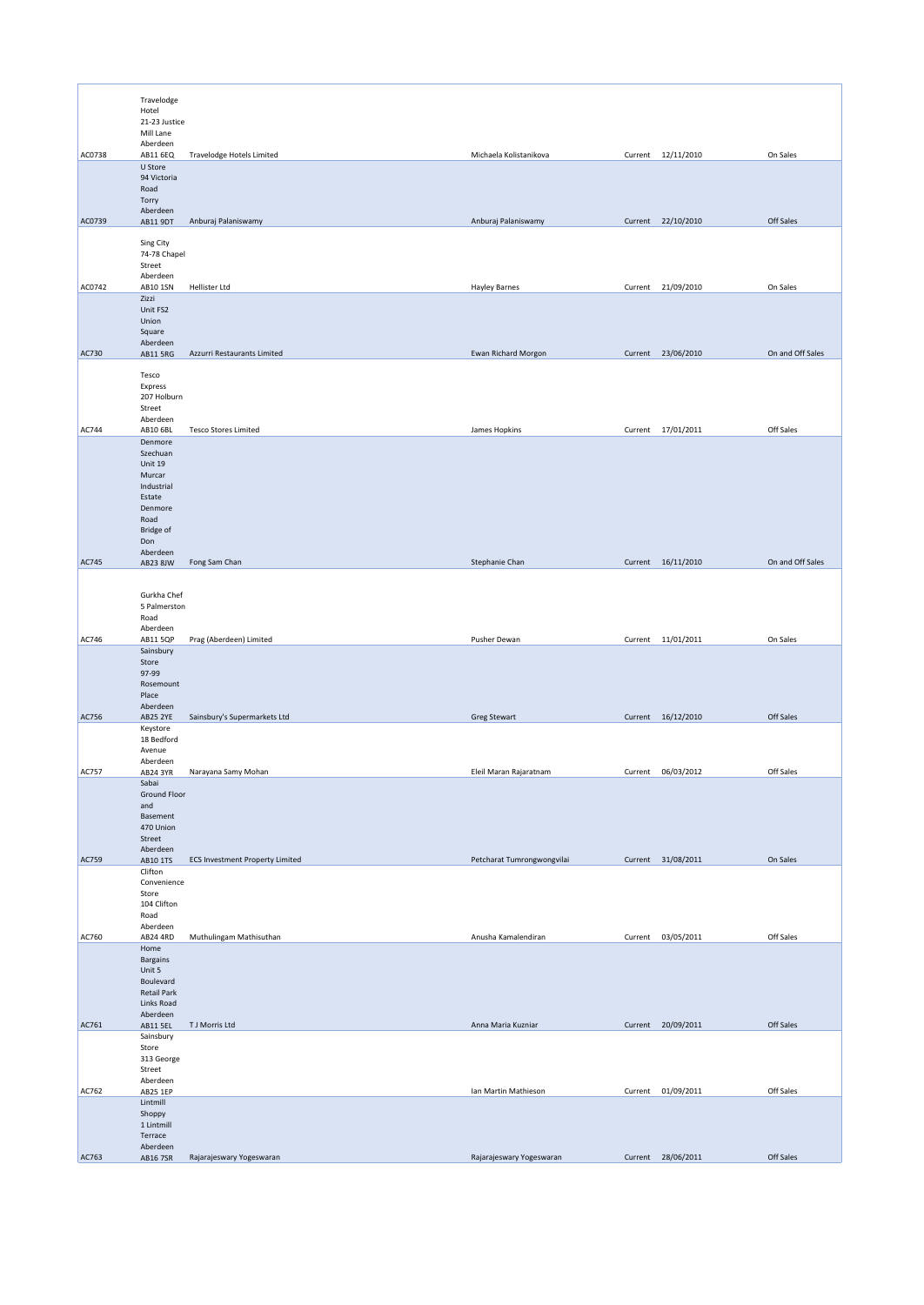|              | Travelodge<br>Hotel                                                                                     |                                        |                            |         |                    |                  |
|--------------|---------------------------------------------------------------------------------------------------------|----------------------------------------|----------------------------|---------|--------------------|------------------|
|              | 21-23 Justice<br>Mill Lane                                                                              |                                        |                            |         |                    |                  |
| AC0738       | Aberdeen<br>AB11 6EQ                                                                                    | Travelodge Hotels Limited              | Michaela Kolistanikova     |         | Current 12/11/2010 | On Sales         |
|              | U Store<br>94 Victoria<br>Road<br>Torry                                                                 |                                        |                            |         |                    |                  |
| AC0739       | Aberdeen<br>AB11 9DT                                                                                    | Anburaj Palaniswamy                    | Anburaj Palaniswamy        |         | Current 22/10/2010 | Off Sales        |
|              | Sing City<br>74-78 Chapel<br>Street                                                                     |                                        |                            |         |                    |                  |
|              | Aberdeen                                                                                                | <b>Hellister Ltd</b>                   |                            |         |                    |                  |
| AC0742       | AB10 1SN<br>Zizzi<br>Unit FS2<br>Union<br>Square                                                        |                                        | <b>Hayley Barnes</b>       | Current | 21/09/2010         | On Sales         |
|              | Aberdeen                                                                                                |                                        |                            |         |                    | On and Off Sales |
| AC730        | AB11 5RG<br>Tesco<br>Express<br>207 Holburn<br>Street<br>Aberdeen                                       | Azzurri Restaurants Limited            | Ewan Richard Morgon        |         | Current 23/06/2010 |                  |
| <b>AC744</b> | AB10 6BL                                                                                                | <b>Tesco Stores Limited</b>            | James Hopkins              |         | Current 17/01/2011 | Off Sales        |
|              | Denmore<br>Szechuan<br>Unit 19<br>Murcar<br>Industrial<br>Estate<br>Denmore<br>Road<br>Bridge of<br>Don |                                        |                            |         |                    |                  |
| AC745        | Aberdeen<br>AB23 8JW                                                                                    | Fong Sam Chan                          | Stephanie Chan             |         | Current 16/11/2010 | On and Off Sales |
|              | Gurkha Chef<br>5 Palmerston<br>Road<br>Aberdeen                                                         |                                        |                            |         |                    |                  |
| AC746        | <b>AB11 5QP</b>                                                                                         | Prag (Aberdeen) Limited                | Pusher Dewan               |         | Current 11/01/2011 | On Sales         |
|              | Sainsbury<br>Store<br>97-99<br>Rosemount<br>Place<br>Aberdeen                                           |                                        |                            |         |                    |                  |
| AC756        | <b>AB25 2YE</b>                                                                                         | Sainsbury's Supermarkets Ltd           | <b>Greg Stewart</b>        |         | Current 16/12/2010 | Off Sales        |
|              | Keystore<br>18 Bedford<br>Avenue<br>Aberdeen                                                            |                                        |                            |         |                    |                  |
| AC757        | AB24 3YR                                                                                                | Narayana Samy Mohan                    | Eleil Maran Rajaratnam     |         | Current 06/03/2012 | Off Sales        |
|              | Sabai<br>Ground Floor<br>and<br>Basement<br>470 Union<br>Street<br>Aberdeen                             |                                        |                            |         |                    |                  |
| AC759        | AB10 1TS                                                                                                | <b>ECS Investment Property Limited</b> | Petcharat Tumrongwongvilai |         | Current 31/08/2011 | On Sales         |
|              | Clifton<br>Convenience<br>Store<br>104 Clifton<br>Road<br>Aberdeen                                      |                                        |                            |         |                    |                  |
| AC760        | AB24 4RD                                                                                                | Muthulingam Mathisuthan                | Anusha Kamalendiran        | Current | 03/05/2011         | Off Sales        |
|              | Home<br>Bargains<br>Unit 5<br>Boulevard<br><b>Retail Park</b><br>Links Road<br>Aberdeen                 |                                        |                            |         |                    |                  |
| AC761        | AB11 5EL                                                                                                | T J Morris Ltd                         | Anna Maria Kuzniar         |         | Current 20/09/2011 | Off Sales        |
|              | Sainsbury<br>Store<br>313 George<br>Street                                                              |                                        |                            |         |                    |                  |
| AC762        | Aberdeen<br>AB25 1EP                                                                                    |                                        | Ian Martin Mathieson       |         | Current 01/09/2011 | Off Sales        |
|              | Lintmill<br>Shoppy<br>1 Lintmill<br>Terrace                                                             |                                        |                            |         |                    |                  |
|              | Aberdeen                                                                                                |                                        |                            |         |                    |                  |
| AC763        | AB16 7SR                                                                                                | Rajarajeswary Yogeswaran               | Rajarajeswary Yogeswaran   |         | Current 28/06/2011 | Off Sales        |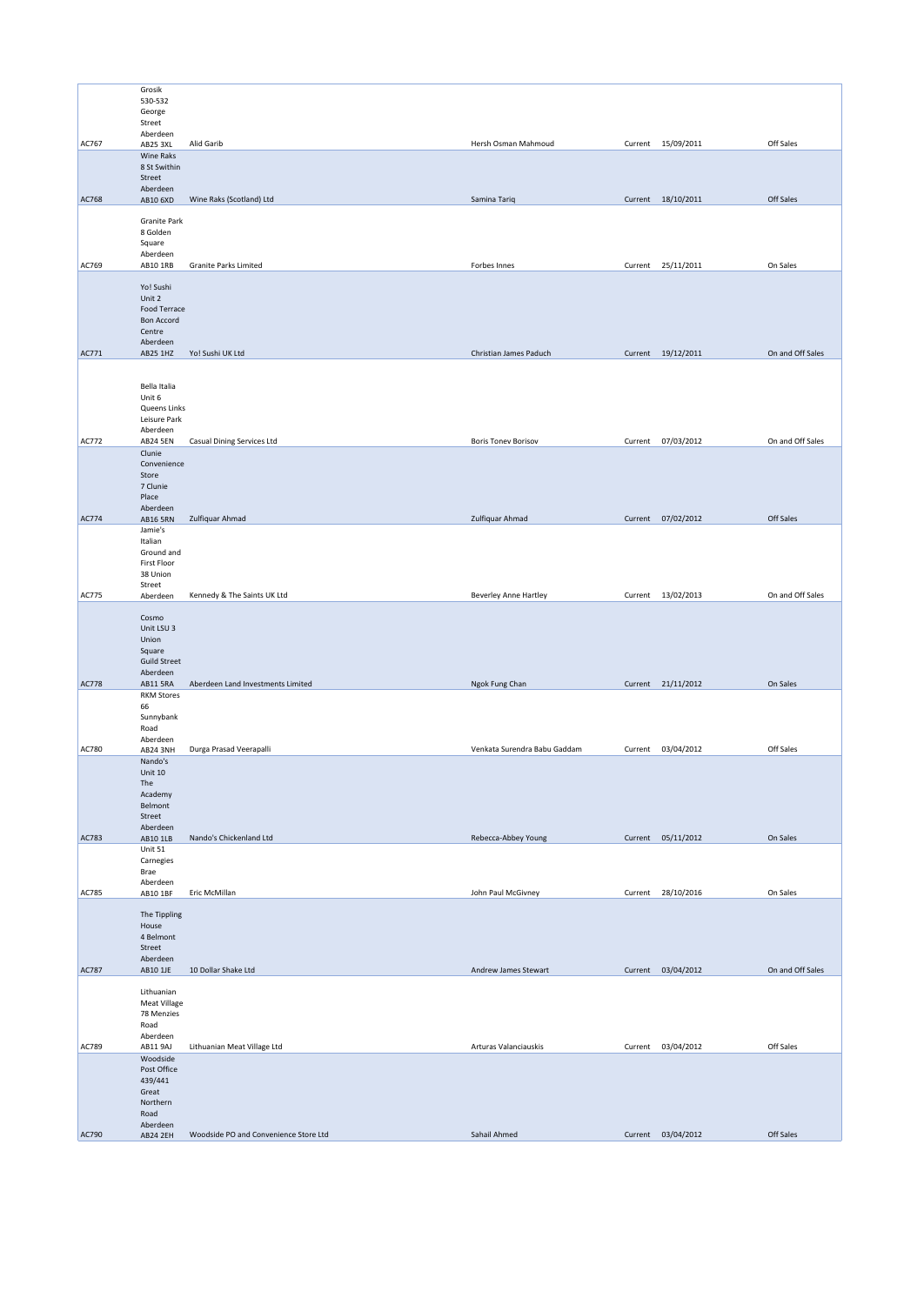|              | Grosik                        |                                       |                              |         |                    |                  |
|--------------|-------------------------------|---------------------------------------|------------------------------|---------|--------------------|------------------|
|              | 530-532                       |                                       |                              |         |                    |                  |
|              | George<br>Street              |                                       |                              |         |                    |                  |
|              | Aberdeen                      |                                       |                              |         |                    |                  |
| AC767        | AB25 3XL<br>Wine Raks         | Alid Garib                            | Hersh Osman Mahmoud          |         | Current 15/09/2011 | Off Sales        |
|              | 8 St Swithin                  |                                       |                              |         |                    |                  |
|              | Street<br>Aberdeen            |                                       |                              |         |                    |                  |
| AC768        | AB10 6XD                      | Wine Raks (Scotland) Ltd              | Samina Tariq                 |         | Current 18/10/2011 | Off Sales        |
|              |                               |                                       |                              |         |                    |                  |
|              | Granite Park<br>8 Golden      |                                       |                              |         |                    |                  |
|              | Square                        |                                       |                              |         |                    |                  |
| AC769        | Aberdeen<br>AB10 1RB          | <b>Granite Parks Limited</b>          | Forbes Innes                 |         |                    | On Sales         |
|              |                               |                                       |                              |         | Current 25/11/2011 |                  |
|              | Yo! Sushi                     |                                       |                              |         |                    |                  |
|              | Unit 2<br>Food Terrace        |                                       |                              |         |                    |                  |
|              | <b>Bon Accord</b>             |                                       |                              |         |                    |                  |
|              | Centre<br>Aberdeen            |                                       |                              |         |                    |                  |
| AC771        | AB25 1HZ                      | Yo! Sushi UK Ltd                      | Christian James Paduch       |         | Current 19/12/2011 | On and Off Sales |
|              |                               |                                       |                              |         |                    |                  |
|              | Bella Italia                  |                                       |                              |         |                    |                  |
|              | Unit 6                        |                                       |                              |         |                    |                  |
|              | Queens Links<br>Leisure Park  |                                       |                              |         |                    |                  |
|              | Aberdeen                      |                                       |                              |         |                    |                  |
| AC772        | <b>AB24 5EN</b>               | <b>Casual Dining Services Ltd</b>     | <b>Boris Tonev Borisov</b>   |         | Current 07/03/2012 | On and Off Sales |
|              | Clunie<br>Convenience         |                                       |                              |         |                    |                  |
|              | Store                         |                                       |                              |         |                    |                  |
|              | 7 Clunie                      |                                       |                              |         |                    |                  |
|              | Place<br>Aberdeen             |                                       |                              |         |                    |                  |
| AC774        | <b>AB16 5RN</b>               | Zulfiquar Ahmad                       | Zulfiquar Ahmad              |         | Current 07/02/2012 | Off Sales        |
|              | Jamie's<br>Italian            |                                       |                              |         |                    |                  |
|              | Ground and                    |                                       |                              |         |                    |                  |
|              | First Floor                   |                                       |                              |         |                    |                  |
|              | 38 Union<br>Street            |                                       |                              |         |                    |                  |
| <b>AC775</b> | Aberdeen                      | Kennedy & The Saints UK Ltd           | Beverley Anne Hartley        |         | Current 13/02/2013 | On and Off Sales |
|              | Cosmo                         |                                       |                              |         |                    |                  |
|              | Unit LSU 3                    |                                       |                              |         |                    |                  |
|              | Union<br>Square               |                                       |                              |         |                    |                  |
|              | <b>Guild Street</b>           |                                       |                              |         |                    |                  |
|              | Aberdeen                      |                                       |                              |         |                    |                  |
| <b>AC778</b> | AB11 5RA<br><b>RKM Stores</b> | Aberdeen Land Investments Limited     | Ngok Fung Chan               |         | Current 21/11/2012 | On Sales         |
|              | 66                            |                                       |                              |         |                    |                  |
|              | Sunnybank<br>Road             |                                       |                              |         |                    |                  |
|              | Aberdeen                      |                                       |                              |         |                    |                  |
| AC780        | AB24 3NH                      | Durga Prasad Veerapalli               | Venkata Surendra Babu Gaddam |         | Current 03/04/2012 | Off Sales        |
|              | Nando's<br>Unit 10            |                                       |                              |         |                    |                  |
|              | The                           |                                       |                              |         |                    |                  |
|              | Academy<br>Belmont            |                                       |                              |         |                    |                  |
|              | Street                        |                                       |                              |         |                    |                  |
| AC783        | Aberdeen<br>AB10 1LB          | Nando's Chickenland Ltd               | Rebecca-Abbey Young          |         | Current 05/11/2012 | On Sales         |
|              | Unit 51                       |                                       |                              |         |                    |                  |
|              | Carnegies                     |                                       |                              |         |                    |                  |
|              | Brae<br>Aberdeen              |                                       |                              |         |                    |                  |
| AC785        | AB10 1BF                      | Eric McMillan                         | John Paul McGivney           |         | Current 28/10/2016 | On Sales         |
|              | The Tippling                  |                                       |                              |         |                    |                  |
|              | House                         |                                       |                              |         |                    |                  |
|              | 4 Belmont<br>Street           |                                       |                              |         |                    |                  |
|              | Aberdeen                      |                                       |                              |         |                    |                  |
| AC787        | AB10 1JE                      | 10 Dollar Shake Ltd                   | Andrew James Stewart         |         | Current 03/04/2012 | On and Off Sales |
|              | Lithuanian                    |                                       |                              |         |                    |                  |
|              | Meat Village                  |                                       |                              |         |                    |                  |
|              | 78 Menzies<br>Road            |                                       |                              |         |                    |                  |
|              | Aberdeen                      |                                       |                              |         |                    |                  |
| AC789        | AB11 9AJ                      | Lithuanian Meat Village Ltd           | Arturas Valanciauskis        | Current | 03/04/2012         | Off Sales        |
|              | Woodside<br>Post Office       |                                       |                              |         |                    |                  |
|              | 439/441                       |                                       |                              |         |                    |                  |
|              | Great<br>Northern             |                                       |                              |         |                    |                  |
|              | Road                          |                                       |                              |         |                    |                  |
| AC790        | Aberdeen<br><b>AB24 2EH</b>   | Woodside PO and Convenience Store Ltd | Sahail Ahmed                 |         | Current 03/04/2012 | Off Sales        |
|              |                               |                                       |                              |         |                    |                  |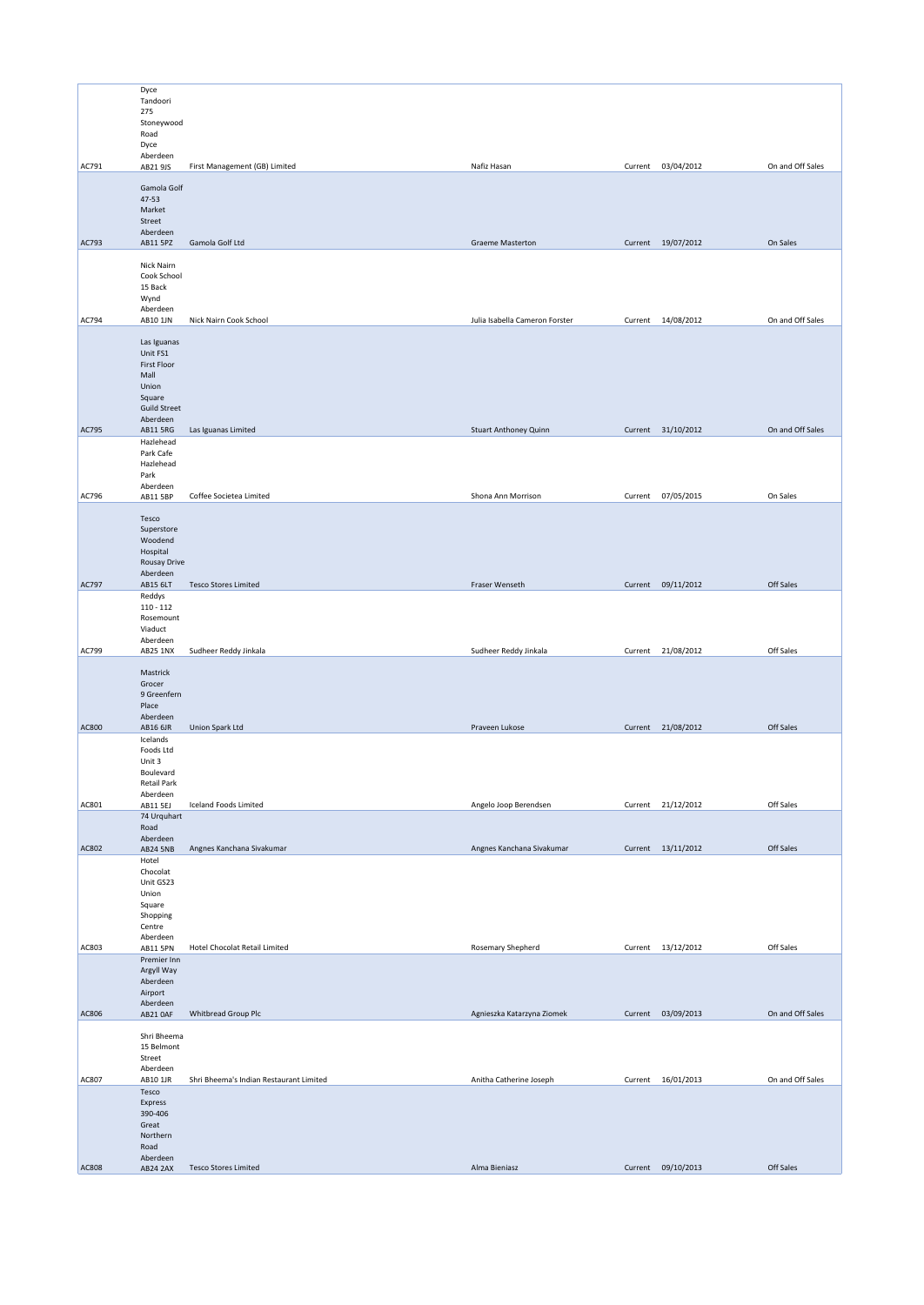|              | Dyce                        |                                         |                                |         |                    |                  |
|--------------|-----------------------------|-----------------------------------------|--------------------------------|---------|--------------------|------------------|
|              | Tandoori                    |                                         |                                |         |                    |                  |
|              | 275                         |                                         |                                |         |                    |                  |
|              | Stoneywood                  |                                         |                                |         |                    |                  |
|              | Road                        |                                         |                                |         |                    |                  |
|              | Dyce                        |                                         |                                |         |                    |                  |
|              | Aberdeen                    |                                         |                                |         |                    |                  |
| AC791        | AB21 9JS                    | First Management (GB) Limited           | Nafiz Hasan                    |         | Current 03/04/2012 | On and Off Sales |
|              |                             |                                         |                                |         |                    |                  |
|              | Gamola Golf                 |                                         |                                |         |                    |                  |
|              | 47-53                       |                                         |                                |         |                    |                  |
|              | Market                      |                                         |                                |         |                    |                  |
|              | Street                      |                                         |                                |         |                    |                  |
|              | Aberdeen                    |                                         |                                |         |                    |                  |
| AC793        | AB11 5PZ                    | Gamola Golf Ltd                         | <b>Graeme Masterton</b>        |         | Current 19/07/2012 | On Sales         |
|              |                             |                                         |                                |         |                    |                  |
|              | Nick Nairn                  |                                         |                                |         |                    |                  |
|              | Cook School                 |                                         |                                |         |                    |                  |
|              | 15 Back                     |                                         |                                |         |                    |                  |
|              | Wynd                        |                                         |                                |         |                    |                  |
|              | Aberdeen                    |                                         |                                |         |                    |                  |
| AC794        | AB10 1JN                    | Nick Nairn Cook School                  | Julia Isabella Cameron Forster |         | Current 14/08/2012 | On and Off Sales |
|              |                             |                                         |                                |         |                    |                  |
|              | Las Iguanas                 |                                         |                                |         |                    |                  |
|              | Unit FS1                    |                                         |                                |         |                    |                  |
|              | First Floor<br>Mall         |                                         |                                |         |                    |                  |
|              | Union                       |                                         |                                |         |                    |                  |
|              | Square                      |                                         |                                |         |                    |                  |
|              | <b>Guild Street</b>         |                                         |                                |         |                    |                  |
|              | Aberdeen                    |                                         |                                |         |                    |                  |
| AC795        | AB11 5RG                    | Las Iguanas Limited                     | <b>Stuart Anthoney Quinn</b>   |         | Current 31/10/2012 | On and Off Sales |
|              | Hazlehead                   |                                         |                                |         |                    |                  |
|              | Park Cafe                   |                                         |                                |         |                    |                  |
|              | Hazlehead                   |                                         |                                |         |                    |                  |
|              | Park                        |                                         |                                |         |                    |                  |
|              | Aberdeen                    |                                         |                                |         |                    |                  |
| AC796        | AB11 5BP                    | Coffee Societea Limited                 | Shona Ann Morrison             |         | Current 07/05/2015 | On Sales         |
|              |                             |                                         |                                |         |                    |                  |
|              | Tesco                       |                                         |                                |         |                    |                  |
|              | Superstore                  |                                         |                                |         |                    |                  |
|              | Woodend                     |                                         |                                |         |                    |                  |
|              | Hospital                    |                                         |                                |         |                    |                  |
|              | Rousay Drive                |                                         |                                |         |                    |                  |
|              | Aberdeen                    |                                         |                                |         |                    |                  |
| AC797        | AB15 6LT                    | <b>Tesco Stores Limited</b>             | Fraser Wenseth                 |         | Current 09/11/2012 | Off Sales        |
|              | Reddys                      |                                         |                                |         |                    |                  |
|              | $110 - 112$                 |                                         |                                |         |                    |                  |
|              | Rosemount                   |                                         |                                |         |                    |                  |
|              | Viaduct                     |                                         |                                |         |                    |                  |
|              | Aberdeen                    |                                         |                                |         |                    |                  |
| AC799        | <b>AB25 1NX</b>             | Sudheer Reddy Jinkala                   | Sudheer Reddy Jinkala          |         | Current 21/08/2012 | Off Sales        |
|              |                             |                                         |                                |         |                    |                  |
|              | Mastrick                    |                                         |                                |         |                    |                  |
|              | Grocer<br>9 Greenfern       |                                         |                                |         |                    |                  |
|              | Place                       |                                         |                                |         |                    |                  |
|              | Aberdeen                    |                                         |                                |         |                    |                  |
| <b>AC800</b> | AB16 6JR                    | Union Spark Ltd                         | Praveen Lukose                 |         | Current 21/08/2012 | Off Sales        |
|              | Icelands                    |                                         |                                |         |                    |                  |
|              | Foods Ltd                   |                                         |                                |         |                    |                  |
|              | Unit 3                      |                                         |                                |         |                    |                  |
|              | Boulevard                   |                                         |                                |         |                    |                  |
|              | Retail Park                 |                                         |                                |         |                    |                  |
|              | Aberdeen                    |                                         |                                |         |                    |                  |
| AC801        | AB11 5EJ                    | Iceland Foods Limited                   | Angelo Joop Berendsen          | Current | 21/12/2012         | Off Sales        |
|              | 74 Urquhart                 |                                         |                                |         |                    |                  |
|              | Road                        |                                         |                                |         |                    |                  |
|              | Aberdeen                    |                                         |                                |         |                    |                  |
| AC802        | <b>AB24 5NB</b>             | Angnes Kanchana Sivakumar               | Angnes Kanchana Sivakumar      |         | Current 13/11/2012 | Off Sales        |
|              | Hotel                       |                                         |                                |         |                    |                  |
|              | Chocolat                    |                                         |                                |         |                    |                  |
|              | Unit GS23                   |                                         |                                |         |                    |                  |
|              | Union                       |                                         |                                |         |                    |                  |
|              | Square                      |                                         |                                |         |                    |                  |
|              | Shopping                    |                                         |                                |         |                    |                  |
|              | Centre                      |                                         |                                |         |                    |                  |
|              | Aberdeen                    |                                         |                                |         |                    |                  |
| AC803        | AB11 5PN                    | <b>Hotel Chocolat Retail Limited</b>    | Rosemary Shepherd              |         | Current 13/12/2012 | Off Sales        |
|              | Premier Inn<br>Argyll Way   |                                         |                                |         |                    |                  |
|              | Aberdeen                    |                                         |                                |         |                    |                  |
|              | Airport                     |                                         |                                |         |                    |                  |
|              | Aberdeen                    |                                         |                                |         |                    |                  |
| AC806        | AB21 OAF                    | Whitbread Group Plc                     | Agnieszka Katarzyna Ziomek     |         | Current 03/09/2013 | On and Off Sales |
|              |                             |                                         |                                |         |                    |                  |
|              | Shri Bheema                 |                                         |                                |         |                    |                  |
|              | 15 Belmont                  |                                         |                                |         |                    |                  |
|              | Street                      |                                         |                                |         |                    |                  |
|              | Aberdeen                    |                                         |                                |         |                    |                  |
| AC807        | AB10 1JR                    | Shri Bheema's Indian Restaurant Limited | Anitha Catherine Joseph        |         | Current 16/01/2013 | On and Off Sales |
|              | Tesco                       |                                         |                                |         |                    |                  |
|              | Express                     |                                         |                                |         |                    |                  |
|              | 390-406                     |                                         |                                |         |                    |                  |
|              | Great                       |                                         |                                |         |                    |                  |
|              |                             |                                         |                                |         |                    |                  |
|              | Northern                    |                                         |                                |         |                    |                  |
|              | Road                        |                                         |                                |         |                    |                  |
| <b>AC808</b> | Aberdeen<br><b>AB24 2AX</b> | <b>Tesco Stores Limited</b>             | Alma Bieniasz                  |         | Current 09/10/2013 | Off Sales        |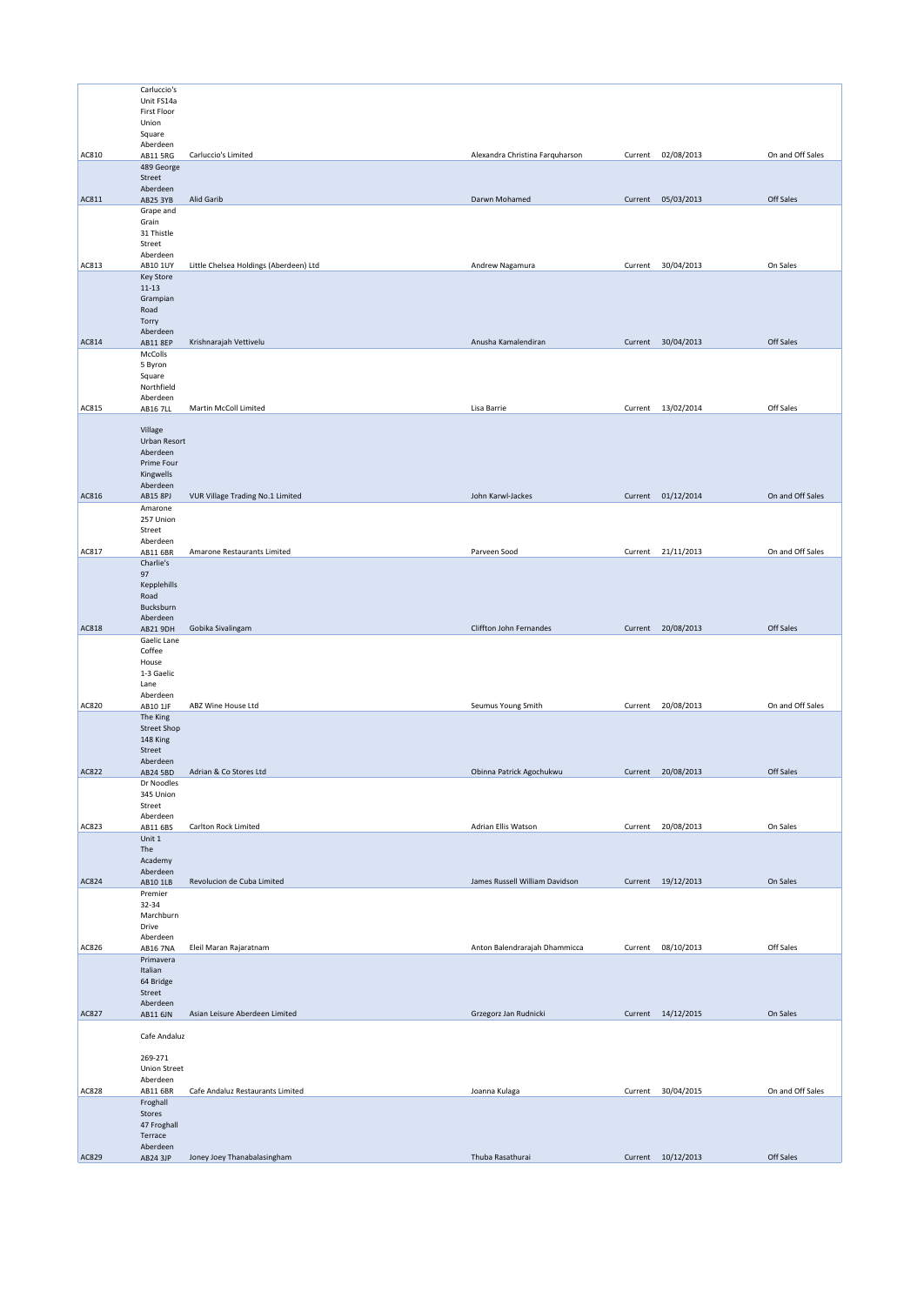|              | Carluccio's          |                                        |                                 |                    |                    |                  |
|--------------|----------------------|----------------------------------------|---------------------------------|--------------------|--------------------|------------------|
|              | Unit FS14a           |                                        |                                 |                    |                    |                  |
|              | First Floor          |                                        |                                 |                    |                    |                  |
|              | Union                |                                        |                                 |                    |                    |                  |
|              |                      |                                        |                                 |                    |                    |                  |
|              | Square               |                                        |                                 |                    |                    |                  |
| AC810        | Aberdeen<br>AB11 5RG | Carluccio's Limited                    | Alexandra Christina Farquharson | Current            | 02/08/2013         | On and Off Sales |
|              | 489 George           |                                        |                                 |                    |                    |                  |
|              |                      |                                        |                                 |                    |                    |                  |
|              | Street               |                                        |                                 |                    |                    |                  |
|              | Aberdeen             |                                        |                                 |                    |                    |                  |
| AC811        | AB25 3YB             | Alid Garib                             | Darwn Mohamed                   |                    | Current 05/03/2013 | Off Sales        |
|              | Grape and            |                                        |                                 |                    |                    |                  |
|              | Grain                |                                        |                                 |                    |                    |                  |
|              | 31 Thistle           |                                        |                                 |                    |                    |                  |
|              | Street               |                                        |                                 |                    |                    |                  |
|              | Aberdeen             |                                        |                                 |                    |                    |                  |
| AC813        | AB10 1UY             | Little Chelsea Holdings (Aberdeen) Ltd | Andrew Nagamura                 |                    | Current 30/04/2013 | On Sales         |
|              | Key Store            |                                        |                                 |                    |                    |                  |
|              | $11 - 13$            |                                        |                                 |                    |                    |                  |
|              | Grampian             |                                        |                                 |                    |                    |                  |
|              | Road                 |                                        |                                 |                    |                    |                  |
|              | Torry                |                                        |                                 |                    |                    |                  |
|              | Aberdeen             |                                        |                                 |                    |                    |                  |
| AC814        | AB11 8EP             | Krishnarajah Vettivelu                 | Anusha Kamalendiran             |                    | Current 30/04/2013 | Off Sales        |
|              | McColls              |                                        |                                 |                    |                    |                  |
|              | 5 Byron              |                                        |                                 |                    |                    |                  |
|              | Square               |                                        |                                 |                    |                    |                  |
|              | Northfield           |                                        |                                 |                    |                    |                  |
|              | Aberdeen             |                                        |                                 |                    |                    |                  |
| AC815        | <b>AB16 7LL</b>      | Martin McColl Limited                  | Lisa Barrie                     | Current            | 13/02/2014         | Off Sales        |
|              |                      |                                        |                                 |                    |                    |                  |
|              | Village              |                                        |                                 |                    |                    |                  |
|              | Urban Resort         |                                        |                                 |                    |                    |                  |
|              | Aberdeen             |                                        |                                 |                    |                    |                  |
|              |                      |                                        |                                 |                    |                    |                  |
|              | Prime Four           |                                        |                                 |                    |                    |                  |
|              | Kingwells            |                                        |                                 |                    |                    |                  |
|              | Aberdeen             |                                        |                                 |                    |                    |                  |
| AC816        | <b>AB15 8PJ</b>      | VUR Village Trading No.1 Limited       | John Karwl-Jackes               |                    | Current 01/12/2014 | On and Off Sales |
|              | Amarone              |                                        |                                 |                    |                    |                  |
|              | 257 Union            |                                        |                                 |                    |                    |                  |
|              | Street               |                                        |                                 |                    |                    |                  |
|              | Aberdeen             |                                        |                                 |                    |                    |                  |
| AC817        | AB11 6BR             | Amarone Restaurants Limited            | Parveen Sood                    |                    | Current 21/11/2013 | On and Off Sales |
|              | Charlie's            |                                        |                                 |                    |                    |                  |
|              | 97                   |                                        |                                 |                    |                    |                  |
|              | Kepplehills          |                                        |                                 |                    |                    |                  |
|              | Road                 |                                        |                                 |                    |                    |                  |
|              | Bucksburn            |                                        |                                 |                    |                    |                  |
|              | Aberdeen             |                                        |                                 |                    |                    |                  |
| AC818        | AB21 9DH             | Gobika Sivalingam                      | Cliffton John Fernandes         |                    | Current 20/08/2013 | Off Sales        |
|              | Gaelic Lane          |                                        |                                 |                    |                    |                  |
|              | Coffee               |                                        |                                 |                    |                    |                  |
|              | House                |                                        |                                 |                    |                    |                  |
|              | 1-3 Gaelic           |                                        |                                 |                    |                    |                  |
|              |                      |                                        |                                 |                    |                    |                  |
|              | Lane                 |                                        |                                 |                    |                    |                  |
|              | Aberdeen             |                                        |                                 |                    |                    |                  |
| AC820        | AB10 1JF             | ABZ Wine House Ltd                     | Seumus Young Smith              |                    | Current 20/08/2013 | On and Off Sales |
|              | The King             |                                        |                                 |                    |                    |                  |
|              | <b>Street Shop</b>   |                                        |                                 |                    |                    |                  |
|              | 148 King             |                                        |                                 |                    |                    |                  |
|              | Street               |                                        |                                 |                    |                    |                  |
|              | Aberdeen             |                                        |                                 |                    |                    |                  |
| <b>AC822</b> | AB24 5BD             | Adrian & Co Stores Ltd                 | Obinna Patrick Agochukwu        |                    |                    | Off Sales        |
|              | Dr Noodles           |                                        |                                 | Current 20/08/2013 |                    |                  |
|              | 345 Union            |                                        |                                 |                    |                    |                  |
|              |                      |                                        |                                 |                    |                    |                  |
|              | Street               |                                        |                                 |                    |                    |                  |
| AC823        | Aberdeen             |                                        |                                 |                    |                    |                  |
|              | AB11 6BS             | Carlton Rock Limited                   | Adrian Ellis Watson             |                    | Current 20/08/2013 | On Sales         |
|              | Unit 1               |                                        |                                 |                    |                    |                  |
|              |                      |                                        |                                 |                    |                    |                  |
|              | The                  |                                        |                                 |                    |                    |                  |
|              | Academy              |                                        |                                 |                    |                    |                  |
|              | Aberdeen             |                                        | James Russell William Davidson  |                    |                    |                  |
| AC824        | AB10 1LB             | Revolucion de Cuba Limited             |                                 |                    | Current 19/12/2013 | On Sales         |
|              | Premier              |                                        |                                 |                    |                    |                  |
|              | 32-34                |                                        |                                 |                    |                    |                  |
|              | Marchburn            |                                        |                                 |                    |                    |                  |
|              | Drive                |                                        |                                 |                    |                    |                  |
|              | Aberdeen             |                                        |                                 |                    |                    |                  |
| AC826        | <b>AB16 7NA</b>      | Eleil Maran Rajaratnam                 | Anton Balendrarajah Dhammicca   |                    | Current 08/10/2013 | Off Sales        |
|              | Primavera            |                                        |                                 |                    |                    |                  |
|              | Italian              |                                        |                                 |                    |                    |                  |
|              | 64 Bridge            |                                        |                                 |                    |                    |                  |
|              | Street               |                                        |                                 |                    |                    |                  |
|              | Aberdeen             |                                        |                                 |                    |                    |                  |
| <b>AC827</b> | AB11 6JN             | Asian Leisure Aberdeen Limited         | Grzegorz Jan Rudnicki           |                    | Current 14/12/2015 | On Sales         |
|              |                      |                                        |                                 |                    |                    |                  |
|              | Cafe Andaluz         |                                        |                                 |                    |                    |                  |
|              |                      |                                        |                                 |                    |                    |                  |
|              | 269-271              |                                        |                                 |                    |                    |                  |
|              | Union Street         |                                        |                                 |                    |                    |                  |
|              |                      |                                        |                                 |                    |                    |                  |
|              | Aberdeen             |                                        |                                 |                    |                    |                  |
| AC828        | AB11 6BR             | Cafe Andaluz Restaurants Limited       | Joanna Kulaga                   |                    | Current 30/04/2015 | On and Off Sales |
|              | Froghall             |                                        |                                 |                    |                    |                  |
|              | Stores               |                                        |                                 |                    |                    |                  |
|              | 47 Froghall          |                                        |                                 |                    |                    |                  |
|              | Terrace              |                                        |                                 |                    |                    |                  |
| AC829        | Aberdeen<br>AB24 3JP | Joney Joey Thanabalasingham            | Thuba Rasathurai                |                    | Current 10/12/2013 | Off Sales        |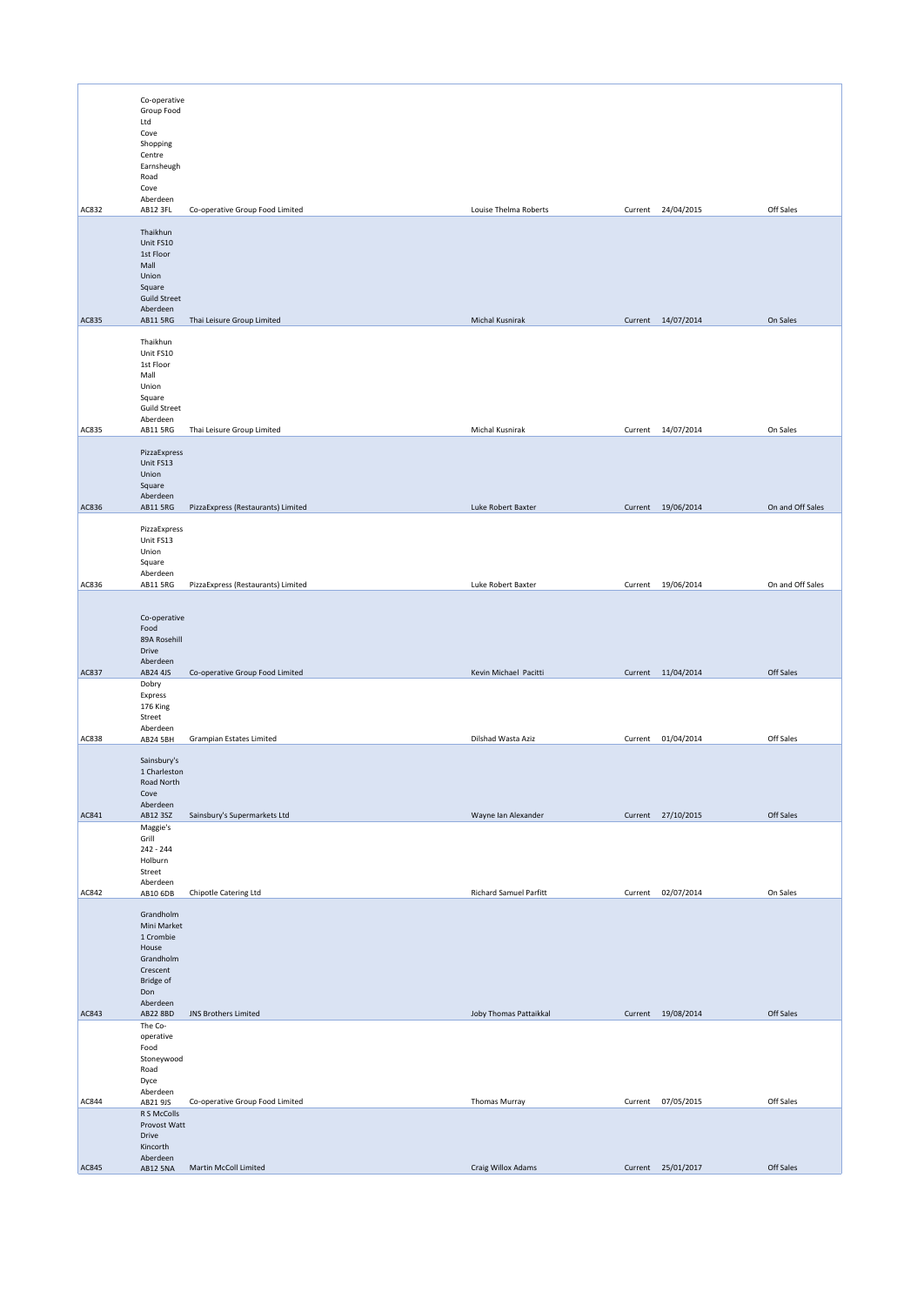|       | Co-operative<br>Group Food<br>Ltd<br>Cove<br>Shopping<br>Centre<br>Earnsheugh<br>Road<br>Cove                |                                    |                               |                    |                  |
|-------|--------------------------------------------------------------------------------------------------------------|------------------------------------|-------------------------------|--------------------|------------------|
| AC832 | Aberdeen<br>AB12 3FL                                                                                         | Co-operative Group Food Limited    | Louise Thelma Roberts         | Current 24/04/2015 | Off Sales        |
| AC835 | Thaikhun<br>Unit FS10<br>1st Floor<br>Mall<br>Union<br>Square<br><b>Guild Street</b><br>Aberdeen<br>AB11 5RG | Thai Leisure Group Limited         | Michal Kusnirak               | Current 14/07/2014 | On Sales         |
|       | Thaikhun<br>Unit FS10<br>1st Floor                                                                           |                                    |                               |                    |                  |
|       | Mall<br>Union<br>Square<br><b>Guild Street</b><br>Aberdeen                                                   |                                    |                               |                    |                  |
| AC835 | AB11 5RG                                                                                                     | Thai Leisure Group Limited         | Michal Kusnirak               | Current 14/07/2014 | On Sales         |
|       | PizzaExpress<br>Unit FS13<br>Union<br>Square<br>Aberdeen                                                     |                                    |                               |                    |                  |
| AC836 | AB11 5RG                                                                                                     | PizzaExpress (Restaurants) Limited | Luke Robert Baxter            | Current 19/06/2014 | On and Off Sales |
|       | PizzaExpress<br>Unit FS13<br>Union<br>Square<br>Aberdeen                                                     |                                    |                               |                    |                  |
| AC836 | AB11 5RG                                                                                                     | PizzaExpress (Restaurants) Limited | Luke Robert Baxter            | Current 19/06/2014 | On and Off Sales |
|       | Co-operative<br>Food<br>89A Rosehill<br>Drive<br>Aberdeen                                                    |                                    |                               |                    |                  |
| AC837 | AB24 4JS<br>Dobry                                                                                            | Co-operative Group Food Limited    | Kevin Michael Pacitti         | Current 11/04/2014 | Off Sales        |
|       | Express<br>176 King<br>Street<br>Aberdeen                                                                    |                                    |                               |                    |                  |
| AC838 | AB24 5BH                                                                                                     | Grampian Estates Limited           | Dilshad Wasta Aziz            | Current 01/04/2014 | Off Sales        |
| AC841 | Sainsbury's<br>1 Charleston<br>Road North<br>Cove<br>Aberdeen<br>AB12 3SZ                                    | Sainsbury's Supermarkets Ltd       | Wayne Ian Alexander           | Current 27/10/2015 | Off Sales        |
|       | Maggie's<br>Grill<br>242 - 244<br>Holburn<br>Street<br>Aberdeen                                              |                                    |                               |                    |                  |
| AC842 | AB10 6DB                                                                                                     | Chipotle Catering Ltd              | <b>Richard Samuel Parfitt</b> | Current 02/07/2014 | On Sales         |
|       | Grandholm<br>Mini Market<br>1 Crombie<br>House<br>Grandholm<br>Crescent<br>Bridge of<br>Don<br>Aberdeen      |                                    |                               |                    |                  |
| AC843 | AB22 8BD                                                                                                     | <b>JNS Brothers Limited</b>        | Joby Thomas Pattaikkal        | Current 19/08/2014 | Off Sales        |
|       | The Co-<br>operative<br>Food<br>Stoneywood<br>Road<br>Dyce                                                   |                                    |                               |                    |                  |
| AC844 | Aberdeen<br>AB21 9JS                                                                                         | Co-operative Group Food Limited    | Thomas Murray                 | Current 07/05/2015 | Off Sales        |
|       | R S McColls<br>Provost Watt<br>Drive<br>Kincorth<br>Aberdeen                                                 |                                    |                               |                    |                  |
| AC845 | <b>AB12 5NA</b>                                                                                              | Martin McColl Limited              | Craig Willox Adams            | Current 25/01/2017 | Off Sales        |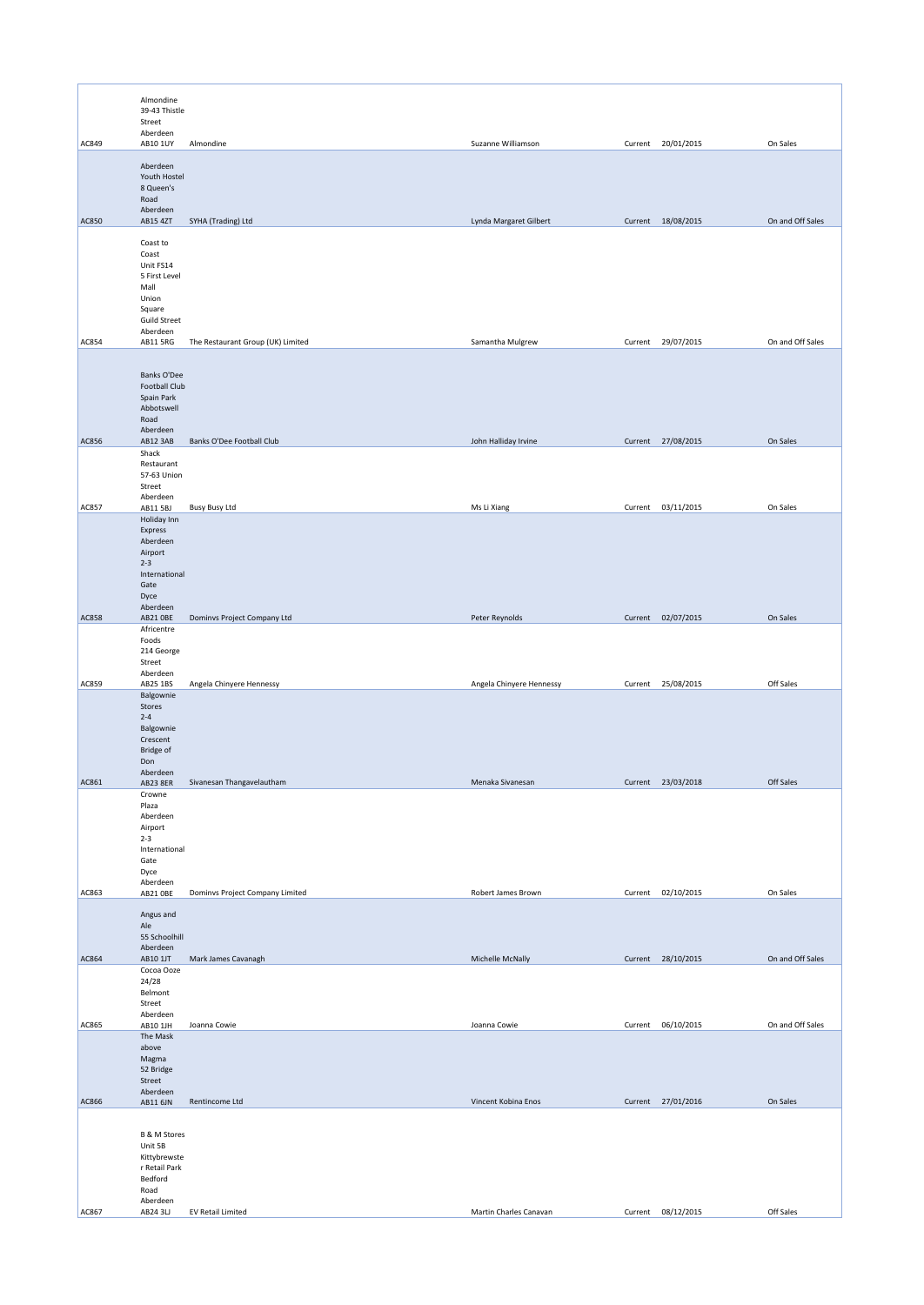|              | Almondine<br>39-43 Thistle<br>Street<br>Aberdeen                                                              |                                   |                          |         |                    |                  |
|--------------|---------------------------------------------------------------------------------------------------------------|-----------------------------------|--------------------------|---------|--------------------|------------------|
| AC849        | AB10 1UY                                                                                                      | Almondine                         | Suzanne Williamson       |         | Current 20/01/2015 | On Sales         |
|              | Aberdeen<br>Youth Hostel<br>8 Queen's<br>Road<br>Aberdeen                                                     |                                   |                          |         |                    |                  |
| AC850        | AB15 4ZT                                                                                                      | SYHA (Trading) Ltd                | Lynda Margaret Gilbert   |         | Current 18/08/2015 | On and Off Sales |
|              | Coast to<br>Coast<br>Unit FS14<br>5 First Level<br>Mall<br>Union<br>Square<br><b>Guild Street</b><br>Aberdeen |                                   |                          |         |                    |                  |
| AC854        | AB11 5RG                                                                                                      | The Restaurant Group (UK) Limited | Samantha Mulgrew         | Current | 29/07/2015         | On and Off Sales |
| AC856        | Banks O'Dee<br>Football Club<br>Spain Park<br>Abbotswell<br>Road<br>Aberdeen<br>AB12 3AB                      | Banks O'Dee Football Club         | John Halliday Irvine     |         | Current 27/08/2015 | On Sales         |
|              | Shack                                                                                                         |                                   |                          |         |                    |                  |
|              | Restaurant<br>57-63 Union<br>Street<br>Aberdeen                                                               |                                   |                          |         |                    |                  |
| AC857        | AB11 5BJ                                                                                                      | <b>Busy Busy Ltd</b>              | Ms Li Xiang              |         | Current 03/11/2015 | On Sales         |
|              | Holiday Inn<br>Express<br>Aberdeen<br>Airport<br>$2 - 3$<br>International<br>Gate<br>Dyce<br>Aberdeen         |                                   |                          |         |                    |                  |
| <b>AC858</b> | AB21 OBE                                                                                                      | Dominvs Project Company Ltd       | Peter Reynolds           |         | Current 02/07/2015 | On Sales         |
|              | Africentre<br>Foods<br>214 George<br>Street<br>Aberdeen                                                       |                                   |                          |         |                    |                  |
| AC859        | AB25 1BS<br>Balgownie<br>Stores<br>$2 - 4$<br>Balgownie<br>Crescent<br><b>Bridge of</b><br>Don                | Angela Chinyere Hennessy          | Angela Chinyere Hennessy |         | Current 25/08/2015 | Off Sales        |
| AC861        | Aberdeen<br>AB23 8ER                                                                                          | Sivanesan Thangavelautham         | Menaka Sivanesan         | Current | 23/03/2018         | Off Sales        |
|              | Crowne<br>Plaza<br>Aberdeen<br>Airport<br>$2 - 3$<br>International<br>Gate<br>Dyce<br>Aberdeen                |                                   |                          |         |                    |                  |
| AC863        | AB21 OBE                                                                                                      | Dominvs Project Company Limited   | Robert James Brown       |         | Current 02/10/2015 | On Sales         |
|              | Angus and<br>Ale<br>55 Schoolhill<br>Aberdeen                                                                 |                                   |                          |         |                    |                  |
| AC864        | AB10 1JT<br>Cocoa Ooze                                                                                        | Mark James Cavanagh               | Michelle McNally         |         | Current 28/10/2015 | On and Off Sales |
|              | 24/28<br>Belmont<br>Street<br>Aberdeen                                                                        |                                   |                          |         |                    |                  |
| AC865        | AB10 1JH                                                                                                      | Joanna Cowie                      | Joanna Cowie             |         | Current 06/10/2015 | On and Off Sales |
|              | The Mask<br>above<br>Magma<br>52 Bridge<br>Street<br>Aberdeen                                                 |                                   |                          |         |                    |                  |
| AC866        | AB11 6JN                                                                                                      | Rentincome Ltd                    | Vincent Kobina Enos      |         | Current 27/01/2016 | On Sales         |
| AC867        | B & M Stores<br>Unit 5B<br>Kittybrewste<br>r Retail Park<br>Bedford<br>Road<br>Aberdeen<br>AB24 3LJ           | EV Retail Limited                 | Martin Charles Canavan   |         | Current 08/12/2015 | Off Sales        |
|              |                                                                                                               |                                   |                          |         |                    |                  |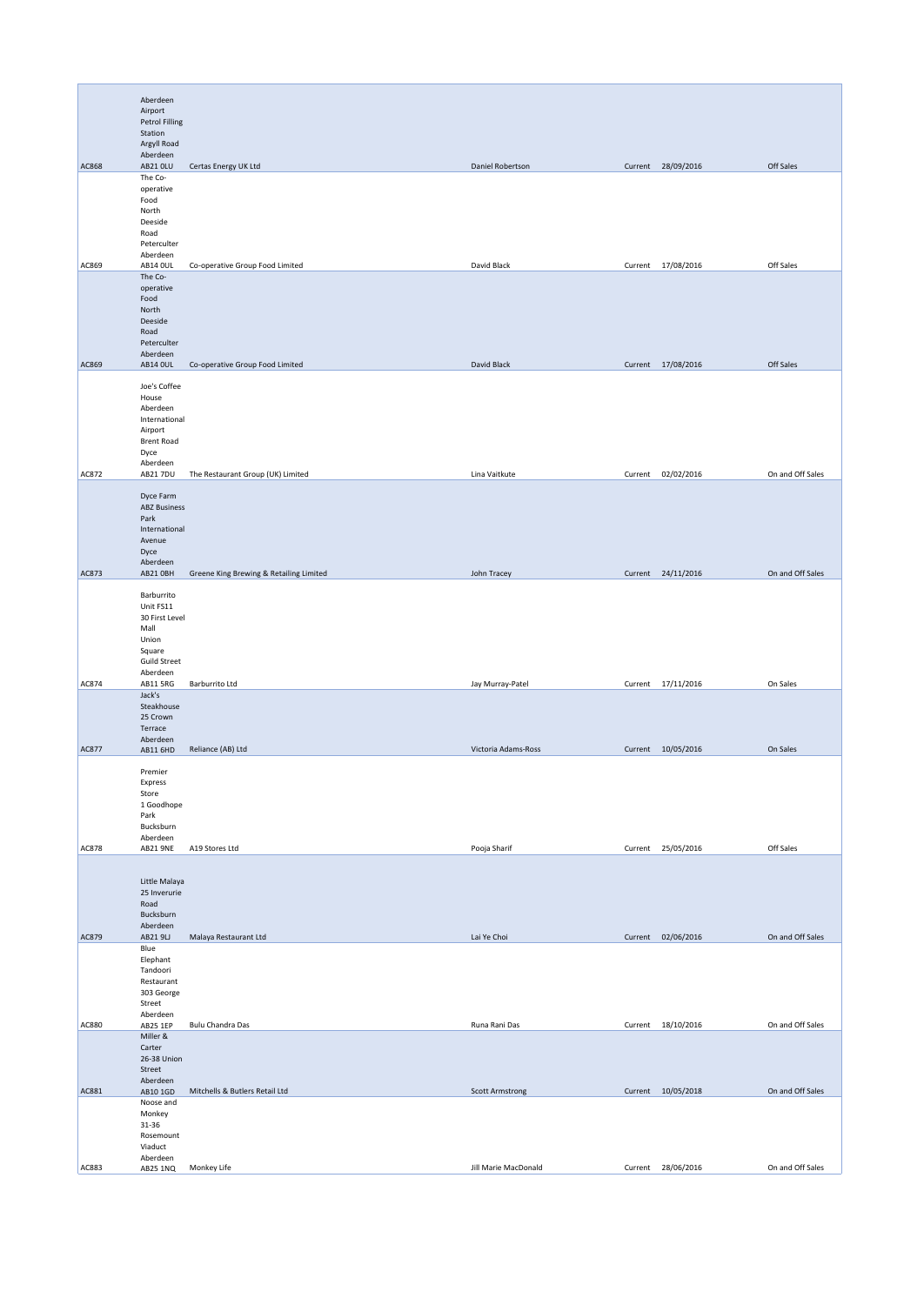|              | Aberdeen<br>Airport<br>Petrol Filling<br>Station<br>Argyll Road                                         |                                         |                        |                    |                  |
|--------------|---------------------------------------------------------------------------------------------------------|-----------------------------------------|------------------------|--------------------|------------------|
|              | Aberdeen                                                                                                |                                         |                        |                    |                  |
| AC868        | AB21 OLU<br>The Co-<br>operative<br>Food<br>North<br>Deeside<br>Road<br>Peterculter                     | Certas Energy UK Ltd                    | Daniel Robertson       | Current 28/09/2016 | Off Sales        |
| AC869        | Aberdeen<br><b>AB14 OUL</b>                                                                             | Co-operative Group Food Limited         | David Black            | Current 17/08/2016 | Off Sales        |
| AC869        | The Co-<br>operative<br>Food<br>North<br>Deeside<br>Road<br>Peterculter<br>Aberdeen<br><b>AB14 OUL</b>  | Co-operative Group Food Limited         | David Black            | Current 17/08/2016 | Off Sales        |
|              |                                                                                                         |                                         |                        |                    |                  |
|              | Joe's Coffee<br>House<br>Aberdeen<br>International<br>Airport<br><b>Brent Road</b><br>Dyce<br>Aberdeen  |                                         |                        |                    |                  |
| AC872        | AB21 7DU                                                                                                | The Restaurant Group (UK) Limited       | Lina Vaitkute          | Current 02/02/2016 | On and Off Sales |
|              | Dyce Farm<br><b>ABZ Business</b><br>Park<br>International<br>Avenue<br>Dyce<br>Aberdeen                 |                                         |                        |                    |                  |
| AC873        | AB21 OBH                                                                                                | Greene King Brewing & Retailing Limited | John Tracey            | Current 24/11/2016 | On and Off Sales |
|              | Barburrito<br>Unit FS11<br>30 First Level<br>Mall<br>Union<br>Square<br><b>Guild Street</b><br>Aberdeen |                                         |                        |                    |                  |
| AC874        | AB11 5RG                                                                                                | Barburrito Ltd                          | Jay Murray-Patel       | Current 17/11/2016 | On Sales         |
| AC877        | Jack's<br>Steakhouse<br>25 Crown<br>Terrace<br>Aberdeen<br>AB11 6HD                                     | Reliance (AB) Ltd                       | Victoria Adams-Ross    | Current 10/05/2016 | On Sales         |
|              |                                                                                                         |                                         |                        |                    |                  |
|              | Premier<br>Express<br>Store<br>1 Goodhope<br>Park<br>Bucksburn<br>Aberdeen                              |                                         |                        |                    |                  |
| <b>AC878</b> | AB21 9NE                                                                                                | A19 Stores Ltd                          | Pooja Sharif           | Current 25/05/2016 | Off Sales        |
|              | Little Malaya<br>25 Inverurie<br>Road<br>Bucksburn<br>Aberdeen                                          |                                         |                        |                    |                  |
| AC879        | AB219LJ                                                                                                 | Malaya Restaurant Ltd                   | Lai Ye Choi            | Current 02/06/2016 | On and Off Sales |
|              | Blue<br>Elephant<br>Tandoori<br>Restaurant<br>303 George<br>Street<br>Aberdeen                          |                                         |                        |                    |                  |
| AC880        | AB25 1EP                                                                                                | Bulu Chandra Das                        | Runa Rani Das          | Current 18/10/2016 | On and Off Sales |
|              | Miller &<br>Carter<br>26-38 Union<br>Street<br>Aberdeen                                                 |                                         |                        |                    | On and Off Sales |
| AC881        | AB10 1GD<br>Noose and                                                                                   | Mitchells & Butlers Retail Ltd          | <b>Scott Armstrong</b> | Current 10/05/2018 |                  |
|              | Monkey<br>31-36<br>Rosemount<br>Viaduct<br>Aberdeen                                                     |                                         |                        |                    |                  |
| AC883        | AB25 1NQ                                                                                                | Monkey Life                             | Jill Marie MacDonald   | Current 28/06/2016 | On and Off Sales |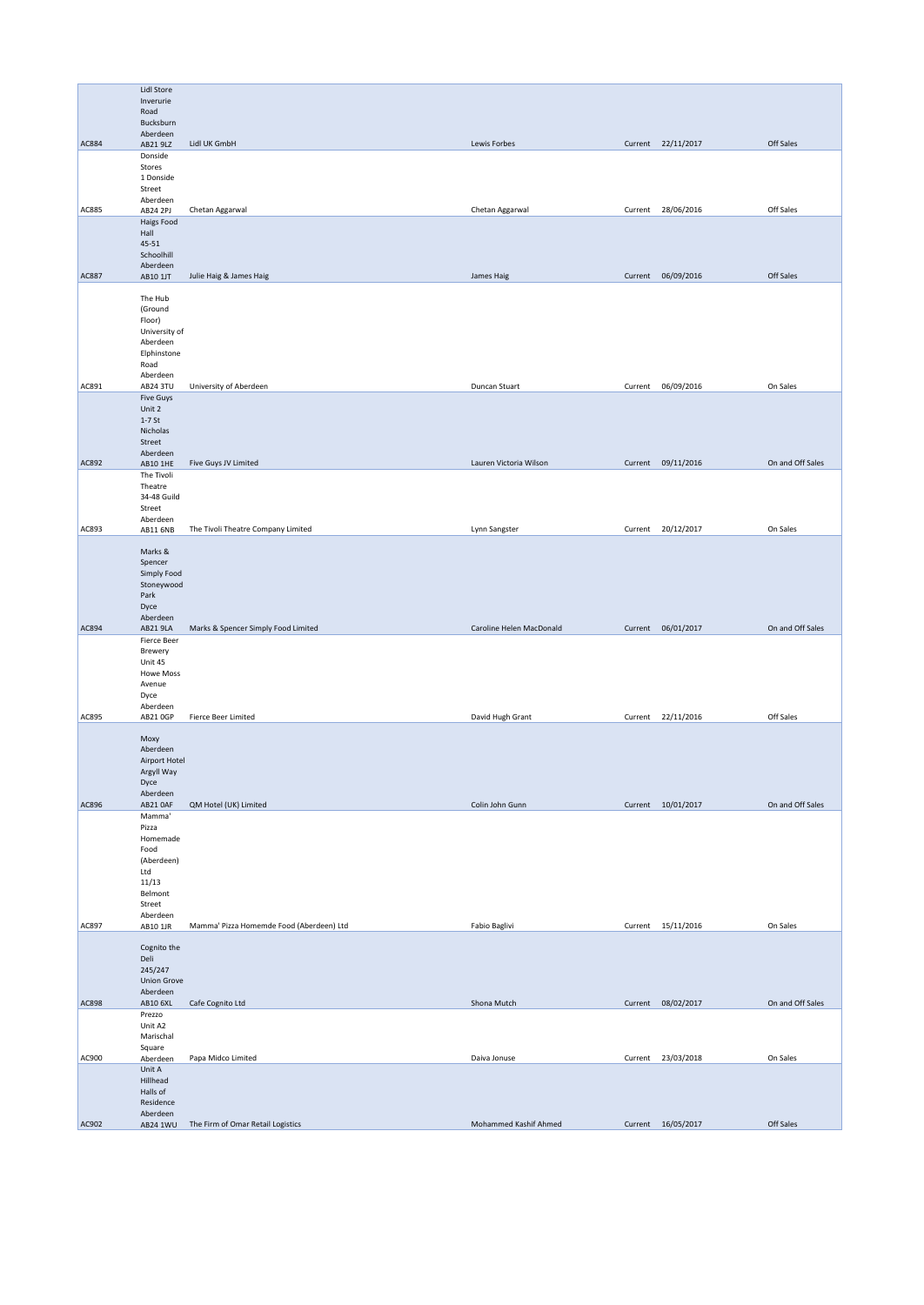|              | Lidl Store                    |                                          |                          |         |                    |                  |
|--------------|-------------------------------|------------------------------------------|--------------------------|---------|--------------------|------------------|
|              | Inverurie                     |                                          |                          |         |                    |                  |
|              | Road                          |                                          |                          |         |                    |                  |
|              | Bucksburn                     |                                          |                          |         |                    |                  |
| <b>AC884</b> | Aberdeen<br>AB21 9LZ          | Lidl UK GmbH                             | Lewis Forbes             |         | Current 22/11/2017 | Off Sales        |
|              | Donside                       |                                          |                          |         |                    |                  |
|              | Stores                        |                                          |                          |         |                    |                  |
|              | 1 Donside                     |                                          |                          |         |                    |                  |
|              | Street<br>Aberdeen            |                                          |                          |         |                    |                  |
| AC885        | AB24 2PJ                      | Chetan Aggarwal                          | Chetan Aggarwal          | Current | 28/06/2016         | Off Sales        |
|              | Haigs Food                    |                                          |                          |         |                    |                  |
|              | Hall                          |                                          |                          |         |                    |                  |
|              | 45-51                         |                                          |                          |         |                    |                  |
|              | Schoolhill<br>Aberdeen        |                                          |                          |         |                    |                  |
| <b>AC887</b> | AB10 1JT                      | Julie Haig & James Haig                  | James Haig               | Current | 06/09/2016         | Off Sales        |
|              |                               |                                          |                          |         |                    |                  |
|              | The Hub                       |                                          |                          |         |                    |                  |
|              | (Ground<br>Floor)             |                                          |                          |         |                    |                  |
|              | University of                 |                                          |                          |         |                    |                  |
|              | Aberdeen                      |                                          |                          |         |                    |                  |
|              | Elphinstone                   |                                          |                          |         |                    |                  |
|              | Road                          |                                          |                          |         |                    |                  |
| AC891        | Aberdeen<br>AB24 3TU          | University of Aberdeen                   | Duncan Stuart            | Current | 06/09/2016         | On Sales         |
|              | <b>Five Guys</b>              |                                          |                          |         |                    |                  |
|              | Unit 2                        |                                          |                          |         |                    |                  |
|              | $1-7$ St                      |                                          |                          |         |                    |                  |
|              | Nicholas                      |                                          |                          |         |                    |                  |
|              | Street<br>Aberdeen            |                                          |                          |         |                    |                  |
| AC892        | AB10 1HE                      | Five Guys JV Limited                     | Lauren Victoria Wilson   |         | Current 09/11/2016 | On and Off Sales |
|              | The Tivoli                    |                                          |                          |         |                    |                  |
|              | Theatre                       |                                          |                          |         |                    |                  |
|              | 34-48 Guild<br>Street         |                                          |                          |         |                    |                  |
|              | Aberdeen                      |                                          |                          |         |                    |                  |
| AC893        | AB11 6NB                      | The Tivoli Theatre Company Limited       | Lynn Sangster            |         | Current 20/12/2017 | On Sales         |
|              |                               |                                          |                          |         |                    |                  |
|              | Marks &<br>Spencer            |                                          |                          |         |                    |                  |
|              | Simply Food                   |                                          |                          |         |                    |                  |
|              | Stoneywood                    |                                          |                          |         |                    |                  |
|              | Park                          |                                          |                          |         |                    |                  |
|              | Dyce                          |                                          |                          |         |                    |                  |
| AC894        | Aberdeen<br>AB21 9LA          | Marks & Spencer Simply Food Limited      | Caroline Helen MacDonald |         | Current 06/01/2017 | On and Off Sales |
|              | Fierce Beer                   |                                          |                          |         |                    |                  |
|              | Brewery                       |                                          |                          |         |                    |                  |
|              | Unit 45                       |                                          |                          |         |                    |                  |
|              | Howe Moss                     |                                          |                          |         |                    |                  |
|              | Avenue<br>Dyce                |                                          |                          |         |                    |                  |
|              | Aberdeen                      |                                          |                          |         |                    |                  |
| AC895        | AB21 0GP                      | Fierce Beer Limited                      | David Hugh Grant         |         | Current 22/11/2016 | Off Sales        |
|              |                               |                                          |                          |         |                    |                  |
|              | Moxy<br>Aberdeen              |                                          |                          |         |                    |                  |
|              | Airport Hotel                 |                                          |                          |         |                    |                  |
|              | Argyll Way                    |                                          |                          |         |                    |                  |
|              | Dyce                          |                                          |                          |         |                    |                  |
| AC896        | Aberdeen<br>AB21 OAF          |                                          | Colin John Gunn          |         | Current 10/01/2017 | On and Off Sales |
|              | Mamma'                        | QM Hotel (UK) Limited                    |                          |         |                    |                  |
|              | Pizza                         |                                          |                          |         |                    |                  |
|              | Homemade                      |                                          |                          |         |                    |                  |
|              | Food                          |                                          |                          |         |                    |                  |
|              | (Aberdeen)<br>Ltd             |                                          |                          |         |                    |                  |
|              | 11/13                         |                                          |                          |         |                    |                  |
|              | Belmont                       |                                          |                          |         |                    |                  |
|              | Street                        |                                          |                          |         |                    |                  |
| AC897        | Aberdeen<br>AB10 1JR          | Mamma' Pizza Homemde Food (Aberdeen) Ltd | Fabio Baglivi            |         | Current 15/11/2016 | On Sales         |
|              |                               |                                          |                          |         |                    |                  |
|              | Cognito the                   |                                          |                          |         |                    |                  |
|              | Deli                          |                                          |                          |         |                    |                  |
|              | 245/247<br><b>Union Grove</b> |                                          |                          |         |                    |                  |
|              | Aberdeen                      |                                          |                          |         |                    |                  |
| <b>AC898</b> | AB10 6XL                      | Cafe Cognito Ltd                         | Shona Mutch              |         | Current 08/02/2017 | On and Off Sales |
|              | Prezzo                        |                                          |                          |         |                    |                  |
|              | Unit A2<br>Marischal          |                                          |                          |         |                    |                  |
|              | Square                        |                                          |                          |         |                    |                  |
| AC900        | Aberdeen                      | Papa Midco Limited                       | Daiva Jonuse             |         | Current 23/03/2018 | On Sales         |
|              | Unit A                        |                                          |                          |         |                    |                  |
|              | Hillhead<br>Halls of          |                                          |                          |         |                    |                  |
|              | Residence                     |                                          |                          |         |                    |                  |
|              | Aberdeen                      |                                          |                          |         |                    |                  |
| AC902        | AB24 1WU                      | The Firm of Omar Retail Logistics        | Mohammed Kashif Ahmed    |         | Current 16/05/2017 | Off Sales        |